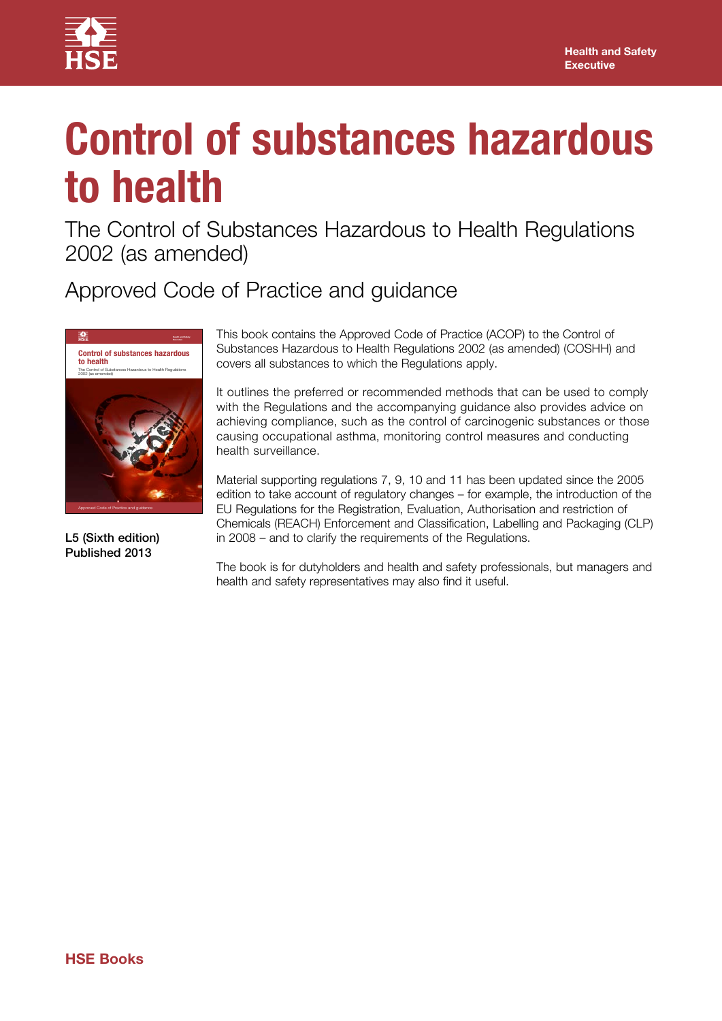

# **Control of substances hazardous to health**

The Control of Substances Hazardous to Health Regulations 2002 (as amended)

Approved Code of Practice and guidance



L5 (Sixth edition) Published 2013

This book contains the Approved Code of Practice (ACOP) to the Control of Substances Hazardous to Health Regulations 2002 (as amended) (COSHH) and covers all substances to which the Regulations apply.

It outlines the preferred or recommended methods that can be used to comply with the Regulations and the accompanying guidance also provides advice on achieving compliance, such as the control of carcinogenic substances or those causing occupational asthma, monitoring control measures and conducting health surveillance.

Material supporting regulations 7, 9, 10 and 11 has been updated since the 2005 edition to take account of regulatory changes – for example, the introduction of the EU Regulations for the Registration, Evaluation, Authorisation and restriction of Chemicals (REACH) Enforcement and Classification, Labelling and Packaging (CLP) in 2008 – and to clarify the requirements of the Regulations.

The book is for dutyholders and health and safety professionals, but managers and health and safety representatives may also find it useful.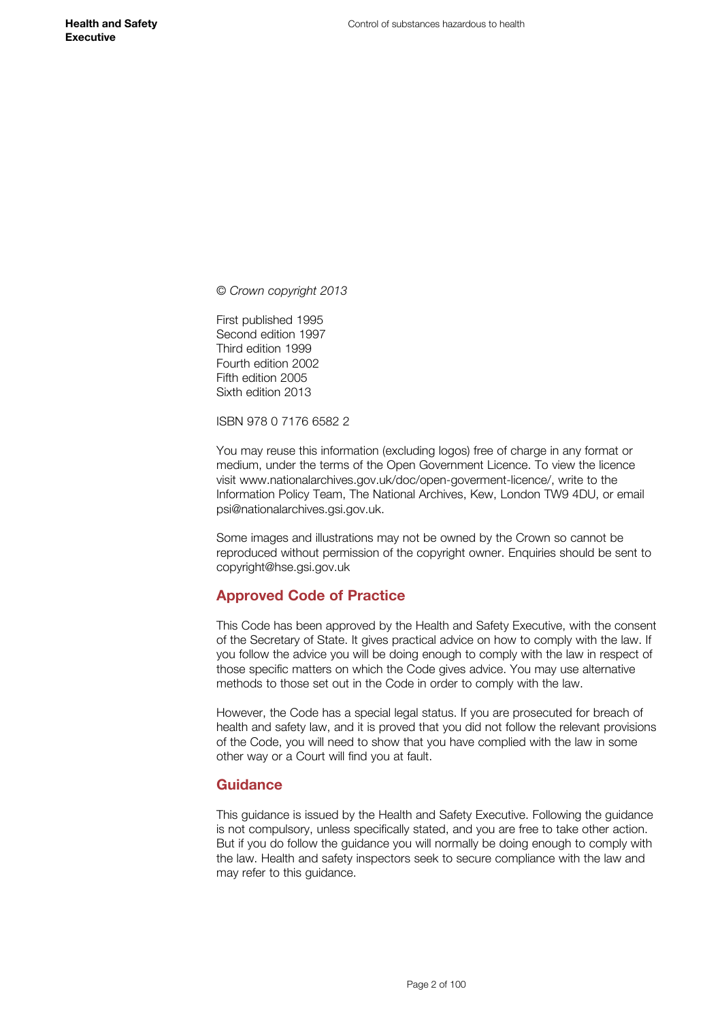© *Crown copyright 2013*

First published 1995 Second edition 1997 Third edition 1999 Fourth edition 2002 Fifth edition 2005 Sixth edition 2013

ISBN 978 0 7176 6582 2

You may reuse this information (excluding logos) free of charge in any format or medium, under the terms of the Open Government Licence. To view the licence visit www.nationalarchives.gov.uk/doc/open-goverment-licence/, write to the Information Policy Team, The National Archives, Kew, London TW9 4DU, or email psi@nationalarchives.gsi.gov.uk.

Some images and illustrations may not be owned by the Crown so cannot be reproduced without permission of the copyright owner. Enquiries should be sent to copyright@hse.gsi.gov.uk

#### **Approved Code of Practice**

This Code has been approved by the Health and Safety Executive, with the consent of the Secretary of State. It gives practical advice on how to comply with the law. If you follow the advice you will be doing enough to comply with the law in respect of those specific matters on which the Code gives advice. You may use alternative methods to those set out in the Code in order to comply with the law.

However, the Code has a special legal status. If you are prosecuted for breach of health and safety law, and it is proved that you did not follow the relevant provisions of the Code, you will need to show that you have complied with the law in some other way or a Court will find you at fault.

#### **Guidance**

This guidance is issued by the Health and Safety Executive. Following the guidance is not compulsory, unless specifically stated, and you are free to take other action. But if you do follow the guidance you will normally be doing enough to comply with the law. Health and safety inspectors seek to secure compliance with the law and may refer to this guidance.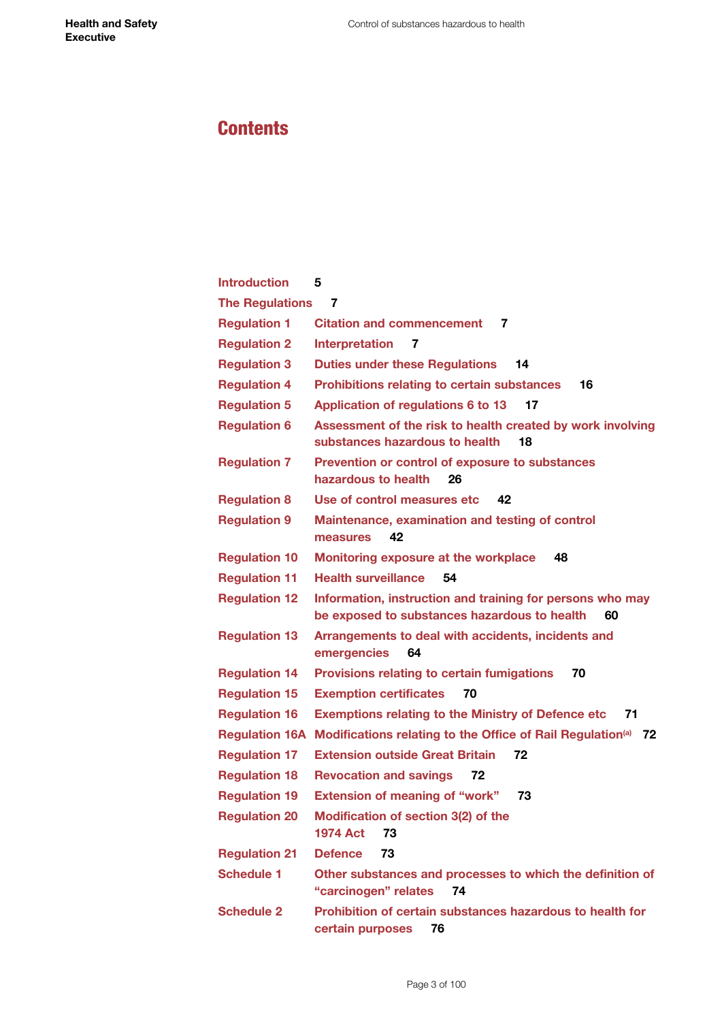## **Contents**

| <b>Introduction</b>    | 5                                                                                                               |  |  |
|------------------------|-----------------------------------------------------------------------------------------------------------------|--|--|
| <b>The Regulations</b> | 7                                                                                                               |  |  |
| <b>Regulation 1</b>    | <b>Citation and commencement</b><br>7                                                                           |  |  |
| <b>Regulation 2</b>    | Interpretation<br>7                                                                                             |  |  |
| <b>Regulation 3</b>    | <b>Duties under these Regulations</b><br>14                                                                     |  |  |
| <b>Regulation 4</b>    | <b>Prohibitions relating to certain substances</b><br>16                                                        |  |  |
| <b>Regulation 5</b>    | Application of regulations 6 to 13<br>17                                                                        |  |  |
| <b>Regulation 6</b>    | Assessment of the risk to health created by work involving<br>substances hazardous to health<br>18              |  |  |
| <b>Regulation 7</b>    | Prevention or control of exposure to substances<br>hazardous to health<br>26                                    |  |  |
| <b>Regulation 8</b>    | Use of control measures etc<br>42                                                                               |  |  |
| <b>Regulation 9</b>    | Maintenance, examination and testing of control<br>42<br>measures                                               |  |  |
| <b>Regulation 10</b>   | Monitoring exposure at the workplace<br>48                                                                      |  |  |
| <b>Regulation 11</b>   | <b>Health surveillance</b><br>54                                                                                |  |  |
| <b>Regulation 12</b>   | Information, instruction and training for persons who may<br>be exposed to substances hazardous to health<br>60 |  |  |
| <b>Regulation 13</b>   | Arrangements to deal with accidents, incidents and<br>emergencies<br>64                                         |  |  |
| <b>Regulation 14</b>   | <b>Provisions relating to certain fumigations</b><br>70                                                         |  |  |
| <b>Regulation 15</b>   | <b>Exemption certificates</b><br>70                                                                             |  |  |
| <b>Regulation 16</b>   | <b>Exemptions relating to the Ministry of Defence etc</b><br>71                                                 |  |  |
|                        | Regulation 16A Modifications relating to the Office of Rail Regulation <sup>(a)</sup> 72                        |  |  |
| <b>Regulation 17</b>   | <b>Extension outside Great Britain</b><br>72                                                                    |  |  |
| <b>Regulation 18</b>   | <b>Revocation and savings</b><br>72                                                                             |  |  |
| <b>Regulation 19</b>   | <b>Extension of meaning of "work"</b><br>73                                                                     |  |  |
| <b>Regulation 20</b>   | Modification of section 3(2) of the<br><b>1974 Act</b><br>73                                                    |  |  |
| <b>Regulation 21</b>   | 73<br><b>Defence</b>                                                                                            |  |  |
| <b>Schedule 1</b>      | Other substances and processes to which the definition of<br>"carcinogen" relates<br>74                         |  |  |
| <b>Schedule 2</b>      | Prohibition of certain substances hazardous to health for<br>76<br>certain purposes                             |  |  |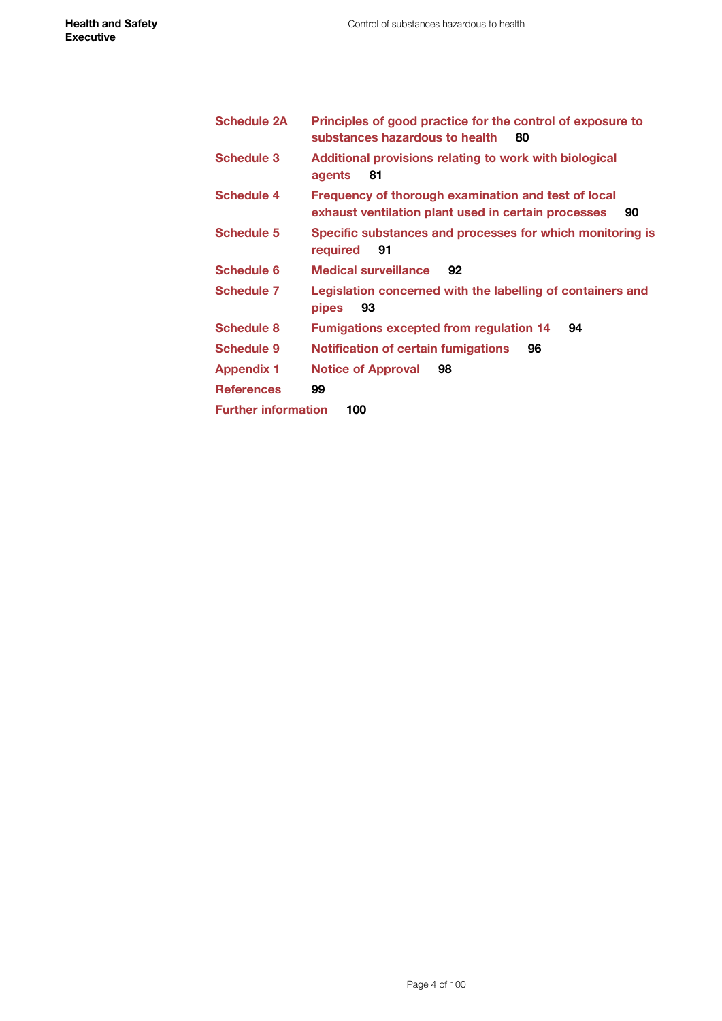| <b>Schedule 2A</b>                | Principles of good practice for the control of exposure to<br>substances hazardous to health<br>80 |  |  |  |
|-----------------------------------|----------------------------------------------------------------------------------------------------|--|--|--|
| <b>Schedule 3</b>                 | Additional provisions relating to work with biological<br>81<br>agents                             |  |  |  |
| <b>Schedule 4</b>                 | Frequency of thorough examination and test of local                                                |  |  |  |
|                                   | exhaust ventilation plant used in certain processes<br>90                                          |  |  |  |
| <b>Schedule 5</b>                 | Specific substances and processes for which monitoring is                                          |  |  |  |
|                                   | required<br>91                                                                                     |  |  |  |
| <b>Schedule 6</b>                 | <b>Medical surveillance</b><br>92                                                                  |  |  |  |
| Schedule 7                        | Legislation concerned with the labelling of containers and<br>93<br>pipes                          |  |  |  |
|                                   |                                                                                                    |  |  |  |
| <b>Schedule 8</b>                 | <b>Fumigations excepted from regulation 14</b><br>94                                               |  |  |  |
| <b>Schedule 9</b>                 | <b>Notification of certain fumigations</b><br>96                                                   |  |  |  |
| <b>Appendix 1</b>                 | <b>Notice of Approval</b><br>98                                                                    |  |  |  |
| <b>References</b>                 | 99                                                                                                 |  |  |  |
| <b>Further information</b><br>100 |                                                                                                    |  |  |  |
|                                   |                                                                                                    |  |  |  |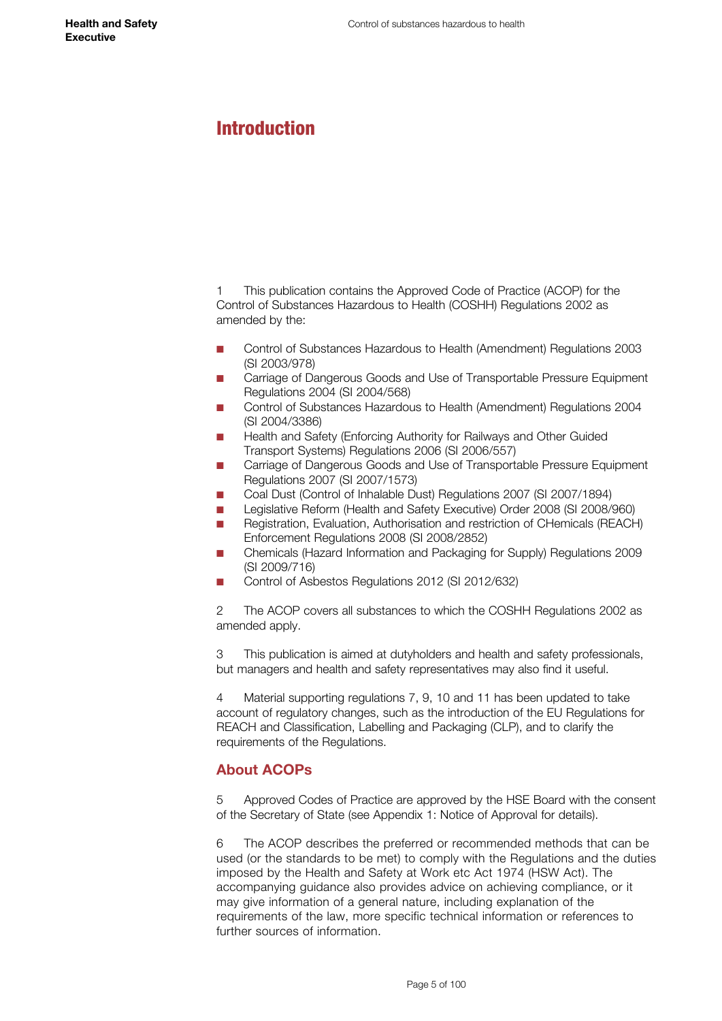## <span id="page-4-0"></span>Introduction

1 This publication contains the Approved Code of Practice (ACOP) for the Control of Substances Hazardous to Health (COSHH) Regulations 2002 as amended by the:

- Control of Substances Hazardous to Health (Amendment) Regulations 2003 (SI 2003/978)
- Carriage of Dangerous Goods and Use of Transportable Pressure Equipment Regulations 2004 (SI 2004/568)
- Control of Substances Hazardous to Health (Amendment) Regulations 2004 (SI 2004/3386)
- Health and Safety (Enforcing Authority for Railways and Other Guided Transport Systems) Regulations 2006 (SI 2006/557)
- Carriage of Dangerous Goods and Use of Transportable Pressure Equipment Regulations 2007 (SI 2007/1573)
- Coal Dust (Control of Inhalable Dust) Regulations 2007 (SI 2007/1894)
- Legislative Reform (Health and Safety Executive) Order 2008 (SI 2008/960)
- Registration, Evaluation, Authorisation and restriction of CHemicals (REACH) Enforcement Regulations 2008 (SI 2008/2852)
- Chemicals (Hazard Information and Packaging for Supply) Regulations 2009 (SI 2009/716)
- Control of Asbestos Regulations 2012 (SI 2012/632)

2 The ACOP covers all substances to which the COSHH Regulations 2002 as amended apply.

3 This publication is aimed at dutyholders and health and safety professionals, but managers and health and safety representatives may also find it useful.

4 Material supporting regulations 7, 9, 10 and 11 has been updated to take account of regulatory changes, such as the introduction of the EU Regulations for REACH and Classification, Labelling and Packaging (CLP), and to clarify the requirements of the Regulations.

#### **About ACOPs**

5 Approved Codes of Practice are approved by the HSE Board with the consent of the Secretary of State (see Appendix 1: Notice of Approval for details).

6 The ACOP describes the preferred or recommended methods that can be used (or the standards to be met) to comply with the Regulations and the duties imposed by the Health and Safety at Work etc Act 1974 (HSW Act). The accompanying guidance also provides advice on achieving compliance, or it may give information of a general nature, including explanation of the requirements of the law, more specific technical information or references to further sources of information.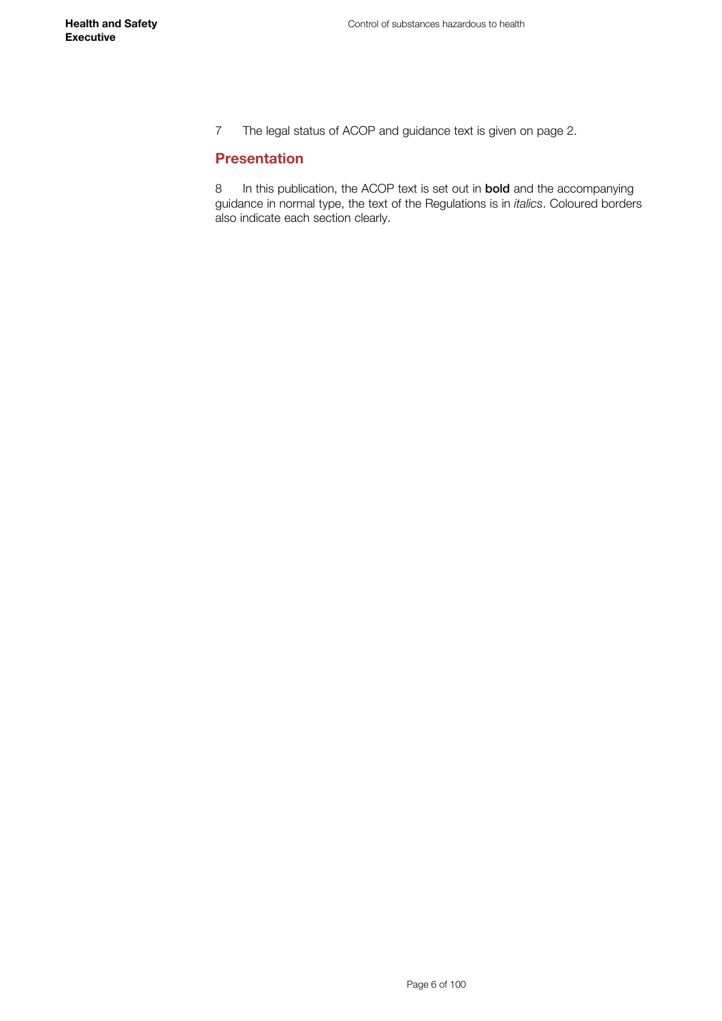7 The legal status of ACOP and guidance text is given on page 2.

#### **Presentation**

8 In this publication, the ACOP text is set out in **bold** and the accompanying guidance in normal type, the text of the Regulations is in *italics*. Coloured borders also indicate each section clearly.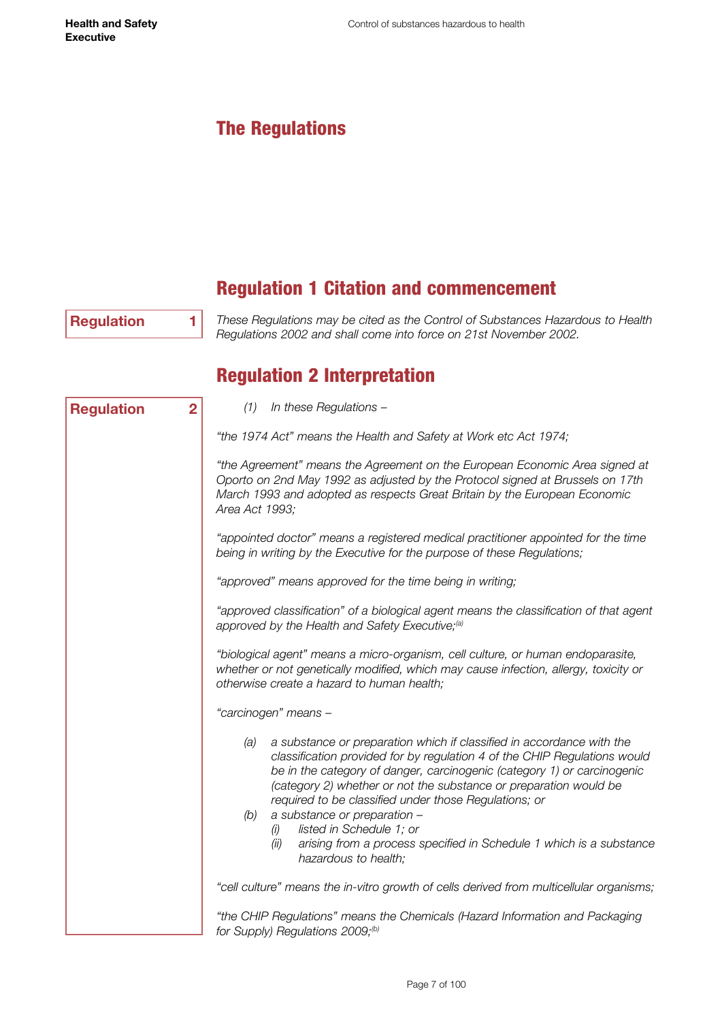## <span id="page-6-0"></span>The Regulations

# Regulation 1 Citation and commencement

**Regulation 1**

*These Regulations may be cited as the Control of Substances Hazardous to Health Regulations 2002 and shall come into force on 21st November 2002.*

## Regulation 2 Interpretation

| $\overline{2}$<br><b>Regulation</b> | In these Regulations -<br>(1)                                                                                                                                                                                                                                                                                                                                                                                                                                                                                                                                                                                                                                                                                        |  |  |  |  |
|-------------------------------------|----------------------------------------------------------------------------------------------------------------------------------------------------------------------------------------------------------------------------------------------------------------------------------------------------------------------------------------------------------------------------------------------------------------------------------------------------------------------------------------------------------------------------------------------------------------------------------------------------------------------------------------------------------------------------------------------------------------------|--|--|--|--|
|                                     | "the 1974 Act" means the Health and Safety at Work etc Act 1974;<br>"the Agreement" means the Agreement on the European Economic Area signed at<br>Oporto on 2nd May 1992 as adjusted by the Protocol signed at Brussels on 17th<br>March 1993 and adopted as respects Great Britain by the European Economic<br>Area Act 1993;<br>"appointed doctor" means a registered medical practitioner appointed for the time<br>being in writing by the Executive for the purpose of these Regulations;<br>"approved" means approved for the time being in writing;<br>"approved classification" of a biological agent means the classification of that agent<br>approved by the Health and Safety Executive; <sup>(a)</sup> |  |  |  |  |
|                                     |                                                                                                                                                                                                                                                                                                                                                                                                                                                                                                                                                                                                                                                                                                                      |  |  |  |  |
|                                     |                                                                                                                                                                                                                                                                                                                                                                                                                                                                                                                                                                                                                                                                                                                      |  |  |  |  |
|                                     |                                                                                                                                                                                                                                                                                                                                                                                                                                                                                                                                                                                                                                                                                                                      |  |  |  |  |
|                                     |                                                                                                                                                                                                                                                                                                                                                                                                                                                                                                                                                                                                                                                                                                                      |  |  |  |  |
|                                     | "biological agent" means a micro-organism, cell culture, or human endoparasite,<br>whether or not genetically modified, which may cause infection, allergy, toxicity or<br>otherwise create a hazard to human health;                                                                                                                                                                                                                                                                                                                                                                                                                                                                                                |  |  |  |  |
|                                     | "carcinogen" means -                                                                                                                                                                                                                                                                                                                                                                                                                                                                                                                                                                                                                                                                                                 |  |  |  |  |
|                                     | (a)<br>a substance or preparation which if classified in accordance with the<br>classification provided for by regulation 4 of the CHIP Regulations would<br>be in the category of danger, carcinogenic (category 1) or carcinogenic<br>(category 2) whether or not the substance or preparation would be<br>required to be classified under those Regulations; or<br>(b)<br>a substance or preparation -                                                                                                                                                                                                                                                                                                            |  |  |  |  |
|                                     | listed in Schedule 1; or<br>(i)<br>arising from a process specified in Schedule 1 which is a substance<br>(ii)<br>hazardous to health;                                                                                                                                                                                                                                                                                                                                                                                                                                                                                                                                                                               |  |  |  |  |
|                                     | "cell culture" means the in-vitro growth of cells derived from multicellular organisms;                                                                                                                                                                                                                                                                                                                                                                                                                                                                                                                                                                                                                              |  |  |  |  |
|                                     | "the CHIP Regulations" means the Chemicals (Hazard Information and Packaging<br>for Supply) Regulations 2009;(b)                                                                                                                                                                                                                                                                                                                                                                                                                                                                                                                                                                                                     |  |  |  |  |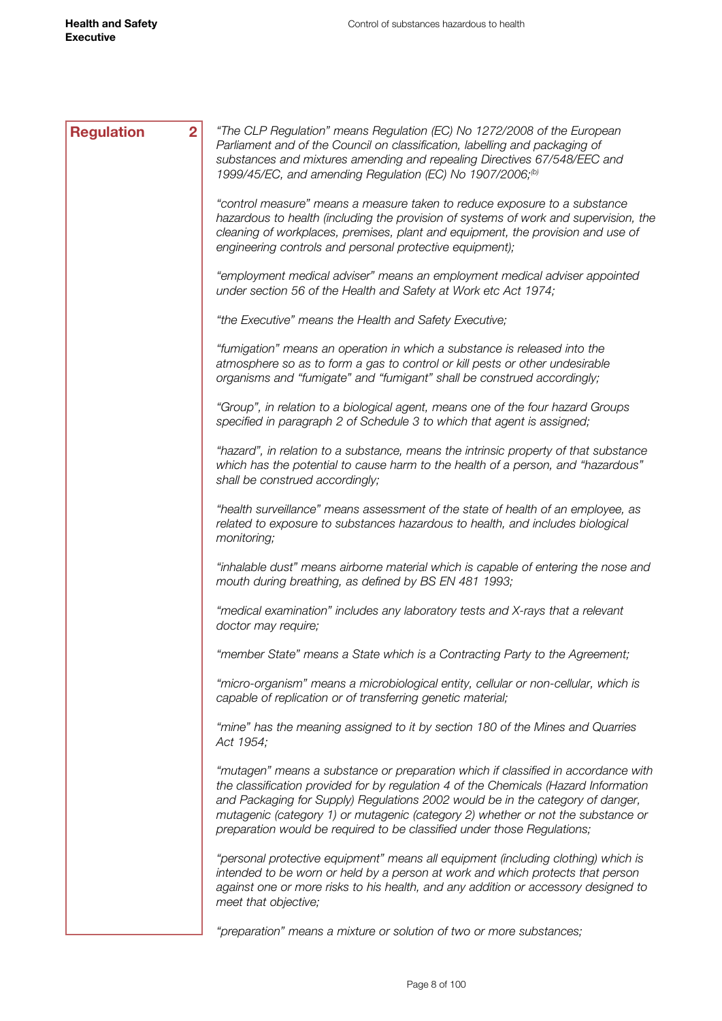| $\overline{2}$<br><b>Regulation</b> | "The CLP Regulation" means Regulation (EC) No 1272/2008 of the European<br>Parliament and of the Council on classification, labelling and packaging of<br>substances and mixtures amending and repealing Directives 67/548/EEC and<br>1999/45/EC, and amending Regulation (EC) No 1907/2006;(b)                                                                                                                            |
|-------------------------------------|----------------------------------------------------------------------------------------------------------------------------------------------------------------------------------------------------------------------------------------------------------------------------------------------------------------------------------------------------------------------------------------------------------------------------|
|                                     | "control measure" means a measure taken to reduce exposure to a substance<br>hazardous to health (including the provision of systems of work and supervision, the<br>cleaning of workplaces, premises, plant and equipment, the provision and use of<br>engineering controls and personal protective equipment);                                                                                                           |
|                                     | "employment medical adviser" means an employment medical adviser appointed<br>under section 56 of the Health and Safety at Work etc Act 1974;                                                                                                                                                                                                                                                                              |
|                                     | "the Executive" means the Health and Safety Executive;                                                                                                                                                                                                                                                                                                                                                                     |
|                                     | "fumigation" means an operation in which a substance is released into the<br>atmosphere so as to form a gas to control or kill pests or other undesirable<br>organisms and "fumigate" and "fumigant" shall be construed accordingly;                                                                                                                                                                                       |
|                                     | "Group", in relation to a biological agent, means one of the four hazard Groups<br>specified in paragraph 2 of Schedule 3 to which that agent is assigned;                                                                                                                                                                                                                                                                 |
|                                     | "hazard", in relation to a substance, means the intrinsic property of that substance<br>which has the potential to cause harm to the health of a person, and "hazardous"<br>shall be construed accordingly;                                                                                                                                                                                                                |
|                                     | "health surveillance" means assessment of the state of health of an employee, as<br>related to exposure to substances hazardous to health, and includes biological<br>monitoring;                                                                                                                                                                                                                                          |
|                                     | "inhalable dust" means airborne material which is capable of entering the nose and<br>mouth during breathing, as defined by BS EN 481 1993;                                                                                                                                                                                                                                                                                |
|                                     | "medical examination" includes any laboratory tests and X-rays that a relevant<br>doctor may require;                                                                                                                                                                                                                                                                                                                      |
|                                     | "member State" means a State which is a Contracting Party to the Agreement;                                                                                                                                                                                                                                                                                                                                                |
|                                     | "micro-organism" means a microbiological entity, cellular or non-cellular, which is<br>capable of replication or of transferring genetic material;                                                                                                                                                                                                                                                                         |
|                                     | "mine" has the meaning assigned to it by section 180 of the Mines and Quarries<br>Act 1954;                                                                                                                                                                                                                                                                                                                                |
|                                     | "mutagen" means a substance or preparation which if classified in accordance with<br>the classification provided for by regulation 4 of the Chemicals (Hazard Information<br>and Packaging for Supply) Regulations 2002 would be in the category of danger,<br>mutagenic (category 1) or mutagenic (category 2) whether or not the substance or<br>preparation would be required to be classified under those Regulations; |
|                                     | "personal protective equipment" means all equipment (including clothing) which is<br>intended to be worn or held by a person at work and which protects that person<br>against one or more risks to his health, and any addition or accessory designed to<br>meet that objective;                                                                                                                                          |
|                                     | "preparation" means a mixture or solution of two or more substances;                                                                                                                                                                                                                                                                                                                                                       |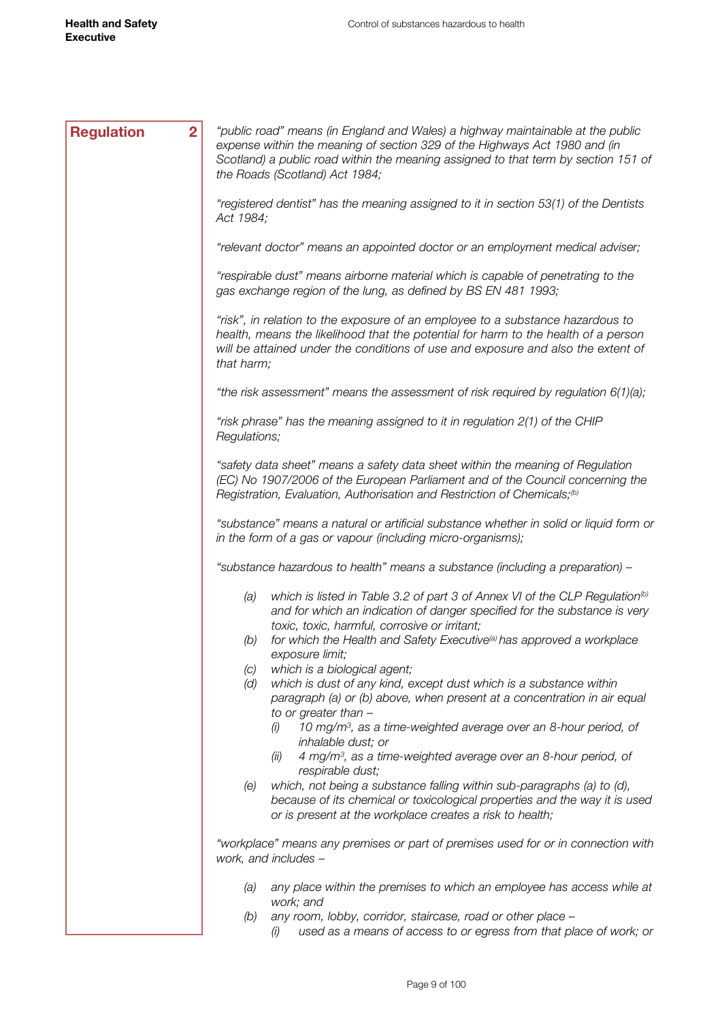| $\overline{2}$<br><b>Regulation</b> | "public road" means (in England and Wales) a highway maintainable at the public<br>expense within the meaning of section 329 of the Highways Act 1980 and (in<br>Scotland) a public road within the meaning assigned to that term by section 151 of<br>the Roads (Scotland) Act 1984;                                                       |  |  |  |
|-------------------------------------|---------------------------------------------------------------------------------------------------------------------------------------------------------------------------------------------------------------------------------------------------------------------------------------------------------------------------------------------|--|--|--|
|                                     | "registered dentist" has the meaning assigned to it in section 53(1) of the Dentists<br>Act 1984;                                                                                                                                                                                                                                           |  |  |  |
|                                     | "relevant doctor" means an appointed doctor or an employment medical adviser;                                                                                                                                                                                                                                                               |  |  |  |
|                                     | "respirable dust" means airborne material which is capable of penetrating to the<br>gas exchange region of the lung, as defined by BS EN 481 1993;                                                                                                                                                                                          |  |  |  |
|                                     | "risk", in relation to the exposure of an employee to a substance hazardous to<br>health, means the likelihood that the potential for harm to the health of a person<br>will be attained under the conditions of use and exposure and also the extent of<br>that harm;                                                                      |  |  |  |
|                                     | "the risk assessment" means the assessment of risk required by regulation 6(1)(a);                                                                                                                                                                                                                                                          |  |  |  |
|                                     | "risk phrase" has the meaning assigned to it in regulation 2(1) of the CHIP<br>Regulations;                                                                                                                                                                                                                                                 |  |  |  |
|                                     | "safety data sheet" means a safety data sheet within the meaning of Regulation<br>(EC) No 1907/2006 of the European Parliament and of the Council concerning the<br>Registration, Evaluation, Authorisation and Restriction of Chemicals; <sup>(b)</sup>                                                                                    |  |  |  |
|                                     | "substance" means a natural or artificial substance whether in solid or liquid form or<br>in the form of a gas or vapour (including micro-organisms);                                                                                                                                                                                       |  |  |  |
|                                     | "substance hazardous to health" means a substance (including a preparation) –                                                                                                                                                                                                                                                               |  |  |  |
|                                     | which is listed in Table 3.2 of part 3 of Annex VI of the CLP Regulation <sup>(b)</sup><br>(a)<br>and for which an indication of danger specified for the substance is very<br>toxic, toxic, harmful, corrosive or irritant;<br>for which the Health and Safety Executive <sup>(a)</sup> has approved a workplace<br>(b)<br>exposure limit; |  |  |  |
|                                     | which is a biological agent;<br>(C)<br>(d)<br>which is dust of any kind, except dust which is a substance within<br>paragraph (a) or (b) above, when present at a concentration in air equal<br>to or greater than -                                                                                                                        |  |  |  |
|                                     | 10 mg/m <sup>3</sup> , as a time-weighted average over an 8-hour period, of<br>(i)<br>inhalable dust; or                                                                                                                                                                                                                                    |  |  |  |
|                                     | 4 mg/m <sup>3</sup> , as a time-weighted average over an 8-hour period, of<br>(ii)<br>respirable dust;                                                                                                                                                                                                                                      |  |  |  |
|                                     | which, not being a substance falling within sub-paragraphs (a) to (d),<br>(e)<br>because of its chemical or toxicological properties and the way it is used<br>or is present at the workplace creates a risk to health;                                                                                                                     |  |  |  |
|                                     | "workplace" means any premises or part of premises used for or in connection with<br>work, and includes -                                                                                                                                                                                                                                   |  |  |  |
|                                     | any place within the premises to which an employee has access while at<br>(a)<br>work; and                                                                                                                                                                                                                                                  |  |  |  |
|                                     | any room, lobby, corridor, staircase, road or other place -<br>(b)<br>used as a means of access to or egress from that place of work; or<br>(i)                                                                                                                                                                                             |  |  |  |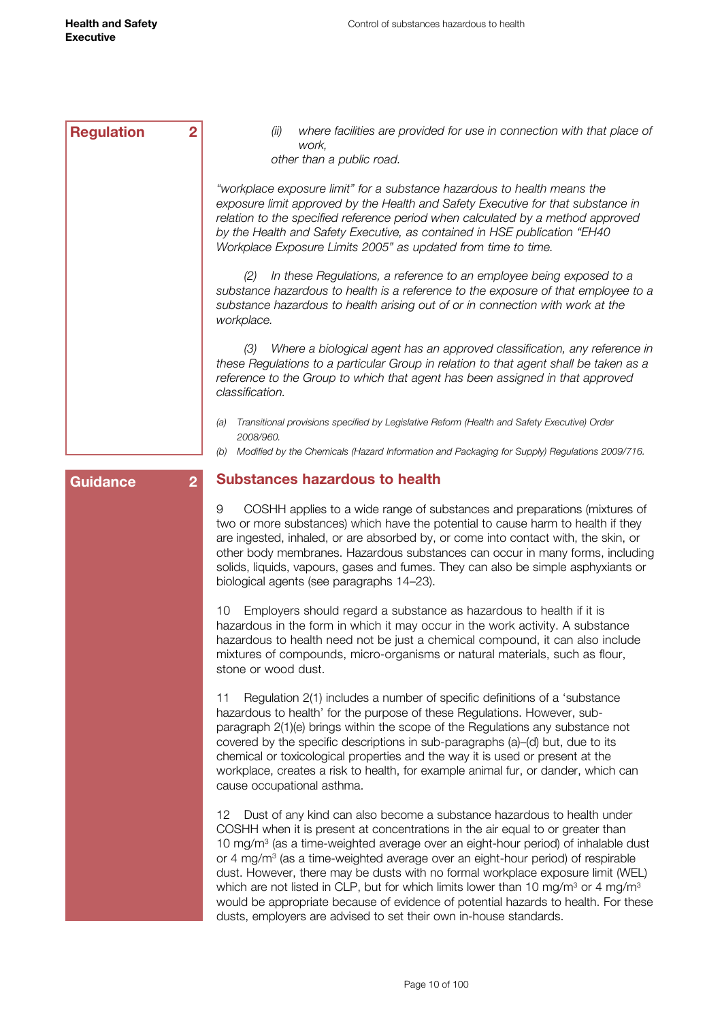**Guidance 2**

| <b>Regulation</b> | where facilities are provided for use in connection with that place of<br>(ii)<br>work.<br>other than a public road.                                                                                                                                                                                                                                                                          |
|-------------------|-----------------------------------------------------------------------------------------------------------------------------------------------------------------------------------------------------------------------------------------------------------------------------------------------------------------------------------------------------------------------------------------------|
|                   | "workplace exposure limit" for a substance hazardous to health means the<br>exposure limit approved by the Health and Safety Executive for that substance in<br>relation to the specified reference period when calculated by a method approved<br>by the Health and Safety Executive, as contained in HSE publication "EH40<br>Workplace Exposure Limits 2005" as updated from time to time. |
|                   | In these Regulations, a reference to an employee being exposed to a<br>(2)<br>substance hazardous to health is a reference to the exposure of that employee to a<br>substance hazardous to health arising out of or in connection with work at the<br>workplace.                                                                                                                              |
|                   | Where a biological agent has an approved classification, any reference in<br>(3)<br>these Regulations to a particular Group in relation to that agent shall be taken as a<br>reference to the Group to which that agent has been assigned in that approved<br>classification.                                                                                                                 |
|                   | Transitional provisions specified by Legislative Reform (Health and Safety Executive) Order<br>(a)<br>2008/960.                                                                                                                                                                                                                                                                               |
|                   | Modified by the Chemicals (Hazard Information and Packaging for Supply) Regulations 2009/716.<br>(b)                                                                                                                                                                                                                                                                                          |

#### **Substances hazardous to health**

9 COSHH applies to a wide range of substances and preparations (mixtures of two or more substances) which have the potential to cause harm to health if they are ingested, inhaled, or are absorbed by, or come into contact with, the skin, or other body membranes. Hazardous substances can occur in many forms, including solids, liquids, vapours, gases and fumes. They can also be simple asphyxiants or biological agents (see paragraphs 14–23).

10 Employers should regard a substance as hazardous to health if it is hazardous in the form in which it may occur in the work activity. A substance hazardous to health need not be just a chemical compound, it can also include mixtures of compounds, micro-organisms or natural materials, such as flour, stone or wood dust.

11 Regulation 2(1) includes a number of specific definitions of a 'substance hazardous to health' for the purpose of these Regulations. However, subparagraph 2(1)(e) brings within the scope of the Regulations any substance not covered by the specific descriptions in sub-paragraphs (a)–(d) but, due to its chemical or toxicological properties and the way it is used or present at the workplace, creates a risk to health, for example animal fur, or dander, which can cause occupational asthma.

12 Dust of any kind can also become a substance hazardous to health under COSHH when it is present at concentrations in the air equal to or greater than 10 mg/m3 (as a time-weighted average over an eight-hour period) of inhalable dust or 4 mg/m3 (as a time-weighted average over an eight-hour period) of respirable dust. However, there may be dusts with no formal workplace exposure limit (WEL) which are not listed in CLP, but for which limits lower than 10 mg/m<sup>3</sup> or 4 mg/m<sup>3</sup> would be appropriate because of evidence of potential hazards to health. For these dusts, employers are advised to set their own in-house standards.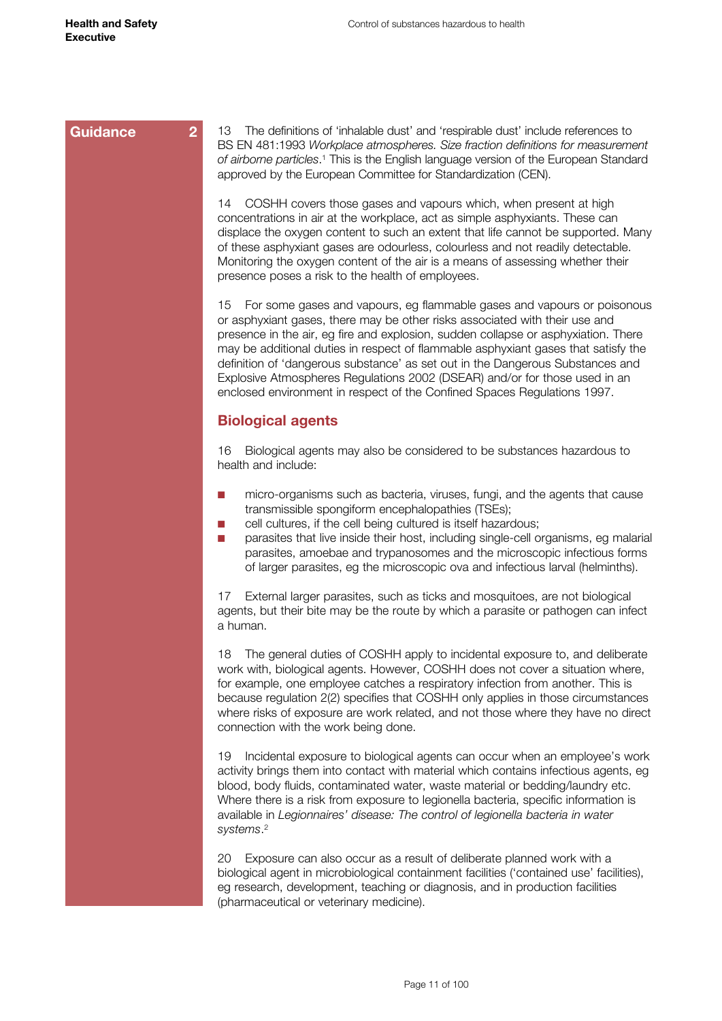| $\overline{2}$<br><b>Guidance</b> | 13<br>The definitions of 'inhalable dust' and 'respirable dust' include references to<br>BS EN 481:1993 Workplace atmospheres. Size fraction definitions for measurement<br>of airborne particles. <sup>1</sup> This is the English language version of the European Standard<br>approved by the European Committee for Standardization (CEN).                                                                                                                                                                                                                                       |
|-----------------------------------|--------------------------------------------------------------------------------------------------------------------------------------------------------------------------------------------------------------------------------------------------------------------------------------------------------------------------------------------------------------------------------------------------------------------------------------------------------------------------------------------------------------------------------------------------------------------------------------|
|                                   | COSHH covers those gases and vapours which, when present at high<br>14<br>concentrations in air at the workplace, act as simple asphyxiants. These can<br>displace the oxygen content to such an extent that life cannot be supported. Many<br>of these asphyxiant gases are odourless, colourless and not readily detectable.<br>Monitoring the oxygen content of the air is a means of assessing whether their<br>presence poses a risk to the health of employees.                                                                                                                |
|                                   | For some gases and vapours, eg flammable gases and vapours or poisonous<br>15<br>or asphyxiant gases, there may be other risks associated with their use and<br>presence in the air, eg fire and explosion, sudden collapse or asphyxiation. There<br>may be additional duties in respect of flammable asphyxiant gases that satisfy the<br>definition of 'dangerous substance' as set out in the Dangerous Substances and<br>Explosive Atmospheres Regulations 2002 (DSEAR) and/or for those used in an<br>enclosed environment in respect of the Confined Spaces Regulations 1997. |
|                                   | <b>Biological agents</b>                                                                                                                                                                                                                                                                                                                                                                                                                                                                                                                                                             |
|                                   | 16<br>Biological agents may also be considered to be substances hazardous to<br>health and include:                                                                                                                                                                                                                                                                                                                                                                                                                                                                                  |
|                                   | micro-organisms such as bacteria, viruses, fungi, and the agents that cause<br>m.<br>transmissible spongiform encephalopathies (TSEs);<br>cell cultures, if the cell being cultured is itself hazardous;<br>m.<br>parasites that live inside their host, including single-cell organisms, eg malarial<br>n.<br>parasites, amoebae and trypanosomes and the microscopic infectious forms<br>of larger parasites, eg the microscopic ova and infectious larval (helminths).                                                                                                            |
|                                   | External larger parasites, such as ticks and mosquitoes, are not biological<br>17<br>agents, but their bite may be the route by which a parasite or pathogen can infect<br>a human.                                                                                                                                                                                                                                                                                                                                                                                                  |
|                                   | 18 The general duties of COSHH apply to incidental exposure to, and deliberate<br>work with, biological agents. However, COSHH does not cover a situation where,<br>for example, one employee catches a respiratory infection from another. This is<br>because regulation 2(2) specifies that COSHH only applies in those circumstances<br>where risks of exposure are work related, and not those where they have no direct<br>connection with the work being done.                                                                                                                 |
|                                   | Incidental exposure to biological agents can occur when an employee's work<br>19<br>activity brings them into contact with material which contains infectious agents, eg<br>blood, body fluids, contaminated water, waste material or bedding/laundry etc.<br>Where there is a risk from exposure to legionella bacteria, specific information is<br>available in Legionnaires' disease: The control of legionella bacteria in water<br>systems. <sup>2</sup>                                                                                                                        |
|                                   | Exposure can also occur as a result of deliberate planned work with a<br>20<br>biological agent in microbiological containment facilities ('contained use' facilities),<br>eg research, development, teaching or diagnosis, and in production facilities<br>(pharmaceutical or veterinary medicine).                                                                                                                                                                                                                                                                                 |
|                                   |                                                                                                                                                                                                                                                                                                                                                                                                                                                                                                                                                                                      |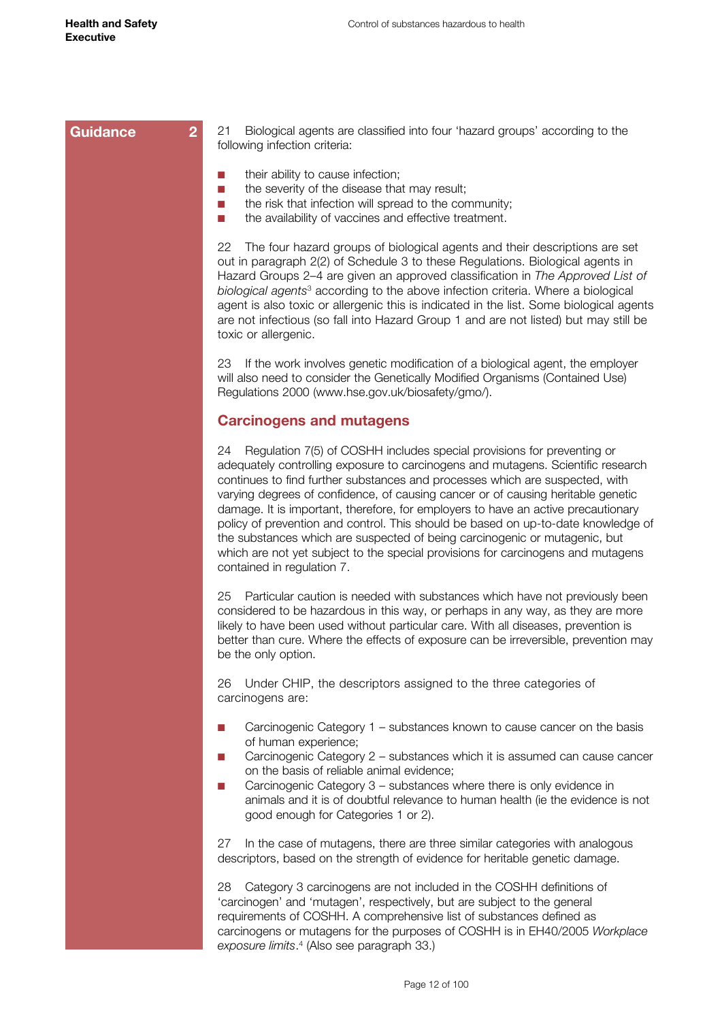| $\overline{2}$<br><b>Guidance</b> | 21<br>Biological agents are classified into four 'hazard groups' according to the<br>following infection criteria:                                                                                                                                                                                                                                                                                                                                                                                                                                                                                                                                                                                             |
|-----------------------------------|----------------------------------------------------------------------------------------------------------------------------------------------------------------------------------------------------------------------------------------------------------------------------------------------------------------------------------------------------------------------------------------------------------------------------------------------------------------------------------------------------------------------------------------------------------------------------------------------------------------------------------------------------------------------------------------------------------------|
|                                   | their ability to cause infection;<br>П<br>the severity of the disease that may result;<br>П<br>the risk that infection will spread to the community;<br>П<br>the availability of vaccines and effective treatment.<br>m.                                                                                                                                                                                                                                                                                                                                                                                                                                                                                       |
|                                   | 22<br>The four hazard groups of biological agents and their descriptions are set<br>out in paragraph 2(2) of Schedule 3 to these Regulations. Biological agents in<br>Hazard Groups 2–4 are given an approved classification in The Approved List of<br>biological agents <sup>3</sup> according to the above infection criteria. Where a biological<br>agent is also toxic or allergenic this is indicated in the list. Some biological agents<br>are not infectious (so fall into Hazard Group 1 and are not listed) but may still be<br>toxic or allergenic.                                                                                                                                                |
|                                   | 23<br>If the work involves genetic modification of a biological agent, the employer<br>will also need to consider the Genetically Modified Organisms (Contained Use)<br>Regulations 2000 (www.hse.gov.uk/biosafety/gmo/).                                                                                                                                                                                                                                                                                                                                                                                                                                                                                      |
|                                   | <b>Carcinogens and mutagens</b>                                                                                                                                                                                                                                                                                                                                                                                                                                                                                                                                                                                                                                                                                |
|                                   | Regulation 7(5) of COSHH includes special provisions for preventing or<br>24<br>adequately controlling exposure to carcinogens and mutagens. Scientific research<br>continues to find further substances and processes which are suspected, with<br>varying degrees of confidence, of causing cancer or of causing heritable genetic<br>damage. It is important, therefore, for employers to have an active precautionary<br>policy of prevention and control. This should be based on up-to-date knowledge of<br>the substances which are suspected of being carcinogenic or mutagenic, but<br>which are not yet subject to the special provisions for carcinogens and mutagens<br>contained in regulation 7. |
|                                   | 25<br>Particular caution is needed with substances which have not previously been<br>considered to be hazardous in this way, or perhaps in any way, as they are more<br>likely to have been used without particular care. With all diseases, prevention is<br>better than cure. Where the effects of exposure can be irreversible, prevention may<br>be the only option.                                                                                                                                                                                                                                                                                                                                       |
|                                   | Under CHIP, the descriptors assigned to the three categories of<br>26<br>carcinogens are:                                                                                                                                                                                                                                                                                                                                                                                                                                                                                                                                                                                                                      |
|                                   | Carcinogenic Category 1 - substances known to cause cancer on the basis<br>m.<br>of human experience;<br>Carcinogenic Category 2 - substances which it is assumed can cause cancer<br><b>The State</b><br>on the basis of reliable animal evidence;<br>Carcinogenic Category 3 - substances where there is only evidence in<br>m.<br>animals and it is of doubtful relevance to human health (ie the evidence is not<br>good enough for Categories 1 or 2).                                                                                                                                                                                                                                                    |
|                                   | In the case of mutagens, there are three similar categories with analogous<br>27<br>descriptors, based on the strength of evidence for heritable genetic damage.                                                                                                                                                                                                                                                                                                                                                                                                                                                                                                                                               |
|                                   | Category 3 carcinogens are not included in the COSHH definitions of<br>28<br>'carcinogen' and 'mutagen', respectively, but are subject to the general<br>requirements of COSHH. A comprehensive list of substances defined as<br>carcinogens or mutagens for the purposes of COSHH is in EH40/2005 Workplace<br>exposure limits. <sup>4</sup> (Also see paragraph 33.)                                                                                                                                                                                                                                                                                                                                         |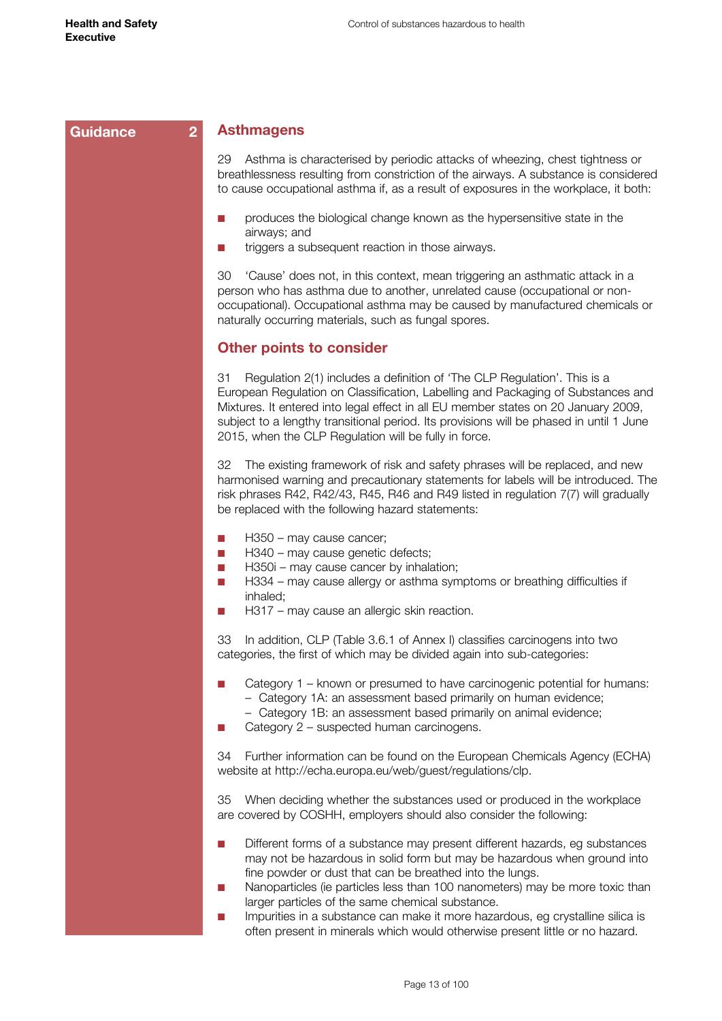| $\overline{2}$<br><b>Guidance</b> | <b>Asthmagens</b>                                                                                                                                                                                                                                                                                                                                                                                            |
|-----------------------------------|--------------------------------------------------------------------------------------------------------------------------------------------------------------------------------------------------------------------------------------------------------------------------------------------------------------------------------------------------------------------------------------------------------------|
|                                   | Asthma is characterised by periodic attacks of wheezing, chest tightness or<br>29<br>breathlessness resulting from constriction of the airways. A substance is considered<br>to cause occupational asthma if, as a result of exposures in the workplace, it both:                                                                                                                                            |
|                                   | produces the biological change known as the hypersensitive state in the<br>Ш<br>airways; and                                                                                                                                                                                                                                                                                                                 |
|                                   | triggers a subsequent reaction in those airways.<br>ш                                                                                                                                                                                                                                                                                                                                                        |
|                                   | 'Cause' does not, in this context, mean triggering an asthmatic attack in a<br>30<br>person who has asthma due to another, unrelated cause (occupational or non-<br>occupational). Occupational asthma may be caused by manufactured chemicals or<br>naturally occurring materials, such as fungal spores.                                                                                                   |
|                                   | <b>Other points to consider</b>                                                                                                                                                                                                                                                                                                                                                                              |
|                                   | 31<br>Regulation 2(1) includes a definition of 'The CLP Regulation'. This is a<br>European Regulation on Classification, Labelling and Packaging of Substances and<br>Mixtures. It entered into legal effect in all EU member states on 20 January 2009,<br>subject to a lengthy transitional period. Its provisions will be phased in until 1 June<br>2015, when the CLP Regulation will be fully in force. |
|                                   | 32<br>The existing framework of risk and safety phrases will be replaced, and new<br>harmonised warning and precautionary statements for labels will be introduced. The<br>risk phrases R42, R42/43, R45, R46 and R49 listed in regulation 7(7) will gradually<br>be replaced with the following hazard statements:                                                                                          |
|                                   | H350 - may cause cancer;<br>ш<br>H340 - may cause genetic defects;<br>ш<br>H350i - may cause cancer by inhalation;<br><b>The State</b><br>H334 - may cause allergy or asthma symptoms or breathing difficulties if<br><b>The State</b><br>inhaled;                                                                                                                                                           |
|                                   | H317 – may cause an allergic skin reaction.<br><b>The State</b>                                                                                                                                                                                                                                                                                                                                              |
|                                   | In addition, CLP (Table 3.6.1 of Annex I) classifies carcinogens into two<br>33<br>categories, the first of which may be divided again into sub-categories:                                                                                                                                                                                                                                                  |
|                                   | Category 1 – known or presumed to have carcinogenic potential for humans:<br>ш<br>- Category 1A: an assessment based primarily on human evidence;<br>- Category 1B: an assessment based primarily on animal evidence;<br>Category 2 - suspected human carcinogens.<br>ш                                                                                                                                      |
|                                   | Further information can be found on the European Chemicals Agency (ECHA)<br>34<br>website at http://echa.europa.eu/web/guest/regulations/clp.                                                                                                                                                                                                                                                                |
|                                   | 35<br>When deciding whether the substances used or produced in the workplace<br>are covered by COSHH, employers should also consider the following:                                                                                                                                                                                                                                                          |
|                                   | Different forms of a substance may present different hazards, eg substances<br>Ш<br>may not be hazardous in solid form but may be hazardous when ground into<br>fine powder or dust that can be breathed into the lungs.<br>Nanoparticles (ie particles less than 100 nanometers) may be more toxic than<br>ш<br>larger particles of the same chemical substance.                                            |

■ Impurities in a substance can make it more hazardous, eg crystalline silica is often present in minerals which would otherwise present little or no hazard.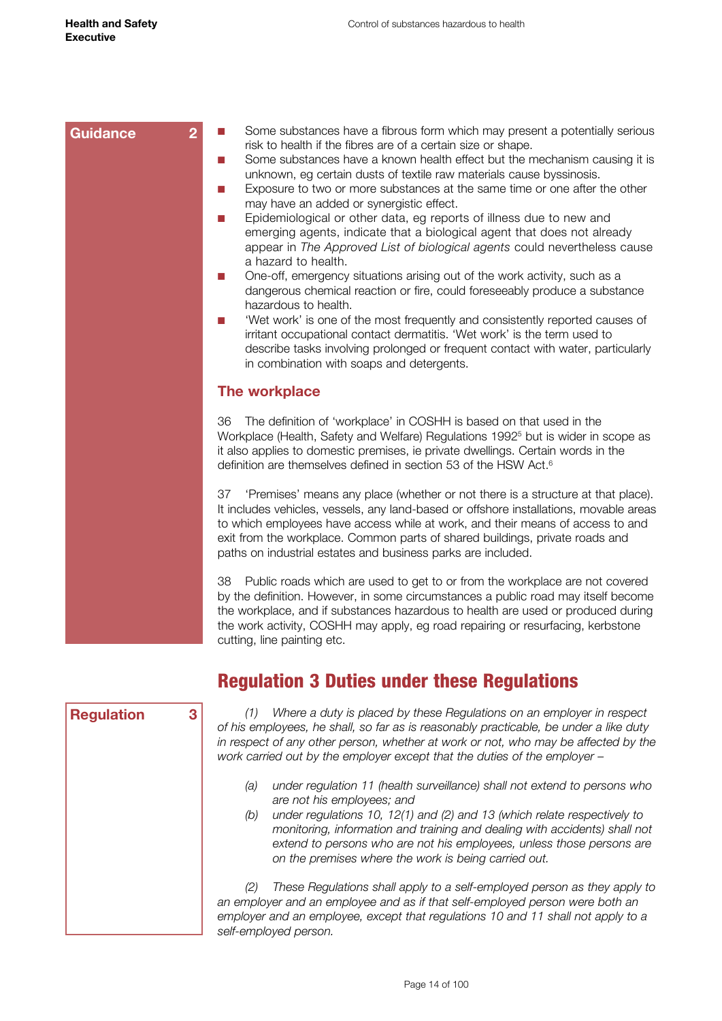<span id="page-13-0"></span>

| $\overline{2}$<br><b>Guidance</b> | Some substances have a fibrous form which may present a potentially serious<br><b>Tall</b><br>risk to health if the fibres are of a certain size or shape.<br>Some substances have a known health effect but the mechanism causing it is<br>m.<br>unknown, eg certain dusts of textile raw materials cause byssinosis.<br>Exposure to two or more substances at the same time or one after the other<br>n.<br>may have an added or synergistic effect.<br>Epidemiological or other data, eg reports of illness due to new and<br>n.<br>emerging agents, indicate that a biological agent that does not already<br>appear in The Approved List of biological agents could nevertheless cause<br>a hazard to health.<br>One-off, emergency situations arising out of the work activity, such as a<br>п<br>dangerous chemical reaction or fire, could foreseeably produce a substance<br>hazardous to health.<br>'Wet work' is one of the most frequently and consistently reported causes of<br>×<br>irritant occupational contact dermatitis. 'Wet work' is the term used to<br>describe tasks involving prolonged or frequent contact with water, particularly<br>in combination with soaps and detergents. |
|-----------------------------------|-------------------------------------------------------------------------------------------------------------------------------------------------------------------------------------------------------------------------------------------------------------------------------------------------------------------------------------------------------------------------------------------------------------------------------------------------------------------------------------------------------------------------------------------------------------------------------------------------------------------------------------------------------------------------------------------------------------------------------------------------------------------------------------------------------------------------------------------------------------------------------------------------------------------------------------------------------------------------------------------------------------------------------------------------------------------------------------------------------------------------------------------------------------------------------------------------------------|
|                                   | The workplace                                                                                                                                                                                                                                                                                                                                                                                                                                                                                                                                                                                                                                                                                                                                                                                                                                                                                                                                                                                                                                                                                                                                                                                               |
|                                   | 36<br>The definition of 'workplace' in COSHH is based on that used in the<br>Workplace (Health, Safety and Welfare) Regulations 1992 <sup>5</sup> but is wider in scope as<br>it also applies to domestic premises, ie private dwellings. Certain words in the<br>definition are themselves defined in section 53 of the HSW Act. <sup>6</sup>                                                                                                                                                                                                                                                                                                                                                                                                                                                                                                                                                                                                                                                                                                                                                                                                                                                              |
|                                   | 37<br>'Premises' means any place (whether or not there is a structure at that place).<br>It includes vehicles, vessels, any land-based or offshore installations, movable areas<br>to which employees have access while at work, and their means of access to and<br>exit from the workplace. Common parts of shared buildings, private roads and<br>paths on industrial estates and business parks are included.                                                                                                                                                                                                                                                                                                                                                                                                                                                                                                                                                                                                                                                                                                                                                                                           |
|                                   | 38<br>Public roads which are used to get to or from the workplace are not covered<br>by the definition. However, in some circumstances a public road may itself become<br>the workplace, and if substances hazardous to health are used or produced during<br>the work activity, COSHH may apply, eg road repairing or resurfacing, kerbstone<br>cutting, line painting etc.                                                                                                                                                                                                                                                                                                                                                                                                                                                                                                                                                                                                                                                                                                                                                                                                                                |

### Regulation 3 Duties under these Regulations

| <b>Regulation</b> | 3 |
|-------------------|---|
|                   |   |
|                   |   |
|                   |   |
|                   |   |
|                   |   |
|                   |   |

*(1) Where a duty is placed by these Regulations on an employer in respect of his employees, he shall, so far as is reasonably practicable, be under a like duty*  in respect of any other person, whether at work or not, who may be affected by the *work carried out by the employer except that the duties of the employer –*

- *(a) under regulation 11 (health surveillance) shall not extend to persons who are not his employees; and*
- *(b) under regulations 10, 12(1) and (2) and 13 (which relate respectively to monitoring, information and training and dealing with accidents) shall not extend to persons who are not his employees, unless those persons are on the premises where the work is being carried out.*

*(2) These Regulations shall apply to a self-employed person as they apply to an employer and an employee and as if that self-employed person were both an employer and an employee, except that regulations 10 and 11 shall not apply to a self-employed person.*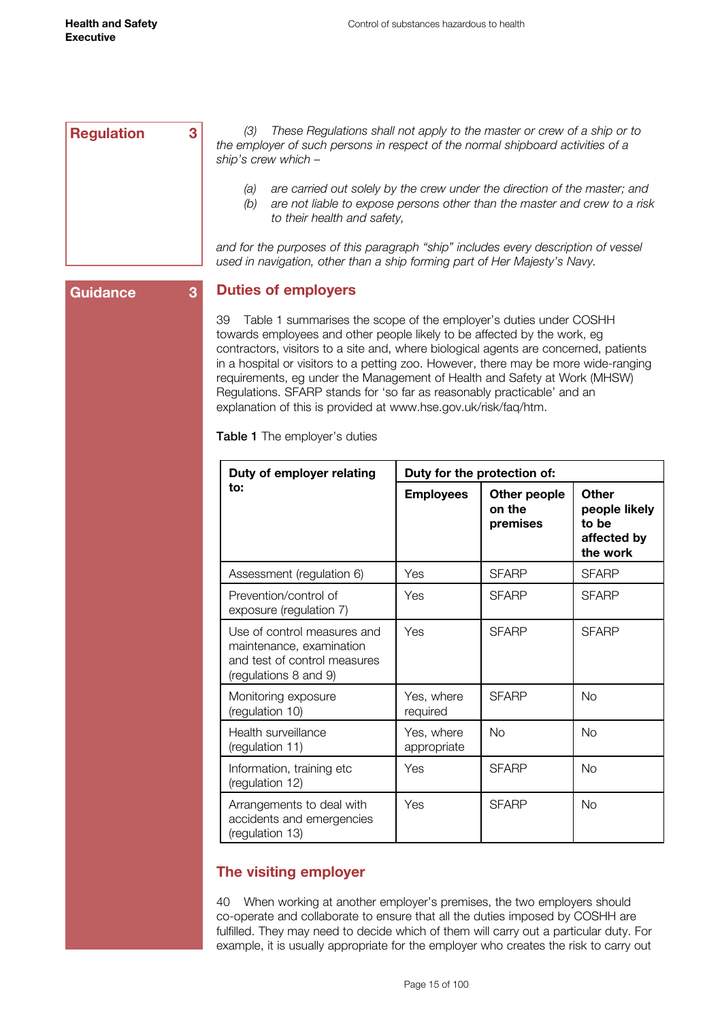**Regulation 3**

*(3) These Regulations shall not apply to the master or crew of a ship or to the employer of such persons in respect of the normal shipboard activities of a ship's crew which –*

- *(a) are carried out solely by the crew under the direction of the master; and*
- *(b) are not liable to expose persons other than the master and crew to a risk to their health and safety,*

*and for the purposes of this paragraph "ship" includes every description of vessel used in navigation, other than a ship forming part of Her Majesty's Navy.*

#### **Guidance 3**

#### **Duties of employers**

39 Table 1 summarises the scope of the employer's duties under COSHH towards employees and other people likely to be affected by the work, eg contractors, visitors to a site and, where biological agents are concerned, patients in a hospital or visitors to a petting zoo. However, there may be more wide-ranging requirements, eg under the Management of Health and Safety at Work (MHSW) Regulations. SFARP stands for 'so far as reasonably practicable' and an explanation of this is provided at www.hse.gov.uk/risk/faq/htm.

Table 1 The employer's duties

| Duty of employer relating                                                                                        | Duty for the protection of: |                                    |                                                                   |
|------------------------------------------------------------------------------------------------------------------|-----------------------------|------------------------------------|-------------------------------------------------------------------|
| to:                                                                                                              | <b>Employees</b>            | Other people<br>on the<br>premises | <b>Other</b><br>people likely<br>to be<br>affected by<br>the work |
| Assessment (regulation 6)                                                                                        | Yes                         | <b>SFARP</b>                       | <b>SFARP</b>                                                      |
| Prevention/control of<br>exposure (regulation 7)                                                                 | Yes                         | <b>SFARP</b>                       | <b>SFARP</b>                                                      |
| Use of control measures and<br>maintenance, examination<br>and test of control measures<br>(regulations 8 and 9) | Yes                         | <b>SFARP</b>                       | <b>SFARP</b>                                                      |
| Monitoring exposure<br>(regulation 10)                                                                           | Yes, where<br>required      | <b>SFARP</b>                       | No                                                                |
| Health surveillance<br>(regulation 11)                                                                           | Yes, where<br>appropriate   | No                                 | No                                                                |
| Information, training etc<br>(regulation 12)                                                                     | Yes                         | <b>SFARP</b>                       | <b>No</b>                                                         |
| Arrangements to deal with<br>accidents and emergencies<br>(regulation 13)                                        | Yes                         | <b>SFARP</b>                       | No                                                                |

#### **The visiting employer**

40 When working at another employer's premises, the two employers should co-operate and collaborate to ensure that all the duties imposed by COSHH are fulfilled. They may need to decide which of them will carry out a particular duty. For example, it is usually appropriate for the employer who creates the risk to carry out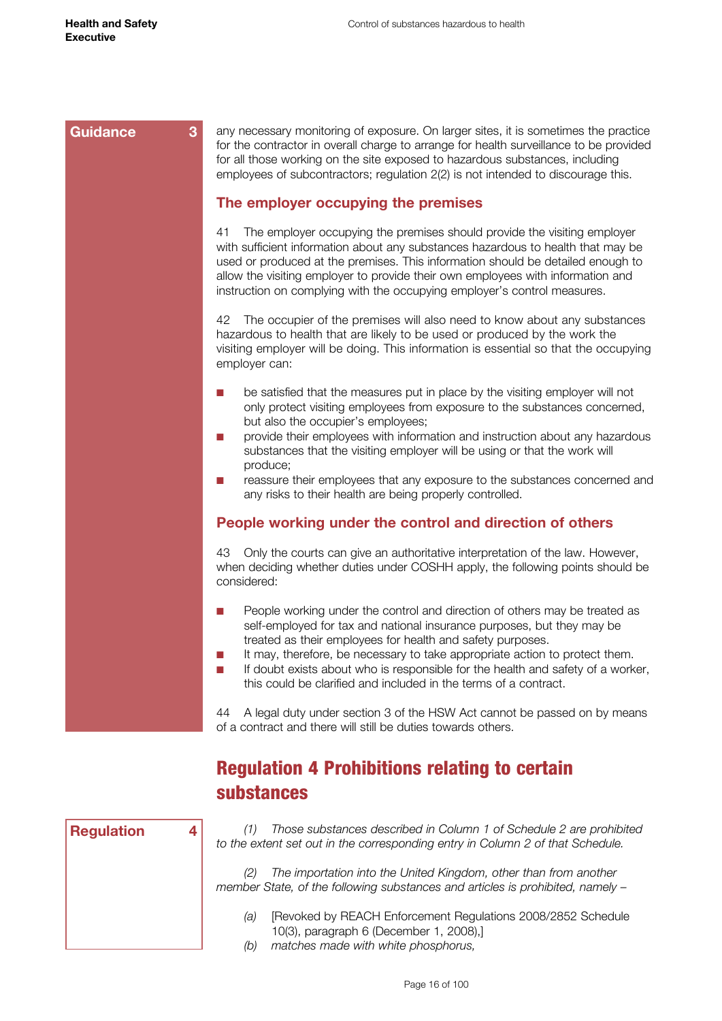<span id="page-15-0"></span>

| <b>Guidance</b><br>3 | any necessary monitoring of exposure. On larger sites, it is sometimes the practice<br>for the contractor in overall charge to arrange for health surveillance to be provided<br>for all those working on the site exposed to hazardous substances, including<br>employees of subcontractors; regulation 2(2) is not intended to discourage this.                                                                    |
|----------------------|----------------------------------------------------------------------------------------------------------------------------------------------------------------------------------------------------------------------------------------------------------------------------------------------------------------------------------------------------------------------------------------------------------------------|
|                      | The employer occupying the premises                                                                                                                                                                                                                                                                                                                                                                                  |
|                      | The employer occupying the premises should provide the visiting employer<br>41<br>with sufficient information about any substances hazardous to health that may be<br>used or produced at the premises. This information should be detailed enough to<br>allow the visiting employer to provide their own employees with information and<br>instruction on complying with the occupying employer's control measures. |
|                      | The occupier of the premises will also need to know about any substances<br>42<br>hazardous to health that are likely to be used or produced by the work the<br>visiting employer will be doing. This information is essential so that the occupying<br>employer can:                                                                                                                                                |
|                      | be satisfied that the measures put in place by the visiting employer will not<br>m,<br>only protect visiting employees from exposure to the substances concerned,<br>but also the occupier's employees;<br>provide their employees with information and instruction about any hazardous<br>n.<br>substances that the visiting employer will be using or that the work will<br>produce;                               |
|                      | reassure their employees that any exposure to the substances concerned and<br>m,<br>any risks to their health are being properly controlled.                                                                                                                                                                                                                                                                         |
|                      | People working under the control and direction of others                                                                                                                                                                                                                                                                                                                                                             |
|                      | Only the courts can give an authoritative interpretation of the law. However,<br>43<br>when deciding whether duties under COSHH apply, the following points should be<br>considered:                                                                                                                                                                                                                                 |
|                      | People working under the control and direction of others may be treated as<br>m,<br>self-employed for tax and national insurance purposes, but they may be<br>treated as their employees for health and safety purposes.                                                                                                                                                                                             |
|                      | It may, therefore, be necessary to take appropriate action to protect them.<br>m.<br>If doubt exists about who is responsible for the health and safety of a worker,<br>m,<br>this could be clarified and included in the terms of a contract.                                                                                                                                                                       |
|                      | A legal duty under section 3 of the HSW Act cannot be passed on by means<br>44<br>of a contract and there will still be duties towards others.                                                                                                                                                                                                                                                                       |

## Regulation 4 Prohibitions relating to certain substances

**Regulation 4**

*(1) Those substances described in Column 1 of Schedule 2 are prohibited to the extent set out in the corresponding entry in Column 2 of that Schedule.*

*(2) The importation into the United Kingdom, other than from another member State, of the following substances and articles is prohibited, namely –*

- *(a)* [Revoked by REACH Enforcement Regulations 2008/2852 Schedule 10(3), paragraph 6 (December 1, 2008),]
- *(b) matches made with white phosphorus,*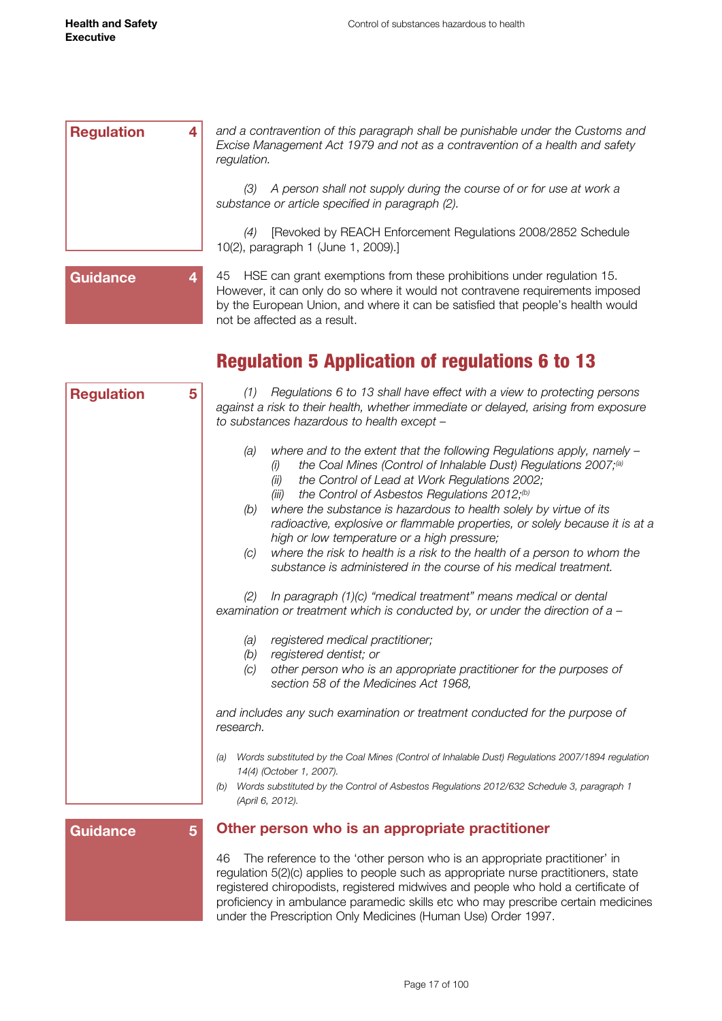<span id="page-16-0"></span>

*and a contravention of this paragraph shall be punishable under the Customs and Excise Management Act 1979 and not as a contravention of a health and safety regulation.*

*(3) A person shall not supply during the course of or for use at work a substance or article specified in paragraph (2).*

*(4)* [Revoked by REACH Enforcement Regulations 2008/2852 Schedule 10(2), paragraph 1 (June 1, 2009).]

45 HSE can grant exemptions from these prohibitions under regulation 15. However, it can only do so where it would not contravene requirements imposed by the European Union, and where it can be satisfied that people's health would not be affected as a result.

## Regulation 5 Application of regulations 6 to 13

| 5<br><b>Regulation</b> | Regulations 6 to 13 shall have effect with a view to protecting persons<br>(1)<br>against a risk to their health, whether immediate or delayed, arising from exposure<br>to substances hazardous to health except -                                                                                                                                                                                                                                                                                                                                                                                |
|------------------------|----------------------------------------------------------------------------------------------------------------------------------------------------------------------------------------------------------------------------------------------------------------------------------------------------------------------------------------------------------------------------------------------------------------------------------------------------------------------------------------------------------------------------------------------------------------------------------------------------|
|                        | where and to the extent that the following Regulations apply, namely $-$<br>(a)<br>the Coal Mines (Control of Inhalable Dust) Regulations 2007; <sup>(a)</sup><br>(i)<br>the Control of Lead at Work Regulations 2002;<br>(ii)<br>the Control of Asbestos Regulations 2012; <sup>(b)</sup><br>(iii)<br>(b)<br>where the substance is hazardous to health solely by virtue of its<br>radioactive, explosive or flammable properties, or solely because it is at a<br>high or low temperature or a high pressure;<br>where the risk to health is a risk to the health of a person to whom the<br>(C) |
|                        | substance is administered in the course of his medical treatment.<br>In paragraph (1)(c) "medical treatment" means medical or dental<br>(2)                                                                                                                                                                                                                                                                                                                                                                                                                                                        |
|                        | examination or treatment which is conducted by, or under the direction of $a -$                                                                                                                                                                                                                                                                                                                                                                                                                                                                                                                    |
|                        | registered medical practitioner;<br>(a)<br>registered dentist; or<br>(b)<br>other person who is an appropriate practitioner for the purposes of<br>(C)<br>section 58 of the Medicines Act 1968,                                                                                                                                                                                                                                                                                                                                                                                                    |
|                        | and includes any such examination or treatment conducted for the purpose of<br>research.                                                                                                                                                                                                                                                                                                                                                                                                                                                                                                           |
|                        | Words substituted by the Coal Mines (Control of Inhalable Dust) Regulations 2007/1894 regulation<br>(a)<br>14(4) (October 1, 2007).<br>Words substituted by the Control of Asbestos Regulations 2012/632 Schedule 3, paragraph 1<br>(b)                                                                                                                                                                                                                                                                                                                                                            |
|                        | (April 6, 2012).                                                                                                                                                                                                                                                                                                                                                                                                                                                                                                                                                                                   |
| <b>Guidance</b><br>5   | Other person who is an appropriate practitioner                                                                                                                                                                                                                                                                                                                                                                                                                                                                                                                                                    |
|                        | The reference to the 'other person who is an appropriate practitioner' in<br>46<br>regulation 5(2)(c) applies to people such as appropriate nurse practitioners, state<br>registered chiropodists, registered midwives and people who hold a certificate of<br>proficiency in ambulance paramedic skills etc who may prescribe certain medicines                                                                                                                                                                                                                                                   |

under the Prescription Only Medicines (Human Use) Order 1997.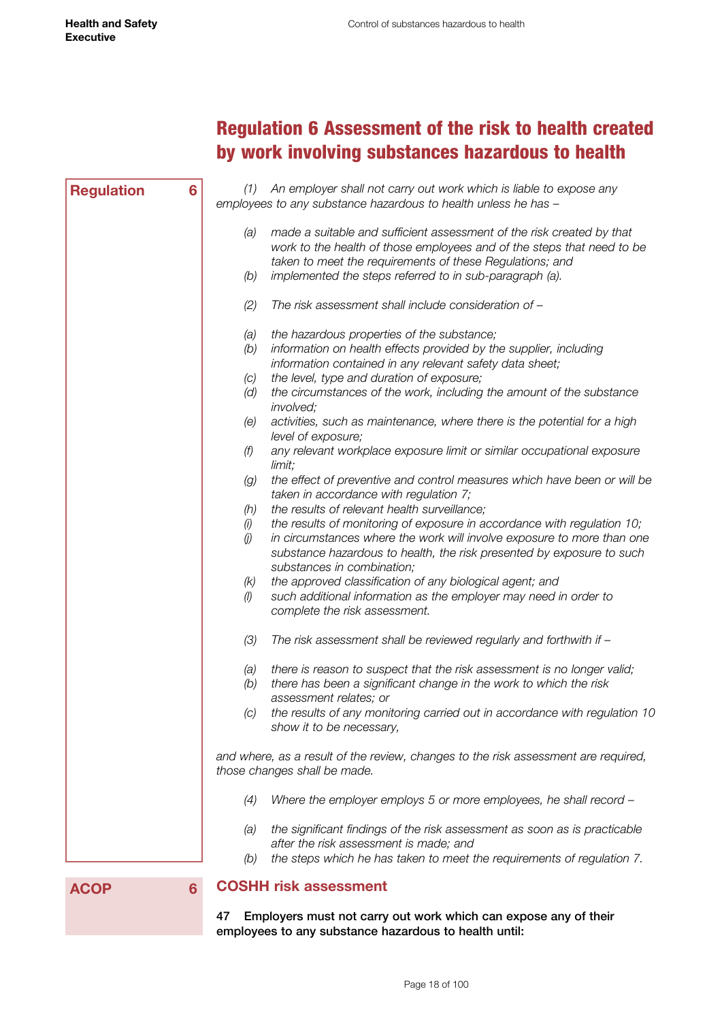# Regulation 6 Assessment of the risk to health created by work involving substances hazardous to health

<span id="page-17-0"></span>

| <b>Regulation</b> | 6 | An employer shall not carry out work which is liable to expose any<br>(1)<br>employees to any substance hazardous to health unless he has -                                                                                                                                                              |
|-------------------|---|----------------------------------------------------------------------------------------------------------------------------------------------------------------------------------------------------------------------------------------------------------------------------------------------------------|
|                   |   | made a suitable and sufficient assessment of the risk created by that<br>(a)<br>work to the health of those employees and of the steps that need to be<br>taken to meet the requirements of these Regulations; and                                                                                       |
|                   |   | implemented the steps referred to in sub-paragraph (a).<br>(b)                                                                                                                                                                                                                                           |
|                   |   | (2)<br>The risk assessment shall include consideration of -                                                                                                                                                                                                                                              |
|                   |   | the hazardous properties of the substance;<br>(a)                                                                                                                                                                                                                                                        |
|                   |   | information on health effects provided by the supplier, including<br>(b)<br>information contained in any relevant safety data sheet;                                                                                                                                                                     |
|                   |   | the level, type and duration of exposure;<br>(C)                                                                                                                                                                                                                                                         |
|                   |   | the circumstances of the work, including the amount of the substance<br>(d)<br>involved;                                                                                                                                                                                                                 |
|                   |   | activities, such as maintenance, where there is the potential for a high<br>(e)<br>level of exposure;                                                                                                                                                                                                    |
|                   |   | any relevant workplace exposure limit or similar occupational exposure<br>(f)<br>limit;                                                                                                                                                                                                                  |
|                   |   | the effect of preventive and control measures which have been or will be<br>(g)<br>taken in accordance with regulation 7;                                                                                                                                                                                |
|                   |   | the results of relevant health surveillance;<br>(h)                                                                                                                                                                                                                                                      |
|                   |   | the results of monitoring of exposure in accordance with regulation 10;<br>(i)<br>in circumstances where the work will involve exposure to more than one<br>$\left(\!\!\left j\right \!\!\right)$<br>substance hazardous to health, the risk presented by exposure to such<br>substances in combination; |
|                   |   | the approved classification of any biological agent; and<br>(k)                                                                                                                                                                                                                                          |
|                   |   | such additional information as the employer may need in order to<br>(1)<br>complete the risk assessment.                                                                                                                                                                                                 |
|                   |   | (3)<br>The risk assessment shall be reviewed regularly and forthwith if -                                                                                                                                                                                                                                |
|                   |   | there is reason to suspect that the risk assessment is no longer valid;<br>(a)<br>there has been a significant change in the work to which the risk<br>(b)<br>assessment relates; or                                                                                                                     |
|                   |   | the results of any monitoring carried out in accordance with regulation 10<br>(C)<br>show it to be necessary,                                                                                                                                                                                            |
|                   |   | and where, as a result of the review, changes to the risk assessment are required,<br>those changes shall be made.                                                                                                                                                                                       |
|                   |   | (4)<br>Where the employer employs 5 or more employees, he shall record -                                                                                                                                                                                                                                 |
|                   |   | the significant findings of the risk assessment as soon as is practicable<br>(a)<br>after the risk assessment is made; and                                                                                                                                                                               |
|                   |   | the steps which he has taken to meet the requirements of regulation 7.<br>(b)                                                                                                                                                                                                                            |
| <b>ACOP</b>       | 6 | <b>COSHH risk assessment</b>                                                                                                                                                                                                                                                                             |

47 Employers must not carry out work which can expose any of their employees to any substance hazardous to health until: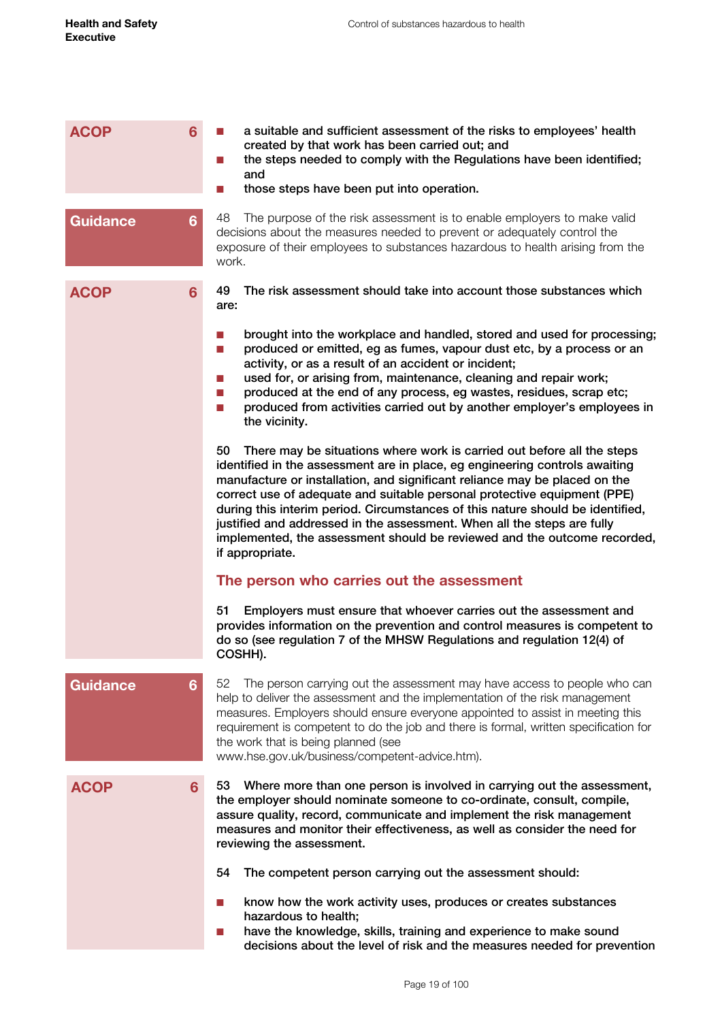| <b>ACOP</b>     | 6               | a suitable and sufficient assessment of the risks to employees' health<br>created by that work has been carried out; and<br>the steps needed to comply with the Regulations have been identified;<br>and<br>those steps have been put into operation.                                                                                                                                                                                                                                                                                                                             |
|-----------------|-----------------|-----------------------------------------------------------------------------------------------------------------------------------------------------------------------------------------------------------------------------------------------------------------------------------------------------------------------------------------------------------------------------------------------------------------------------------------------------------------------------------------------------------------------------------------------------------------------------------|
| <b>Guidance</b> | $6\phantom{a}$  | The purpose of the risk assessment is to enable employers to make valid<br>48<br>decisions about the measures needed to prevent or adequately control the<br>exposure of their employees to substances hazardous to health arising from the<br>work.                                                                                                                                                                                                                                                                                                                              |
| <b>ACOP</b>     | $6\phantom{1}$  | The risk assessment should take into account those substances which<br>49<br>are:                                                                                                                                                                                                                                                                                                                                                                                                                                                                                                 |
|                 |                 | brought into the workplace and handled, stored and used for processing;<br>produced or emitted, eg as fumes, vapour dust etc, by a process or an<br>m.<br>activity, or as a result of an accident or incident;<br>used for, or arising from, maintenance, cleaning and repair work;<br><b>The State</b><br>produced at the end of any process, eg wastes, residues, scrap etc;<br>m.<br>produced from activities carried out by another employer's employees in<br>m.<br>the vicinity.                                                                                            |
|                 |                 | 50<br>There may be situations where work is carried out before all the steps<br>identified in the assessment are in place, eg engineering controls awaiting<br>manufacture or installation, and significant reliance may be placed on the<br>correct use of adequate and suitable personal protective equipment (PPE)<br>during this interim period. Circumstances of this nature should be identified,<br>justified and addressed in the assessment. When all the steps are fully<br>implemented, the assessment should be reviewed and the outcome recorded,<br>if appropriate. |
|                 |                 | The person who carries out the assessment                                                                                                                                                                                                                                                                                                                                                                                                                                                                                                                                         |
|                 |                 | Employers must ensure that whoever carries out the assessment and<br>51<br>provides information on the prevention and control measures is competent to<br>do so (see regulation 7 of the MHSW Regulations and regulation 12(4) of<br>COSHH).                                                                                                                                                                                                                                                                                                                                      |
| <b>Guidance</b> | 6               | The person carrying out the assessment may have access to people who can<br>52<br>help to deliver the assessment and the implementation of the risk management<br>measures. Employers should ensure everyone appointed to assist in meeting this<br>requirement is competent to do the job and there is formal, written specification for<br>the work that is being planned (see<br>www.hse.gov.uk/business/competent-advice.htm).                                                                                                                                                |
| <b>ACOP</b>     | $6\phantom{1}6$ | 53<br>Where more than one person is involved in carrying out the assessment,<br>the employer should nominate someone to co-ordinate, consult, compile,<br>assure quality, record, communicate and implement the risk management<br>measures and monitor their effectiveness, as well as consider the need for<br>reviewing the assessment.                                                                                                                                                                                                                                        |
|                 |                 | 54<br>The competent person carrying out the assessment should:                                                                                                                                                                                                                                                                                                                                                                                                                                                                                                                    |
|                 |                 | know how the work activity uses, produces or creates substances<br>r.<br>hazardous to health;                                                                                                                                                                                                                                                                                                                                                                                                                                                                                     |
|                 |                 | have the knowledge, skills, training and experience to make sound<br>decisions about the level of risk and the measures needed for prevention                                                                                                                                                                                                                                                                                                                                                                                                                                     |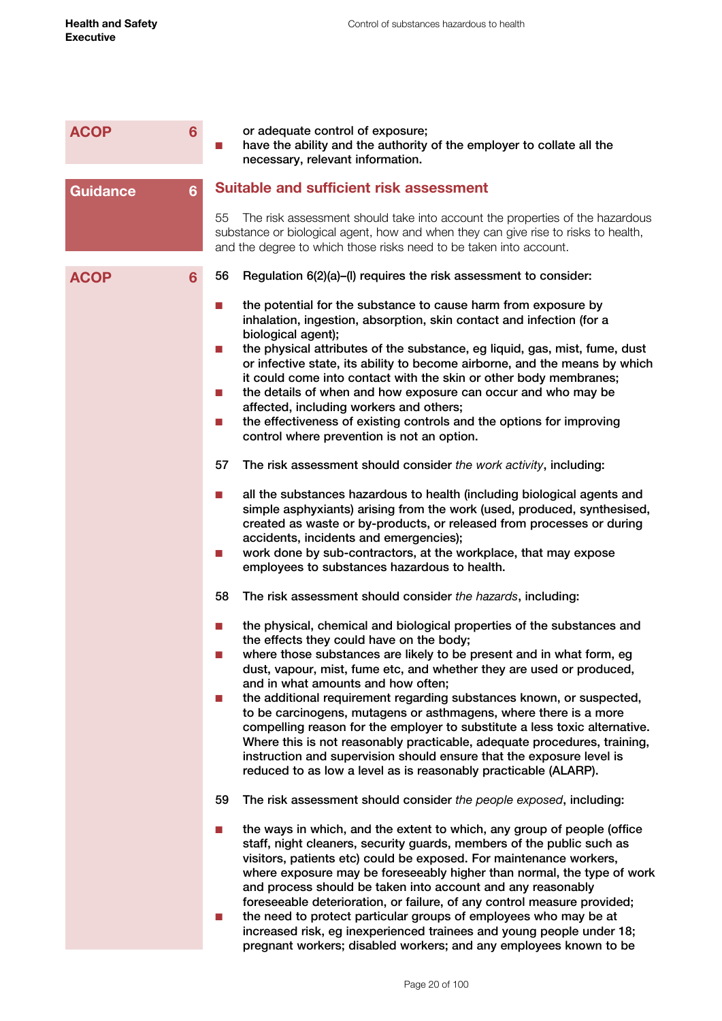| <b>ACOP</b>     | 6               | or adequate control of exposure;<br>have the ability and the authority of the employer to collate all the<br>m,<br>necessary, relevant information.                                                                                                                                                                                                                                                                                                                                                                                                                                                                                                                                                                                                                                                                                                                                                                                                                                                                                                                                                                                                                                                                                                                                                                                                                                                                                                                                                                                                                                                                                                                                                                                                                                                                                                                                                                                                                                                                                                                                                                                                                                                                                                                                                                                                                                                                                                                                                                                                                                                                                                                                                                                                                                                                                                           |
|-----------------|-----------------|---------------------------------------------------------------------------------------------------------------------------------------------------------------------------------------------------------------------------------------------------------------------------------------------------------------------------------------------------------------------------------------------------------------------------------------------------------------------------------------------------------------------------------------------------------------------------------------------------------------------------------------------------------------------------------------------------------------------------------------------------------------------------------------------------------------------------------------------------------------------------------------------------------------------------------------------------------------------------------------------------------------------------------------------------------------------------------------------------------------------------------------------------------------------------------------------------------------------------------------------------------------------------------------------------------------------------------------------------------------------------------------------------------------------------------------------------------------------------------------------------------------------------------------------------------------------------------------------------------------------------------------------------------------------------------------------------------------------------------------------------------------------------------------------------------------------------------------------------------------------------------------------------------------------------------------------------------------------------------------------------------------------------------------------------------------------------------------------------------------------------------------------------------------------------------------------------------------------------------------------------------------------------------------------------------------------------------------------------------------------------------------------------------------------------------------------------------------------------------------------------------------------------------------------------------------------------------------------------------------------------------------------------------------------------------------------------------------------------------------------------------------------------------------------------------------------------------------------------------------|
| <b>Guidance</b> | $6\overline{6}$ | <b>Suitable and sufficient risk assessment</b>                                                                                                                                                                                                                                                                                                                                                                                                                                                                                                                                                                                                                                                                                                                                                                                                                                                                                                                                                                                                                                                                                                                                                                                                                                                                                                                                                                                                                                                                                                                                                                                                                                                                                                                                                                                                                                                                                                                                                                                                                                                                                                                                                                                                                                                                                                                                                                                                                                                                                                                                                                                                                                                                                                                                                                                                                |
|                 |                 | The risk assessment should take into account the properties of the hazardous<br>55<br>substance or biological agent, how and when they can give rise to risks to health,<br>and the degree to which those risks need to be taken into account.                                                                                                                                                                                                                                                                                                                                                                                                                                                                                                                                                                                                                                                                                                                                                                                                                                                                                                                                                                                                                                                                                                                                                                                                                                                                                                                                                                                                                                                                                                                                                                                                                                                                                                                                                                                                                                                                                                                                                                                                                                                                                                                                                                                                                                                                                                                                                                                                                                                                                                                                                                                                                |
| <b>ACOP</b>     | $6\phantom{1}$  | 56<br>Regulation 6(2)(a)-(I) requires the risk assessment to consider:                                                                                                                                                                                                                                                                                                                                                                                                                                                                                                                                                                                                                                                                                                                                                                                                                                                                                                                                                                                                                                                                                                                                                                                                                                                                                                                                                                                                                                                                                                                                                                                                                                                                                                                                                                                                                                                                                                                                                                                                                                                                                                                                                                                                                                                                                                                                                                                                                                                                                                                                                                                                                                                                                                                                                                                        |
|                 |                 | the potential for the substance to cause harm from exposure by<br>$\mathbb{R}^n$<br>inhalation, ingestion, absorption, skin contact and infection (for a<br>biological agent);<br>the physical attributes of the substance, eg liquid, gas, mist, fume, dust<br>$\mathbb{R}^n$<br>or infective state, its ability to become airborne, and the means by which<br>it could come into contact with the skin or other body membranes;<br>the details of when and how exposure can occur and who may be<br>$\mathbb{R}^n$<br>affected, including workers and others;<br>the effectiveness of existing controls and the options for improving<br>$\mathcal{C}$<br>control where prevention is not an option.<br>57<br>The risk assessment should consider the work activity, including:<br>all the substances hazardous to health (including biological agents and<br>$\mathcal{C}$<br>simple asphyxiants) arising from the work (used, produced, synthesised,<br>created as waste or by-products, or released from processes or during<br>accidents, incidents and emergencies);<br>work done by sub-contractors, at the workplace, that may expose<br>$\mathcal{C}$<br>employees to substances hazardous to health.<br>58<br>The risk assessment should consider the hazards, including:<br>the physical, chemical and biological properties of the substances and<br>$\mathcal{C}$<br>the effects they could have on the body;<br>where those substances are likely to be present and in what form, eg<br>m.<br>dust, vapour, mist, fume etc, and whether they are used or produced,<br>and in what amounts and how often;<br>the additional requirement regarding substances known, or suspected,<br>m.<br>to be carcinogens, mutagens or asthmagens, where there is a more<br>compelling reason for the employer to substitute a less toxic alternative.<br>Where this is not reasonably practicable, adequate procedures, training,<br>instruction and supervision should ensure that the exposure level is<br>reduced to as low a level as is reasonably practicable (ALARP).<br>59<br>The risk assessment should consider the people exposed, including:<br>the ways in which, and the extent to which, any group of people (office<br>п<br>staff, night cleaners, security guards, members of the public such as<br>visitors, patients etc) could be exposed. For maintenance workers,<br>where exposure may be foreseeably higher than normal, the type of work<br>and process should be taken into account and any reasonably<br>foreseeable deterioration, or failure, of any control measure provided;<br>the need to protect particular groups of employees who may be at<br>$\mathcal{L}_{\mathcal{A}}$<br>increased risk, eg inexperienced trainees and young people under 18;<br>pregnant workers; disabled workers; and any employees known to be |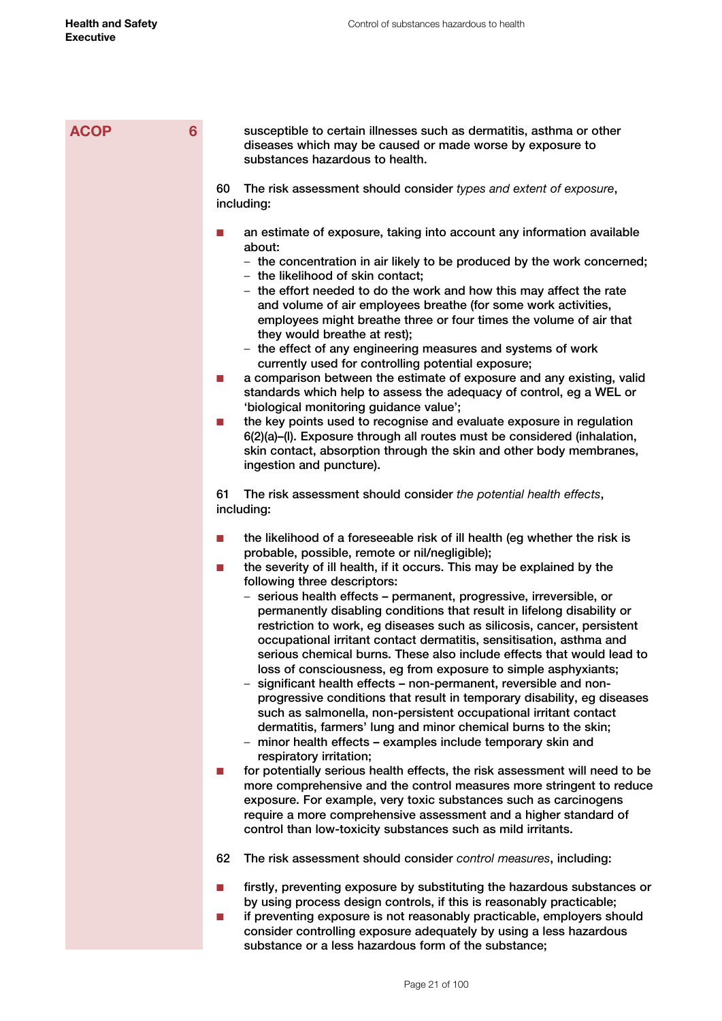| <b>ACOP</b> | $6\phantom{1}$                    | susceptible to certain illnesses such as dermatitis, asthma or other<br>diseases which may be caused or made worse by exposure to<br>substances hazardous to health.                                                                                                                                                                                                                                                                                                                                                                                                                                                                                                                                                                                                                                                                                                                                                                                                                                                                                                                                                                                                                                                                                                                                                                                                                                                             |
|-------------|-----------------------------------|----------------------------------------------------------------------------------------------------------------------------------------------------------------------------------------------------------------------------------------------------------------------------------------------------------------------------------------------------------------------------------------------------------------------------------------------------------------------------------------------------------------------------------------------------------------------------------------------------------------------------------------------------------------------------------------------------------------------------------------------------------------------------------------------------------------------------------------------------------------------------------------------------------------------------------------------------------------------------------------------------------------------------------------------------------------------------------------------------------------------------------------------------------------------------------------------------------------------------------------------------------------------------------------------------------------------------------------------------------------------------------------------------------------------------------|
|             | 60                                | The risk assessment should consider types and extent of exposure,<br>including:                                                                                                                                                                                                                                                                                                                                                                                                                                                                                                                                                                                                                                                                                                                                                                                                                                                                                                                                                                                                                                                                                                                                                                                                                                                                                                                                                  |
|             |                                   | an estimate of exposure, taking into account any information available<br>about:                                                                                                                                                                                                                                                                                                                                                                                                                                                                                                                                                                                                                                                                                                                                                                                                                                                                                                                                                                                                                                                                                                                                                                                                                                                                                                                                                 |
|             | ш<br>$\mathcal{L}_{\mathrm{max}}$ | - the concentration in air likely to be produced by the work concerned;<br>- the likelihood of skin contact;<br>- the effort needed to do the work and how this may affect the rate<br>and volume of air employees breathe (for some work activities,<br>employees might breathe three or four times the volume of air that<br>they would breathe at rest);<br>- the effect of any engineering measures and systems of work<br>currently used for controlling potential exposure;<br>a comparison between the estimate of exposure and any existing, valid<br>standards which help to assess the adequacy of control, eg a WEL or<br>'biological monitoring guidance value';<br>the key points used to recognise and evaluate exposure in regulation<br>6(2)(a)-(I). Exposure through all routes must be considered (inhalation,<br>skin contact, absorption through the skin and other body membranes,<br>ingestion and puncture).                                                                                                                                                                                                                                                                                                                                                                                                                                                                                              |
|             | 61                                | The risk assessment should consider the potential health effects,<br>including:                                                                                                                                                                                                                                                                                                                                                                                                                                                                                                                                                                                                                                                                                                                                                                                                                                                                                                                                                                                                                                                                                                                                                                                                                                                                                                                                                  |
|             | m.<br><b>The State</b>            | the likelihood of a foreseeable risk of ill health (eg whether the risk is<br>probable, possible, remote or nil/negligible);<br>the severity of ill health, if it occurs. This may be explained by the<br>following three descriptors:<br>- serious health effects - permanent, progressive, irreversible, or<br>permanently disabling conditions that result in lifelong disability or<br>restriction to work, eg diseases such as silicosis, cancer, persistent<br>occupational irritant contact dermatitis, sensitisation, asthma and<br>serious chemical burns. These also include effects that would lead to<br>loss of consciousness, eg from exposure to simple asphyxiants;<br>significant health effects - non-permanent, reversible and non-<br>progressive conditions that result in temporary disability, eg diseases<br>such as salmonella, non-persistent occupational irritant contact<br>dermatitis, farmers' lung and minor chemical burns to the skin;<br>minor health effects - examples include temporary skin and<br>respiratory irritation;<br>for potentially serious health effects, the risk assessment will need to be<br>more comprehensive and the control measures more stringent to reduce<br>exposure. For example, very toxic substances such as carcinogens<br>require a more comprehensive assessment and a higher standard of<br>control than low-toxicity substances such as mild irritants. |
|             | 62                                | The risk assessment should consider control measures, including:                                                                                                                                                                                                                                                                                                                                                                                                                                                                                                                                                                                                                                                                                                                                                                                                                                                                                                                                                                                                                                                                                                                                                                                                                                                                                                                                                                 |
|             | ш                                 | firstly, preventing exposure by substituting the hazardous substances or<br>by using process design controls, if this is reasonably practicable;                                                                                                                                                                                                                                                                                                                                                                                                                                                                                                                                                                                                                                                                                                                                                                                                                                                                                                                                                                                                                                                                                                                                                                                                                                                                                 |
|             | ш                                 | if preventing exposure is not reasonably practicable, employers should<br>consider controlling exposure adequately by using a less hazardous                                                                                                                                                                                                                                                                                                                                                                                                                                                                                                                                                                                                                                                                                                                                                                                                                                                                                                                                                                                                                                                                                                                                                                                                                                                                                     |

substance or a less hazardous form of the substance;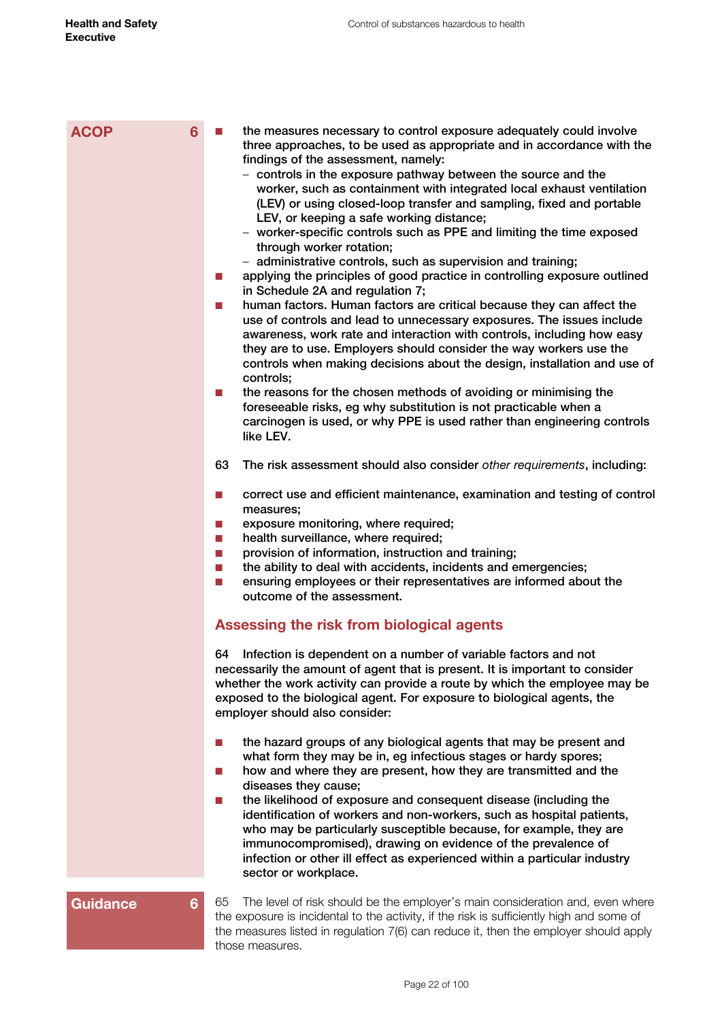| $6\phantom{1}$<br><b>ACOP</b>      | the measures necessary to control exposure adequately could involve<br>three approaches, to be used as appropriate and in accordance with the<br>findings of the assessment, namely:<br>- controls in the exposure pathway between the source and the<br>worker, such as containment with integrated local exhaust ventilation<br>(LEV) or using closed-loop transfer and sampling, fixed and portable<br>LEV, or keeping a safe working distance;<br>- worker-specific controls such as PPE and limiting the time exposed<br>through worker rotation;<br>- administrative controls, such as supervision and training;<br>applying the principles of good practice in controlling exposure outlined<br><b>In</b><br>in Schedule 2A and regulation 7;<br>human factors. Human factors are critical because they can affect the<br><b>In</b><br>use of controls and lead to unnecessary exposures. The issues include<br>awareness, work rate and interaction with controls, including how easy<br>they are to use. Employers should consider the way workers use the<br>controls when making decisions about the design, installation and use of<br>controls;<br>the reasons for the chosen methods of avoiding or minimising the<br><b>In</b><br>foreseeable risks, eg why substitution is not practicable when a<br>carcinogen is used, or why PPE is used rather than engineering controls<br>like LEV.<br>63<br>The risk assessment should also consider other requirements, including:<br>correct use and efficient maintenance, examination and testing of control<br>m,<br>measures;<br>exposure monitoring, where required;<br>m,<br>health surveillance, where required;<br><b>In</b><br>provision of information, instruction and training;<br><b>In</b><br>the ability to deal with accidents, incidents and emergencies;<br>п<br>ensuring employees or their representatives are informed about the<br>п<br>outcome of the assessment.<br>Assessing the risk from biological agents<br>Infection is dependent on a number of variable factors and not<br>64<br>necessarily the amount of agent that is present. It is important to consider<br>whether the work activity can provide a route by which the employee may be<br>exposed to the biological agent. For exposure to biological agents, the<br>employer should also consider:<br>the hazard groups of any biological agents that may be present and<br>m.<br>what form they may be in, eg infectious stages or hardy spores;<br>how and where they are present, how they are transmitted and the<br>m.<br>diseases they cause;<br>the likelihood of exposure and consequent disease (including the<br>m,<br>identification of workers and non-workers, such as hospital patients,<br>who may be particularly susceptible because, for example, they are<br>immunocompromised), drawing on evidence of the prevalence of<br>infection or other ill effect as experienced within a particular industry<br>sector or workplace. |
|------------------------------------|--------------------------------------------------------------------------------------------------------------------------------------------------------------------------------------------------------------------------------------------------------------------------------------------------------------------------------------------------------------------------------------------------------------------------------------------------------------------------------------------------------------------------------------------------------------------------------------------------------------------------------------------------------------------------------------------------------------------------------------------------------------------------------------------------------------------------------------------------------------------------------------------------------------------------------------------------------------------------------------------------------------------------------------------------------------------------------------------------------------------------------------------------------------------------------------------------------------------------------------------------------------------------------------------------------------------------------------------------------------------------------------------------------------------------------------------------------------------------------------------------------------------------------------------------------------------------------------------------------------------------------------------------------------------------------------------------------------------------------------------------------------------------------------------------------------------------------------------------------------------------------------------------------------------------------------------------------------------------------------------------------------------------------------------------------------------------------------------------------------------------------------------------------------------------------------------------------------------------------------------------------------------------------------------------------------------------------------------------------------------------------------------------------------------------------------------------------------------------------------------------------------------------------------------------------------------------------------------------------------------------------------------------------------------------------------------------------------------------------------------------------------------------------------------------------------------------------------------------------------------------------------------------------------------------------------------------------------------------------------------------|
| $6\overline{6}$<br><b>Guidance</b> | The level of risk should be the employer's main consideration and, even where<br>65<br>the exposure is incidental to the activity, if the risk is sufficiently high and some of<br>the measures listed in regulation 7(6) can reduce it, then the employer should apply                                                                                                                                                                                                                                                                                                                                                                                                                                                                                                                                                                                                                                                                                                                                                                                                                                                                                                                                                                                                                                                                                                                                                                                                                                                                                                                                                                                                                                                                                                                                                                                                                                                                                                                                                                                                                                                                                                                                                                                                                                                                                                                                                                                                                                                                                                                                                                                                                                                                                                                                                                                                                                                                                                                          |

those measures.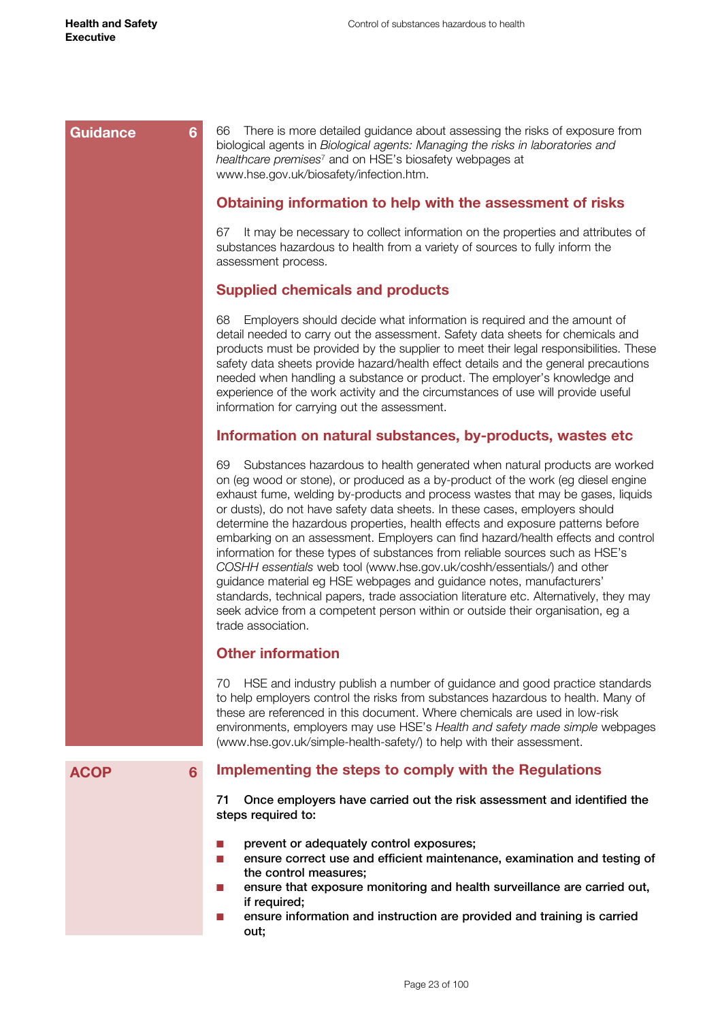| $6\phantom{1}6$<br><b>Guidance</b> | 66 There is more detailed guidance about assessing the risks of exposure from<br>biological agents in Biological agents: Managing the risks in laboratories and<br>healthcare premises <sup>7</sup> and on HSE's biosafety webpages at<br>www.hse.gov.uk/biosafety/infection.htm.<br>Obtaining information to help with the assessment of risks                                                                                                                                                                                                                                                                                                                                                                                                                                                                                                                                                                                                |
|------------------------------------|------------------------------------------------------------------------------------------------------------------------------------------------------------------------------------------------------------------------------------------------------------------------------------------------------------------------------------------------------------------------------------------------------------------------------------------------------------------------------------------------------------------------------------------------------------------------------------------------------------------------------------------------------------------------------------------------------------------------------------------------------------------------------------------------------------------------------------------------------------------------------------------------------------------------------------------------|
|                                    | It may be necessary to collect information on the properties and attributes of<br>67<br>substances hazardous to health from a variety of sources to fully inform the<br>assessment process.                                                                                                                                                                                                                                                                                                                                                                                                                                                                                                                                                                                                                                                                                                                                                    |
|                                    | <b>Supplied chemicals and products</b>                                                                                                                                                                                                                                                                                                                                                                                                                                                                                                                                                                                                                                                                                                                                                                                                                                                                                                         |
|                                    | Employers should decide what information is required and the amount of<br>68<br>detail needed to carry out the assessment. Safety data sheets for chemicals and<br>products must be provided by the supplier to meet their legal responsibilities. These<br>safety data sheets provide hazard/health effect details and the general precautions<br>needed when handling a substance or product. The employer's knowledge and<br>experience of the work activity and the circumstances of use will provide useful<br>information for carrying out the assessment.                                                                                                                                                                                                                                                                                                                                                                               |
|                                    | Information on natural substances, by-products, wastes etc                                                                                                                                                                                                                                                                                                                                                                                                                                                                                                                                                                                                                                                                                                                                                                                                                                                                                     |
|                                    | 69 Substances hazardous to health generated when natural products are worked<br>on (eg wood or stone), or produced as a by-product of the work (eg diesel engine<br>exhaust fume, welding by-products and process wastes that may be gases, liquids<br>or dusts), do not have safety data sheets. In these cases, employers should<br>determine the hazardous properties, health effects and exposure patterns before<br>embarking on an assessment. Employers can find hazard/health effects and control<br>information for these types of substances from reliable sources such as HSE's<br>COSHH essentials web tool (www.hse.gov.uk/coshh/essentials/) and other<br>guidance material eg HSE webpages and guidance notes, manufacturers'<br>standards, technical papers, trade association literature etc. Alternatively, they may<br>seek advice from a competent person within or outside their organisation, eg a<br>trade association. |
|                                    | <b>Other information</b>                                                                                                                                                                                                                                                                                                                                                                                                                                                                                                                                                                                                                                                                                                                                                                                                                                                                                                                       |
|                                    | 70 HSE and industry publish a number of guidance and good practice standards<br>to help employers control the risks from substances hazardous to health. Many of<br>these are referenced in this document. Where chemicals are used in low-risk<br>environments, employers may use HSE's Health and safety made simple webpages<br>(www.hse.gov.uk/simple-health-safety/) to help with their assessment.                                                                                                                                                                                                                                                                                                                                                                                                                                                                                                                                       |
| 6<br><b>ACOP</b>                   | Implementing the steps to comply with the Regulations                                                                                                                                                                                                                                                                                                                                                                                                                                                                                                                                                                                                                                                                                                                                                                                                                                                                                          |
|                                    | Once employers have carried out the risk assessment and identified the<br>71<br>steps required to:                                                                                                                                                                                                                                                                                                                                                                                                                                                                                                                                                                                                                                                                                                                                                                                                                                             |
|                                    | prevent or adequately control exposures;<br>ensure correct use and efficient maintenance, examination and testing of<br>T.<br>the control measures;                                                                                                                                                                                                                                                                                                                                                                                                                                                                                                                                                                                                                                                                                                                                                                                            |

- ensure that exposure monitoring and health surveillance are carried out, if required;
- ensure information and instruction are provided and training is carried out;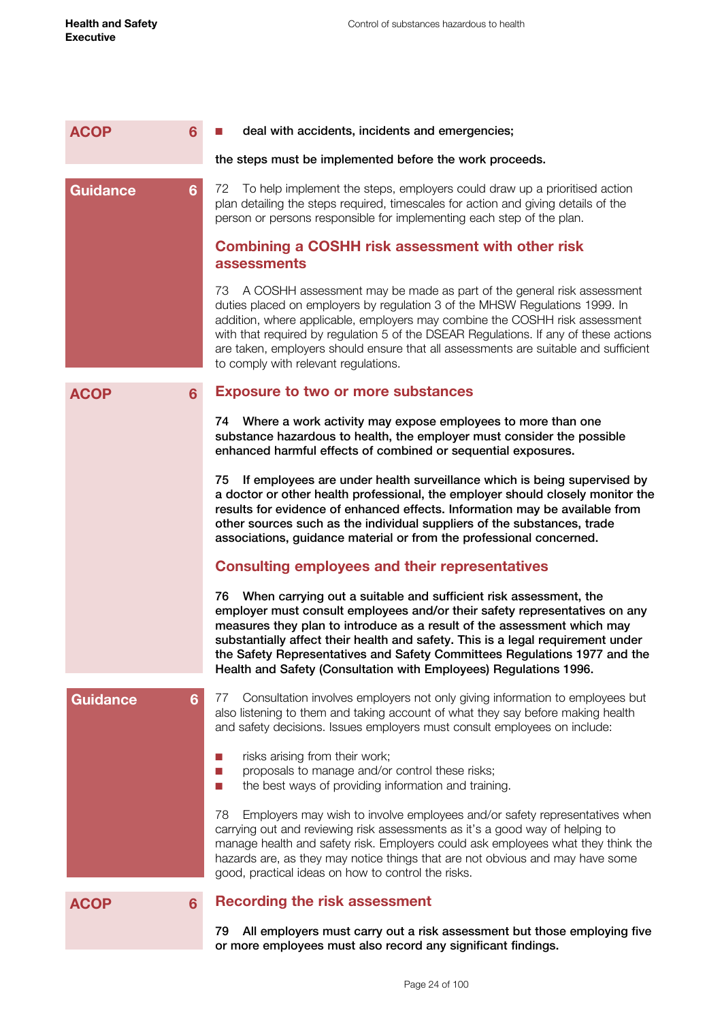| <b>ACOP</b>     | deal with accidents, incidents and emergencies;<br>$6\phantom{1}6$                                                                                                                                                                                                                                                                                                                                                                                                   |
|-----------------|----------------------------------------------------------------------------------------------------------------------------------------------------------------------------------------------------------------------------------------------------------------------------------------------------------------------------------------------------------------------------------------------------------------------------------------------------------------------|
|                 | the steps must be implemented before the work proceeds.                                                                                                                                                                                                                                                                                                                                                                                                              |
| <b>Guidance</b> | To help implement the steps, employers could draw up a prioritised action<br>$6\phantom{a}$<br>72<br>plan detailing the steps required, timescales for action and giving details of the<br>person or persons responsible for implementing each step of the plan.                                                                                                                                                                                                     |
|                 | <b>Combining a COSHH risk assessment with other risk</b><br>assessments                                                                                                                                                                                                                                                                                                                                                                                              |
|                 | A COSHH assessment may be made as part of the general risk assessment<br>73<br>duties placed on employers by regulation 3 of the MHSW Regulations 1999. In<br>addition, where applicable, employers may combine the COSHH risk assessment<br>with that required by regulation 5 of the DSEAR Regulations. If any of these actions<br>are taken, employers should ensure that all assessments are suitable and sufficient<br>to comply with relevant regulations.     |
| <b>ACOP</b>     | <b>Exposure to two or more substances</b><br>$6\phantom{1}$                                                                                                                                                                                                                                                                                                                                                                                                          |
|                 | 74 Where a work activity may expose employees to more than one<br>substance hazardous to health, the employer must consider the possible<br>enhanced harmful effects of combined or sequential exposures.                                                                                                                                                                                                                                                            |
|                 | If employees are under health surveillance which is being supervised by<br>75<br>a doctor or other health professional, the employer should closely monitor the<br>results for evidence of enhanced effects. Information may be available from<br>other sources such as the individual suppliers of the substances, trade<br>associations, guidance material or from the professional concerned.                                                                     |
|                 | <b>Consulting employees and their representatives</b>                                                                                                                                                                                                                                                                                                                                                                                                                |
|                 | When carrying out a suitable and sufficient risk assessment, the<br>76<br>employer must consult employees and/or their safety representatives on any<br>measures they plan to introduce as a result of the assessment which may<br>substantially affect their health and safety. This is a legal requirement under<br>the Safety Representatives and Safety Committees Regulations 1977 and the<br>Health and Safety (Consultation with Employees) Regulations 1996. |
| Guidance        | Consultation involves employers not only giving information to employees but<br>$6\phantom{1}$<br>77<br>also listening to them and taking account of what they say before making health<br>and safety decisions. Issues employers must consult employees on include:                                                                                                                                                                                                 |
|                 | risks arising from their work;<br>ш<br>proposals to manage and/or control these risks;<br>ш<br>the best ways of providing information and training.<br>П                                                                                                                                                                                                                                                                                                             |
|                 | Employers may wish to involve employees and/or safety representatives when<br>78<br>carrying out and reviewing risk assessments as it's a good way of helping to<br>manage health and safety risk. Employers could ask employees what they think the<br>hazards are, as they may notice things that are not obvious and may have some<br>good, practical ideas on how to control the risks.                                                                          |
| <b>ACOP</b>     | <b>Recording the risk assessment</b><br>$6\phantom{1}$                                                                                                                                                                                                                                                                                                                                                                                                               |
|                 | All employers must carry out a risk assessment but those employing five<br>79<br>or more employees must also record any significant findings.                                                                                                                                                                                                                                                                                                                        |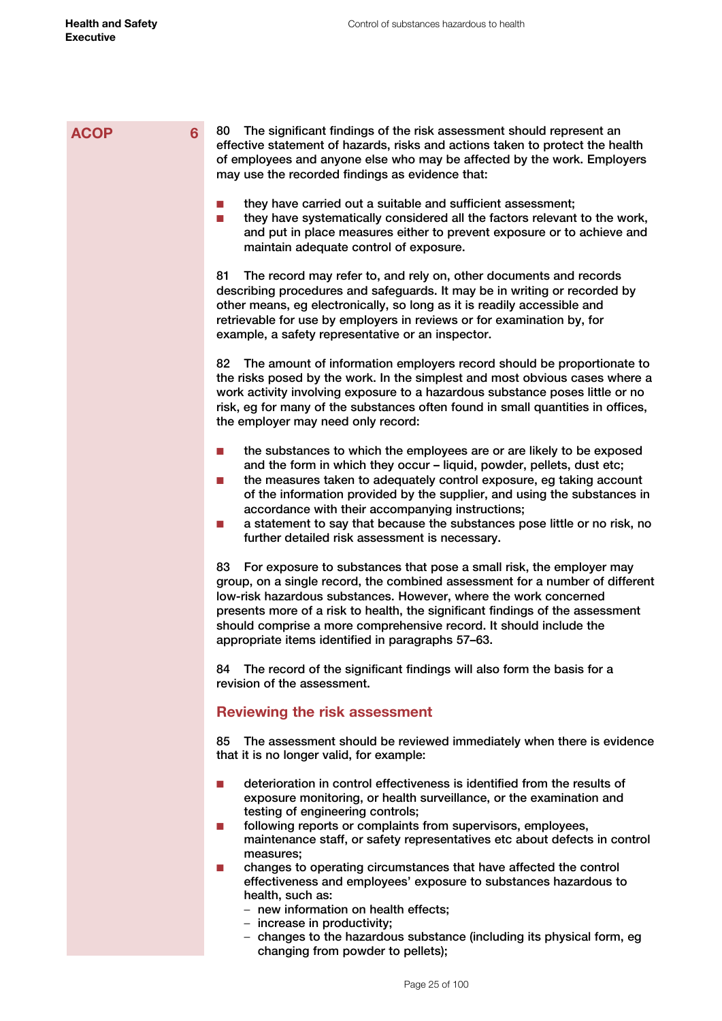| <b>ACOP</b> | $6\phantom{1}$ | The significant findings of the risk assessment should represent an<br>80<br>effective statement of hazards, risks and actions taken to protect the health<br>of employees and anyone else who may be affected by the work. Employers<br>may use the recorded findings as evidence that:                                                                                                                                                                                                                                                     |
|-------------|----------------|----------------------------------------------------------------------------------------------------------------------------------------------------------------------------------------------------------------------------------------------------------------------------------------------------------------------------------------------------------------------------------------------------------------------------------------------------------------------------------------------------------------------------------------------|
|             |                | they have carried out a suitable and sufficient assessment;<br>m.<br>they have systematically considered all the factors relevant to the work,<br>m.<br>and put in place measures either to prevent exposure or to achieve and<br>maintain adequate control of exposure.                                                                                                                                                                                                                                                                     |
|             |                | The record may refer to, and rely on, other documents and records<br>81<br>describing procedures and safeguards. It may be in writing or recorded by<br>other means, eg electronically, so long as it is readily accessible and<br>retrievable for use by employers in reviews or for examination by, for<br>example, a safety representative or an inspector.                                                                                                                                                                               |
|             |                | The amount of information employers record should be proportionate to<br>82<br>the risks posed by the work. In the simplest and most obvious cases where a<br>work activity involving exposure to a hazardous substance poses little or no<br>risk, eg for many of the substances often found in small quantities in offices,<br>the employer may need only record:                                                                                                                                                                          |
|             |                | the substances to which the employees are or are likely to be exposed<br>×.<br>and the form in which they occur - liquid, powder, pellets, dust etc;<br>the measures taken to adequately control exposure, eg taking account<br>$\mathbb{R}^n$<br>of the information provided by the supplier, and using the substances in<br>accordance with their accompanying instructions;<br>a statement to say that because the substances pose little or no risk, no<br>$\mathcal{C}^{\mathcal{A}}$<br>further detailed risk assessment is necessary. |
|             |                | 83<br>For exposure to substances that pose a small risk, the employer may<br>group, on a single record, the combined assessment for a number of different<br>low-risk hazardous substances. However, where the work concerned<br>presents more of a risk to health, the significant findings of the assessment<br>should comprise a more comprehensive record. It should include the<br>appropriate items identified in paragraphs 57-63.                                                                                                    |
|             |                | 84 The record of the significant findings will also form the basis for a<br>revision of the assessment.                                                                                                                                                                                                                                                                                                                                                                                                                                      |
|             |                | <b>Reviewing the risk assessment</b>                                                                                                                                                                                                                                                                                                                                                                                                                                                                                                         |
|             |                | 85<br>The assessment should be reviewed immediately when there is evidence<br>that it is no longer valid, for example:                                                                                                                                                                                                                                                                                                                                                                                                                       |
|             |                | deterioration in control effectiveness is identified from the results of<br>m.<br>exposure monitoring, or health surveillance, or the examination and<br>testing of engineering controls;<br>following reports or complaints from supervisors, employees,<br><b>Tale</b><br>maintenance staff, or safety representatives etc about defects in control                                                                                                                                                                                        |
|             |                | measures;<br>changes to operating circumstances that have affected the control<br>×.<br>effectiveness and employees' exposure to substances hazardous to<br>health, such as:<br>- new information on health effects;<br>- increase in productivity;                                                                                                                                                                                                                                                                                          |
|             |                | - changes to the hazardous substance (including its physical form, eg<br>changing from powder to pellets);                                                                                                                                                                                                                                                                                                                                                                                                                                   |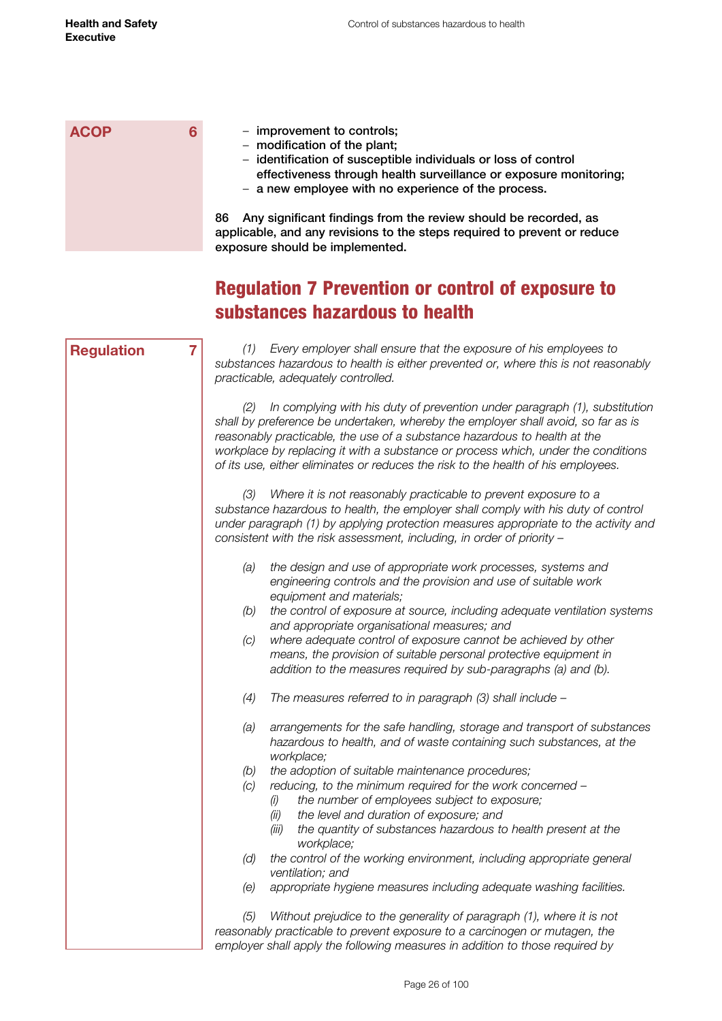<span id="page-25-0"></span>

| <b>ACOP</b><br>6 | - improvement to controls;<br>- modification of the plant;<br>- identification of susceptible individuals or loss of control<br>effectiveness through health surveillance or exposure monitoring;<br>$-$ a new employee with no experience of the process. |                                                                                                                                                                                       |
|------------------|------------------------------------------------------------------------------------------------------------------------------------------------------------------------------------------------------------------------------------------------------------|---------------------------------------------------------------------------------------------------------------------------------------------------------------------------------------|
|                  |                                                                                                                                                                                                                                                            | Any significant findings from the review should be recorded, as<br>86.<br>applicable, and any revisions to the steps required to prevent or reduce<br>exposure should be implemented. |

# Regulation 7 Prevention or control of exposure to substances hazardous to health

| <b>Regulation</b> | $\overline{7}$ | Every employer shall ensure that the exposure of his employees to<br>(1)<br>substances hazardous to health is either prevented or, where this is not reasonably<br>practicable, adequately controlled.                                                                                                                                                                                                                        |
|-------------------|----------------|-------------------------------------------------------------------------------------------------------------------------------------------------------------------------------------------------------------------------------------------------------------------------------------------------------------------------------------------------------------------------------------------------------------------------------|
|                   |                | In complying with his duty of prevention under paragraph (1), substitution<br>(2)<br>shall by preference be undertaken, whereby the employer shall avoid, so far as is<br>reasonably practicable, the use of a substance hazardous to health at the<br>workplace by replacing it with a substance or process which, under the conditions<br>of its use, either eliminates or reduces the risk to the health of his employees. |
|                   |                | Where it is not reasonably practicable to prevent exposure to a<br>(3)<br>substance hazardous to health, the employer shall comply with his duty of control<br>under paragraph (1) by applying protection measures appropriate to the activity and<br>consistent with the risk assessment, including, in order of priority -                                                                                                  |
|                   |                | the design and use of appropriate work processes, systems and<br>(a)<br>engineering controls and the provision and use of suitable work<br>equipment and materials;                                                                                                                                                                                                                                                           |
|                   |                | the control of exposure at source, including adequate ventilation systems<br>(b)                                                                                                                                                                                                                                                                                                                                              |
|                   |                | and appropriate organisational measures; and<br>where adequate control of exposure cannot be achieved by other<br>(C)                                                                                                                                                                                                                                                                                                         |
|                   |                | means, the provision of suitable personal protective equipment in<br>addition to the measures required by sub-paragraphs (a) and (b).                                                                                                                                                                                                                                                                                         |
|                   |                | (4)<br>The measures referred to in paragraph (3) shall include -                                                                                                                                                                                                                                                                                                                                                              |
|                   |                | (a)<br>arrangements for the safe handling, storage and transport of substances<br>hazardous to health, and of waste containing such substances, at the<br>workplace;                                                                                                                                                                                                                                                          |
|                   |                | the adoption of suitable maintenance procedures;<br>(b)                                                                                                                                                                                                                                                                                                                                                                       |
|                   |                | reducing, to the minimum required for the work concerned -<br>(C)                                                                                                                                                                                                                                                                                                                                                             |
|                   |                | the number of employees subject to exposure;<br>(i)<br>the level and duration of exposure; and<br>(ii)                                                                                                                                                                                                                                                                                                                        |
|                   |                | the quantity of substances hazardous to health present at the<br>(iii)<br>workplace;                                                                                                                                                                                                                                                                                                                                          |
|                   |                | the control of the working environment, including appropriate general<br>(d)<br>ventilation; and                                                                                                                                                                                                                                                                                                                              |
|                   |                | appropriate hygiene measures including adequate washing facilities.<br>(e)                                                                                                                                                                                                                                                                                                                                                    |
|                   |                | Without prejudice to the generality of paragraph (1), where it is not<br>(5)                                                                                                                                                                                                                                                                                                                                                  |
|                   |                | reasonably practicable to prevent exposure to a carcinogen or mutagen, the                                                                                                                                                                                                                                                                                                                                                    |
|                   |                | employer shall apply the following measures in addition to those required by                                                                                                                                                                                                                                                                                                                                                  |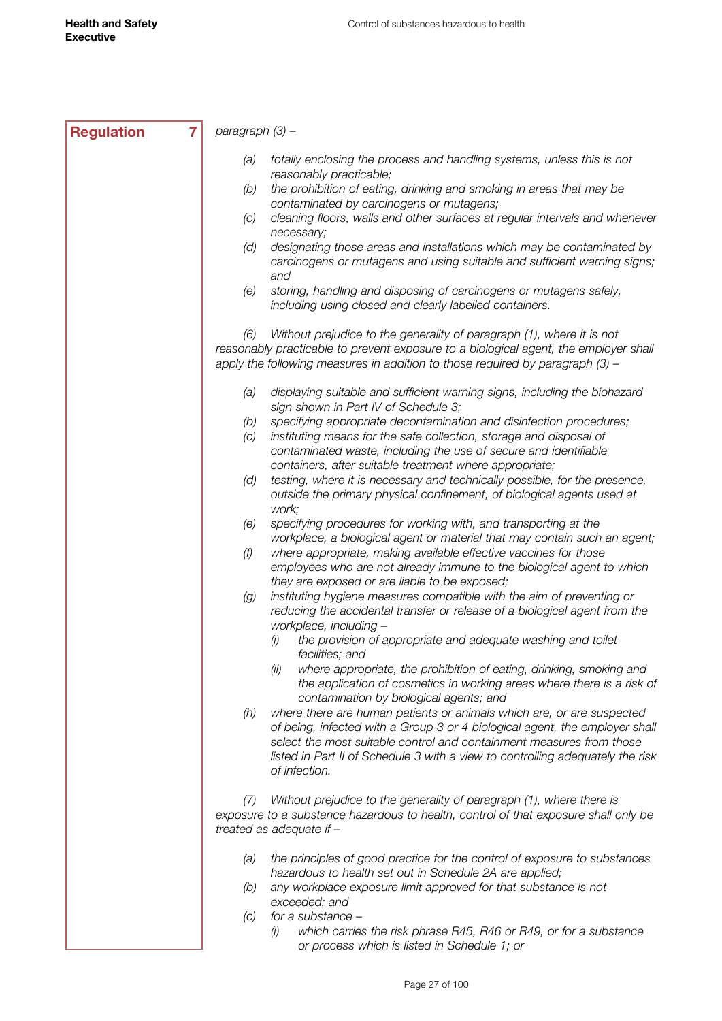| $\overline{7}$<br><b>Regulation</b> | paragraph $(3)$ –                                                                                                                                                                                                                                                                                                                      |
|-------------------------------------|----------------------------------------------------------------------------------------------------------------------------------------------------------------------------------------------------------------------------------------------------------------------------------------------------------------------------------------|
|                                     | totally enclosing the process and handling systems, unless this is not<br>(a)<br>reasonably practicable;                                                                                                                                                                                                                               |
|                                     | the prohibition of eating, drinking and smoking in areas that may be<br>(b)                                                                                                                                                                                                                                                            |
|                                     | contaminated by carcinogens or mutagens;<br>cleaning floors, walls and other surfaces at regular intervals and whenever<br>(C)<br>necessary;                                                                                                                                                                                           |
|                                     | designating those areas and installations which may be contaminated by<br>(d)<br>carcinogens or mutagens and using suitable and sufficient warning signs;<br>and                                                                                                                                                                       |
|                                     | storing, handling and disposing of carcinogens or mutagens safely,<br>(e)<br>including using closed and clearly labelled containers.                                                                                                                                                                                                   |
|                                     | Without prejudice to the generality of paragraph (1), where it is not<br>(6)<br>reasonably practicable to prevent exposure to a biological agent, the employer shall<br>apply the following measures in addition to those required by paragraph $(3)$ -                                                                                |
|                                     | displaying suitable and sufficient warning signs, including the biohazard<br>(a)<br>sign shown in Part IV of Schedule 3;                                                                                                                                                                                                               |
|                                     | specifying appropriate decontamination and disinfection procedures;<br>(b)<br>instituting means for the safe collection, storage and disposal of<br>(C)<br>contaminated waste, including the use of secure and identifiable<br>containers, after suitable treatment where appropriate;                                                 |
|                                     | testing, where it is necessary and technically possible, for the presence,<br>(d)<br>outside the primary physical confinement, of biological agents used at<br>work;                                                                                                                                                                   |
|                                     | specifying procedures for working with, and transporting at the<br>(e)<br>workplace, a biological agent or material that may contain such an agent;<br>(f)<br>where appropriate, making available effective vaccines for those                                                                                                         |
|                                     | employees who are not already immune to the biological agent to which<br>they are exposed or are liable to be exposed;<br>instituting hygiene measures compatible with the aim of preventing or<br>(g)                                                                                                                                 |
|                                     | reducing the accidental transfer or release of a biological agent from the<br>workplace, including -<br>the provision of appropriate and adequate washing and toilet<br>(i)<br>facilities; and                                                                                                                                         |
|                                     | where appropriate, the prohibition of eating, drinking, smoking and<br>(ii)<br>the application of cosmetics in working areas where there is a risk of<br>contamination by biological agents; and                                                                                                                                       |
|                                     | where there are human patients or animals which are, or are suspected<br>(h)<br>of being, infected with a Group 3 or 4 biological agent, the employer shall<br>select the most suitable control and containment measures from those<br>listed in Part II of Schedule 3 with a view to controlling adequately the risk<br>of infection. |
|                                     | Without prejudice to the generality of paragraph (1), where there is<br>(7)<br>exposure to a substance hazardous to health, control of that exposure shall only be<br>treated as adequate if -                                                                                                                                         |
|                                     | the principles of good practice for the control of exposure to substances<br>(a)<br>hazardous to health set out in Schedule 2A are applied;                                                                                                                                                                                            |
|                                     | any workplace exposure limit approved for that substance is not<br>(b)<br>exceeded; and                                                                                                                                                                                                                                                |
|                                     | for a substance -<br>(C)<br>which carries the risk phrase R45, R46 or R49, or for a substance<br>(i)<br>or process which is listed in Schedule 1; or                                                                                                                                                                                   |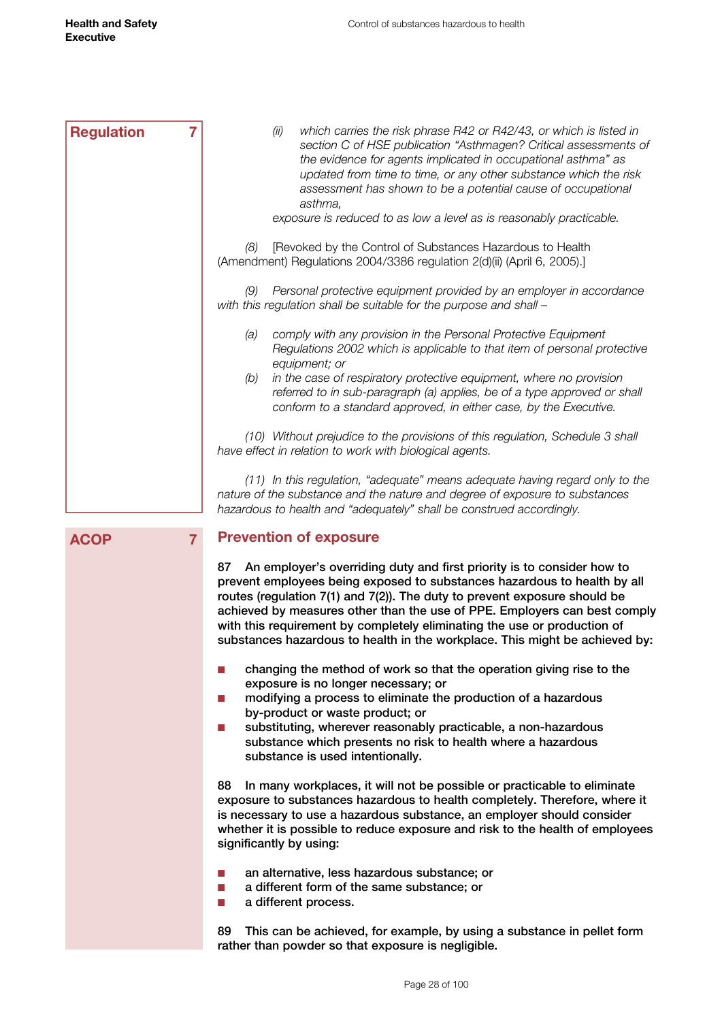| <b>Regulation</b> | which carries the risk phrase R42 or R42/43, or which is listed in<br>7<br>(ii)<br>section C of HSE publication "Asthmagen? Critical assessments of<br>the evidence for agents implicated in occupational asthma" as<br>updated from time to time, or any other substance which the risk<br>assessment has shown to be a potential cause of occupational<br>asthma,<br>exposure is reduced to as low a level as is reasonably practicable.<br>[Revoked by the Control of Substances Hazardous to Health<br>(8)<br>(Amendment) Regulations 2004/3386 regulation 2(d)(ii) (April 6, 2005).] |
|-------------------|-------------------------------------------------------------------------------------------------------------------------------------------------------------------------------------------------------------------------------------------------------------------------------------------------------------------------------------------------------------------------------------------------------------------------------------------------------------------------------------------------------------------------------------------------------------------------------------------|
|                   | Personal protective equipment provided by an employer in accordance<br>(9)<br>with this regulation shall be suitable for the purpose and shall -                                                                                                                                                                                                                                                                                                                                                                                                                                          |
|                   | comply with any provision in the Personal Protective Equipment<br>(a)<br>Regulations 2002 which is applicable to that item of personal protective<br>equipment; or<br>in the case of respiratory protective equipment, where no provision<br>(b)<br>referred to in sub-paragraph (a) applies, be of a type approved or shall                                                                                                                                                                                                                                                              |
|                   | conform to a standard approved, in either case, by the Executive.                                                                                                                                                                                                                                                                                                                                                                                                                                                                                                                         |
|                   | (10) Without prejudice to the provisions of this regulation, Schedule 3 shall<br>have effect in relation to work with biological agents.                                                                                                                                                                                                                                                                                                                                                                                                                                                  |
|                   | (11) In this regulation, "adequate" means adequate having regard only to the<br>nature of the substance and the nature and degree of exposure to substances<br>hazardous to health and "adequately" shall be construed accordingly.                                                                                                                                                                                                                                                                                                                                                       |
| <b>ACOP</b>       | <b>Prevention of exposure</b><br>$\overline{7}$                                                                                                                                                                                                                                                                                                                                                                                                                                                                                                                                           |
|                   | An employer's overriding duty and first priority is to consider how to<br>87<br>prevent employees being exposed to substances hazardous to health by all<br>routes (regulation 7(1) and 7(2)). The duty to prevent exposure should be<br>achieved by measures other than the use of PPE. Employers can best comply<br>with this requirement by completely eliminating the use or production of<br>substances hazardous to health in the workplace. This might be achieved by:                                                                                                             |
|                   | changing the method of work so that the operation giving rise to the<br>m.<br>exposure is no longer necessary; or<br>modifying a process to eliminate the production of a hazardous<br>m.<br>by-product or waste product; or<br>substituting, wherever reasonably practicable, a non-hazardous<br><b>The State</b><br>substance which presents no risk to health where a hazardous<br>substance is used intentionally.                                                                                                                                                                    |
|                   | In many workplaces, it will not be possible or practicable to eliminate<br>88<br>exposure to substances hazardous to health completely. Therefore, where it<br>is necessary to use a hazardous substance, an employer should consider<br>whether it is possible to reduce exposure and risk to the health of employees<br>significantly by using:                                                                                                                                                                                                                                         |
|                   | an alternative, less hazardous substance; or<br>П<br>a different form of the same substance; or<br>m.<br>a different process.<br>n.                                                                                                                                                                                                                                                                                                                                                                                                                                                       |
|                   | This can be achieved, for example, by using a substance in pellet form<br>89<br>rather than powder so that exposure is negligible.                                                                                                                                                                                                                                                                                                                                                                                                                                                        |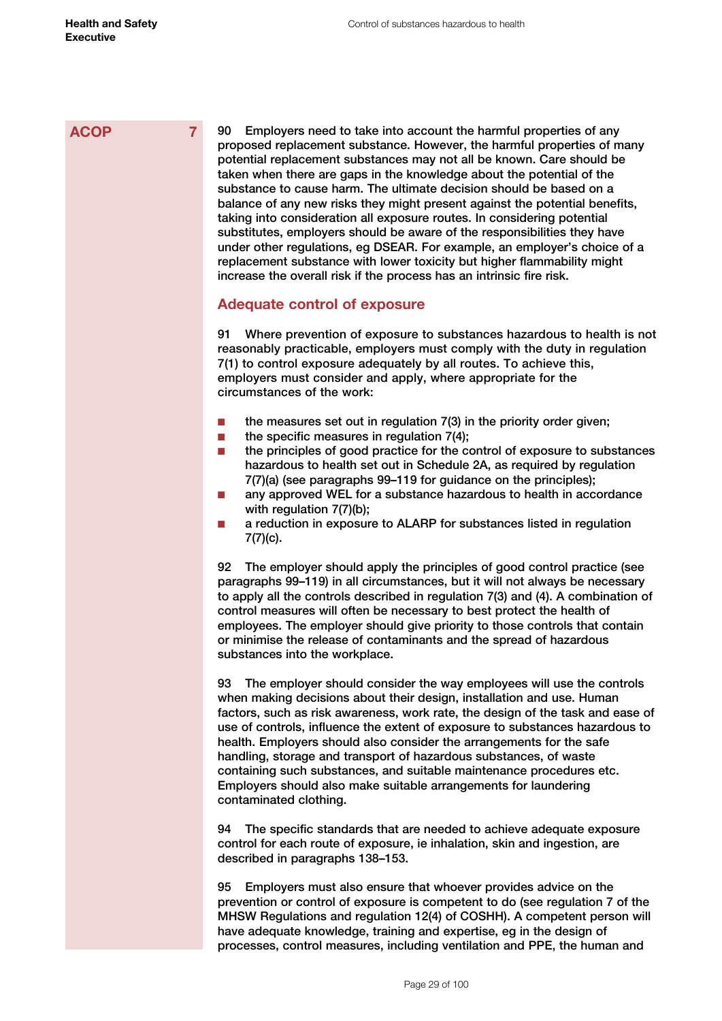**ACOP 7**

90 Employers need to take into account the harmful properties of any proposed replacement substance. However, the harmful properties of many potential replacement substances may not all be known. Care should be taken when there are gaps in the knowledge about the potential of the substance to cause harm. The ultimate decision should be based on a balance of any new risks they might present against the potential benefits, taking into consideration all exposure routes. In considering potential substitutes, employers should be aware of the responsibilities they have under other regulations, eg DSEAR. For example, an employer's choice of a replacement substance with lower toxicity but higher flammability might increase the overall risk if the process has an intrinsic fire risk.

#### **Adequate control of exposure**

91 Where prevention of exposure to substances hazardous to health is not reasonably practicable, employers must comply with the duty in regulation 7(1) to control exposure adequately by all routes. To achieve this, employers must consider and apply, where appropriate for the circumstances of the work:

- the measures set out in regulation 7(3) in the priority order given:
- the specific measures in regulation  $7(4)$ :
- the principles of good practice for the control of exposure to substances hazardous to health set out in Schedule 2A, as required by regulation 7(7)(a) (see paragraphs 99–119 for guidance on the principles);
- any approved WEL for a substance hazardous to health in accordance with regulation 7(7)(b);
- a reduction in exposure to ALARP for substances listed in regulation 7(7)(c).

92 The employer should apply the principles of good control practice (see paragraphs 99–119) in all circumstances, but it will not always be necessary to apply all the controls described in regulation 7(3) and (4). A combination of control measures will often be necessary to best protect the health of employees. The employer should give priority to those controls that contain or minimise the release of contaminants and the spread of hazardous substances into the workplace.

93 The employer should consider the way employees will use the controls when making decisions about their design, installation and use. Human factors, such as risk awareness, work rate, the design of the task and ease of use of controls, influence the extent of exposure to substances hazardous to health. Employers should also consider the arrangements for the safe handling, storage and transport of hazardous substances, of waste containing such substances, and suitable maintenance procedures etc. Employers should also make suitable arrangements for laundering contaminated clothing.

94 The specific standards that are needed to achieve adequate exposure control for each route of exposure, ie inhalation, skin and ingestion, are described in paragraphs 138–153.

Employers must also ensure that whoever provides advice on the prevention or control of exposure is competent to do (see regulation 7 of the MHSW Regulations and regulation 12(4) of COSHH). A competent person will have adequate knowledge, training and expertise, eg in the design of processes, control measures, including ventilation and PPE, the human and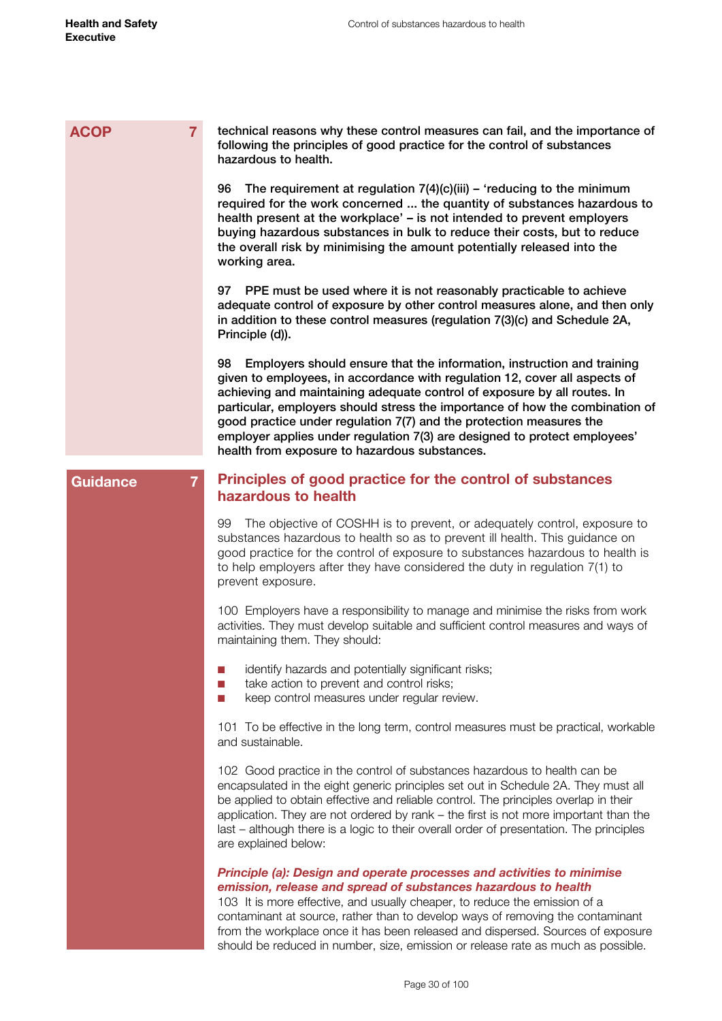| <b>ACOP</b>     | $\overline{7}$ | technical reasons why these control measures can fail, and the importance of<br>following the principles of good practice for the control of substances<br>hazardous to health.                                                                                                                                                                                                                                                                                                                                             |
|-----------------|----------------|-----------------------------------------------------------------------------------------------------------------------------------------------------------------------------------------------------------------------------------------------------------------------------------------------------------------------------------------------------------------------------------------------------------------------------------------------------------------------------------------------------------------------------|
|                 |                | The requirement at regulation $7(4)(c)(iii)$ – 'reducing to the minimum<br>96<br>required for the work concerned  the quantity of substances hazardous to<br>health present at the workplace' – is not intended to prevent employers<br>buying hazardous substances in bulk to reduce their costs, but to reduce<br>the overall risk by minimising the amount potentially released into the<br>working area.                                                                                                                |
|                 |                | PPE must be used where it is not reasonably practicable to achieve<br>97<br>adequate control of exposure by other control measures alone, and then only<br>in addition to these control measures (regulation 7(3)(c) and Schedule 2A,<br>Principle (d)).                                                                                                                                                                                                                                                                    |
|                 |                | Employers should ensure that the information, instruction and training<br>98<br>given to employees, in accordance with regulation 12, cover all aspects of<br>achieving and maintaining adequate control of exposure by all routes. In<br>particular, employers should stress the importance of how the combination of<br>good practice under regulation 7(7) and the protection measures the<br>employer applies under regulation 7(3) are designed to protect employees'<br>health from exposure to hazardous substances. |
| <b>Guidance</b> | $\overline{7}$ | Principles of good practice for the control of substances<br>hazardous to health                                                                                                                                                                                                                                                                                                                                                                                                                                            |
|                 |                | The objective of COSHH is to prevent, or adequately control, exposure to<br>99<br>substances hazardous to health so as to prevent ill health. This guidance on<br>good practice for the control of exposure to substances hazardous to health is<br>to help employers after they have considered the duty in regulation 7(1) to<br>prevent exposure.                                                                                                                                                                        |
|                 |                | 100 Employers have a responsibility to manage and minimise the risks from work<br>activities. They must develop suitable and sufficient control measures and ways of<br>maintaining them. They should:                                                                                                                                                                                                                                                                                                                      |
|                 |                | identify hazards and potentially significant risks;<br>take action to prevent and control risks;<br>keep control measures under regular review.                                                                                                                                                                                                                                                                                                                                                                             |
|                 |                | 101 To be effective in the long term, control measures must be practical, workable<br>and sustainable.                                                                                                                                                                                                                                                                                                                                                                                                                      |
|                 |                | 102 Good practice in the control of substances hazardous to health can be<br>encapsulated in the eight generic principles set out in Schedule 2A. They must all<br>be applied to obtain effective and reliable control. The principles overlap in their<br>application. They are not ordered by rank - the first is not more important than the<br>last – although there is a logic to their overall order of presentation. The principles<br>are explained below:                                                          |
|                 |                | Principle (a): Design and operate processes and activities to minimise<br>emission, release and spread of substances hazardous to health<br>103 It is more effective, and usually cheaper, to reduce the emission of a<br>contaminant at source, rather than to develop ways of removing the contaminant<br>from the workplace once it has been released and dispersed. Sources of exposure<br>should be reduced in number, size, emission or release rate as much as possible.                                             |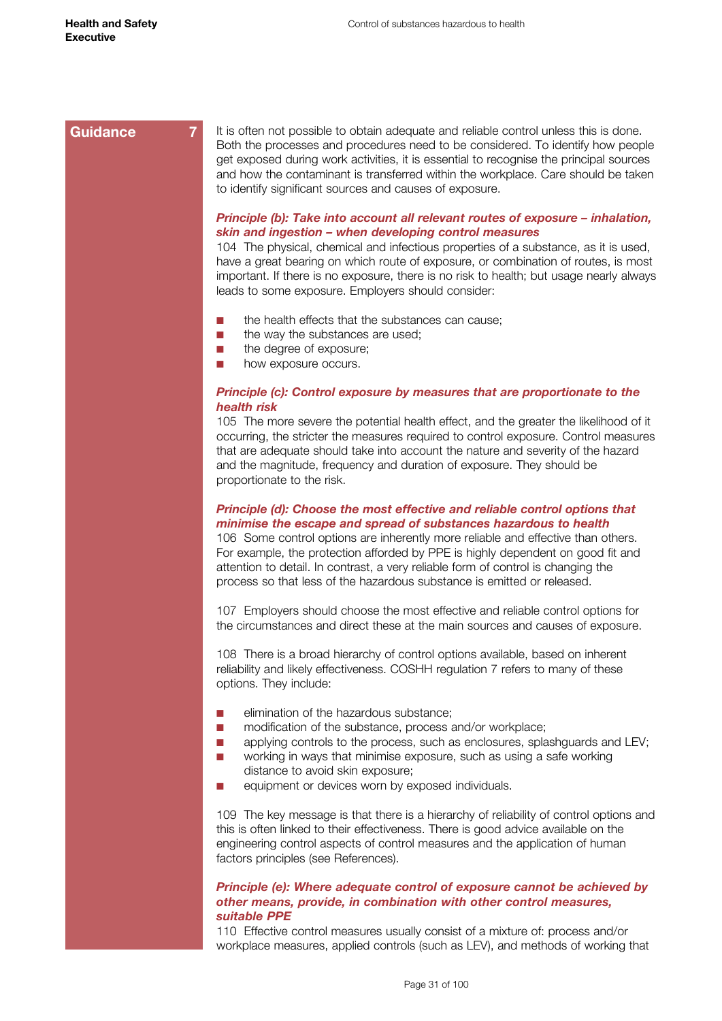| $\overline{7}$<br><b>Guidance</b> | It is often not possible to obtain adequate and reliable control unless this is done.<br>Both the processes and procedures need to be considered. To identify how people<br>get exposed during work activities, it is essential to recognise the principal sources<br>and how the contaminant is transferred within the workplace. Care should be taken<br>to identify significant sources and causes of exposure.                                                                    |
|-----------------------------------|---------------------------------------------------------------------------------------------------------------------------------------------------------------------------------------------------------------------------------------------------------------------------------------------------------------------------------------------------------------------------------------------------------------------------------------------------------------------------------------|
|                                   | Principle (b): Take into account all relevant routes of exposure - inhalation,<br>skin and ingestion - when developing control measures<br>104 The physical, chemical and infectious properties of a substance, as it is used,<br>have a great bearing on which route of exposure, or combination of routes, is most<br>important. If there is no exposure, there is no risk to health; but usage nearly always<br>leads to some exposure. Employers should consider:                 |
|                                   | the health effects that the substances can cause;<br><b>The State</b><br>the way the substances are used;<br>m.<br>the degree of exposure;<br>m.<br>how exposure occurs.<br>m.                                                                                                                                                                                                                                                                                                        |
|                                   | Principle (c): Control exposure by measures that are proportionate to the<br>health risk<br>105 The more severe the potential health effect, and the greater the likelihood of it<br>occurring, the stricter the measures required to control exposure. Control measures<br>that are adequate should take into account the nature and severity of the hazard<br>and the magnitude, frequency and duration of exposure. They should be<br>proportionate to the risk.                   |
|                                   | Principle (d): Choose the most effective and reliable control options that<br>minimise the escape and spread of substances hazardous to health<br>106 Some control options are inherently more reliable and effective than others.<br>For example, the protection afforded by PPE is highly dependent on good fit and<br>attention to detail. In contrast, a very reliable form of control is changing the<br>process so that less of the hazardous substance is emitted or released. |
|                                   | 107 Employers should choose the most effective and reliable control options for<br>the circumstances and direct these at the main sources and causes of exposure.                                                                                                                                                                                                                                                                                                                     |
|                                   | 108 There is a broad hierarchy of control options available, based on inherent<br>reliability and likely effectiveness. COSHH regulation 7 refers to many of these<br>options. They include:                                                                                                                                                                                                                                                                                          |
|                                   | elimination of the hazardous substance;<br>modification of the substance, process and/or workplace;<br>ш<br>applying controls to the process, such as enclosures, splashguards and LEV;<br>п<br>working in ways that minimise exposure, such as using a safe working<br>m.<br>distance to avoid skin exposure;<br>equipment or devices worn by exposed individuals.<br>ш                                                                                                              |
|                                   | 109 The key message is that there is a hierarchy of reliability of control options and<br>this is often linked to their effectiveness. There is good advice available on the<br>engineering control aspects of control measures and the application of human<br>factors principles (see References).                                                                                                                                                                                  |
|                                   | Principle (e): Where adequate control of exposure cannot be achieved by<br>other means, provide, in combination with other control measures,<br>suitable PPE                                                                                                                                                                                                                                                                                                                          |
|                                   | 110 Effective control measures usually consist of a mixture of: process and/or<br>workplace measures, applied controls (such as LEV), and methods of working that                                                                                                                                                                                                                                                                                                                     |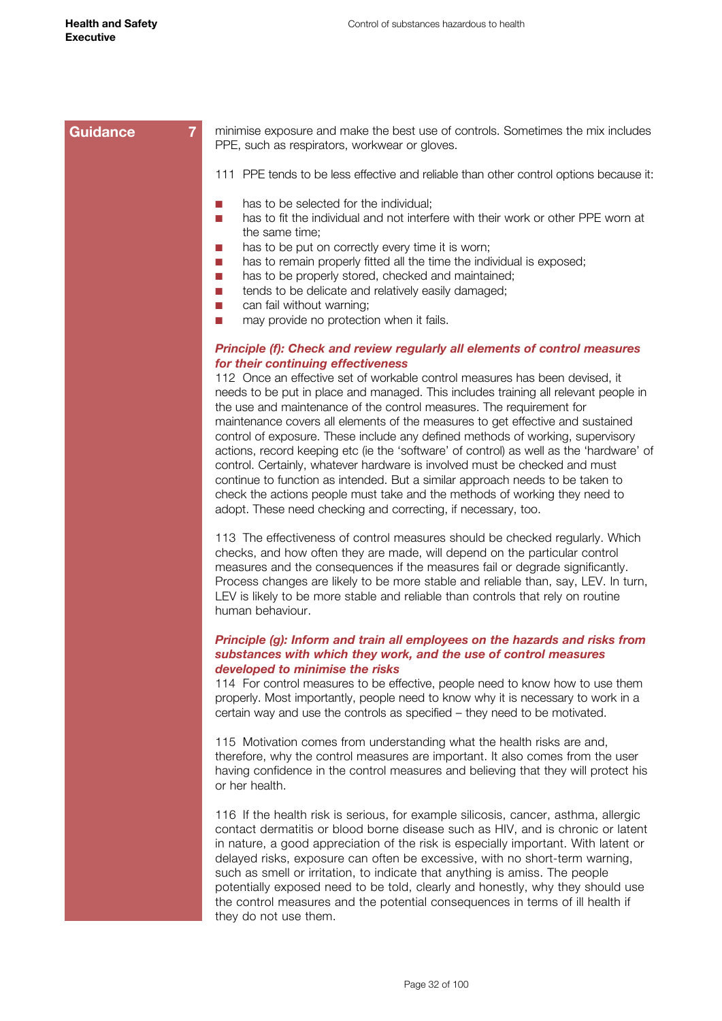| $\overline{7}$<br>Guidance | minimise exposure and make the best use of controls. Sometimes the mix includes<br>PPE, such as respirators, workwear or gloves.                                                                                                                                                                                                                                                                                                                                                                                                                                                                                                                                                                                                                                                                                                                                                                                                                                                                                                                                                                                                                                                                                                                                                                                                                                                       |
|----------------------------|----------------------------------------------------------------------------------------------------------------------------------------------------------------------------------------------------------------------------------------------------------------------------------------------------------------------------------------------------------------------------------------------------------------------------------------------------------------------------------------------------------------------------------------------------------------------------------------------------------------------------------------------------------------------------------------------------------------------------------------------------------------------------------------------------------------------------------------------------------------------------------------------------------------------------------------------------------------------------------------------------------------------------------------------------------------------------------------------------------------------------------------------------------------------------------------------------------------------------------------------------------------------------------------------------------------------------------------------------------------------------------------|
|                            | 111 PPE tends to be less effective and reliable than other control options because it:                                                                                                                                                                                                                                                                                                                                                                                                                                                                                                                                                                                                                                                                                                                                                                                                                                                                                                                                                                                                                                                                                                                                                                                                                                                                                                 |
|                            | has to be selected for the individual;<br>m.<br>has to fit the individual and not interfere with their work or other PPE worn at<br>п<br>the same time;<br>has to be put on correctly every time it is worn;<br>T.<br>has to remain properly fitted all the time the individual is exposed;<br>п<br>has to be properly stored, checked and maintained;<br>п<br>tends to be delicate and relatively easily damaged;<br>п<br>can fail without warning;<br>m.<br>may provide no protection when it fails.<br>$\mathcal{C}$                                                                                                                                                                                                                                                                                                                                                                                                                                                                                                                                                                                                                                                                                                                                                                                                                                                                |
|                            | Principle (f): Check and review regularly all elements of control measures<br>for their continuing effectiveness<br>112 Once an effective set of workable control measures has been devised, it<br>needs to be put in place and managed. This includes training all relevant people in<br>the use and maintenance of the control measures. The requirement for<br>maintenance covers all elements of the measures to get effective and sustained<br>control of exposure. These include any defined methods of working, supervisory<br>actions, record keeping etc (ie the 'software' of control) as well as the 'hardware' of<br>control. Certainly, whatever hardware is involved must be checked and must<br>continue to function as intended. But a similar approach needs to be taken to<br>check the actions people must take and the methods of working they need to<br>adopt. These need checking and correcting, if necessary, too.<br>113 The effectiveness of control measures should be checked regularly. Which<br>checks, and how often they are made, will depend on the particular control<br>measures and the consequences if the measures fail or degrade significantly.<br>Process changes are likely to be more stable and reliable than, say, LEV. In turn,<br>LEV is likely to be more stable and reliable than controls that rely on routine<br>human behaviour. |
|                            | Principle (g): Inform and train all employees on the hazards and risks from<br>substances with which they work, and the use of control measures<br>developed to minimise the risks<br>114 For control measures to be effective, people need to know how to use them<br>properly. Most importantly, people need to know why it is necessary to work in a<br>certain way and use the controls as specified - they need to be motivated.                                                                                                                                                                                                                                                                                                                                                                                                                                                                                                                                                                                                                                                                                                                                                                                                                                                                                                                                                  |
|                            | 115 Motivation comes from understanding what the health risks are and,<br>therefore, why the control measures are important. It also comes from the user<br>having confidence in the control measures and believing that they will protect his<br>or her health.                                                                                                                                                                                                                                                                                                                                                                                                                                                                                                                                                                                                                                                                                                                                                                                                                                                                                                                                                                                                                                                                                                                       |
|                            | 116 If the health risk is serious, for example silicosis, cancer, asthma, allergic<br>contact dermatitis or blood borne disease such as HIV, and is chronic or latent<br>in nature, a good appreciation of the risk is especially important. With latent or<br>delayed risks, exposure can often be excessive, with no short-term warning,<br>such as smell or irritation, to indicate that anything is amiss. The people<br>potentially exposed need to be told, clearly and honestly, why they should use<br>the control measures and the potential consequences in terms of ill health if<br>they do not use them.                                                                                                                                                                                                                                                                                                                                                                                                                                                                                                                                                                                                                                                                                                                                                                  |
|                            |                                                                                                                                                                                                                                                                                                                                                                                                                                                                                                                                                                                                                                                                                                                                                                                                                                                                                                                                                                                                                                                                                                                                                                                                                                                                                                                                                                                        |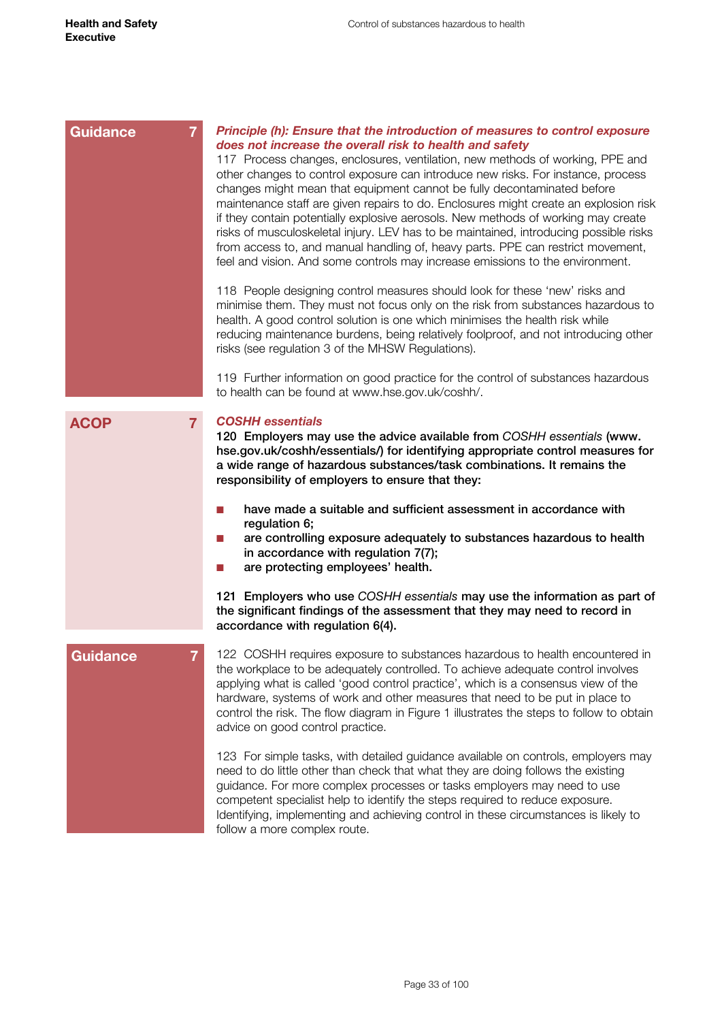| <b>Guidance</b><br>$\overline{7}$ | Principle (h): Ensure that the introduction of measures to control exposure<br>does not increase the overall risk to health and safety<br>117 Process changes, enclosures, ventilation, new methods of working, PPE and<br>other changes to control exposure can introduce new risks. For instance, process<br>changes might mean that equipment cannot be fully decontaminated before<br>maintenance staff are given repairs to do. Enclosures might create an explosion risk<br>if they contain potentially explosive aerosols. New methods of working may create<br>risks of musculoskeletal injury. LEV has to be maintained, introducing possible risks<br>from access to, and manual handling of, heavy parts. PPE can restrict movement,<br>feel and vision. And some controls may increase emissions to the environment. |
|-----------------------------------|----------------------------------------------------------------------------------------------------------------------------------------------------------------------------------------------------------------------------------------------------------------------------------------------------------------------------------------------------------------------------------------------------------------------------------------------------------------------------------------------------------------------------------------------------------------------------------------------------------------------------------------------------------------------------------------------------------------------------------------------------------------------------------------------------------------------------------|
|                                   | 118 People designing control measures should look for these 'new' risks and<br>minimise them. They must not focus only on the risk from substances hazardous to<br>health. A good control solution is one which minimises the health risk while<br>reducing maintenance burdens, being relatively foolproof, and not introducing other<br>risks (see regulation 3 of the MHSW Regulations).                                                                                                                                                                                                                                                                                                                                                                                                                                      |
|                                   | 119 Further information on good practice for the control of substances hazardous<br>to health can be found at www.hse.gov.uk/coshh/.                                                                                                                                                                                                                                                                                                                                                                                                                                                                                                                                                                                                                                                                                             |
| $\overline{7}$<br><b>ACOP</b>     | <b>COSHH</b> essentials<br>120 Employers may use the advice available from COSHH essentials (www.<br>hse.gov.uk/coshh/essentials/) for identifying appropriate control measures for<br>a wide range of hazardous substances/task combinations. It remains the<br>responsibility of employers to ensure that they:<br>have made a suitable and sufficient assessment in accordance with<br><b>College</b>                                                                                                                                                                                                                                                                                                                                                                                                                         |
|                                   | regulation 6;<br>are controlling exposure adequately to substances hazardous to health<br><b>The State</b><br>in accordance with regulation 7(7);<br>are protecting employees' health.<br><b>COL</b>                                                                                                                                                                                                                                                                                                                                                                                                                                                                                                                                                                                                                             |
|                                   | 121 Employers who use COSHH essentials may use the information as part of<br>the significant findings of the assessment that they may need to record in<br>accordance with regulation 6(4).                                                                                                                                                                                                                                                                                                                                                                                                                                                                                                                                                                                                                                      |
| <b>Guidance</b><br>7              | 122 COSHH requires exposure to substances hazardous to health encountered in<br>the workplace to be adequately controlled. To achieve adequate control involves<br>applying what is called 'good control practice', which is a consensus view of the<br>hardware, systems of work and other measures that need to be put in place to<br>control the risk. The flow diagram in Figure 1 illustrates the steps to follow to obtain<br>advice on good control practice.                                                                                                                                                                                                                                                                                                                                                             |
|                                   | 123 For simple tasks, with detailed guidance available on controls, employers may<br>need to do little other than check that what they are doing follows the existing<br>guidance. For more complex processes or tasks employers may need to use<br>competent specialist help to identify the steps required to reduce exposure.<br>Identifying, implementing and achieving control in these circumstances is likely to<br>follow a more complex route.                                                                                                                                                                                                                                                                                                                                                                          |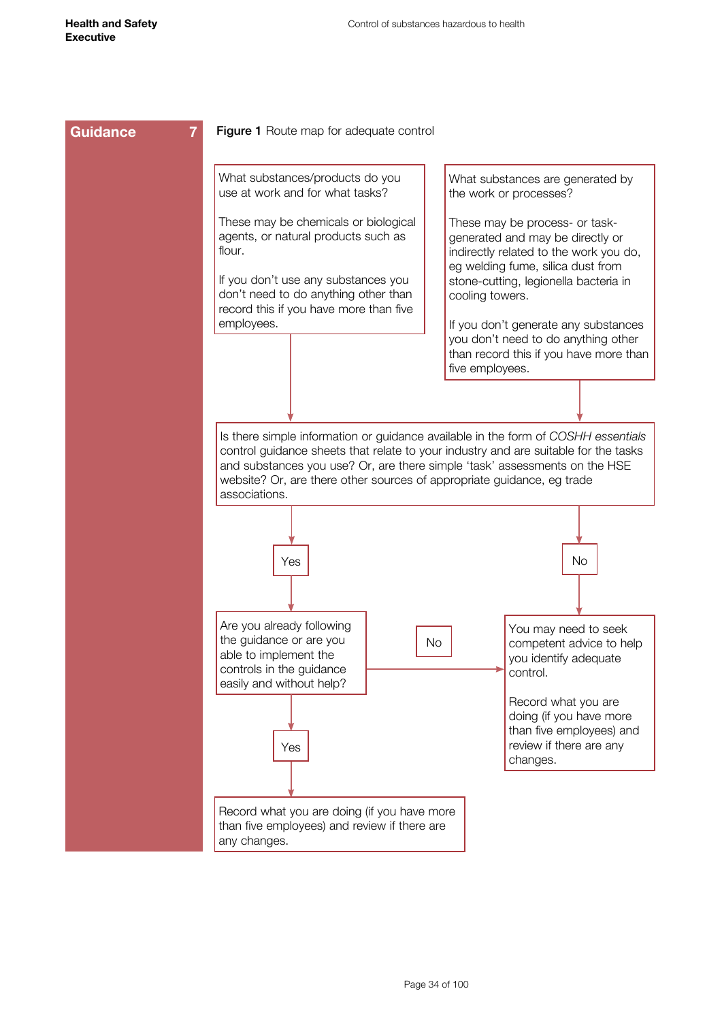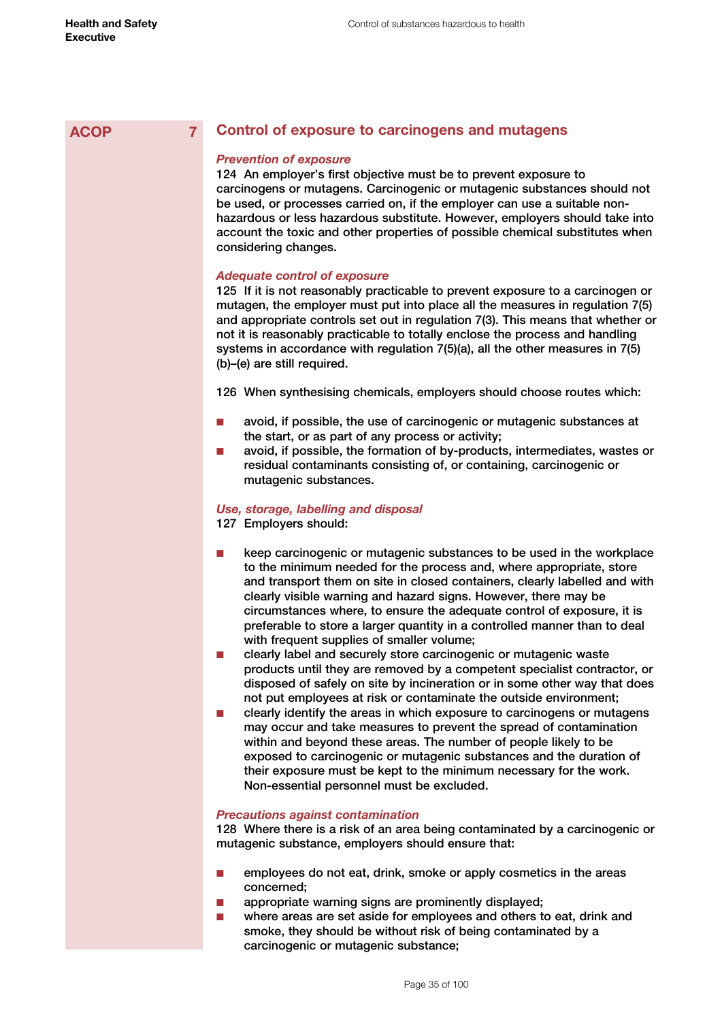| <b>ACOP</b> | $\overline{7}$ | Control of exposure to carcinogens and mutagens                                                                                                                                                                                                                                                                                                                                                                                                                                                                                                                                                                                                                                                                                                                                                                                                                                                                                                                                                                                                                                                                                                                                                                                      |
|-------------|----------------|--------------------------------------------------------------------------------------------------------------------------------------------------------------------------------------------------------------------------------------------------------------------------------------------------------------------------------------------------------------------------------------------------------------------------------------------------------------------------------------------------------------------------------------------------------------------------------------------------------------------------------------------------------------------------------------------------------------------------------------------------------------------------------------------------------------------------------------------------------------------------------------------------------------------------------------------------------------------------------------------------------------------------------------------------------------------------------------------------------------------------------------------------------------------------------------------------------------------------------------|
|             |                | <b>Prevention of exposure</b><br>124 An employer's first objective must be to prevent exposure to<br>carcinogens or mutagens. Carcinogenic or mutagenic substances should not<br>be used, or processes carried on, if the employer can use a suitable non-<br>hazardous or less hazardous substitute. However, employers should take into<br>account the toxic and other properties of possible chemical substitutes when<br>considering changes.                                                                                                                                                                                                                                                                                                                                                                                                                                                                                                                                                                                                                                                                                                                                                                                    |
|             |                | <b>Adequate control of exposure</b><br>125 If it is not reasonably practicable to prevent exposure to a carcinogen or<br>mutagen, the employer must put into place all the measures in regulation 7(5)<br>and appropriate controls set out in regulation 7(3). This means that whether or<br>not it is reasonably practicable to totally enclose the process and handling<br>systems in accordance with regulation $7(5)(a)$ , all the other measures in $7(5)$<br>(b)-(e) are still required.                                                                                                                                                                                                                                                                                                                                                                                                                                                                                                                                                                                                                                                                                                                                       |
|             |                | 126 When synthesising chemicals, employers should choose routes which:                                                                                                                                                                                                                                                                                                                                                                                                                                                                                                                                                                                                                                                                                                                                                                                                                                                                                                                                                                                                                                                                                                                                                               |
|             |                | avoid, if possible, the use of carcinogenic or mutagenic substances at<br>m,<br>the start, or as part of any process or activity;<br>avoid, if possible, the formation of by-products, intermediates, wastes or<br>m,<br>residual contaminants consisting of, or containing, carcinogenic or<br>mutagenic substances.                                                                                                                                                                                                                                                                                                                                                                                                                                                                                                                                                                                                                                                                                                                                                                                                                                                                                                                |
|             |                | Use, storage, labelling and disposal<br>127 Employers should:                                                                                                                                                                                                                                                                                                                                                                                                                                                                                                                                                                                                                                                                                                                                                                                                                                                                                                                                                                                                                                                                                                                                                                        |
|             |                | keep carcinogenic or mutagenic substances to be used in the workplace<br>m,<br>to the minimum needed for the process and, where appropriate, store<br>and transport them on site in closed containers, clearly labelled and with<br>clearly visible warning and hazard signs. However, there may be<br>circumstances where, to ensure the adequate control of exposure, it is<br>preferable to store a larger quantity in a controlled manner than to deal<br>with frequent supplies of smaller volume;<br>clearly label and securely store carcinogenic or mutagenic waste<br>×.<br>products until they are removed by a competent specialist contractor, or<br>disposed of safely on site by incineration or in some other way that does<br>not put employees at risk or contaminate the outside environment;<br>clearly identify the areas in which exposure to carcinogens or mutagens<br>m.<br>may occur and take measures to prevent the spread of contamination<br>within and beyond these areas. The number of people likely to be<br>exposed to carcinogenic or mutagenic substances and the duration of<br>their exposure must be kept to the minimum necessary for the work.<br>Non-essential personnel must be excluded. |
|             |                | <b>Precautions against contamination</b><br>128 Where there is a risk of an area being contaminated by a carcinogenic or<br>mutagenic substance, employers should ensure that:                                                                                                                                                                                                                                                                                                                                                                                                                                                                                                                                                                                                                                                                                                                                                                                                                                                                                                                                                                                                                                                       |
|             |                | employees do not eat, drink, smoke or apply cosmetics in the areas<br>m,<br>concerned;                                                                                                                                                                                                                                                                                                                                                                                                                                                                                                                                                                                                                                                                                                                                                                                                                                                                                                                                                                                                                                                                                                                                               |

- appropriate warning signs are prominently displayed;
- where areas are set aside for employees and others to eat, drink and smoke, they should be without risk of being contaminated by a carcinogenic or mutagenic substance;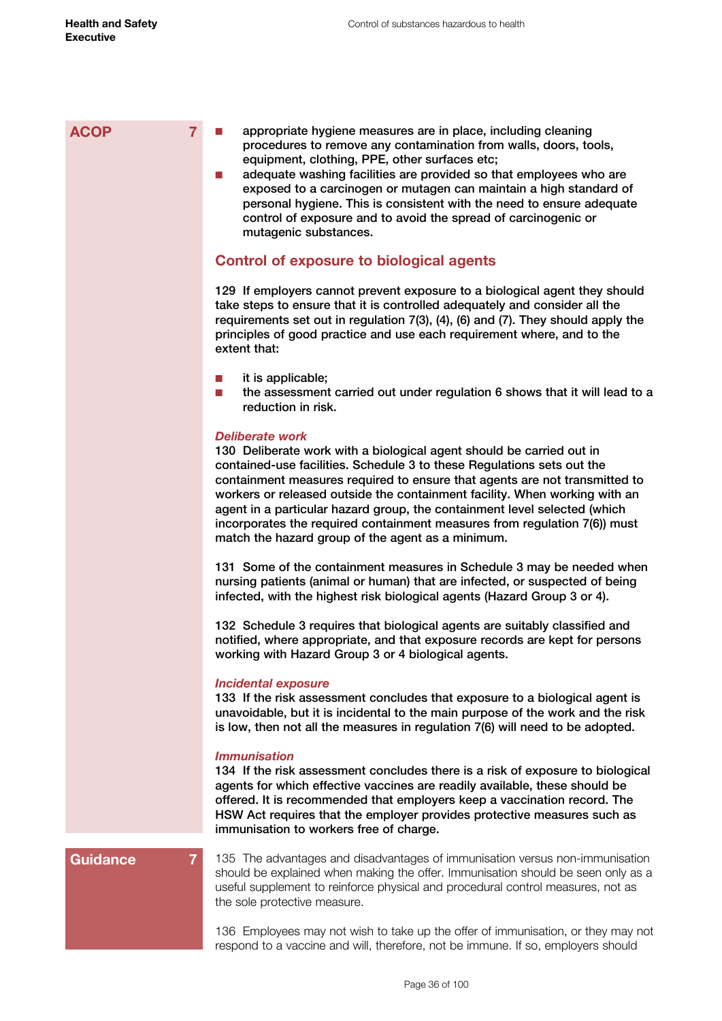| 129 If employers cannot prevent exposure to a biological agent they should<br>take steps to ensure that it is controlled adequately and consider all the<br>requirements set out in regulation $7(3)$ , $(4)$ , $(6)$ and $(7)$ . They should apply the<br>principles of good practice and use each requirement where, and to the<br>extent that:<br>it is applicable;<br>п<br>the assessment carried out under regulation 6 shows that it will lead to a<br>m.<br>reduction in risk.<br><b>Deliberate work</b><br>130 Deliberate work with a biological agent should be carried out in<br>contained-use facilities. Schedule 3 to these Regulations sets out the<br>containment measures required to ensure that agents are not transmitted to<br>workers or released outside the containment facility. When working with an<br>agent in a particular hazard group, the containment level selected (which<br>incorporates the required containment measures from regulation 7(6)) must<br>match the hazard group of the agent as a minimum.<br>131 Some of the containment measures in Schedule 3 may be needed when<br>nursing patients (animal or human) that are infected, or suspected of being<br>infected, with the highest risk biological agents (Hazard Group 3 or 4).<br>132 Schedule 3 requires that biological agents are suitably classified and<br>notified, where appropriate, and that exposure records are kept for persons<br>working with Hazard Group 3 or 4 biological agents.<br><b>Incidental exposure</b><br>133 If the risk assessment concludes that exposure to a biological agent is<br>unavoidable, but it is incidental to the main purpose of the work and the risk<br>is low, then not all the measures in regulation 7(6) will need to be adopted.<br><b>Immunisation</b><br>134 If the risk assessment concludes there is a risk of exposure to biological<br>agents for which effective vaccines are readily available, these should be<br>offered. It is recommended that employers keep a vaccination record. The<br>HSW Act requires that the employer provides protective measures such as<br>immunisation to workers free of charge. |  |
|-------------------------------------------------------------------------------------------------------------------------------------------------------------------------------------------------------------------------------------------------------------------------------------------------------------------------------------------------------------------------------------------------------------------------------------------------------------------------------------------------------------------------------------------------------------------------------------------------------------------------------------------------------------------------------------------------------------------------------------------------------------------------------------------------------------------------------------------------------------------------------------------------------------------------------------------------------------------------------------------------------------------------------------------------------------------------------------------------------------------------------------------------------------------------------------------------------------------------------------------------------------------------------------------------------------------------------------------------------------------------------------------------------------------------------------------------------------------------------------------------------------------------------------------------------------------------------------------------------------------------------------------------------------------------------------------------------------------------------------------------------------------------------------------------------------------------------------------------------------------------------------------------------------------------------------------------------------------------------------------------------------------------------------------------------------------------------------------------------------------------------------------------------------------------------|--|
| 135 The advantages and disadvantages of immunisation versus non-immunisation<br>$\overline{7}$<br><b>Guidance</b><br>should be explained when making the offer. Immunisation should be seen only as a<br>useful supplement to reinforce physical and procedural control measures, not as<br>the sole protective measure.                                                                                                                                                                                                                                                                                                                                                                                                                                                                                                                                                                                                                                                                                                                                                                                                                                                                                                                                                                                                                                                                                                                                                                                                                                                                                                                                                                                                                                                                                                                                                                                                                                                                                                                                                                                                                                                      |  |

136 Employees may not wish to take up the offer of immunisation, or they may not respond to a vaccine and will, therefore, not be immune. If so, employers should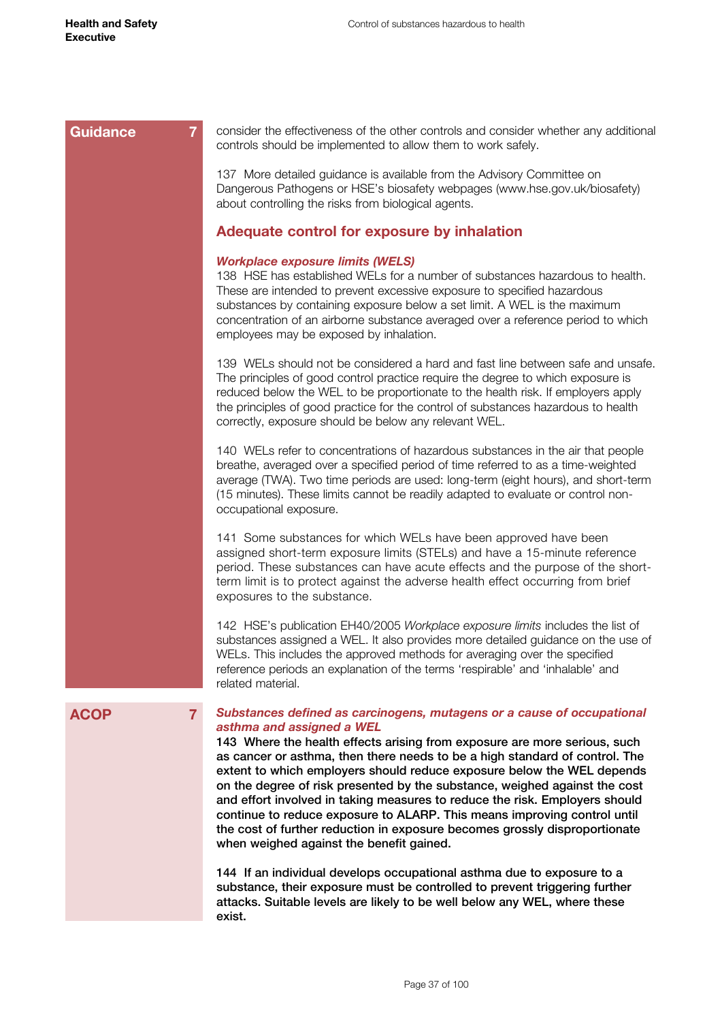| $\overline{7}$<br><b>Guidance</b> | consider the effectiveness of the other controls and consider whether any additional<br>controls should be implemented to allow them to work safely.                                                                                                                                                                                                                                                                                                                                                                                                                                                                                                             |
|-----------------------------------|------------------------------------------------------------------------------------------------------------------------------------------------------------------------------------------------------------------------------------------------------------------------------------------------------------------------------------------------------------------------------------------------------------------------------------------------------------------------------------------------------------------------------------------------------------------------------------------------------------------------------------------------------------------|
|                                   | 137 More detailed guidance is available from the Advisory Committee on<br>Dangerous Pathogens or HSE's biosafety webpages (www.hse.gov.uk/biosafety)<br>about controlling the risks from biological agents.                                                                                                                                                                                                                                                                                                                                                                                                                                                      |
|                                   | Adequate control for exposure by inhalation                                                                                                                                                                                                                                                                                                                                                                                                                                                                                                                                                                                                                      |
|                                   | <b>Workplace exposure limits (WELS)</b><br>138 HSE has established WELs for a number of substances hazardous to health.<br>These are intended to prevent excessive exposure to specified hazardous<br>substances by containing exposure below a set limit. A WEL is the maximum<br>concentration of an airborne substance averaged over a reference period to which<br>employees may be exposed by inhalation.                                                                                                                                                                                                                                                   |
|                                   | 139 WELs should not be considered a hard and fast line between safe and unsafe.<br>The principles of good control practice require the degree to which exposure is<br>reduced below the WEL to be proportionate to the health risk. If employers apply<br>the principles of good practice for the control of substances hazardous to health<br>correctly, exposure should be below any relevant WEL.                                                                                                                                                                                                                                                             |
|                                   | 140 WELs refer to concentrations of hazardous substances in the air that people<br>breathe, averaged over a specified period of time referred to as a time-weighted<br>average (TWA). Two time periods are used: long-term (eight hours), and short-term<br>(15 minutes). These limits cannot be readily adapted to evaluate or control non-<br>occupational exposure.                                                                                                                                                                                                                                                                                           |
|                                   | 141 Some substances for which WELs have been approved have been<br>assigned short-term exposure limits (STELs) and have a 15-minute reference<br>period. These substances can have acute effects and the purpose of the short-<br>term limit is to protect against the adverse health effect occurring from brief<br>exposures to the substance.                                                                                                                                                                                                                                                                                                                 |
|                                   | 142 HSE's publication EH40/2005 Workplace exposure limits includes the list of<br>substances assigned a WEL. It also provides more detailed guidance on the use of<br>WELs. This includes the approved methods for averaging over the specified<br>reference periods an explanation of the terms 'respirable' and 'inhalable' and<br>related material.                                                                                                                                                                                                                                                                                                           |
| $\overline{7}$<br><b>ACOP</b>     | Substances defined as carcinogens, mutagens or a cause of occupational<br>asthma and assigned a WEL<br>143 Where the health effects arising from exposure are more serious, such<br>as cancer or asthma, then there needs to be a high standard of control. The<br>extent to which employers should reduce exposure below the WEL depends<br>on the degree of risk presented by the substance, weighed against the cost<br>and effort involved in taking measures to reduce the risk. Employers should<br>continue to reduce exposure to ALARP. This means improving control until<br>the cost of further reduction in exposure becomes grossly disproportionate |

when weighed against the benefit gained.

144 If an individual develops occupational asthma due to exposure to a substance, their exposure must be controlled to prevent triggering further attacks. Suitable levels are likely to be well below any WEL, where these exist.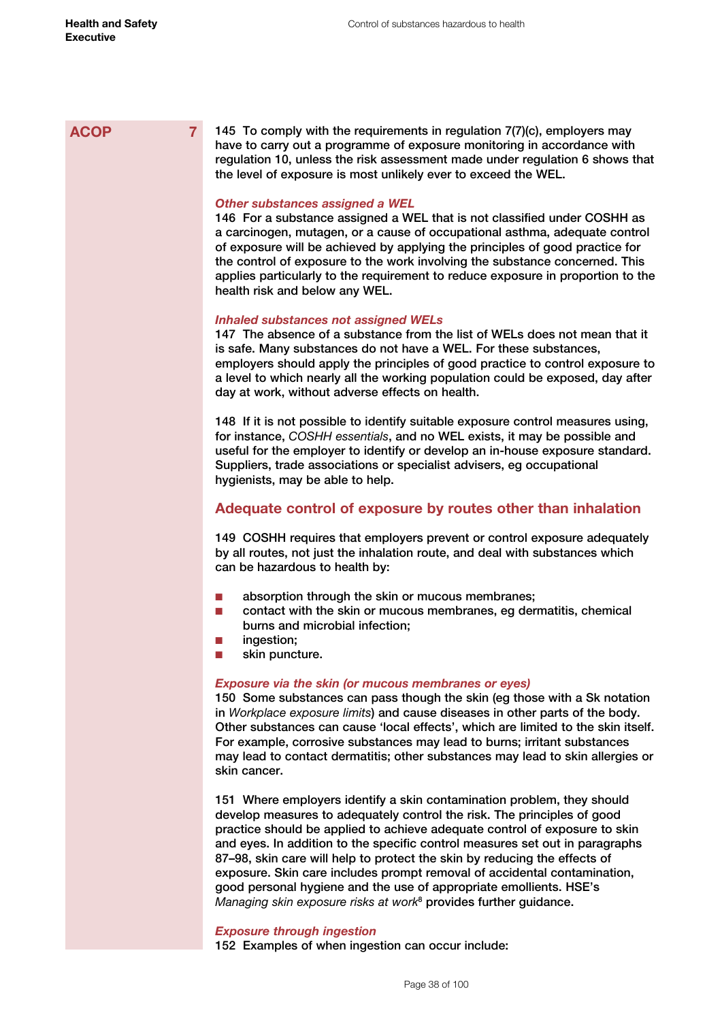| <b>ACOP</b> | $\overline{7}$ | 145 To comply with the requirements in regulation 7(7)(c), employers may<br>have to carry out a programme of exposure monitoring in accordance with<br>regulation 10, unless the risk assessment made under regulation 6 shows that<br>the level of exposure is most unlikely ever to exceed the WEL.                                                                                                                                                                                                                                                                                                                          |
|-------------|----------------|--------------------------------------------------------------------------------------------------------------------------------------------------------------------------------------------------------------------------------------------------------------------------------------------------------------------------------------------------------------------------------------------------------------------------------------------------------------------------------------------------------------------------------------------------------------------------------------------------------------------------------|
|             |                | Other substances assigned a WEL<br>146 For a substance assigned a WEL that is not classified under COSHH as<br>a carcinogen, mutagen, or a cause of occupational asthma, adequate control<br>of exposure will be achieved by applying the principles of good practice for<br>the control of exposure to the work involving the substance concerned. This<br>applies particularly to the requirement to reduce exposure in proportion to the<br>health risk and below any WEL.                                                                                                                                                  |
|             |                | <b>Inhaled substances not assigned WELs</b><br>147 The absence of a substance from the list of WELs does not mean that it<br>is safe. Many substances do not have a WEL. For these substances,<br>employers should apply the principles of good practice to control exposure to<br>a level to which nearly all the working population could be exposed, day after<br>day at work, without adverse effects on health.                                                                                                                                                                                                           |
|             |                | 148 If it is not possible to identify suitable exposure control measures using,<br>for instance, COSHH essentials, and no WEL exists, it may be possible and<br>useful for the employer to identify or develop an in-house exposure standard.<br>Suppliers, trade associations or specialist advisers, eg occupational<br>hygienists, may be able to help.                                                                                                                                                                                                                                                                     |
|             |                | Adequate control of exposure by routes other than inhalation                                                                                                                                                                                                                                                                                                                                                                                                                                                                                                                                                                   |
|             |                | 149 COSHH requires that employers prevent or control exposure adequately<br>by all routes, not just the inhalation route, and deal with substances which<br>can be hazardous to health by:                                                                                                                                                                                                                                                                                                                                                                                                                                     |
|             |                | absorption through the skin or mucous membranes;<br>m.<br>contact with the skin or mucous membranes, eg dermatitis, chemical<br><b>In</b><br>burns and microbial infection;<br>ingestion;<br>П<br>skin puncture.<br>m.                                                                                                                                                                                                                                                                                                                                                                                                         |
|             |                | <b>Exposure via the skin (or mucous membranes or eyes)</b><br>150 Some substances can pass though the skin (eg those with a Sk notation<br>in Workplace exposure limits) and cause diseases in other parts of the body.<br>Other substances can cause 'local effects', which are limited to the skin itself.<br>For example, corrosive substances may lead to burns; irritant substances<br>may lead to contact dermatitis; other substances may lead to skin allergies or<br>skin cancer.                                                                                                                                     |
|             |                | 151 Where employers identify a skin contamination problem, they should<br>develop measures to adequately control the risk. The principles of good<br>practice should be applied to achieve adequate control of exposure to skin<br>and eyes. In addition to the specific control measures set out in paragraphs<br>87-98, skin care will help to protect the skin by reducing the effects of<br>exposure. Skin care includes prompt removal of accidental contamination,<br>good personal hygiene and the use of appropriate emollients. HSE's<br>Managing skin exposure risks at work <sup>8</sup> provides further guidance. |
|             |                | <b>Exposure through ingestion</b>                                                                                                                                                                                                                                                                                                                                                                                                                                                                                                                                                                                              |

152 Examples of when ingestion can occur include: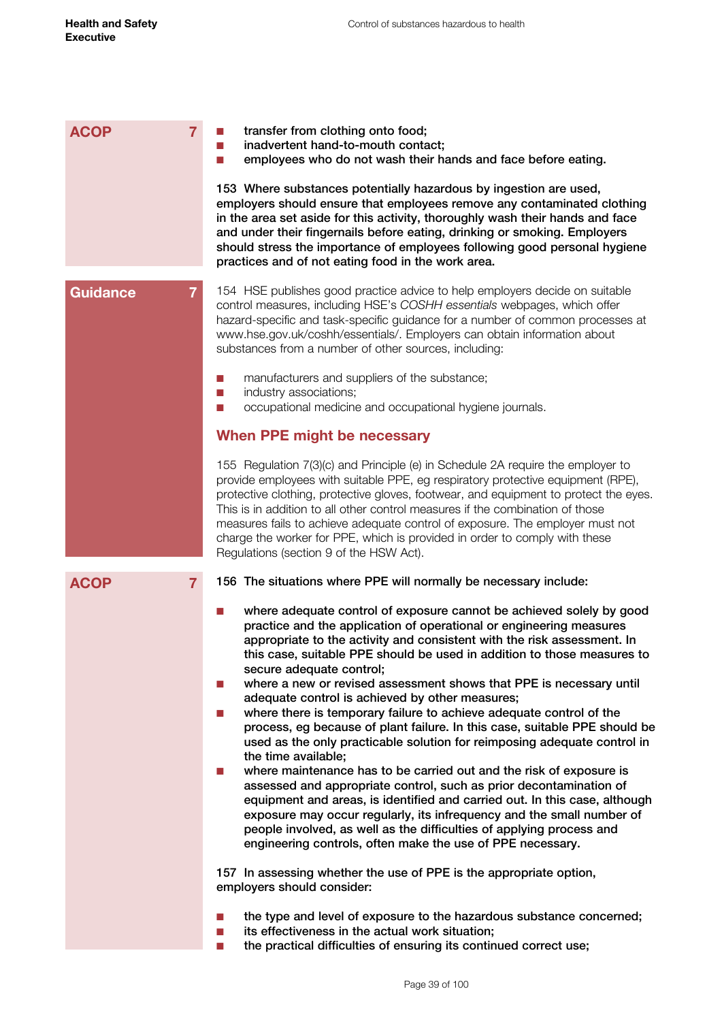| <b>ACOP</b>     | $\overline{7}$ | transfer from clothing onto food;<br>п<br>inadvertent hand-to-mouth contact;<br>m.<br>employees who do not wash their hands and face before eating.<br>m.<br>153 Where substances potentially hazardous by ingestion are used,                                                                                                                                                                                                                                                                                                                                                                                                                                                                                                                                                                                                                                                                                                                                                                                                                                                                                                                                                                            |
|-----------------|----------------|-----------------------------------------------------------------------------------------------------------------------------------------------------------------------------------------------------------------------------------------------------------------------------------------------------------------------------------------------------------------------------------------------------------------------------------------------------------------------------------------------------------------------------------------------------------------------------------------------------------------------------------------------------------------------------------------------------------------------------------------------------------------------------------------------------------------------------------------------------------------------------------------------------------------------------------------------------------------------------------------------------------------------------------------------------------------------------------------------------------------------------------------------------------------------------------------------------------|
|                 |                | employers should ensure that employees remove any contaminated clothing<br>in the area set aside for this activity, thoroughly wash their hands and face<br>and under their fingernails before eating, drinking or smoking. Employers<br>should stress the importance of employees following good personal hygiene<br>practices and of not eating food in the work area.                                                                                                                                                                                                                                                                                                                                                                                                                                                                                                                                                                                                                                                                                                                                                                                                                                  |
| <b>Guidance</b> | $\overline{7}$ | 154 HSE publishes good practice advice to help employers decide on suitable<br>control measures, including HSE's COSHH essentials webpages, which offer<br>hazard-specific and task-specific guidance for a number of common processes at<br>www.hse.gov.uk/coshh/essentials/. Employers can obtain information about<br>substances from a number of other sources, including:                                                                                                                                                                                                                                                                                                                                                                                                                                                                                                                                                                                                                                                                                                                                                                                                                            |
|                 |                | manufacturers and suppliers of the substance;<br>п<br>industry associations;<br>$\mathcal{L}_{\mathcal{A}}$<br>occupational medicine and occupational hygiene journals.<br>m.                                                                                                                                                                                                                                                                                                                                                                                                                                                                                                                                                                                                                                                                                                                                                                                                                                                                                                                                                                                                                             |
|                 |                | When PPE might be necessary                                                                                                                                                                                                                                                                                                                                                                                                                                                                                                                                                                                                                                                                                                                                                                                                                                                                                                                                                                                                                                                                                                                                                                               |
|                 |                | 155 Regulation 7(3)(c) and Principle (e) in Schedule 2A require the employer to<br>provide employees with suitable PPE, eg respiratory protective equipment (RPE),<br>protective clothing, protective gloves, footwear, and equipment to protect the eyes.<br>This is in addition to all other control measures if the combination of those<br>measures fails to achieve adequate control of exposure. The employer must not<br>charge the worker for PPE, which is provided in order to comply with these<br>Regulations (section 9 of the HSW Act).                                                                                                                                                                                                                                                                                                                                                                                                                                                                                                                                                                                                                                                     |
| <b>ACOP</b>     | $\overline{7}$ | 156 The situations where PPE will normally be necessary include:                                                                                                                                                                                                                                                                                                                                                                                                                                                                                                                                                                                                                                                                                                                                                                                                                                                                                                                                                                                                                                                                                                                                          |
|                 |                | where adequate control of exposure cannot be achieved solely by good<br>ш<br>practice and the application of operational or engineering measures<br>appropriate to the activity and consistent with the risk assessment. In<br>this case, suitable PPE should be used in addition to those measures to<br>secure adequate control;<br>where a new or revised assessment shows that PPE is necessary until<br>m.<br>adequate control is achieved by other measures;<br>where there is temporary failure to achieve adequate control of the<br>m.<br>process, eg because of plant failure. In this case, suitable PPE should be<br>used as the only practicable solution for reimposing adequate control in<br>the time available;<br>where maintenance has to be carried out and the risk of exposure is<br>$\mathcal{L}_{\mathcal{A}}$<br>assessed and appropriate control, such as prior decontamination of<br>equipment and areas, is identified and carried out. In this case, although<br>exposure may occur regularly, its infrequency and the small number of<br>people involved, as well as the difficulties of applying process and<br>engineering controls, often make the use of PPE necessary. |
|                 |                | 157 In assessing whether the use of PPE is the appropriate option,<br>employers should consider:                                                                                                                                                                                                                                                                                                                                                                                                                                                                                                                                                                                                                                                                                                                                                                                                                                                                                                                                                                                                                                                                                                          |
|                 |                | the type and level of exposure to the hazardous substance concerned;<br>its effectiveness in the actual work situation;<br>the practical difficulties of ensuring its continued correct use;                                                                                                                                                                                                                                                                                                                                                                                                                                                                                                                                                                                                                                                                                                                                                                                                                                                                                                                                                                                                              |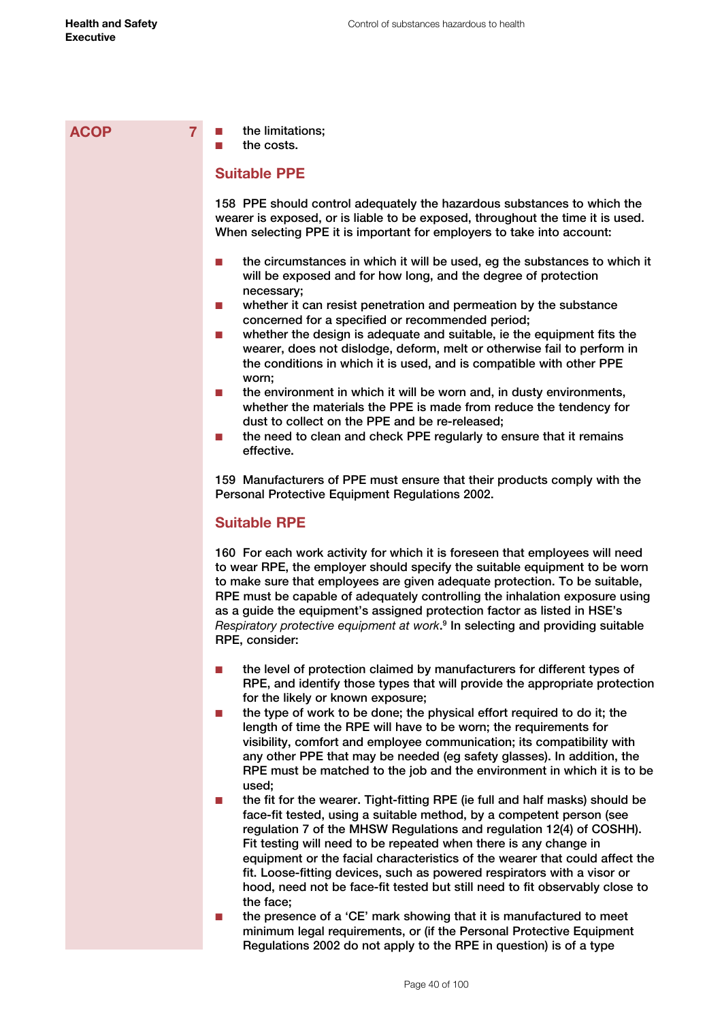| <b>ACOP</b> | $\overline{7}$ | the limitations;<br>m.<br>the costs.<br>П                                                                                                                                                                                                                                                                                                                                                                                                                                                                                                                                             |
|-------------|----------------|---------------------------------------------------------------------------------------------------------------------------------------------------------------------------------------------------------------------------------------------------------------------------------------------------------------------------------------------------------------------------------------------------------------------------------------------------------------------------------------------------------------------------------------------------------------------------------------|
|             |                | <b>Suitable PPE</b>                                                                                                                                                                                                                                                                                                                                                                                                                                                                                                                                                                   |
|             |                | 158 PPE should control adequately the hazardous substances to which the<br>wearer is exposed, or is liable to be exposed, throughout the time it is used.<br>When selecting PPE it is important for employers to take into account:                                                                                                                                                                                                                                                                                                                                                   |
|             |                | the circumstances in which it will be used, eg the substances to which it<br>m,<br>will be exposed and for how long, and the degree of protection<br>necessary;                                                                                                                                                                                                                                                                                                                                                                                                                       |
|             |                | whether it can resist penetration and permeation by the substance<br>L.<br>concerned for a specified or recommended period;                                                                                                                                                                                                                                                                                                                                                                                                                                                           |
|             |                | whether the design is adequate and suitable, ie the equipment fits the<br>L.<br>wearer, does not dislodge, deform, melt or otherwise fail to perform in<br>the conditions in which it is used, and is compatible with other PPE                                                                                                                                                                                                                                                                                                                                                       |
|             |                | worn;<br>the environment in which it will be worn and, in dusty environments,<br>$\mathcal{C}_{\mathcal{A}}$<br>whether the materials the PPE is made from reduce the tendency for<br>dust to collect on the PPE and be re-released;                                                                                                                                                                                                                                                                                                                                                  |
|             |                | the need to clean and check PPE regularly to ensure that it remains<br>L.<br>effective.                                                                                                                                                                                                                                                                                                                                                                                                                                                                                               |
|             |                | 159 Manufacturers of PPE must ensure that their products comply with the<br>Personal Protective Equipment Regulations 2002.                                                                                                                                                                                                                                                                                                                                                                                                                                                           |
|             |                | <b>Suitable RPE</b>                                                                                                                                                                                                                                                                                                                                                                                                                                                                                                                                                                   |
|             |                | 160 For each work activity for which it is foreseen that employees will need<br>to wear RPE, the employer should specify the suitable equipment to be worn<br>to make sure that employees are given adequate protection. To be suitable,<br>RPE must be capable of adequately controlling the inhalation exposure using<br>as a guide the equipment's assigned protection factor as listed in HSE's<br>Respiratory protective equipment at work. <sup>9</sup> In selecting and providing suitable<br>RPE, consider:                                                                   |
|             |                | the level of protection claimed by manufacturers for different types of<br>D.<br>RPE, and identify those types that will provide the appropriate protection<br>for the likely or known exposure;                                                                                                                                                                                                                                                                                                                                                                                      |
|             |                | the type of work to be done; the physical effort required to do it; the<br>m.<br>length of time the RPE will have to be worn; the requirements for<br>visibility, comfort and employee communication; its compatibility with<br>any other PPE that may be needed (eg safety glasses). In addition, the<br>RPE must be matched to the job and the environment in which it is to be<br>used;                                                                                                                                                                                            |
|             |                | the fit for the wearer. Tight-fitting RPE (ie full and half masks) should be<br>$\mathcal{C}_{\mathcal{A}}$<br>face-fit tested, using a suitable method, by a competent person (see<br>regulation 7 of the MHSW Regulations and regulation 12(4) of COSHH).<br>Fit testing will need to be repeated when there is any change in<br>equipment or the facial characteristics of the wearer that could affect the<br>fit. Loose-fitting devices, such as powered respirators with a visor or<br>hood, need not be face-fit tested but still need to fit observably close to<br>the face; |
|             |                | the presence of a 'CE' mark showing that it is manufactured to meet<br>$\mathcal{C}_{\mathcal{A}}$<br>minimum legal requirements, or (if the Personal Protective Equipment                                                                                                                                                                                                                                                                                                                                                                                                            |
|             |                | Regulations 2002 do not apply to the RPE in question) is of a type                                                                                                                                                                                                                                                                                                                                                                                                                                                                                                                    |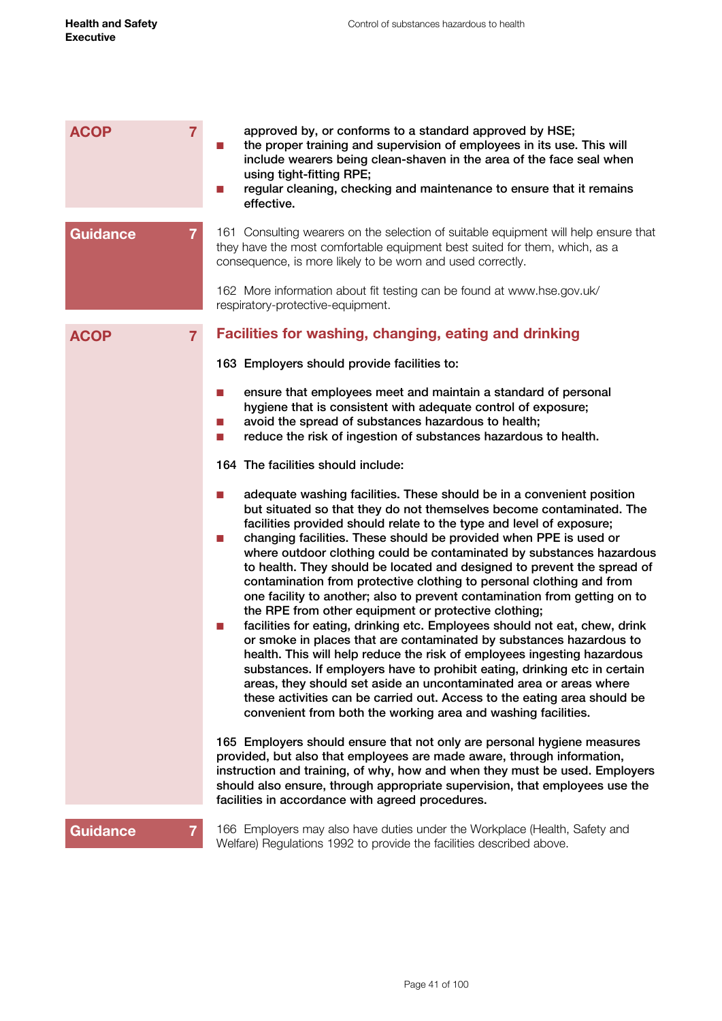| <b>ACOP</b>     | $\overline{7}$ | approved by, or conforms to a standard approved by HSE;<br>the proper training and supervision of employees in its use. This will<br>ш<br>include wearers being clean-shaven in the area of the face seal when<br>using tight-fitting RPE;<br>regular cleaning, checking and maintenance to ensure that it remains<br>п<br>effective.                                                                                                                                                                                                                                                                                                                                                                                                                                                                                                                                                                                                                                                                                                                                                                                                                                                                       |
|-----------------|----------------|-------------------------------------------------------------------------------------------------------------------------------------------------------------------------------------------------------------------------------------------------------------------------------------------------------------------------------------------------------------------------------------------------------------------------------------------------------------------------------------------------------------------------------------------------------------------------------------------------------------------------------------------------------------------------------------------------------------------------------------------------------------------------------------------------------------------------------------------------------------------------------------------------------------------------------------------------------------------------------------------------------------------------------------------------------------------------------------------------------------------------------------------------------------------------------------------------------------|
| <b>Guidance</b> | $\overline{7}$ | 161 Consulting wearers on the selection of suitable equipment will help ensure that<br>they have the most comfortable equipment best suited for them, which, as a<br>consequence, is more likely to be worn and used correctly.                                                                                                                                                                                                                                                                                                                                                                                                                                                                                                                                                                                                                                                                                                                                                                                                                                                                                                                                                                             |
|                 |                | 162 More information about fit testing can be found at www.hse.gov.uk/<br>respiratory-protective-equipment.                                                                                                                                                                                                                                                                                                                                                                                                                                                                                                                                                                                                                                                                                                                                                                                                                                                                                                                                                                                                                                                                                                 |
| <b>ACOP</b>     | $\overline{7}$ | <b>Facilities for washing, changing, eating and drinking</b>                                                                                                                                                                                                                                                                                                                                                                                                                                                                                                                                                                                                                                                                                                                                                                                                                                                                                                                                                                                                                                                                                                                                                |
|                 |                | 163 Employers should provide facilities to:                                                                                                                                                                                                                                                                                                                                                                                                                                                                                                                                                                                                                                                                                                                                                                                                                                                                                                                                                                                                                                                                                                                                                                 |
|                 |                | ensure that employees meet and maintain a standard of personal<br>П<br>hygiene that is consistent with adequate control of exposure;<br>avoid the spread of substances hazardous to health;<br>ш<br>reduce the risk of ingestion of substances hazardous to health.<br>п                                                                                                                                                                                                                                                                                                                                                                                                                                                                                                                                                                                                                                                                                                                                                                                                                                                                                                                                    |
|                 |                | 164 The facilities should include:                                                                                                                                                                                                                                                                                                                                                                                                                                                                                                                                                                                                                                                                                                                                                                                                                                                                                                                                                                                                                                                                                                                                                                          |
|                 |                | adequate washing facilities. These should be in a convenient position<br>П<br>but situated so that they do not themselves become contaminated. The<br>facilities provided should relate to the type and level of exposure;<br>changing facilities. These should be provided when PPE is used or<br>m,<br>where outdoor clothing could be contaminated by substances hazardous<br>to health. They should be located and designed to prevent the spread of<br>contamination from protective clothing to personal clothing and from<br>one facility to another; also to prevent contamination from getting on to<br>the RPE from other equipment or protective clothing;<br>facilities for eating, drinking etc. Employees should not eat, chew, drink<br>m,<br>or smoke in places that are contaminated by substances hazardous to<br>health. This will help reduce the risk of employees ingesting hazardous<br>substances. If employers have to prohibit eating, drinking etc in certain<br>areas, they should set aside an uncontaminated area or areas where<br>these activities can be carried out. Access to the eating area should be<br>convenient from both the working area and washing facilities. |
|                 |                | 165 Employers should ensure that not only are personal hygiene measures<br>provided, but also that employees are made aware, through information,<br>instruction and training, of why, how and when they must be used. Employers<br>should also ensure, through appropriate supervision, that employees use the<br>facilities in accordance with agreed procedures.                                                                                                                                                                                                                                                                                                                                                                                                                                                                                                                                                                                                                                                                                                                                                                                                                                         |
| <b>Guidance</b> | 7              | 166 Employers may also have duties under the Workplace (Health, Safety and<br>Welfare) Regulations 1992 to provide the facilities described above.                                                                                                                                                                                                                                                                                                                                                                                                                                                                                                                                                                                                                                                                                                                                                                                                                                                                                                                                                                                                                                                          |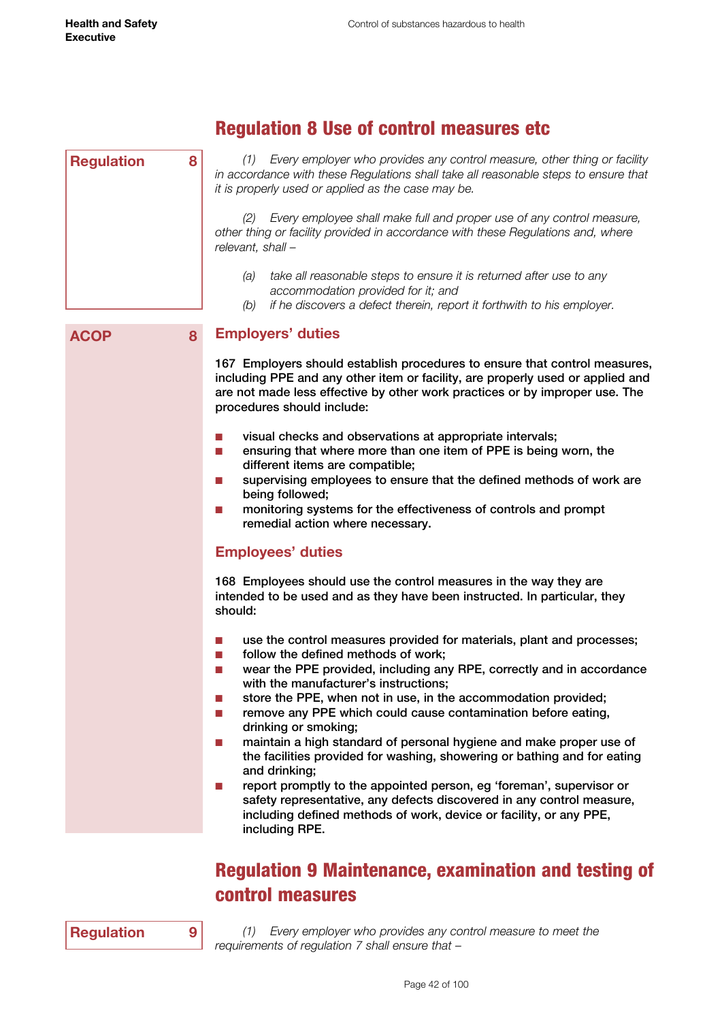|                   |   | <b>Regulation 8 Use of control measures etc</b>                                                                                                                                                                                                                                                                                                                                                                                                                                                                                                                                                                                                                                                                                                                                                                                           |
|-------------------|---|-------------------------------------------------------------------------------------------------------------------------------------------------------------------------------------------------------------------------------------------------------------------------------------------------------------------------------------------------------------------------------------------------------------------------------------------------------------------------------------------------------------------------------------------------------------------------------------------------------------------------------------------------------------------------------------------------------------------------------------------------------------------------------------------------------------------------------------------|
| <b>Regulation</b> | 8 | (1) Every employer who provides any control measure, other thing or facility<br>in accordance with these Regulations shall take all reasonable steps to ensure that<br>it is properly used or applied as the case may be.                                                                                                                                                                                                                                                                                                                                                                                                                                                                                                                                                                                                                 |
|                   |   | (2) Every employee shall make full and proper use of any control measure,<br>other thing or facility provided in accordance with these Regulations and, where<br>relevant, shall -                                                                                                                                                                                                                                                                                                                                                                                                                                                                                                                                                                                                                                                        |
|                   |   | take all reasonable steps to ensure it is returned after use to any<br>(a)<br>accommodation provided for it; and<br>if he discovers a defect therein, report it forthwith to his employer.<br>(b)                                                                                                                                                                                                                                                                                                                                                                                                                                                                                                                                                                                                                                         |
| <b>ACOP</b>       | 8 | <b>Employers' duties</b>                                                                                                                                                                                                                                                                                                                                                                                                                                                                                                                                                                                                                                                                                                                                                                                                                  |
|                   |   | 167 Employers should establish procedures to ensure that control measures,<br>including PPE and any other item or facility, are properly used or applied and<br>are not made less effective by other work practices or by improper use. The<br>procedures should include:                                                                                                                                                                                                                                                                                                                                                                                                                                                                                                                                                                 |
|                   |   | visual checks and observations at appropriate intervals;<br>ш<br>ensuring that where more than one item of PPE is being worn, the<br>$\mathcal{L}_{\mathcal{A}}$<br>different items are compatible;<br>supervising employees to ensure that the defined methods of work are<br>m.<br>being followed;<br>monitoring systems for the effectiveness of controls and prompt<br>ш<br>remedial action where necessary.                                                                                                                                                                                                                                                                                                                                                                                                                          |
|                   |   | <b>Employees' duties</b>                                                                                                                                                                                                                                                                                                                                                                                                                                                                                                                                                                                                                                                                                                                                                                                                                  |
|                   |   | 168 Employees should use the control measures in the way they are<br>intended to be used and as they have been instructed. In particular, they<br>should:                                                                                                                                                                                                                                                                                                                                                                                                                                                                                                                                                                                                                                                                                 |
|                   |   | use the control measures provided for materials, plant and processes;<br>ш<br>follow the defined methods of work;<br>П<br>wear the PPE provided, including any RPE, correctly and in accordance<br>ш<br>with the manufacturer's instructions;<br>store the PPE, when not in use, in the accommodation provided;<br>ш<br>remove any PPE which could cause contamination before eating,<br>ш<br>drinking or smoking;<br>maintain a high standard of personal hygiene and make proper use of<br>ш<br>the facilities provided for washing, showering or bathing and for eating<br>and drinking;<br>report promptly to the appointed person, eg 'foreman', supervisor or<br>ш<br>safety representative, any defects discovered in any control measure,<br>including defined methods of work, device or facility, or any PPE,<br>including RPE. |
|                   |   | <b>Requiation 9 Maintenance, examination and testing of</b>                                                                                                                                                                                                                                                                                                                                                                                                                                                                                                                                                                                                                                                                                                                                                                               |

### Regulation 9 Maintenance, examination and testing of control measures

**Regulation 9**

*(1) Every employer who provides any control measure to meet the requirements of regulation 7 shall ensure that –*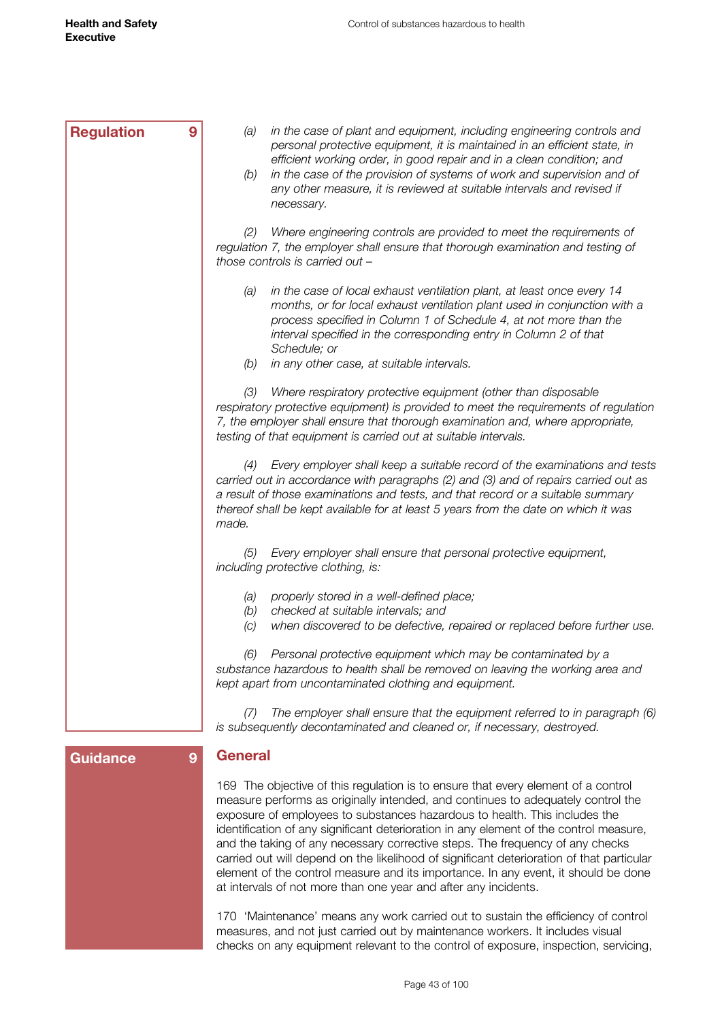| <b>Regulation</b> | 9 | in the case of plant and equipment, including engineering controls and<br>(a)<br>personal protective equipment, it is maintained in an efficient state, in<br>efficient working order, in good repair and in a clean condition; and<br>in the case of the provision of systems of work and supervision and of<br>(b)<br>any other measure, it is reviewed at suitable intervals and revised if<br>necessary. |
|-------------------|---|--------------------------------------------------------------------------------------------------------------------------------------------------------------------------------------------------------------------------------------------------------------------------------------------------------------------------------------------------------------------------------------------------------------|
|                   |   | Where engineering controls are provided to meet the requirements of<br>(2)<br>regulation 7, the employer shall ensure that thorough examination and testing of<br>those controls is carried out -                                                                                                                                                                                                            |
|                   |   | in the case of local exhaust ventilation plant, at least once every 14<br>(a)<br>months, or for local exhaust ventilation plant used in conjunction with a<br>process specified in Column 1 of Schedule 4, at not more than the<br>interval specified in the corresponding entry in Column 2 of that<br>Schedule; or                                                                                         |
|                   |   | in any other case, at suitable intervals.<br>(b)                                                                                                                                                                                                                                                                                                                                                             |
|                   |   | Where respiratory protective equipment (other than disposable<br>(3)<br>respiratory protective equipment) is provided to meet the requirements of regulation<br>7, the employer shall ensure that thorough examination and, where appropriate,<br>testing of that equipment is carried out at suitable intervals.                                                                                            |
|                   |   | (4) Every employer shall keep a suitable record of the examinations and tests<br>carried out in accordance with paragraphs (2) and (3) and of repairs carried out as<br>a result of those examinations and tests, and that record or a suitable summary<br>thereof shall be kept available for at least 5 years from the date on which it was<br>made.                                                       |
|                   |   | (5) Every employer shall ensure that personal protective equipment,<br>including protective clothing, is:                                                                                                                                                                                                                                                                                                    |
|                   |   | properly stored in a well-defined place;<br>(a)<br>checked at suitable intervals; and<br>(b)<br>when discovered to be defective, repaired or replaced before further use.<br>(C)                                                                                                                                                                                                                             |
|                   |   | (6) Personal protective equipment which may be contaminated by a<br>substance hazardous to health shall be removed on leaving the working area and<br>kept apart from uncontaminated clothing and equipment.                                                                                                                                                                                                 |
|                   |   | The employer shall ensure that the equipment referred to in paragraph (6)<br>(7)<br>is subsequently decontaminated and cleaned or, if necessary, destroyed.                                                                                                                                                                                                                                                  |
| <b>Guidance</b>   | 9 | <b>General</b>                                                                                                                                                                                                                                                                                                                                                                                               |

169 The objective of this regulation is to ensure that every element of a control measure performs as originally intended, and continues to adequately control the exposure of employees to substances hazardous to health. This includes the identification of any significant deterioration in any element of the control measure, and the taking of any necessary corrective steps. The frequency of any checks carried out will depend on the likelihood of significant deterioration of that particular element of the control measure and its importance. In any event, it should be done at intervals of not more than one year and after any incidents.

170 'Maintenance' means any work carried out to sustain the efficiency of control measures, and not just carried out by maintenance workers. It includes visual checks on any equipment relevant to the control of exposure, inspection, servicing,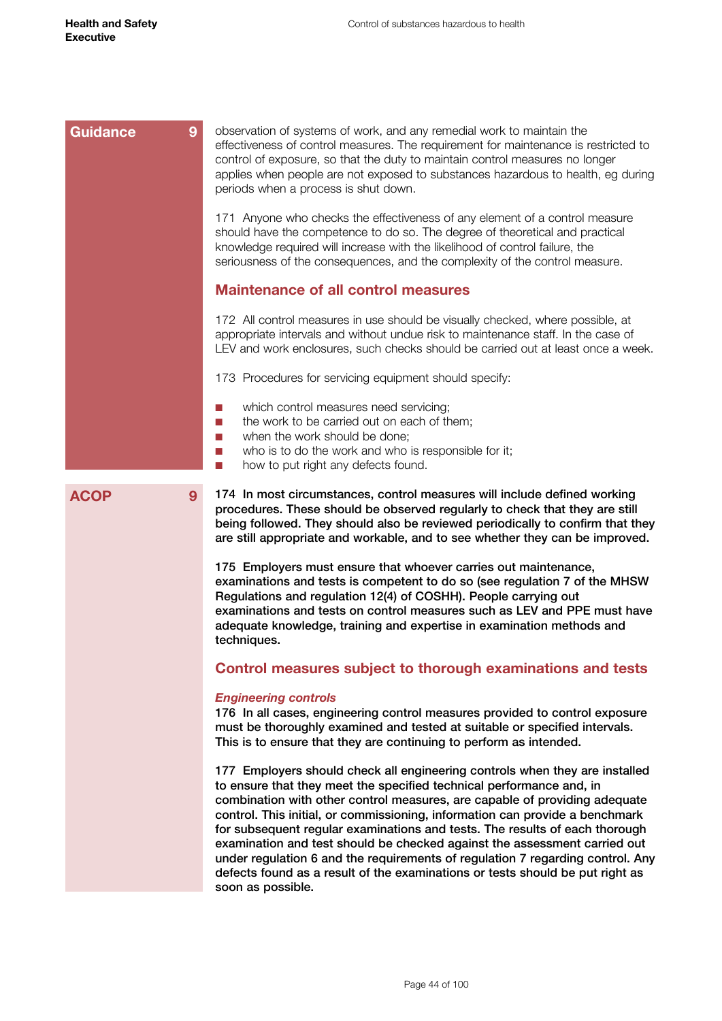| <b>Guidance</b><br>9 | observation of systems of work, and any remedial work to maintain the<br>effectiveness of control measures. The requirement for maintenance is restricted to<br>control of exposure, so that the duty to maintain control measures no longer<br>applies when people are not exposed to substances hazardous to health, eg during<br>periods when a process is shut down.<br>171 Anyone who checks the effectiveness of any element of a control measure<br>should have the competence to do so. The degree of theoretical and practical<br>knowledge required will increase with the likelihood of control failure, the<br>seriousness of the consequences, and the complexity of the control measure. |
|----------------------|--------------------------------------------------------------------------------------------------------------------------------------------------------------------------------------------------------------------------------------------------------------------------------------------------------------------------------------------------------------------------------------------------------------------------------------------------------------------------------------------------------------------------------------------------------------------------------------------------------------------------------------------------------------------------------------------------------|
|                      | <b>Maintenance of all control measures</b>                                                                                                                                                                                                                                                                                                                                                                                                                                                                                                                                                                                                                                                             |
|                      | 172 All control measures in use should be visually checked, where possible, at<br>appropriate intervals and without undue risk to maintenance staff. In the case of<br>LEV and work enclosures, such checks should be carried out at least once a week.                                                                                                                                                                                                                                                                                                                                                                                                                                                |
|                      | 173 Procedures for servicing equipment should specify:                                                                                                                                                                                                                                                                                                                                                                                                                                                                                                                                                                                                                                                 |
|                      | which control measures need servicing;<br>m,<br>the work to be carried out on each of them;<br>n.<br>when the work should be done;<br>n.<br>who is to do the work and who is responsible for it;<br>m.<br>how to put right any defects found.<br>m.                                                                                                                                                                                                                                                                                                                                                                                                                                                    |
| 9<br><b>ACOP</b>     | 174 In most circumstances, control measures will include defined working<br>procedures. These should be observed regularly to check that they are still<br>being followed. They should also be reviewed periodically to confirm that they<br>are still appropriate and workable, and to see whether they can be improved.                                                                                                                                                                                                                                                                                                                                                                              |
|                      | 175 Employers must ensure that whoever carries out maintenance,<br>examinations and tests is competent to do so (see regulation 7 of the MHSW<br>Regulations and regulation 12(4) of COSHH). People carrying out<br>examinations and tests on control measures such as LEV and PPE must have<br>adequate knowledge, training and expertise in examination methods and<br>techniques.                                                                                                                                                                                                                                                                                                                   |
|                      | Control measures subject to thorough examinations and tests                                                                                                                                                                                                                                                                                                                                                                                                                                                                                                                                                                                                                                            |
|                      | <b>Engineering controls</b><br>176 In all cases, engineering control measures provided to control exposure<br>must be thoroughly examined and tested at suitable or specified intervals.<br>This is to ensure that they are continuing to perform as intended.                                                                                                                                                                                                                                                                                                                                                                                                                                         |
|                      | 177 Employers should check all engineering controls when they are installed<br>to ensure that they meet the specified technical performance and, in<br>combination with other control measures, are capable of providing adequate<br>control. This initial, or commissioning, information can provide a benchmark<br>for subsequent regular examinations and tests. The results of each thorough<br>examination and test should be checked against the assessment carried out<br>under regulation 6 and the requirements of regulation 7 regarding control. Any<br>defects found as a result of the examinations or tests should be put right as<br>soon as possible.                                  |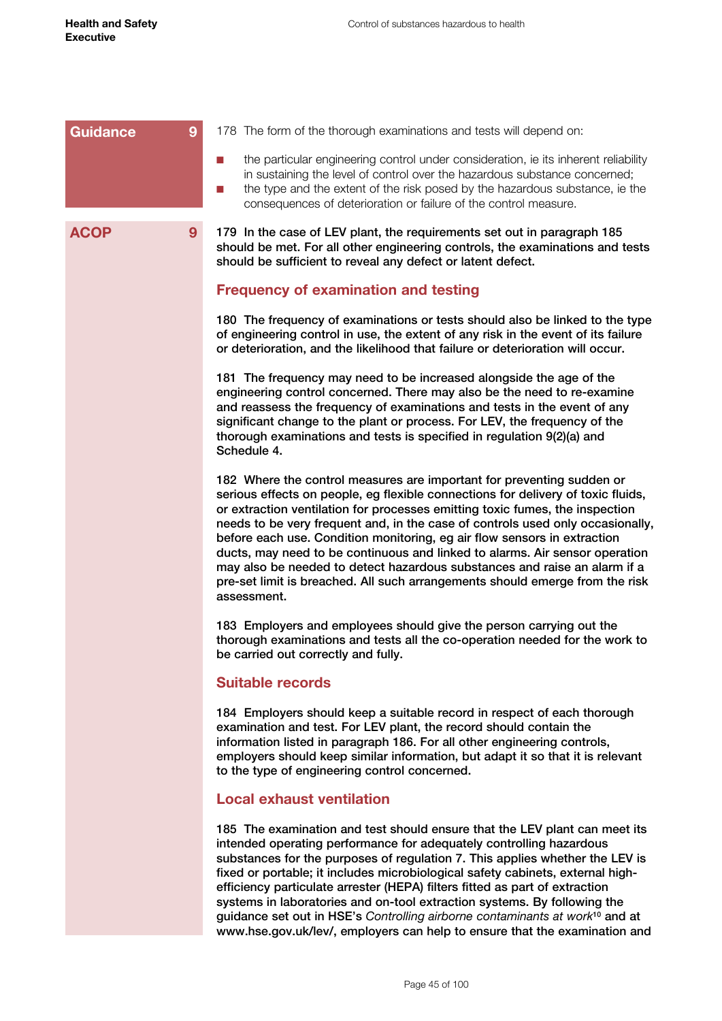| <b>Guidance</b><br>9 | 178 The form of the thorough examinations and tests will depend on:                                                                                                                                                                                                                                                                                                                                                                                                                                                                                                                                                                                                |
|----------------------|--------------------------------------------------------------------------------------------------------------------------------------------------------------------------------------------------------------------------------------------------------------------------------------------------------------------------------------------------------------------------------------------------------------------------------------------------------------------------------------------------------------------------------------------------------------------------------------------------------------------------------------------------------------------|
|                      | the particular engineering control under consideration, ie its inherent reliability<br>T.<br>in sustaining the level of control over the hazardous substance concerned;<br>the type and the extent of the risk posed by the hazardous substance, ie the<br>m,<br>consequences of deterioration or failure of the control measure.                                                                                                                                                                                                                                                                                                                                  |
| <b>ACOP</b><br>9     | 179 In the case of LEV plant, the requirements set out in paragraph 185<br>should be met. For all other engineering controls, the examinations and tests<br>should be sufficient to reveal any defect or latent defect.                                                                                                                                                                                                                                                                                                                                                                                                                                            |
|                      | <b>Frequency of examination and testing</b>                                                                                                                                                                                                                                                                                                                                                                                                                                                                                                                                                                                                                        |
|                      | 180 The frequency of examinations or tests should also be linked to the type<br>of engineering control in use, the extent of any risk in the event of its failure<br>or deterioration, and the likelihood that failure or deterioration will occur.                                                                                                                                                                                                                                                                                                                                                                                                                |
|                      | 181 The frequency may need to be increased alongside the age of the<br>engineering control concerned. There may also be the need to re-examine<br>and reassess the frequency of examinations and tests in the event of any<br>significant change to the plant or process. For LEV, the frequency of the<br>thorough examinations and tests is specified in regulation 9(2)(a) and<br>Schedule 4.                                                                                                                                                                                                                                                                   |
|                      | 182 Where the control measures are important for preventing sudden or<br>serious effects on people, eg flexible connections for delivery of toxic fluids,<br>or extraction ventilation for processes emitting toxic fumes, the inspection<br>needs to be very frequent and, in the case of controls used only occasionally,<br>before each use. Condition monitoring, eg air flow sensors in extraction<br>ducts, may need to be continuous and linked to alarms. Air sensor operation<br>may also be needed to detect hazardous substances and raise an alarm if a<br>pre-set limit is breached. All such arrangements should emerge from the risk<br>assessment. |
|                      | 183 Employers and employees should give the person carrying out the<br>thorough examinations and tests all the co-operation needed for the work to<br>be carried out correctly and fully.                                                                                                                                                                                                                                                                                                                                                                                                                                                                          |
|                      | <b>Suitable records</b>                                                                                                                                                                                                                                                                                                                                                                                                                                                                                                                                                                                                                                            |
|                      | 184 Employers should keep a suitable record in respect of each thorough<br>examination and test. For LEV plant, the record should contain the<br>information listed in paragraph 186. For all other engineering controls,<br>employers should keep similar information, but adapt it so that it is relevant<br>to the type of engineering control concerned.                                                                                                                                                                                                                                                                                                       |
|                      | <b>Local exhaust ventilation</b>                                                                                                                                                                                                                                                                                                                                                                                                                                                                                                                                                                                                                                   |
|                      | 185 The examination and test should ensure that the LEV plant can meet its<br>intended operating performance for adequately controlling hazardous<br>substances for the purposes of regulation 7. This applies whether the LEV is<br>fixed or portable; it includes microbiological safety cabinets, external high-<br>efficiency particulate arrester (HEPA) filters fitted as part of extraction<br>systems in laboratories and on-tool extraction systems. By following the<br>guidance set out in HSE's Controlling airborne contaminants at work <sup>10</sup> and at<br>www.hse.gov.uk/lev/, employers can help to ensure that the examination and           |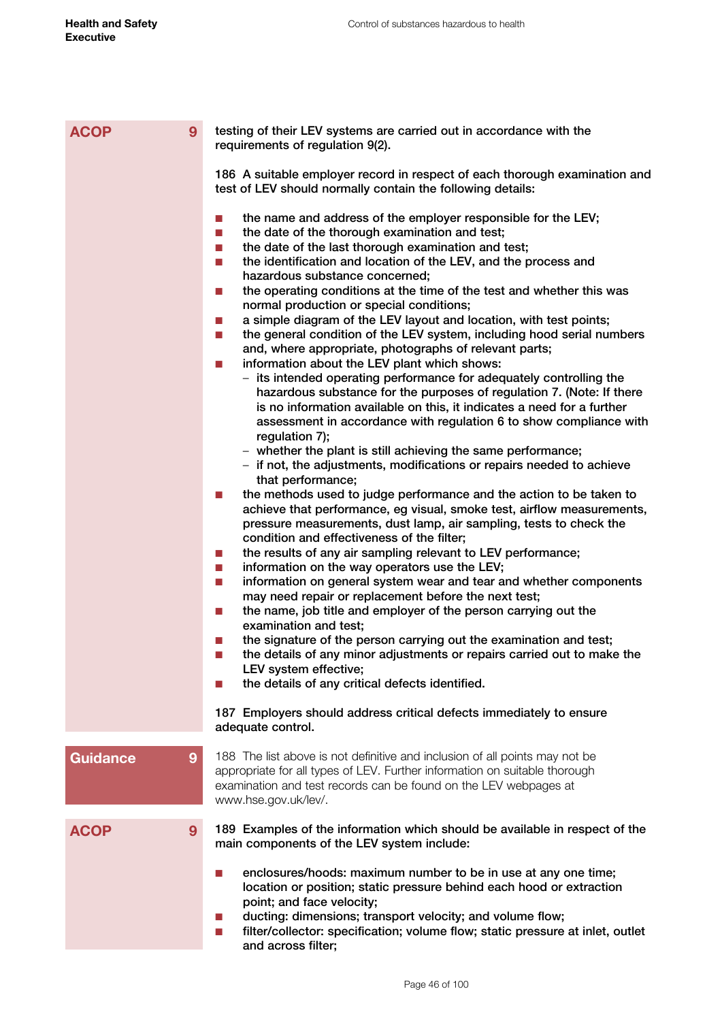| <b>ACOP</b><br>9     | testing of their LEV systems are carried out in accordance with the<br>requirements of regulation 9(2).                                                                                                                                                                                                                                                                                                                                                                                                                                                                                                                                                                                                                                                                                                                                                                                                                                                                                                                                                                                                                                                                                                                                                                                                                                                                                                                                                                                                                                                                                                                                                                                                                                                                                                                                                                                                                                                                                                                                                                                                                                                                                                              |  |  |  |
|----------------------|----------------------------------------------------------------------------------------------------------------------------------------------------------------------------------------------------------------------------------------------------------------------------------------------------------------------------------------------------------------------------------------------------------------------------------------------------------------------------------------------------------------------------------------------------------------------------------------------------------------------------------------------------------------------------------------------------------------------------------------------------------------------------------------------------------------------------------------------------------------------------------------------------------------------------------------------------------------------------------------------------------------------------------------------------------------------------------------------------------------------------------------------------------------------------------------------------------------------------------------------------------------------------------------------------------------------------------------------------------------------------------------------------------------------------------------------------------------------------------------------------------------------------------------------------------------------------------------------------------------------------------------------------------------------------------------------------------------------------------------------------------------------------------------------------------------------------------------------------------------------------------------------------------------------------------------------------------------------------------------------------------------------------------------------------------------------------------------------------------------------------------------------------------------------------------------------------------------------|--|--|--|
|                      | 186 A suitable employer record in respect of each thorough examination and<br>test of LEV should normally contain the following details:                                                                                                                                                                                                                                                                                                                                                                                                                                                                                                                                                                                                                                                                                                                                                                                                                                                                                                                                                                                                                                                                                                                                                                                                                                                                                                                                                                                                                                                                                                                                                                                                                                                                                                                                                                                                                                                                                                                                                                                                                                                                             |  |  |  |
|                      | the name and address of the employer responsible for the LEV;<br>m,<br>the date of the thorough examination and test;<br>$\sim$<br>the date of the last thorough examination and test;<br>m.<br>the identification and location of the LEV, and the process and<br>п<br>hazardous substance concerned;<br>the operating conditions at the time of the test and whether this was<br>$\sim$<br>normal production or special conditions;<br>a simple diagram of the LEV layout and location, with test points;<br>m.<br>the general condition of the LEV system, including hood serial numbers<br>m.<br>and, where appropriate, photographs of relevant parts;<br>information about the LEV plant which shows:<br>$\sim$<br>- its intended operating performance for adequately controlling the<br>hazardous substance for the purposes of regulation 7. (Note: If there<br>is no information available on this, it indicates a need for a further<br>assessment in accordance with regulation 6 to show compliance with<br>regulation 7);<br>- whether the plant is still achieving the same performance;<br>- if not, the adjustments, modifications or repairs needed to achieve<br>that performance;<br>the methods used to judge performance and the action to be taken to<br><b>I</b><br>achieve that performance, eg visual, smoke test, airflow measurements,<br>pressure measurements, dust lamp, air sampling, tests to check the<br>condition and effectiveness of the filter;<br>the results of any air sampling relevant to LEV performance;<br>m.<br>information on the way operators use the LEV;<br>$\sim$<br>information on general system wear and tear and whether components<br>m.<br>may need repair or replacement before the next test;<br>the name, job title and employer of the person carrying out the<br>$\sim$<br>examination and test;<br>the signature of the person carrying out the examination and test;<br>m.<br>the details of any minor adjustments or repairs carried out to make the<br>m.<br>LEV system effective;<br>the details of any critical defects identified.<br><b>COL</b><br>187 Employers should address critical defects immediately to ensure<br>adequate control. |  |  |  |
| <b>Guidance</b><br>9 | 188 The list above is not definitive and inclusion of all points may not be<br>appropriate for all types of LEV. Further information on suitable thorough                                                                                                                                                                                                                                                                                                                                                                                                                                                                                                                                                                                                                                                                                                                                                                                                                                                                                                                                                                                                                                                                                                                                                                                                                                                                                                                                                                                                                                                                                                                                                                                                                                                                                                                                                                                                                                                                                                                                                                                                                                                            |  |  |  |
|                      | examination and test records can be found on the LEV webpages at<br>www.hse.gov.uk/lev/.                                                                                                                                                                                                                                                                                                                                                                                                                                                                                                                                                                                                                                                                                                                                                                                                                                                                                                                                                                                                                                                                                                                                                                                                                                                                                                                                                                                                                                                                                                                                                                                                                                                                                                                                                                                                                                                                                                                                                                                                                                                                                                                             |  |  |  |
| <b>ACOP</b><br>9     | 189 Examples of the information which should be available in respect of the<br>main components of the LEV system include:                                                                                                                                                                                                                                                                                                                                                                                                                                                                                                                                                                                                                                                                                                                                                                                                                                                                                                                                                                                                                                                                                                                                                                                                                                                                                                                                                                                                                                                                                                                                                                                                                                                                                                                                                                                                                                                                                                                                                                                                                                                                                            |  |  |  |
|                      | enclosures/hoods: maximum number to be in use at any one time;<br>m,<br>location or position; static pressure behind each hood or extraction<br>point; and face velocity;                                                                                                                                                                                                                                                                                                                                                                                                                                                                                                                                                                                                                                                                                                                                                                                                                                                                                                                                                                                                                                                                                                                                                                                                                                                                                                                                                                                                                                                                                                                                                                                                                                                                                                                                                                                                                                                                                                                                                                                                                                            |  |  |  |
|                      | ducting: dimensions; transport velocity; and volume flow;<br><b>The State</b><br>filter/collector: specification; volume flow; static pressure at inlet, outlet<br>$\sim$<br>and across filter;                                                                                                                                                                                                                                                                                                                                                                                                                                                                                                                                                                                                                                                                                                                                                                                                                                                                                                                                                                                                                                                                                                                                                                                                                                                                                                                                                                                                                                                                                                                                                                                                                                                                                                                                                                                                                                                                                                                                                                                                                      |  |  |  |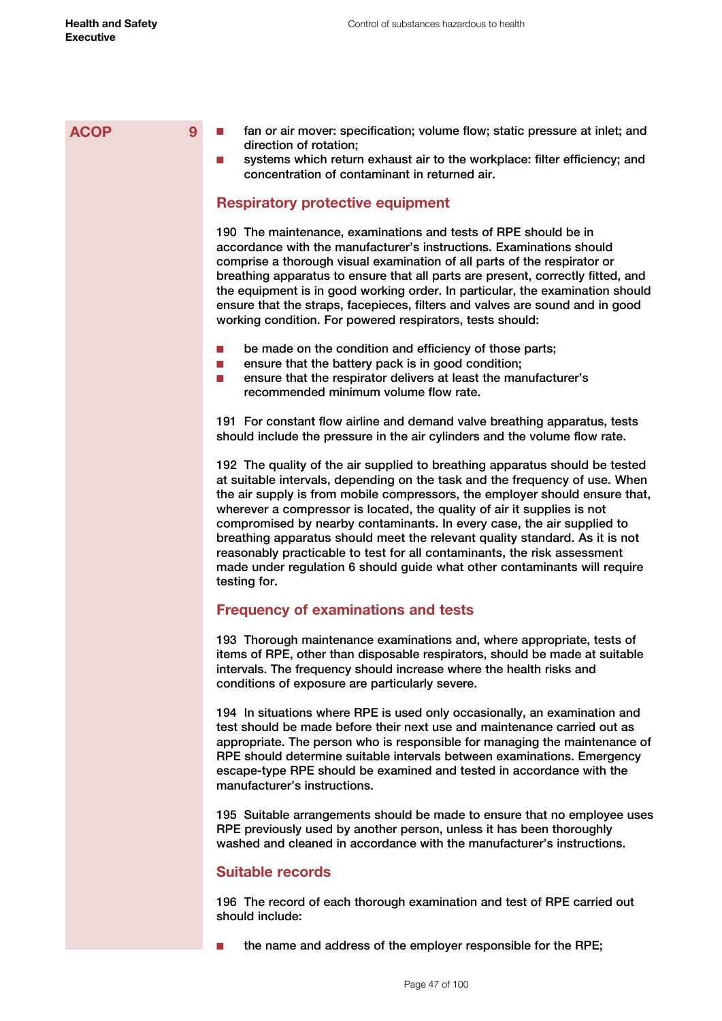| <b>ACOP</b> | fan or air mover: specification; volume flow; static pressure at inlet; and<br>9<br>m.<br>direction of rotation;<br>systems which return exhaust air to the workplace: filter efficiency; and<br>П<br>concentration of contaminant in returned air.                                                                                                                                                                                                                                                                                                                                                                                                    |
|-------------|--------------------------------------------------------------------------------------------------------------------------------------------------------------------------------------------------------------------------------------------------------------------------------------------------------------------------------------------------------------------------------------------------------------------------------------------------------------------------------------------------------------------------------------------------------------------------------------------------------------------------------------------------------|
|             | <b>Respiratory protective equipment</b>                                                                                                                                                                                                                                                                                                                                                                                                                                                                                                                                                                                                                |
|             | 190 The maintenance, examinations and tests of RPE should be in<br>accordance with the manufacturer's instructions. Examinations should<br>comprise a thorough visual examination of all parts of the respirator or<br>breathing apparatus to ensure that all parts are present, correctly fitted, and<br>the equipment is in good working order. In particular, the examination should<br>ensure that the straps, facepieces, filters and valves are sound and in good<br>working condition. For powered respirators, tests should:                                                                                                                   |
|             | be made on the condition and efficiency of those parts;<br>m,<br>ensure that the battery pack is in good condition;<br>m.<br>ensure that the respirator delivers at least the manufacturer's<br>П<br>recommended minimum volume flow rate.                                                                                                                                                                                                                                                                                                                                                                                                             |
|             | 191 For constant flow airline and demand valve breathing apparatus, tests<br>should include the pressure in the air cylinders and the volume flow rate.                                                                                                                                                                                                                                                                                                                                                                                                                                                                                                |
|             | 192 The quality of the air supplied to breathing apparatus should be tested<br>at suitable intervals, depending on the task and the frequency of use. When<br>the air supply is from mobile compressors, the employer should ensure that,<br>wherever a compressor is located, the quality of air it supplies is not<br>compromised by nearby contaminants. In every case, the air supplied to<br>breathing apparatus should meet the relevant quality standard. As it is not<br>reasonably practicable to test for all contaminants, the risk assessment<br>made under regulation 6 should guide what other contaminants will require<br>testing for. |
|             | <b>Frequency of examinations and tests</b>                                                                                                                                                                                                                                                                                                                                                                                                                                                                                                                                                                                                             |
|             | 193 Thorough maintenance examinations and, where appropriate, tests of<br>items of RPE, other than disposable respirators, should be made at suitable<br>intervals. The frequency should increase where the health risks and<br>conditions of exposure are particularly severe.                                                                                                                                                                                                                                                                                                                                                                        |
|             | 194 In situations where RPE is used only occasionally, an examination and<br>test should be made before their next use and maintenance carried out as<br>appropriate. The person who is responsible for managing the maintenance of<br>RPE should determine suitable intervals between examinations. Emergency<br>escape-type RPE should be examined and tested in accordance with the<br>manufacturer's instructions.                                                                                                                                                                                                                                 |
|             | 195 Suitable arrangements should be made to ensure that no employee uses<br>RPE previously used by another person, unless it has been thoroughly<br>washed and cleaned in accordance with the manufacturer's instructions.                                                                                                                                                                                                                                                                                                                                                                                                                             |
|             | <b>Suitable records</b>                                                                                                                                                                                                                                                                                                                                                                                                                                                                                                                                                                                                                                |
|             | 196 The record of each thorough examination and test of RPE carried out<br>should include:                                                                                                                                                                                                                                                                                                                                                                                                                                                                                                                                                             |
|             | the name and address of the employer responsible for the RPE;<br>m,                                                                                                                                                                                                                                                                                                                                                                                                                                                                                                                                                                                    |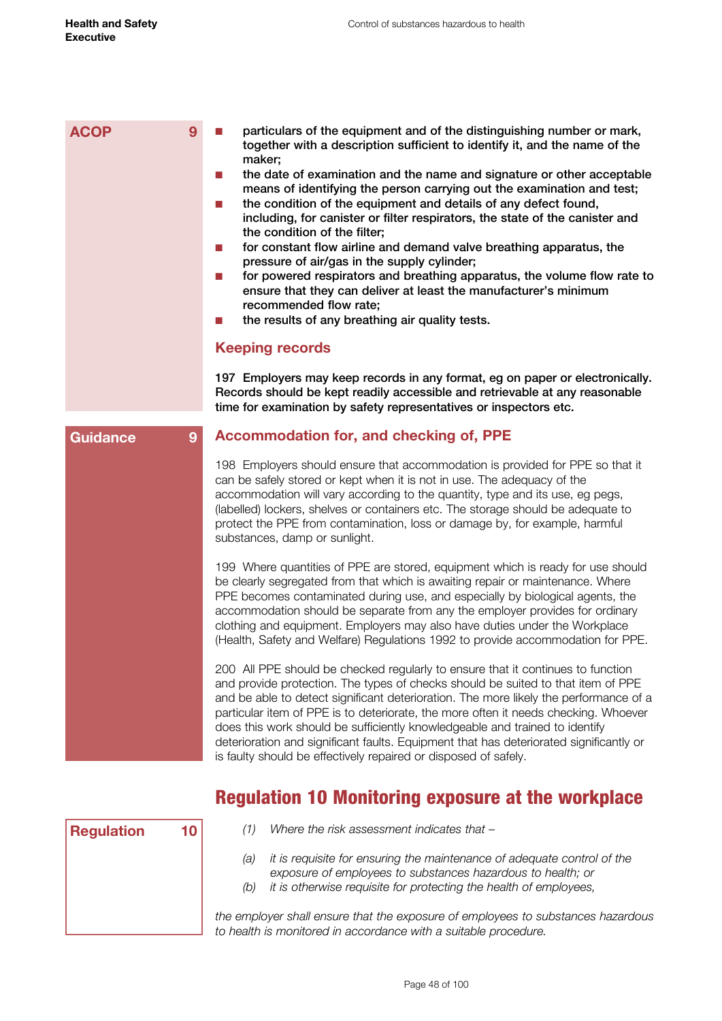| <b>ACOP</b>     | 9<br>particulars of the equipment and of the distinguishing number or mark,<br>together with a description sufficient to identify it, and the name of the<br>maker;<br>the date of examination and the name and signature or other acceptable<br>m.<br>means of identifying the person carrying out the examination and test;<br>the condition of the equipment and details of any defect found,<br><b>The State</b><br>including, for canister or filter respirators, the state of the canister and<br>the condition of the filter;<br>for constant flow airline and demand valve breathing apparatus, the<br><b>The State</b><br>pressure of air/gas in the supply cylinder;<br>for powered respirators and breathing apparatus, the volume flow rate to<br><b>The State</b><br>ensure that they can deliver at least the manufacturer's minimum<br>recommended flow rate;<br>the results of any breathing air quality tests.<br><b>Keeping records</b><br>197 Employers may keep records in any format, eg on paper or electronically.<br>Records should be kept readily accessible and retrievable at any reasonable<br>time for examination by safety representatives or inspectors etc. |
|-----------------|-----------------------------------------------------------------------------------------------------------------------------------------------------------------------------------------------------------------------------------------------------------------------------------------------------------------------------------------------------------------------------------------------------------------------------------------------------------------------------------------------------------------------------------------------------------------------------------------------------------------------------------------------------------------------------------------------------------------------------------------------------------------------------------------------------------------------------------------------------------------------------------------------------------------------------------------------------------------------------------------------------------------------------------------------------------------------------------------------------------------------------------------------------------------------------------------------|
| <b>Guidance</b> | <b>Accommodation for, and checking of, PPE</b><br>9                                                                                                                                                                                                                                                                                                                                                                                                                                                                                                                                                                                                                                                                                                                                                                                                                                                                                                                                                                                                                                                                                                                                           |
|                 | 198 Employers should ensure that accommodation is provided for PPE so that it<br>can be safely stored or kept when it is not in use. The adequacy of the<br>accommodation will vary according to the quantity, type and its use, eg pegs,<br>(labelled) lockers, shelves or containers etc. The storage should be adequate to<br>protect the PPE from contamination, loss or damage by, for example, harmful<br>substances, damp or sunlight.                                                                                                                                                                                                                                                                                                                                                                                                                                                                                                                                                                                                                                                                                                                                                 |
|                 | 199 Where quantities of PPE are stored, equipment which is ready for use should<br>be clearly segregated from that which is awaiting repair or maintenance. Where<br>PPE becomes contaminated during use, and especially by biological agents, the<br>accommodation should be separate from any the employer provides for ordinary<br>clothing and equipment. Employers may also have duties under the Workplace<br>(Health, Safety and Welfare) Regulations 1992 to provide accommodation for PPE.                                                                                                                                                                                                                                                                                                                                                                                                                                                                                                                                                                                                                                                                                           |
|                 | 200 All PPE should be checked regularly to ensure that it continues to function<br>and provide protection. The types of checks should be suited to that item of PPE<br>and be able to detect significant deterioration. The more likely the performance of a<br>particular item of PPE is to deteriorate, the more often it needs checking. Whoever<br>does this work should be sufficiently knowledgeable and trained to identify<br>deterioration and significant faults. Equipment that has deteriorated significantly or<br>is faulty should be effectively repaired or disposed of safely.                                                                                                                                                                                                                                                                                                                                                                                                                                                                                                                                                                                               |



### Regulation 10 Monitoring exposure at the workplace

- *(1) Where the risk assessment indicates that –*
- *(a) it is requisite for ensuring the maintenance of adequate control of the exposure of employees to substances hazardous to health; or*
- *(b) it is otherwise requisite for protecting the health of employees,*

*the employer shall ensure that the exposure of employees to substances hazardous to health is monitored in accordance with a suitable procedure.*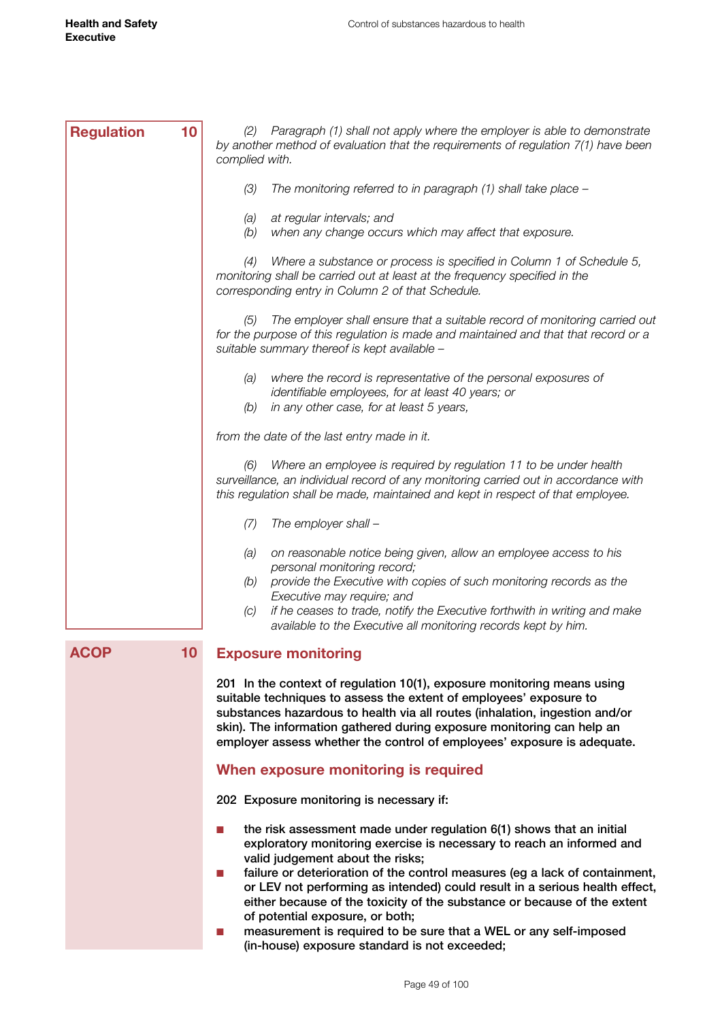| <b>Regulation</b> | 10 | Paragraph (1) shall not apply where the employer is able to demonstrate<br>(2)<br>by another method of evaluation that the requirements of regulation 7(1) have been<br>complied with.                                                                                                                                                                                            |
|-------------------|----|-----------------------------------------------------------------------------------------------------------------------------------------------------------------------------------------------------------------------------------------------------------------------------------------------------------------------------------------------------------------------------------|
|                   |    | (3)<br>The monitoring referred to in paragraph $(1)$ shall take place $-$                                                                                                                                                                                                                                                                                                         |
|                   |    | at regular intervals; and<br>(a)<br>when any change occurs which may affect that exposure.<br>(b)                                                                                                                                                                                                                                                                                 |
|                   |    | Where a substance or process is specified in Column 1 of Schedule 5,<br>(4)<br>monitoring shall be carried out at least at the frequency specified in the<br>corresponding entry in Column 2 of that Schedule.                                                                                                                                                                    |
|                   |    | The employer shall ensure that a suitable record of monitoring carried out<br>(5)<br>for the purpose of this regulation is made and maintained and that that record or a<br>suitable summary thereof is kept available -                                                                                                                                                          |
|                   |    | where the record is representative of the personal exposures of<br>(a)<br>identifiable employees, for at least 40 years; or<br>(b)<br>in any other case, for at least 5 years,                                                                                                                                                                                                    |
|                   |    | from the date of the last entry made in it.                                                                                                                                                                                                                                                                                                                                       |
|                   |    | Where an employee is required by regulation 11 to be under health<br>(6)<br>surveillance, an individual record of any monitoring carried out in accordance with<br>this regulation shall be made, maintained and kept in respect of that employee.                                                                                                                                |
|                   |    | (7)<br>The employer shall -                                                                                                                                                                                                                                                                                                                                                       |
|                   |    | on reasonable notice being given, allow an employee access to his<br>(a)<br>personal monitoring record;<br>provide the Executive with copies of such monitoring records as the<br>(b)                                                                                                                                                                                             |
|                   |    | Executive may require; and<br>if he ceases to trade, notify the Executive forthwith in writing and make<br>(C)<br>available to the Executive all monitoring records kept by him.                                                                                                                                                                                                  |
| <b>ACOP</b>       | 10 | <b>Exposure monitoring</b>                                                                                                                                                                                                                                                                                                                                                        |
|                   |    | 201 In the context of regulation 10(1), exposure monitoring means using<br>suitable techniques to assess the extent of employees' exposure to<br>substances hazardous to health via all routes (inhalation, ingestion and/or<br>skin). The information gathered during exposure monitoring can help an<br>employer assess whether the control of employees' exposure is adequate. |
|                   |    | When exposure monitoring is required                                                                                                                                                                                                                                                                                                                                              |
|                   |    | 202 Exposure monitoring is necessary if:                                                                                                                                                                                                                                                                                                                                          |
|                   |    | the risk assessment made under regulation 6(1) shows that an initial<br>exploratory monitoring exercise is necessary to reach an informed and<br>valid judgement about the risks;<br>failure or deterioration of the control measures (eg a lack of containment,<br>$\mathcal{L}_{\mathcal{A}}$                                                                                   |
|                   |    | or LEV not performing as intended) could result in a serious health effect,                                                                                                                                                                                                                                                                                                       |

either because of the toxicity of the substance or because of the extent of potential exposure, or both;

■ measurement is required to be sure that a WEL or any self-imposed (in-house) exposure standard is not exceeded;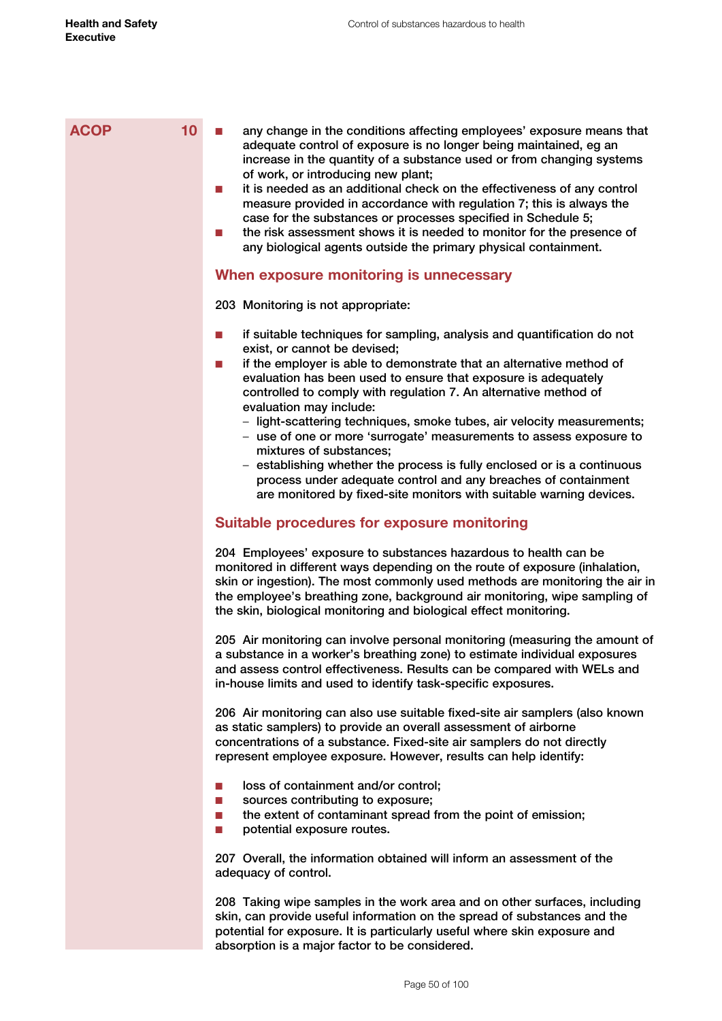| <b>ACOP</b> | 10 | any change in the conditions affecting employees' exposure means that<br><b>COL</b><br>adequate control of exposure is no longer being maintained, eg an<br>increase in the quantity of a substance used or from changing systems<br>of work, or introducing new plant;<br>it is needed as an additional check on the effectiveness of any control<br>$\sim$<br>measure provided in accordance with regulation 7; this is always the<br>case for the substances or processes specified in Schedule 5;<br>the risk assessment shows it is needed to monitor for the presence of<br><b>The State</b><br>any biological agents outside the primary physical containment.                                 |
|-------------|----|-------------------------------------------------------------------------------------------------------------------------------------------------------------------------------------------------------------------------------------------------------------------------------------------------------------------------------------------------------------------------------------------------------------------------------------------------------------------------------------------------------------------------------------------------------------------------------------------------------------------------------------------------------------------------------------------------------|
|             |    | When exposure monitoring is unnecessary                                                                                                                                                                                                                                                                                                                                                                                                                                                                                                                                                                                                                                                               |
|             |    | 203 Monitoring is not appropriate:                                                                                                                                                                                                                                                                                                                                                                                                                                                                                                                                                                                                                                                                    |
|             |    | if suitable techniques for sampling, analysis and quantification do not<br><b>COL</b><br>exist, or cannot be devised;<br>if the employer is able to demonstrate that an alternative method of<br><b>COL</b><br>evaluation has been used to ensure that exposure is adequately<br>controlled to comply with regulation 7. An alternative method of<br>evaluation may include:<br>- light-scattering techniques, smoke tubes, air velocity measurements;<br>- use of one or more 'surrogate' measurements to assess exposure to<br>mixtures of substances;<br>- establishing whether the process is fully enclosed or is a continuous<br>process under adequate control and any breaches of containment |
|             |    | are monitored by fixed-site monitors with suitable warning devices.                                                                                                                                                                                                                                                                                                                                                                                                                                                                                                                                                                                                                                   |
|             |    | <b>Suitable procedures for exposure monitoring</b>                                                                                                                                                                                                                                                                                                                                                                                                                                                                                                                                                                                                                                                    |
|             |    | 204 Employees' exposure to substances hazardous to health can be<br>monitored in different ways depending on the route of exposure (inhalation,<br>skin or ingestion). The most commonly used methods are monitoring the air in<br>the employee's breathing zone, background air monitoring, wipe sampling of<br>the skin, biological monitoring and biological effect monitoring.                                                                                                                                                                                                                                                                                                                    |
|             |    | 205 Air monitoring can involve personal monitoring (measuring the amount of<br>a substance in a worker's breathing zone) to estimate individual exposures<br>and assess control effectiveness. Results can be compared with WELs and<br>in-house limits and used to identify task-specific exposures.                                                                                                                                                                                                                                                                                                                                                                                                 |
|             |    | 206 Air monitoring can also use suitable fixed-site air samplers (also known<br>as static samplers) to provide an overall assessment of airborne<br>concentrations of a substance. Fixed-site air samplers do not directly<br>represent employee exposure. However, results can help identify:                                                                                                                                                                                                                                                                                                                                                                                                        |
|             |    | loss of containment and/or control;<br>sources contributing to exposure;<br>the extent of contaminant spread from the point of emission;<br><b>The State</b><br>potential exposure routes.<br>ш                                                                                                                                                                                                                                                                                                                                                                                                                                                                                                       |
|             |    | 207 Overall, the information obtained will inform an assessment of the<br>adequacy of control.                                                                                                                                                                                                                                                                                                                                                                                                                                                                                                                                                                                                        |
|             |    | 208 Taking wipe samples in the work area and on other surfaces, including<br>skin, can provide useful information on the spread of substances and the<br>potential for exposure. It is particularly useful where skin exposure and                                                                                                                                                                                                                                                                                                                                                                                                                                                                    |

absorption is a major factor to be considered.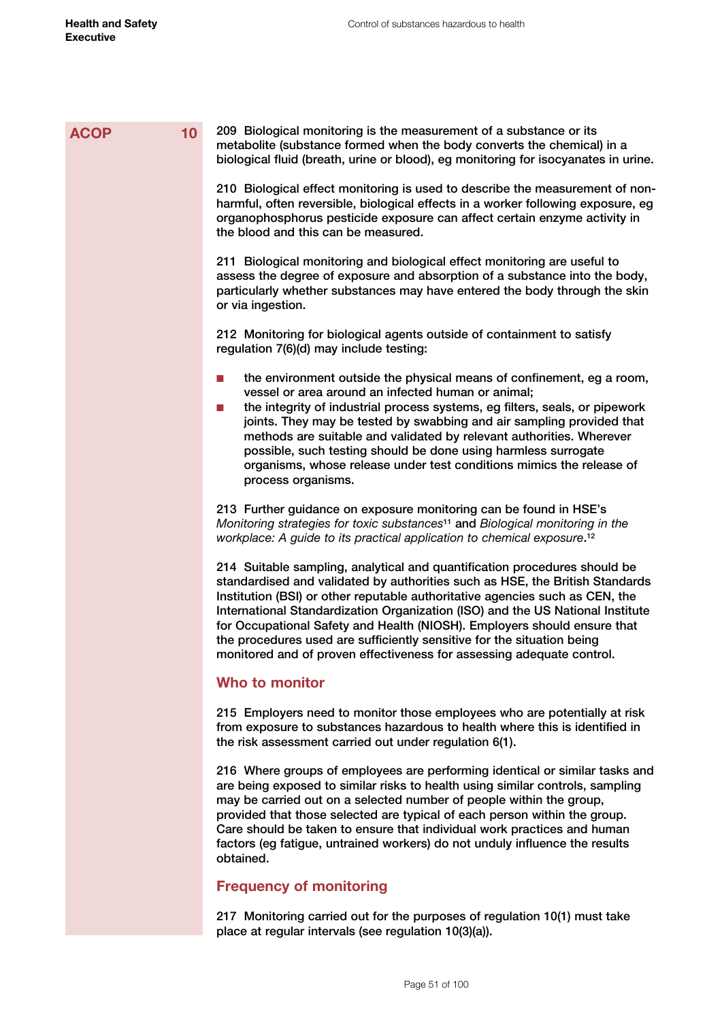| <b>ACOP</b> | 10 <sub>1</sub> | 209 Biological monitoring is the measurement of a substance or its<br>metabolite (substance formed when the body converts the chemical) in a<br>biological fluid (breath, urine or blood), eg monitoring for isocyanates in urine.                                                                                                                                                                                                                                                                                                                         |
|-------------|-----------------|------------------------------------------------------------------------------------------------------------------------------------------------------------------------------------------------------------------------------------------------------------------------------------------------------------------------------------------------------------------------------------------------------------------------------------------------------------------------------------------------------------------------------------------------------------|
|             |                 | 210 Biological effect monitoring is used to describe the measurement of non-<br>harmful, often reversible, biological effects in a worker following exposure, eg<br>organophosphorus pesticide exposure can affect certain enzyme activity in<br>the blood and this can be measured.                                                                                                                                                                                                                                                                       |
|             |                 | 211 Biological monitoring and biological effect monitoring are useful to<br>assess the degree of exposure and absorption of a substance into the body,<br>particularly whether substances may have entered the body through the skin<br>or via ingestion.                                                                                                                                                                                                                                                                                                  |
|             |                 | 212 Monitoring for biological agents outside of containment to satisfy<br>regulation 7(6)(d) may include testing:                                                                                                                                                                                                                                                                                                                                                                                                                                          |
|             |                 | the environment outside the physical means of confinement, eg a room,<br>$\mathbb{R}^n$<br>vessel or area around an infected human or animal;<br>the integrity of industrial process systems, eg filters, seals, or pipework<br>П<br>joints. They may be tested by swabbing and air sampling provided that<br>methods are suitable and validated by relevant authorities. Wherever<br>possible, such testing should be done using harmless surrogate<br>organisms, whose release under test conditions mimics the release of<br>process organisms.         |
|             |                 | 213 Further guidance on exposure monitoring can be found in HSE's<br>Monitoring strategies for toxic substances <sup>11</sup> and Biological monitoring in the<br>workplace: A guide to its practical application to chemical exposure. <sup>12</sup>                                                                                                                                                                                                                                                                                                      |
|             |                 | 214 Suitable sampling, analytical and quantification procedures should be<br>standardised and validated by authorities such as HSE, the British Standards<br>Institution (BSI) or other reputable authoritative agencies such as CEN, the<br>International Standardization Organization (ISO) and the US National Institute<br>for Occupational Safety and Health (NIOSH). Employers should ensure that<br>the procedures used are sufficiently sensitive for the situation being<br>monitored and of proven effectiveness for assessing adequate control. |
|             |                 | Who to monitor                                                                                                                                                                                                                                                                                                                                                                                                                                                                                                                                             |
|             |                 | 215 Employers need to monitor those employees who are potentially at risk<br>from exposure to substances hazardous to health where this is identified in<br>the risk assessment carried out under regulation 6(1).                                                                                                                                                                                                                                                                                                                                         |
|             |                 | 216 Where groups of employees are performing identical or similar tasks and<br>are being exposed to similar risks to health using similar controls, sampling<br>may be carried out on a selected number of people within the group,<br>provided that those selected are typical of each person within the group.<br>Care should be taken to ensure that individual work practices and human<br>factors (eg fatigue, untrained workers) do not unduly influence the results<br>obtained.                                                                    |
|             |                 | <b>Frequency of monitoring</b>                                                                                                                                                                                                                                                                                                                                                                                                                                                                                                                             |

217 Monitoring carried out for the purposes of regulation 10(1) must take place at regular intervals (see regulation 10(3)(a)).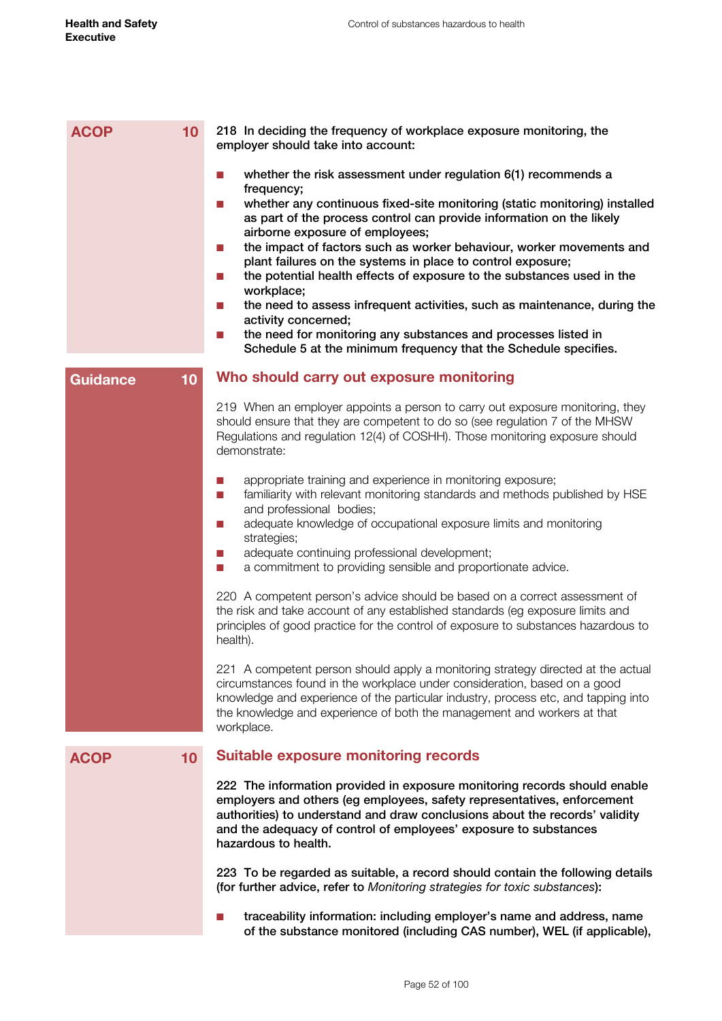| <b>ACOP</b><br>10     | 218 In deciding the frequency of workplace exposure monitoring, the<br>employer should take into account:                                                                                                                                                                                                                                                                                                                                                                                                                                                                                                                                                                                                                                                              |
|-----------------------|------------------------------------------------------------------------------------------------------------------------------------------------------------------------------------------------------------------------------------------------------------------------------------------------------------------------------------------------------------------------------------------------------------------------------------------------------------------------------------------------------------------------------------------------------------------------------------------------------------------------------------------------------------------------------------------------------------------------------------------------------------------------|
|                       | whether the risk assessment under regulation 6(1) recommends a<br>frequency;<br>whether any continuous fixed-site monitoring (static monitoring) installed<br>T.<br>as part of the process control can provide information on the likely<br>airborne exposure of employees;<br>the impact of factors such as worker behaviour, worker movements and<br>T.<br>plant failures on the systems in place to control exposure;<br>the potential health effects of exposure to the substances used in the<br>T.<br>workplace;<br>the need to assess infrequent activities, such as maintenance, during the<br>m.<br>activity concerned;<br>the need for monitoring any substances and processes listed in<br>Schedule 5 at the minimum frequency that the Schedule specifies. |
| <b>Guidance</b><br>10 | Who should carry out exposure monitoring                                                                                                                                                                                                                                                                                                                                                                                                                                                                                                                                                                                                                                                                                                                               |
|                       | 219 When an employer appoints a person to carry out exposure monitoring, they<br>should ensure that they are competent to do so (see regulation 7 of the MHSW<br>Regulations and regulation 12(4) of COSHH). Those monitoring exposure should<br>demonstrate:                                                                                                                                                                                                                                                                                                                                                                                                                                                                                                          |
|                       | appropriate training and experience in monitoring exposure;<br>familiarity with relevant monitoring standards and methods published by HSE<br>m.<br>and professional bodies;<br>adequate knowledge of occupational exposure limits and monitoring<br>T.<br>strategies;<br>adequate continuing professional development;                                                                                                                                                                                                                                                                                                                                                                                                                                                |
|                       | a commitment to providing sensible and proportionate advice.                                                                                                                                                                                                                                                                                                                                                                                                                                                                                                                                                                                                                                                                                                           |
|                       | 220 A competent person's advice should be based on a correct assessment of<br>the risk and take account of any established standards (eg exposure limits and<br>principles of good practice for the control of exposure to substances hazardous to<br>health).                                                                                                                                                                                                                                                                                                                                                                                                                                                                                                         |
|                       | 221 A competent person should apply a monitoring strategy directed at the actual<br>circumstances found in the workplace under consideration, based on a good<br>knowledge and experience of the particular industry, process etc, and tapping into<br>the knowledge and experience of both the management and workers at that<br>workplace.                                                                                                                                                                                                                                                                                                                                                                                                                           |
| 10<br><b>ACOP</b>     | <b>Suitable exposure monitoring records</b>                                                                                                                                                                                                                                                                                                                                                                                                                                                                                                                                                                                                                                                                                                                            |
|                       | 222 The information provided in exposure monitoring records should enable<br>employers and others (eg employees, safety representatives, enforcement<br>authorities) to understand and draw conclusions about the records' validity<br>and the adequacy of control of employees' exposure to substances<br>hazardous to health.                                                                                                                                                                                                                                                                                                                                                                                                                                        |
|                       | 223 To be regarded as suitable, a record should contain the following details<br>(for further advice, refer to Monitoring strategies for toxic substances):                                                                                                                                                                                                                                                                                                                                                                                                                                                                                                                                                                                                            |
|                       | traceability information: including employer's name and address, name<br>of the substance monitored (including CAS number), WEL (if applicable),                                                                                                                                                                                                                                                                                                                                                                                                                                                                                                                                                                                                                       |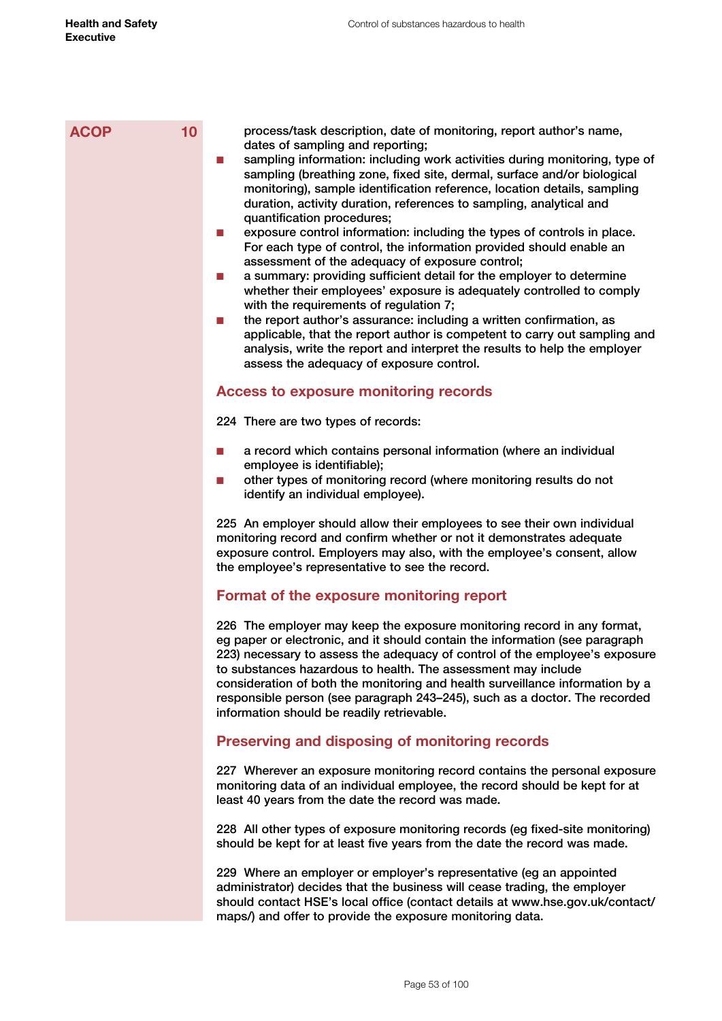| <b>ACOP</b> | 10 | process/task description, date of monitoring, report author's name,<br>dates of sampling and reporting;<br>sampling information: including work activities during monitoring, type of<br>$\mathcal{L}_{\mathrm{eff}}$<br>sampling (breathing zone, fixed site, dermal, surface and/or biological<br>monitoring), sample identification reference, location details, sampling<br>duration, activity duration, references to sampling, analytical and<br>quantification procedures;<br>exposure control information: including the types of controls in place.<br>$\sim$<br>For each type of control, the information provided should enable an<br>assessment of the adequacy of exposure control;<br>a summary: providing sufficient detail for the employer to determine<br>$\mathcal{L}_{\mathrm{eff}}$<br>whether their employees' exposure is adequately controlled to comply<br>with the requirements of regulation 7;<br>the report author's assurance: including a written confirmation, as<br>$\mathcal{L}_{\mathrm{eff}}$<br>applicable, that the report author is competent to carry out sampling and<br>analysis, write the report and interpret the results to help the employer<br>assess the adequacy of exposure control. |
|-------------|----|-----------------------------------------------------------------------------------------------------------------------------------------------------------------------------------------------------------------------------------------------------------------------------------------------------------------------------------------------------------------------------------------------------------------------------------------------------------------------------------------------------------------------------------------------------------------------------------------------------------------------------------------------------------------------------------------------------------------------------------------------------------------------------------------------------------------------------------------------------------------------------------------------------------------------------------------------------------------------------------------------------------------------------------------------------------------------------------------------------------------------------------------------------------------------------------------------------------------------------------------|
|             |    | <b>Access to exposure monitoring records</b>                                                                                                                                                                                                                                                                                                                                                                                                                                                                                                                                                                                                                                                                                                                                                                                                                                                                                                                                                                                                                                                                                                                                                                                            |
|             |    | 224 There are two types of records:                                                                                                                                                                                                                                                                                                                                                                                                                                                                                                                                                                                                                                                                                                                                                                                                                                                                                                                                                                                                                                                                                                                                                                                                     |
|             |    | a record which contains personal information (where an individual<br>ш<br>employee is identifiable);<br>other types of monitoring record (where monitoring results do not<br>$\sim$<br>identify an individual employee).                                                                                                                                                                                                                                                                                                                                                                                                                                                                                                                                                                                                                                                                                                                                                                                                                                                                                                                                                                                                                |
|             |    | 225 An employer should allow their employees to see their own individual<br>monitoring record and confirm whether or not it demonstrates adequate<br>exposure control. Employers may also, with the employee's consent, allow<br>the employee's representative to see the record.                                                                                                                                                                                                                                                                                                                                                                                                                                                                                                                                                                                                                                                                                                                                                                                                                                                                                                                                                       |
|             |    | Format of the exposure monitoring report                                                                                                                                                                                                                                                                                                                                                                                                                                                                                                                                                                                                                                                                                                                                                                                                                                                                                                                                                                                                                                                                                                                                                                                                |
|             |    | 226 The employer may keep the exposure monitoring record in any format,<br>eg paper or electronic, and it should contain the information (see paragraph<br>223) necessary to assess the adequacy of control of the employee's exposure<br>to substances hazardous to health. The assessment may include<br>consideration of both the monitoring and health surveillance information by a<br>responsible person (see paragraph 243–245), such as a doctor. The recorded<br>information should be readily retrievable.                                                                                                                                                                                                                                                                                                                                                                                                                                                                                                                                                                                                                                                                                                                    |
|             |    | Preserving and disposing of monitoring records                                                                                                                                                                                                                                                                                                                                                                                                                                                                                                                                                                                                                                                                                                                                                                                                                                                                                                                                                                                                                                                                                                                                                                                          |
|             |    | 227 Wherever an exposure monitoring record contains the personal exposure<br>monitoring data of an individual employee, the record should be kept for at<br>least 40 years from the date the record was made.                                                                                                                                                                                                                                                                                                                                                                                                                                                                                                                                                                                                                                                                                                                                                                                                                                                                                                                                                                                                                           |
|             |    | 228 All other types of exposure monitoring records (eg fixed-site monitoring)<br>should be kept for at least five years from the date the record was made.                                                                                                                                                                                                                                                                                                                                                                                                                                                                                                                                                                                                                                                                                                                                                                                                                                                                                                                                                                                                                                                                              |
|             |    | 229 Where an employer or employer's representative (eg an appointed<br>administrator) decides that the business will cease trading, the employer<br>should contact HSE's local office (contact details at www.hse.gov.uk/contact/<br>maps/) and offer to provide the exposure monitoring data.                                                                                                                                                                                                                                                                                                                                                                                                                                                                                                                                                                                                                                                                                                                                                                                                                                                                                                                                          |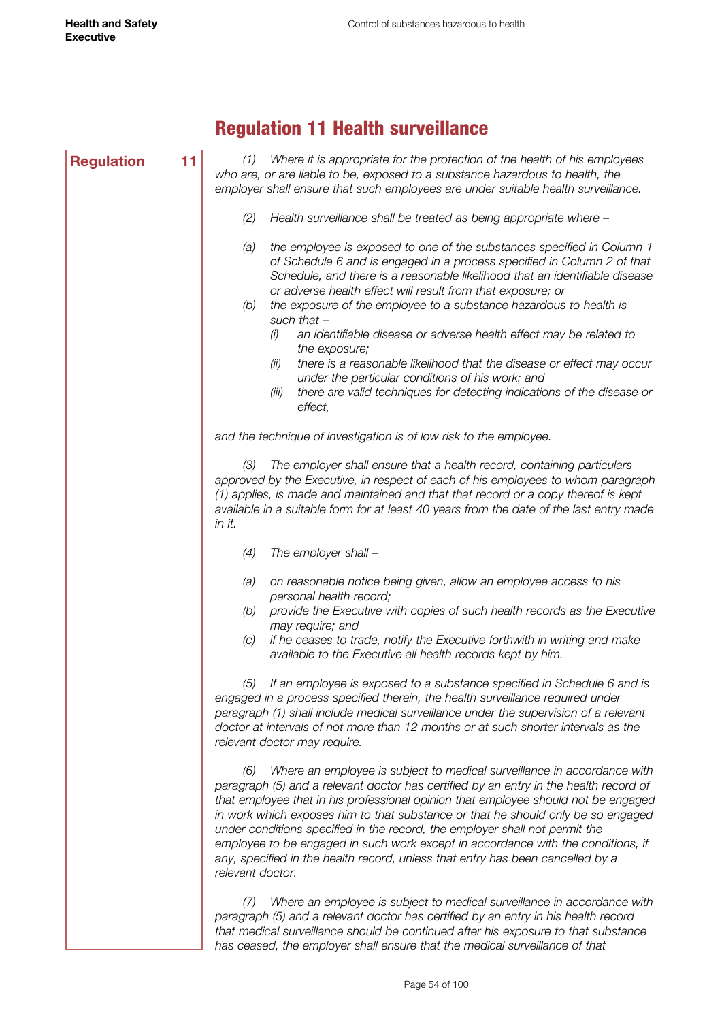| <b>Regulation</b> | 11<br>Where it is appropriate for the protection of the health of his employees<br>(1)<br>who are, or are liable to be, exposed to a substance hazardous to health, the<br>employer shall ensure that such employees are under suitable health surveillance.                                                                                                                                                                                                                                                                                                                                                                                                                                                                          |
|-------------------|---------------------------------------------------------------------------------------------------------------------------------------------------------------------------------------------------------------------------------------------------------------------------------------------------------------------------------------------------------------------------------------------------------------------------------------------------------------------------------------------------------------------------------------------------------------------------------------------------------------------------------------------------------------------------------------------------------------------------------------|
|                   | (2)<br>Health surveillance shall be treated as being appropriate where -                                                                                                                                                                                                                                                                                                                                                                                                                                                                                                                                                                                                                                                              |
|                   | the employee is exposed to one of the substances specified in Column 1<br>(a)<br>of Schedule 6 and is engaged in a process specified in Column 2 of that<br>Schedule, and there is a reasonable likelihood that an identifiable disease<br>or adverse health effect will result from that exposure; or<br>(b)<br>the exposure of the employee to a substance hazardous to health is<br>such that $-$<br>an identifiable disease or adverse health effect may be related to<br>(i)<br>the exposure;<br>there is a reasonable likelihood that the disease or effect may occur<br>(ii)<br>under the particular conditions of his work; and<br>there are valid techniques for detecting indications of the disease or<br>(iii)<br>effect, |
|                   | and the technique of investigation is of low risk to the employee.                                                                                                                                                                                                                                                                                                                                                                                                                                                                                                                                                                                                                                                                    |
|                   | The employer shall ensure that a health record, containing particulars<br>(3)<br>approved by the Executive, in respect of each of his employees to whom paragraph<br>(1) applies, is made and maintained and that that record or a copy thereof is kept<br>available in a suitable form for at least 40 years from the date of the last entry made<br>in it.                                                                                                                                                                                                                                                                                                                                                                          |
|                   | The employer shall -<br>(4)                                                                                                                                                                                                                                                                                                                                                                                                                                                                                                                                                                                                                                                                                                           |
|                   | on reasonable notice being given, allow an employee access to his<br>(a)<br>personal health record;<br>provide the Executive with copies of such health records as the Executive<br>(b)<br>may require; and<br>if he ceases to trade, notify the Executive forthwith in writing and make<br>(C)<br>available to the Executive all health records kept by him.                                                                                                                                                                                                                                                                                                                                                                         |
|                   | (5) If an employee is exposed to a substance specified in Schedule 6 and is<br>engaged in a process specified therein, the health surveillance required under<br>paragraph (1) shall include medical surveillance under the supervision of a relevant<br>doctor at intervals of not more than 12 months or at such shorter intervals as the<br>relevant doctor may require.                                                                                                                                                                                                                                                                                                                                                           |
|                   | Where an employee is subject to medical surveillance in accordance with<br>(6)<br>paragraph (5) and a relevant doctor has certified by an entry in the health record of<br>that employee that in his professional opinion that employee should not be engaged<br>in work which exposes him to that substance or that he should only be so engaged<br>under conditions specified in the record, the employer shall not permit the<br>employee to be engaged in such work except in accordance with the conditions, if<br>any, specified in the health record, unless that entry has been cancelled by a<br>relevant doctor.                                                                                                            |
|                   | Where an employee is subject to medical surveillance in accordance with<br>(7)<br>paragraph (5) and a relevant doctor has certified by an entry in his health record<br>that medical surveillance should be continued after his exposure to that substance                                                                                                                                                                                                                                                                                                                                                                                                                                                                            |

Regulation 11 Health surveillance

*has ceased, the employer shall ensure that the medical surveillance of that*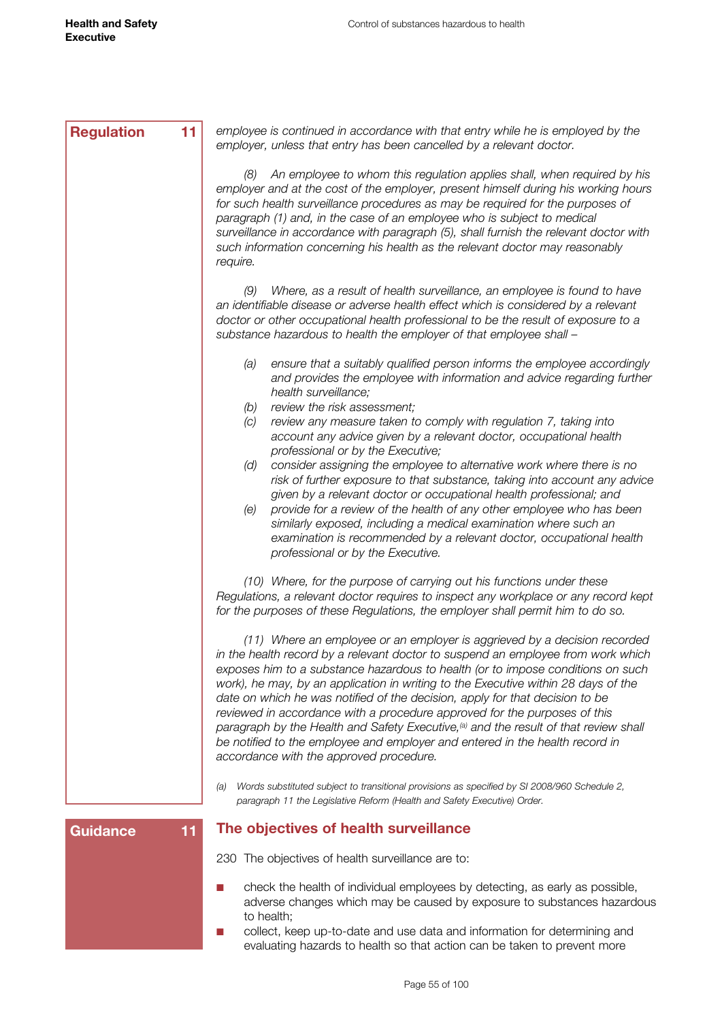| <b>Regulation</b> | 11 | employee is continued in accordance with that entry while he is employed by the<br>employer, unless that entry has been cancelled by a relevant doctor.                                                                                                                                                                                                                                                                                                                                                                                                                                                                                                                                                                            |
|-------------------|----|------------------------------------------------------------------------------------------------------------------------------------------------------------------------------------------------------------------------------------------------------------------------------------------------------------------------------------------------------------------------------------------------------------------------------------------------------------------------------------------------------------------------------------------------------------------------------------------------------------------------------------------------------------------------------------------------------------------------------------|
|                   |    | An employee to whom this regulation applies shall, when required by his<br>(8)<br>employer and at the cost of the employer, present himself during his working hours<br>for such health surveillance procedures as may be required for the purposes of<br>paragraph (1) and, in the case of an employee who is subject to medical<br>surveillance in accordance with paragraph (5), shall furnish the relevant doctor with<br>such information concerning his health as the relevant doctor may reasonably<br>require.                                                                                                                                                                                                             |
|                   |    | Where, as a result of health surveillance, an employee is found to have<br>(9)<br>an identifiable disease or adverse health effect which is considered by a relevant<br>doctor or other occupational health professional to be the result of exposure to a<br>substance hazardous to health the employer of that employee shall -                                                                                                                                                                                                                                                                                                                                                                                                  |
|                   |    | ensure that a suitably qualified person informs the employee accordingly<br>(a)<br>and provides the employee with information and advice regarding further<br>health surveillance;                                                                                                                                                                                                                                                                                                                                                                                                                                                                                                                                                 |
|                   |    | review the risk assessment;<br>(b)<br>review any measure taken to comply with regulation 7, taking into<br>(C)<br>account any advice given by a relevant doctor, occupational health<br>professional or by the Executive;                                                                                                                                                                                                                                                                                                                                                                                                                                                                                                          |
|                   |    | consider assigning the employee to alternative work where there is no<br>(d)<br>risk of further exposure to that substance, taking into account any advice<br>given by a relevant doctor or occupational health professional; and<br>provide for a review of the health of any other employee who has been                                                                                                                                                                                                                                                                                                                                                                                                                         |
|                   |    | (e)<br>similarly exposed, including a medical examination where such an<br>examination is recommended by a relevant doctor, occupational health<br>professional or by the Executive.                                                                                                                                                                                                                                                                                                                                                                                                                                                                                                                                               |
|                   |    | (10) Where, for the purpose of carrying out his functions under these<br>Regulations, a relevant doctor requires to inspect any workplace or any record kept<br>for the purposes of these Regulations, the employer shall permit him to do so.                                                                                                                                                                                                                                                                                                                                                                                                                                                                                     |
|                   |    | (11) Where an employee or an employer is aggrieved by a decision recorded<br>in the health record by a relevant doctor to suspend an employee from work which<br>exposes him to a substance hazardous to health (or to impose conditions on such<br>work), he may, by an application in writing to the Executive within 28 days of the<br>date on which he was notified of the decision, apply for that decision to be<br>reviewed in accordance with a procedure approved for the purposes of this<br>paragraph by the Health and Safety Executive, <sup>(a)</sup> and the result of that review shall<br>be notified to the employee and employer and entered in the health record in<br>accordance with the approved procedure. |
|                   |    | Words substituted subject to transitional provisions as specified by SI 2008/960 Schedule 2,<br>(a)<br>paragraph 11 the Legislative Reform (Health and Safety Executive) Order.                                                                                                                                                                                                                                                                                                                                                                                                                                                                                                                                                    |
| Guidance          | 11 | The objectives of health surveillance                                                                                                                                                                                                                                                                                                                                                                                                                                                                                                                                                                                                                                                                                              |
|                   |    | 230 The objectives of health surveillance are to:                                                                                                                                                                                                                                                                                                                                                                                                                                                                                                                                                                                                                                                                                  |
|                   |    | check the health of individual employees by detecting, as early as possible,<br>adverse changes which may be caused by exposure to substances hazardous<br>to health;                                                                                                                                                                                                                                                                                                                                                                                                                                                                                                                                                              |
|                   |    | collect, keep up-to-date and use data and information for determining and<br>evaluating hazards to health so that action can be taken to prevent more                                                                                                                                                                                                                                                                                                                                                                                                                                                                                                                                                                              |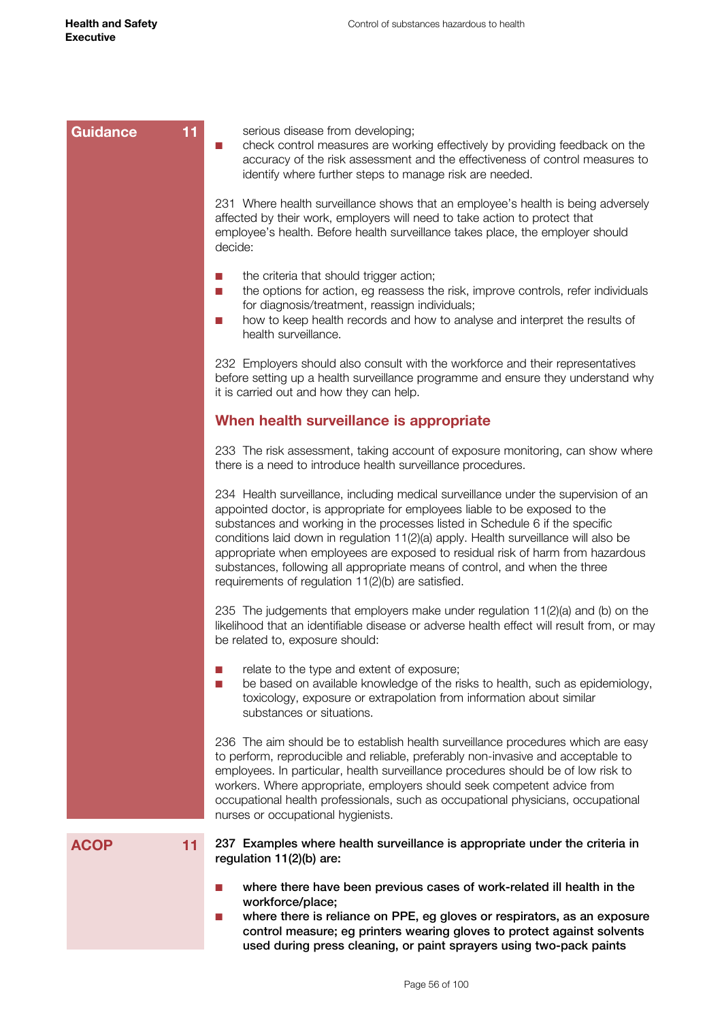| 11<br><b>Guidance</b> | serious disease from developing;<br>check control measures are working effectively by providing feedback on the<br><b>COL</b><br>accuracy of the risk assessment and the effectiveness of control measures to<br>identify where further steps to manage risk are needed.                                                                                                                                                                                                                                                                                       |
|-----------------------|----------------------------------------------------------------------------------------------------------------------------------------------------------------------------------------------------------------------------------------------------------------------------------------------------------------------------------------------------------------------------------------------------------------------------------------------------------------------------------------------------------------------------------------------------------------|
|                       | 231 Where health surveillance shows that an employee's health is being adversely<br>affected by their work, employers will need to take action to protect that<br>employee's health. Before health surveillance takes place, the employer should<br>decide:                                                                                                                                                                                                                                                                                                    |
|                       | the criteria that should trigger action;<br>m.<br>the options for action, eg reassess the risk, improve controls, refer individuals<br>m.<br>for diagnosis/treatment, reassign individuals;<br>how to keep health records and how to analyse and interpret the results of<br>m.<br>health surveillance.                                                                                                                                                                                                                                                        |
|                       | 232 Employers should also consult with the workforce and their representatives<br>before setting up a health surveillance programme and ensure they understand why<br>it is carried out and how they can help.                                                                                                                                                                                                                                                                                                                                                 |
|                       | When health surveillance is appropriate                                                                                                                                                                                                                                                                                                                                                                                                                                                                                                                        |
|                       | 233 The risk assessment, taking account of exposure monitoring, can show where<br>there is a need to introduce health surveillance procedures.                                                                                                                                                                                                                                                                                                                                                                                                                 |
|                       | 234 Health surveillance, including medical surveillance under the supervision of an<br>appointed doctor, is appropriate for employees liable to be exposed to the<br>substances and working in the processes listed in Schedule 6 if the specific<br>conditions laid down in regulation 11(2)(a) apply. Health surveillance will also be<br>appropriate when employees are exposed to residual risk of harm from hazardous<br>substances, following all appropriate means of control, and when the three<br>requirements of regulation 11(2)(b) are satisfied. |
|                       | 235 The judgements that employers make under regulation 11(2)(a) and (b) on the<br>likelihood that an identifiable disease or adverse health effect will result from, or may<br>be related to, exposure should:                                                                                                                                                                                                                                                                                                                                                |
|                       | relate to the type and extent of exposure;<br>m.<br>be based on available knowledge of the risks to health, such as epidemiology,<br>$\sim$<br>toxicology, exposure or extrapolation from information about similar<br>substances or situations.                                                                                                                                                                                                                                                                                                               |
|                       | 236 The aim should be to establish health surveillance procedures which are easy<br>to perform, reproducible and reliable, preferably non-invasive and acceptable to<br>employees. In particular, health surveillance procedures should be of low risk to<br>workers. Where appropriate, employers should seek competent advice from<br>occupational health professionals, such as occupational physicians, occupational<br>nurses or occupational hygienists.                                                                                                 |
| 11<br><b>ACOP</b>     | 237 Examples where health surveillance is appropriate under the criteria in<br>regulation 11(2)(b) are:                                                                                                                                                                                                                                                                                                                                                                                                                                                        |
|                       | where there have been previous cases of work-related ill health in the<br>m.<br>workforce/place;<br>where there is reliance on PPE, eg gloves or respirators, as an exposure<br><b>COL</b><br>control measure; eg printers wearing gloves to protect against solvents<br>used during press cleaning, or paint sprayers using two-pack paints                                                                                                                                                                                                                   |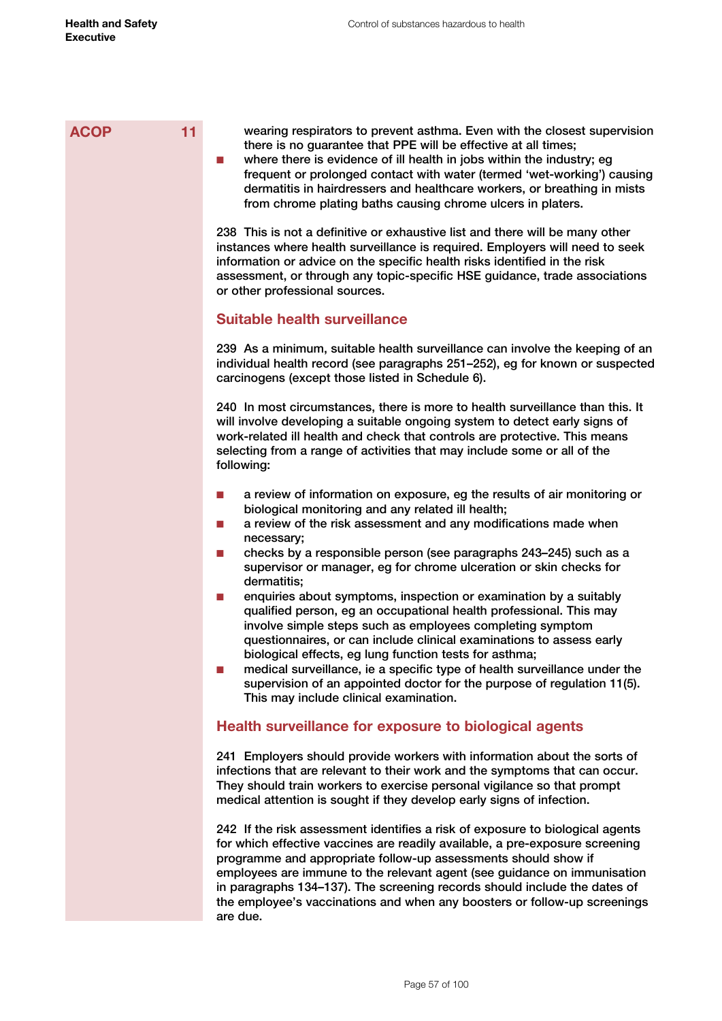| <b>ACOP</b> | 11 | wearing respirators to prevent asthma. Even with the closest supervision<br>there is no guarantee that PPE will be effective at all times;<br>where there is evidence of ill health in jobs within the industry; eg<br><b>Tall</b><br>frequent or prolonged contact with water (termed 'wet-working') causing<br>dermatitis in hairdressers and healthcare workers, or breathing in mists<br>from chrome plating baths causing chrome ulcers in platers.                                                                                                                                                                                                                                                                                                                                                                                                                                                                                                                              |
|-------------|----|---------------------------------------------------------------------------------------------------------------------------------------------------------------------------------------------------------------------------------------------------------------------------------------------------------------------------------------------------------------------------------------------------------------------------------------------------------------------------------------------------------------------------------------------------------------------------------------------------------------------------------------------------------------------------------------------------------------------------------------------------------------------------------------------------------------------------------------------------------------------------------------------------------------------------------------------------------------------------------------|
|             |    | 238 This is not a definitive or exhaustive list and there will be many other<br>instances where health surveillance is required. Employers will need to seek<br>information or advice on the specific health risks identified in the risk<br>assessment, or through any topic-specific HSE guidance, trade associations<br>or other professional sources.                                                                                                                                                                                                                                                                                                                                                                                                                                                                                                                                                                                                                             |
|             |    | <b>Suitable health surveillance</b>                                                                                                                                                                                                                                                                                                                                                                                                                                                                                                                                                                                                                                                                                                                                                                                                                                                                                                                                                   |
|             |    | 239 As a minimum, suitable health surveillance can involve the keeping of an<br>individual health record (see paragraphs 251–252), eg for known or suspected<br>carcinogens (except those listed in Schedule 6).                                                                                                                                                                                                                                                                                                                                                                                                                                                                                                                                                                                                                                                                                                                                                                      |
|             |    | 240 In most circumstances, there is more to health surveillance than this. It<br>will involve developing a suitable ongoing system to detect early signs of<br>work-related ill health and check that controls are protective. This means<br>selecting from a range of activities that may include some or all of the<br>following:                                                                                                                                                                                                                                                                                                                                                                                                                                                                                                                                                                                                                                                   |
|             |    | a review of information on exposure, eg the results of air monitoring or<br>$\mathbb{R}^n$<br>biological monitoring and any related ill health;<br>a review of the risk assessment and any modifications made when<br>×<br>necessary;<br>checks by a responsible person (see paragraphs 243–245) such as a<br>×<br>supervisor or manager, eg for chrome ulceration or skin checks for<br>dermatitis;<br>enquiries about symptoms, inspection or examination by a suitably<br>$\mathcal{L}_{\mathcal{A}}$<br>qualified person, eg an occupational health professional. This may<br>involve simple steps such as employees completing symptom<br>questionnaires, or can include clinical examinations to assess early<br>biological effects, eg lung function tests for asthma;<br>medical surveillance, ie a specific type of health surveillance under the<br>×.<br>supervision of an appointed doctor for the purpose of regulation 11(5).<br>This may include clinical examination. |
|             |    | Health surveillance for exposure to biological agents                                                                                                                                                                                                                                                                                                                                                                                                                                                                                                                                                                                                                                                                                                                                                                                                                                                                                                                                 |
|             |    | 241 Employers should provide workers with information about the sorts of<br>infections that are relevant to their work and the symptoms that can occur.<br>They should train workers to exercise personal vigilance so that prompt<br>medical attention is sought if they develop early signs of infection.                                                                                                                                                                                                                                                                                                                                                                                                                                                                                                                                                                                                                                                                           |
|             |    | 242 If the risk assessment identifies a risk of exposure to biological agents<br>for which effective vaccines are readily available, a pre-exposure screening<br>programme and appropriate follow-up assessments should show if<br>employees are immune to the relevant agent (see guidance on immunisation<br>in paragraphs 134-137). The screening records should include the dates of<br>the employee's vaccinations and when any boosters or follow-up screenings                                                                                                                                                                                                                                                                                                                                                                                                                                                                                                                 |

are due.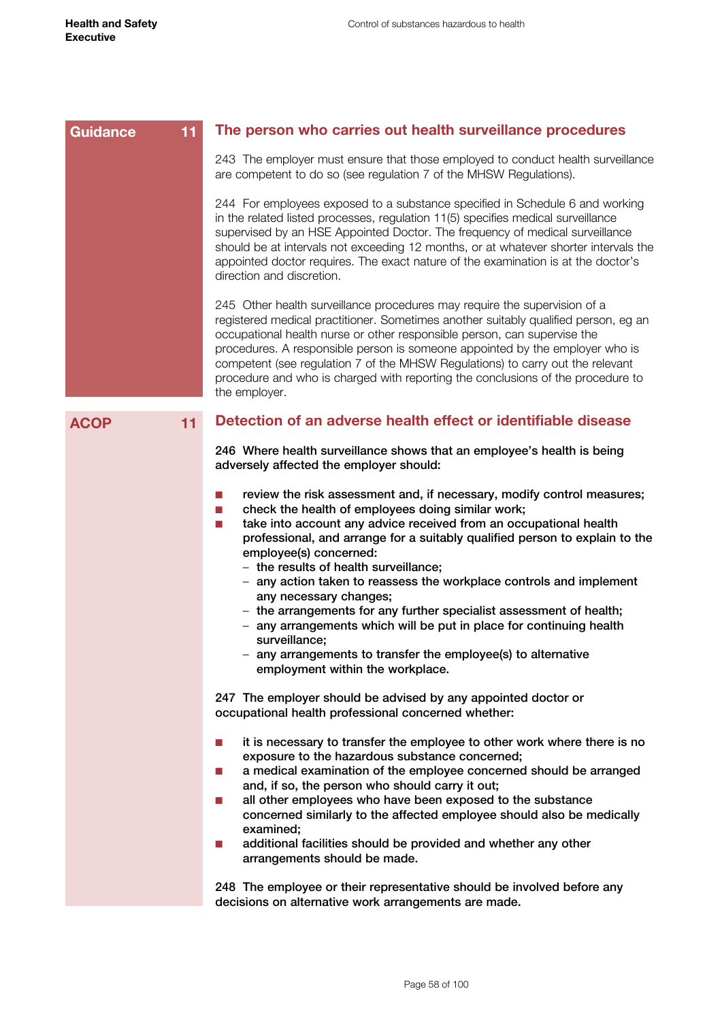| 11<br><b>Guidance</b> | The person who carries out health surveillance procedures                                                                                                                                                                                                                                                                                                                                                                                                                                                                                                                                                                                                                                                                                         |
|-----------------------|---------------------------------------------------------------------------------------------------------------------------------------------------------------------------------------------------------------------------------------------------------------------------------------------------------------------------------------------------------------------------------------------------------------------------------------------------------------------------------------------------------------------------------------------------------------------------------------------------------------------------------------------------------------------------------------------------------------------------------------------------|
|                       | 243 The employer must ensure that those employed to conduct health surveillance<br>are competent to do so (see regulation 7 of the MHSW Regulations).                                                                                                                                                                                                                                                                                                                                                                                                                                                                                                                                                                                             |
|                       | 244 For employees exposed to a substance specified in Schedule 6 and working<br>in the related listed processes, regulation 11(5) specifies medical surveillance<br>supervised by an HSE Appointed Doctor. The frequency of medical surveillance<br>should be at intervals not exceeding 12 months, or at whatever shorter intervals the<br>appointed doctor requires. The exact nature of the examination is at the doctor's<br>direction and discretion.                                                                                                                                                                                                                                                                                        |
|                       | 245 Other health surveillance procedures may require the supervision of a<br>registered medical practitioner. Sometimes another suitably qualified person, eg an<br>occupational health nurse or other responsible person, can supervise the<br>procedures. A responsible person is someone appointed by the employer who is<br>competent (see regulation 7 of the MHSW Regulations) to carry out the relevant<br>procedure and who is charged with reporting the conclusions of the procedure to<br>the employer.                                                                                                                                                                                                                                |
| 11<br><b>ACOP</b>     | Detection of an adverse health effect or identifiable disease                                                                                                                                                                                                                                                                                                                                                                                                                                                                                                                                                                                                                                                                                     |
|                       | 246 Where health surveillance shows that an employee's health is being<br>adversely affected the employer should:                                                                                                                                                                                                                                                                                                                                                                                                                                                                                                                                                                                                                                 |
|                       | review the risk assessment and, if necessary, modify control measures;<br>m.<br>check the health of employees doing similar work;<br>$\sim$<br>take into account any advice received from an occupational health<br>$\sim$<br>professional, and arrange for a suitably qualified person to explain to the<br>employee(s) concerned:<br>- the results of health surveillance;<br>- any action taken to reassess the workplace controls and implement<br>any necessary changes;<br>- the arrangements for any further specialist assessment of health;<br>- any arrangements which will be put in place for continuing health<br>surveillance;<br>- any arrangements to transfer the employee(s) to alternative<br>employment within the workplace. |
|                       | 247 The employer should be advised by any appointed doctor or<br>occupational health professional concerned whether:                                                                                                                                                                                                                                                                                                                                                                                                                                                                                                                                                                                                                              |
|                       | it is necessary to transfer the employee to other work where there is no<br><b>COL</b><br>exposure to the hazardous substance concerned;<br>a medical examination of the employee concerned should be arranged<br><b>COL</b><br>and, if so, the person who should carry it out;<br>all other employees who have been exposed to the substance<br><b>COL</b><br>concerned similarly to the affected employee should also be medically<br>examined;<br>additional facilities should be provided and whether any other<br><b>COL</b><br>arrangements should be made.<br>248 The employee or their representative should be involved before any<br>decisions on alternative work arrangements are made.                                               |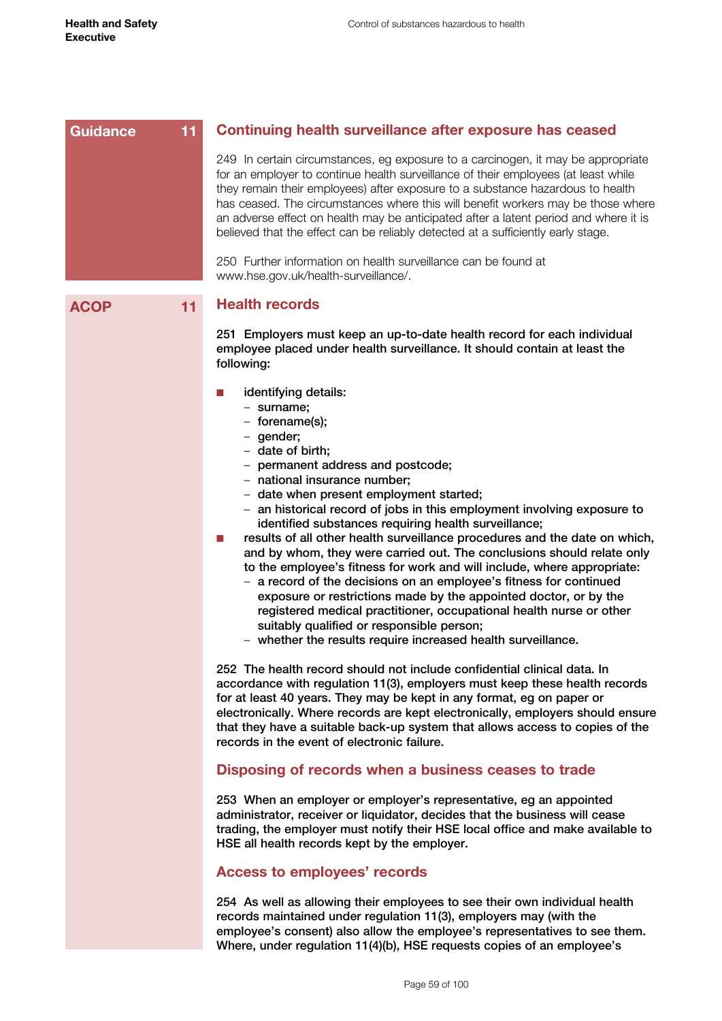| <b>Guidance</b> | Continuing health surveillance after exposure has ceased                                                                                                                                                                                                                                                                                                                                                                                                                                                                 |
|-----------------|--------------------------------------------------------------------------------------------------------------------------------------------------------------------------------------------------------------------------------------------------------------------------------------------------------------------------------------------------------------------------------------------------------------------------------------------------------------------------------------------------------------------------|
|                 | 249 In certain circumstances, eg exposure to a carcinogen, it may be appropriate<br>for an employer to continue health surveillance of their employees (at least while<br>they remain their employees) after exposure to a substance hazardous to health<br>has ceased. The circumstances where this will benefit workers may be those where<br>an adverse effect on health may be anticipated after a latent period and where it is<br>believed that the effect can be reliably detected at a sufficiently early stage. |
|                 | 250 Further information on health surveillance can be found at<br>www.hse.gov.uk/health-surveillance/.                                                                                                                                                                                                                                                                                                                                                                                                                   |

#### **Health records ACOP 11**

251 Employers must keep an up-to-date health record for each individual employee placed under health surveillance. It should contain at least the following:

- identifving details:
	- surname;
	- forename(s);
	- gender;
	- date of birth;
	- permanent address and postcode;
	- national insurance number;
	- date when present employment started;
	- an historical record of jobs in this employment involving exposure to identified substances requiring health surveillance;
- results of all other health surveillance procedures and the date on which, and by whom, they were carried out. The conclusions should relate only to the employee's fitness for work and will include, where appropriate:
	- a record of the decisions on an employee's fitness for continued exposure or restrictions made by the appointed doctor, or by the registered medical practitioner, occupational health nurse or other suitably qualified or responsible person;
	- whether the results require increased health surveillance.

252 The health record should not include confidential clinical data. In accordance with regulation 11(3), employers must keep these health records for at least 40 years. They may be kept in any format, eg on paper or electronically. Where records are kept electronically, employers should ensure that they have a suitable back-up system that allows access to copies of the records in the event of electronic failure.

### **Disposing of records when a business ceases to trade**

253 When an employer or employer's representative, eg an appointed administrator, receiver or liquidator, decides that the business will cease trading, the employer must notify their HSE local office and make available to HSE all health records kept by the employer.

#### **Access to employees' records**

254 As well as allowing their employees to see their own individual health records maintained under regulation 11(3), employers may (with the employee's consent) also allow the employee's representatives to see them. Where, under regulation 11(4)(b), HSE requests copies of an employee's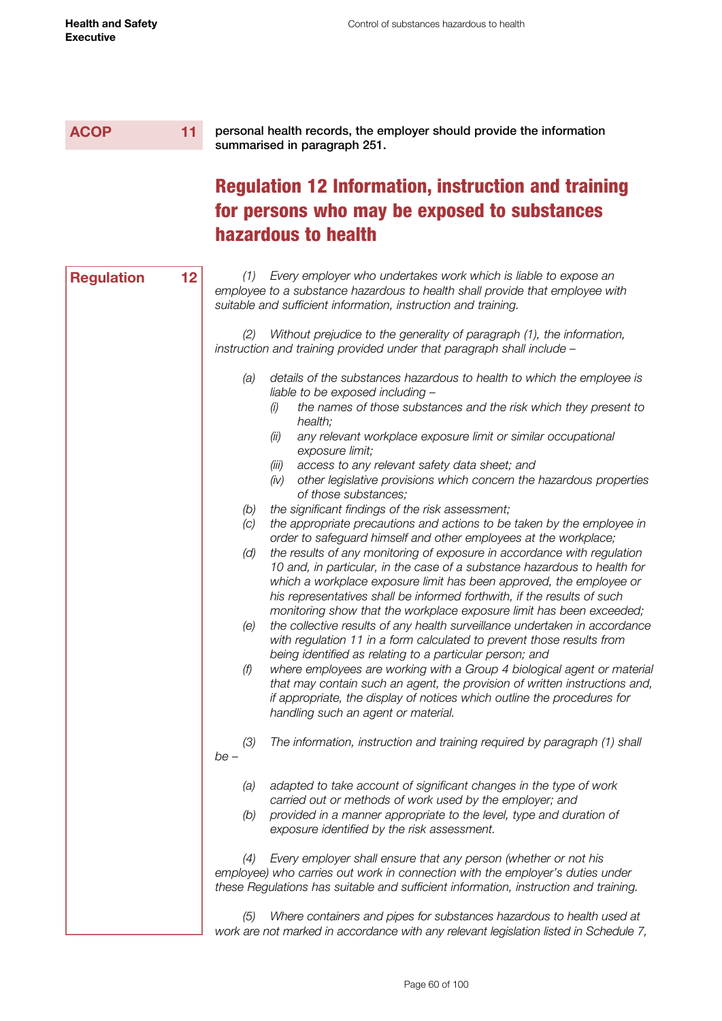| <b>ACOP</b> | personal health records, the employer should provide the information |
|-------------|----------------------------------------------------------------------|
|             | summarised in paragraph 251.                                         |

## Regulation 12 Information, instruction and training for persons who may be exposed to substances hazardous to health

| <b>Regulation</b> | 12 <sub>2</sub> | Every employer who undertakes work which is liable to expose an<br>(1)<br>employee to a substance hazardous to health shall provide that employee with<br>suitable and sufficient information, instruction and training.                                                                                                                                                                                                                                                                                                                                                                                                                                                                                                                                                                                                                                                                                                                                                                                                                                                                                                                                                                                                                                                                                                                                                                                                                                                                                                                                                                  |
|-------------------|-----------------|-------------------------------------------------------------------------------------------------------------------------------------------------------------------------------------------------------------------------------------------------------------------------------------------------------------------------------------------------------------------------------------------------------------------------------------------------------------------------------------------------------------------------------------------------------------------------------------------------------------------------------------------------------------------------------------------------------------------------------------------------------------------------------------------------------------------------------------------------------------------------------------------------------------------------------------------------------------------------------------------------------------------------------------------------------------------------------------------------------------------------------------------------------------------------------------------------------------------------------------------------------------------------------------------------------------------------------------------------------------------------------------------------------------------------------------------------------------------------------------------------------------------------------------------------------------------------------------------|
|                   |                 | Without prejudice to the generality of paragraph (1), the information,<br>(2)<br>instruction and training provided under that paragraph shall include -                                                                                                                                                                                                                                                                                                                                                                                                                                                                                                                                                                                                                                                                                                                                                                                                                                                                                                                                                                                                                                                                                                                                                                                                                                                                                                                                                                                                                                   |
|                   |                 | (a)<br>details of the substances hazardous to health to which the employee is<br>liable to be exposed including -<br>the names of those substances and the risk which they present to<br>(i)<br>health;<br>any relevant workplace exposure limit or similar occupational<br>(ii)<br>exposure limit;<br>access to any relevant safety data sheet; and<br>(iii)<br>other legislative provisions which concern the hazardous properties<br>(iv)<br>of those substances;<br>the significant findings of the risk assessment;<br>(b)<br>the appropriate precautions and actions to be taken by the employee in<br>(C)<br>order to safeguard himself and other employees at the workplace;<br>(d)<br>the results of any monitoring of exposure in accordance with regulation<br>10 and, in particular, in the case of a substance hazardous to health for<br>which a workplace exposure limit has been approved, the employee or<br>his representatives shall be informed forthwith, if the results of such<br>monitoring show that the workplace exposure limit has been exceeded;<br>the collective results of any health surveillance undertaken in accordance<br>(e)<br>with regulation 11 in a form calculated to prevent those results from<br>being identified as relating to a particular person; and<br>(f)<br>where employees are working with a Group 4 biological agent or material<br>that may contain such an agent, the provision of written instructions and,<br>if appropriate, the display of notices which outline the procedures for<br>handling such an agent or material. |
|                   |                 | (3)<br>The information, instruction and training required by paragraph (1) shall<br>$be-$                                                                                                                                                                                                                                                                                                                                                                                                                                                                                                                                                                                                                                                                                                                                                                                                                                                                                                                                                                                                                                                                                                                                                                                                                                                                                                                                                                                                                                                                                                 |
|                   |                 | adapted to take account of significant changes in the type of work<br>(a)<br>carried out or methods of work used by the employer; and<br>provided in a manner appropriate to the level, type and duration of<br>(b)<br>exposure identified by the risk assessment.                                                                                                                                                                                                                                                                                                                                                                                                                                                                                                                                                                                                                                                                                                                                                                                                                                                                                                                                                                                                                                                                                                                                                                                                                                                                                                                        |
|                   |                 | Every employer shall ensure that any person (whether or not his<br>(4)<br>employee) who carries out work in connection with the employer's duties under<br>these Regulations has suitable and sufficient information, instruction and training.                                                                                                                                                                                                                                                                                                                                                                                                                                                                                                                                                                                                                                                                                                                                                                                                                                                                                                                                                                                                                                                                                                                                                                                                                                                                                                                                           |
|                   |                 | Where containers and pipes for substances hazardous to health used at<br>(5)<br>work are not marked in accordance with any relevant legislation listed in Schedule 7,                                                                                                                                                                                                                                                                                                                                                                                                                                                                                                                                                                                                                                                                                                                                                                                                                                                                                                                                                                                                                                                                                                                                                                                                                                                                                                                                                                                                                     |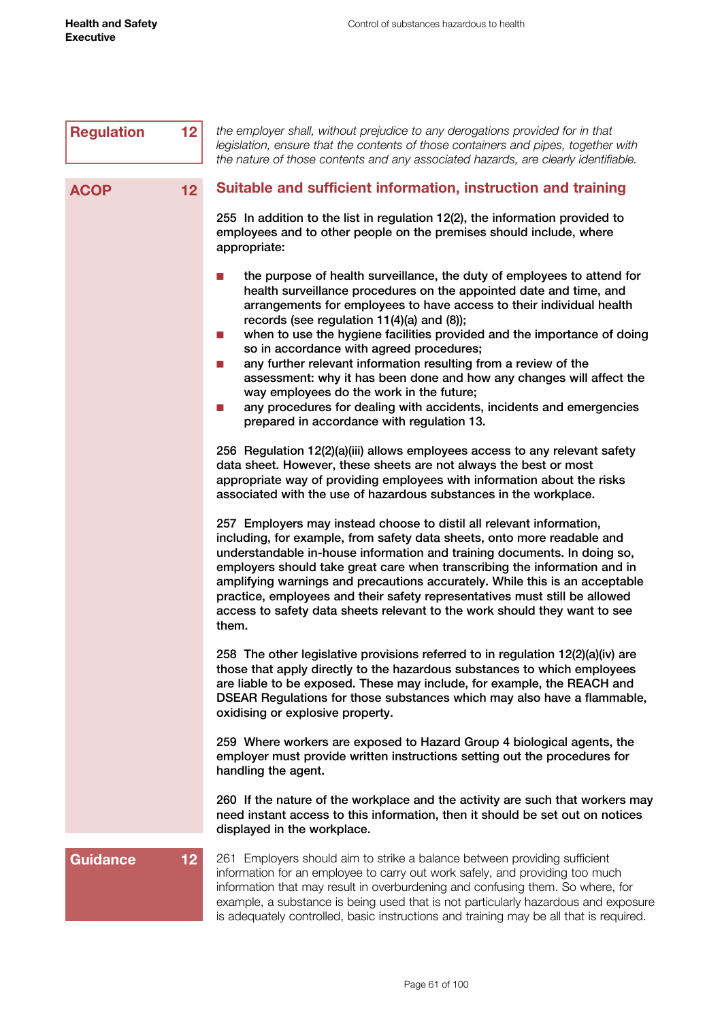| <b>Regulation</b> | 12 | the employer shall, without prejudice to any derogations provided for in that<br>legislation, ensure that the contents of those containers and pipes, together with<br>the nature of those contents and any associated hazards, are clearly identifiable.                                                                                                                                                                                                                                                                                                                        |
|-------------------|----|----------------------------------------------------------------------------------------------------------------------------------------------------------------------------------------------------------------------------------------------------------------------------------------------------------------------------------------------------------------------------------------------------------------------------------------------------------------------------------------------------------------------------------------------------------------------------------|
| <b>ACOP</b>       | 12 | Suitable and sufficient information, instruction and training                                                                                                                                                                                                                                                                                                                                                                                                                                                                                                                    |
|                   |    | 255 In addition to the list in regulation 12(2), the information provided to<br>employees and to other people on the premises should include, where<br>appropriate:                                                                                                                                                                                                                                                                                                                                                                                                              |
|                   |    | the purpose of health surveillance, the duty of employees to attend for<br><b>The State</b><br>health surveillance procedures on the appointed date and time, and<br>arrangements for employees to have access to their individual health<br>records (see regulation 11(4)(a) and (8));<br>when to use the hygiene facilities provided and the importance of doing<br>$\mathcal{C}$<br>so in accordance with agreed procedures;<br>any further relevant information resulting from a review of the<br>m.<br>assessment: why it has been done and how any changes will affect the |
|                   |    | way employees do the work in the future;<br>any procedures for dealing with accidents, incidents and emergencies<br>m.<br>prepared in accordance with regulation 13.                                                                                                                                                                                                                                                                                                                                                                                                             |
|                   |    | 256 Regulation 12(2)(a)(iii) allows employees access to any relevant safety<br>data sheet. However, these sheets are not always the best or most<br>appropriate way of providing employees with information about the risks<br>associated with the use of hazardous substances in the workplace.                                                                                                                                                                                                                                                                                 |
|                   |    | 257 Employers may instead choose to distil all relevant information,<br>including, for example, from safety data sheets, onto more readable and<br>understandable in-house information and training documents. In doing so,<br>employers should take great care when transcribing the information and in<br>amplifying warnings and precautions accurately. While this is an acceptable<br>practice, employees and their safety representatives must still be allowed<br>access to safety data sheets relevant to the work should they want to see<br>them.                      |
|                   |    | 258 The other legislative provisions referred to in regulation 12(2)(a)(iv) are<br>those that apply directly to the hazardous substances to which employees<br>are liable to be exposed. These may include, for example, the REACH and<br>DSEAR Regulations for those substances which may also have a flammable,<br>oxidising or explosive property.                                                                                                                                                                                                                            |
|                   |    | 259 Where workers are exposed to Hazard Group 4 biological agents, the<br>employer must provide written instructions setting out the procedures for<br>handling the agent.                                                                                                                                                                                                                                                                                                                                                                                                       |
|                   |    | 260 If the nature of the workplace and the activity are such that workers may<br>need instant access to this information, then it should be set out on notices<br>displayed in the workplace.                                                                                                                                                                                                                                                                                                                                                                                    |
| <b>Guidance</b>   | 12 | 261 Employers should aim to strike a balance between providing sufficient<br>information for an employee to carry out work safely, and providing too much<br>information that may result in overburdening and confusing them. So where, for<br>example, a substance is being used that is not particularly hazardous and exposure                                                                                                                                                                                                                                                |

is adequately controlled, basic instructions and training may be all that is required.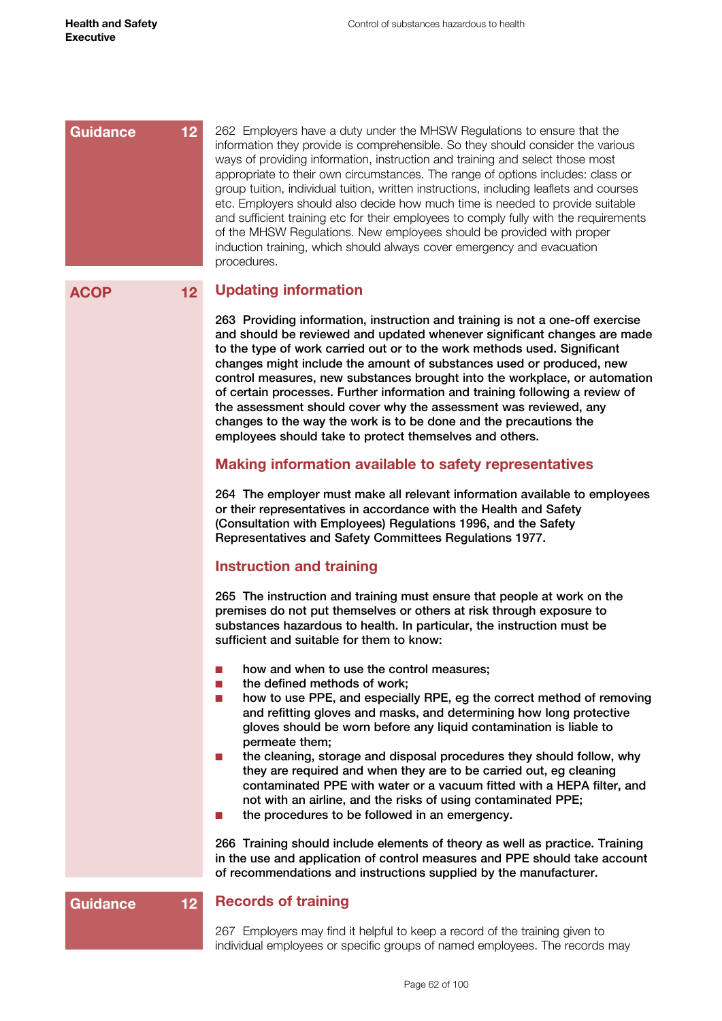262 Employers have a duty under the MHSW Regulations to ensure that the information they provide is comprehensible. So they should consider the various ways of providing information, instruction and training and select those most appropriate to their own circumstances. The range of options includes: class or group tuition, individual tuition, written instructions, including leaflets and courses etc. Employers should also decide how much time is needed to provide suitable and sufficient training etc for their employees to comply fully with the requirements of the MHSW Regulations. New employees should be provided with proper induction training, which should always cover emergency and evacuation procedures. **Guidance 12**

**ACOP 12**

#### **Updating information**

263 Providing information, instruction and training is not a one-off exercise and should be reviewed and updated whenever significant changes are made to the type of work carried out or to the work methods used. Significant changes might include the amount of substances used or produced, new control measures, new substances brought into the workplace, or automation of certain processes. Further information and training following a review of the assessment should cover why the assessment was reviewed, any changes to the way the work is to be done and the precautions the employees should take to protect themselves and others.

#### **Making information available to safety representatives**

264 The employer must make all relevant information available to employees or their representatives in accordance with the Health and Safety (Consultation with Employees) Regulations 1996, and the Safety Representatives and Safety Committees Regulations 1977.

#### **Instruction and training**

265 The instruction and training must ensure that people at work on the premises do not put themselves or others at risk through exposure to substances hazardous to health. In particular, the instruction must be sufficient and suitable for them to know:

- how and when to use the control measures;
- the defined methods of work;
- how to use PPE, and especially RPE, eg the correct method of removing and refitting gloves and masks, and determining how long protective gloves should be worn before any liquid contamination is liable to permeate them;
- the cleaning, storage and disposal procedures they should follow, why they are required and when they are to be carried out, eg cleaning contaminated PPE with water or a vacuum fitted with a HEPA filter, and not with an airline, and the risks of using contaminated PPE;
- the procedures to be followed in an emergency.

266 Training should include elements of theory as well as practice. Training in the use and application of control measures and PPE should take account of recommendations and instructions supplied by the manufacturer.

**Guidance 12**

#### **Records of training**

267 Employers may find it helpful to keep a record of the training given to individual employees or specific groups of named employees. The records may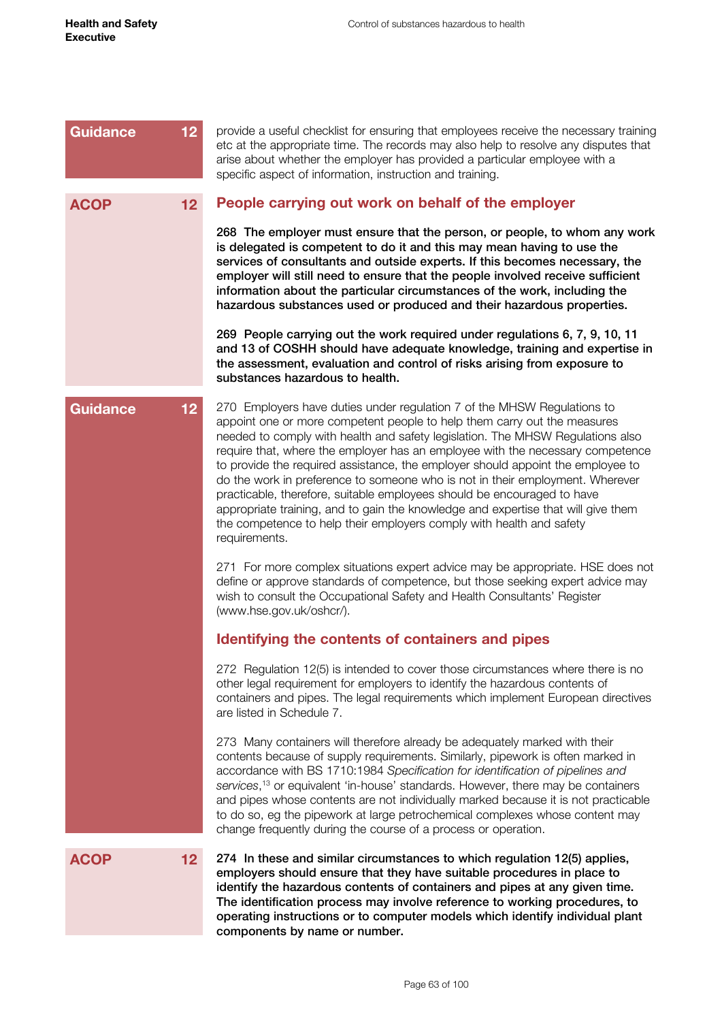| <b>Guidance</b> | 12 | provide a useful checklist for ensuring that employees receive the necessary training<br>etc at the appropriate time. The records may also help to resolve any disputes that<br>arise about whether the employer has provided a particular employee with a<br>specific aspect of information, instruction and training.                                                                                                                                                                                                                                                                                                                                                                                                                              |
|-----------------|----|------------------------------------------------------------------------------------------------------------------------------------------------------------------------------------------------------------------------------------------------------------------------------------------------------------------------------------------------------------------------------------------------------------------------------------------------------------------------------------------------------------------------------------------------------------------------------------------------------------------------------------------------------------------------------------------------------------------------------------------------------|
| <b>ACOP</b>     | 12 | People carrying out work on behalf of the employer                                                                                                                                                                                                                                                                                                                                                                                                                                                                                                                                                                                                                                                                                                   |
|                 |    | 268 The employer must ensure that the person, or people, to whom any work<br>is delegated is competent to do it and this may mean having to use the<br>services of consultants and outside experts. If this becomes necessary, the<br>employer will still need to ensure that the people involved receive sufficient<br>information about the particular circumstances of the work, including the<br>hazardous substances used or produced and their hazardous properties.                                                                                                                                                                                                                                                                           |
|                 |    | 269 People carrying out the work required under regulations 6, 7, 9, 10, 11<br>and 13 of COSHH should have adequate knowledge, training and expertise in<br>the assessment, evaluation and control of risks arising from exposure to<br>substances hazardous to health.                                                                                                                                                                                                                                                                                                                                                                                                                                                                              |
| <b>Guidance</b> | 12 | 270 Employers have duties under regulation 7 of the MHSW Regulations to<br>appoint one or more competent people to help them carry out the measures<br>needed to comply with health and safety legislation. The MHSW Regulations also<br>require that, where the employer has an employee with the necessary competence<br>to provide the required assistance, the employer should appoint the employee to<br>do the work in preference to someone who is not in their employment. Wherever<br>practicable, therefore, suitable employees should be encouraged to have<br>appropriate training, and to gain the knowledge and expertise that will give them<br>the competence to help their employers comply with health and safety<br>requirements. |
|                 |    | 271 For more complex situations expert advice may be appropriate. HSE does not<br>define or approve standards of competence, but those seeking expert advice may<br>wish to consult the Occupational Safety and Health Consultants' Register<br>(www.hse.gov.uk/oshcr/).                                                                                                                                                                                                                                                                                                                                                                                                                                                                             |
|                 |    | Identifying the contents of containers and pipes                                                                                                                                                                                                                                                                                                                                                                                                                                                                                                                                                                                                                                                                                                     |
|                 |    | 272 Regulation 12(5) is intended to cover those circumstances where there is no<br>other legal requirement for employers to identify the hazardous contents of<br>containers and pipes. The legal requirements which implement European directives<br>are listed in Schedule 7.                                                                                                                                                                                                                                                                                                                                                                                                                                                                      |
|                 |    | 273 Many containers will therefore already be adequately marked with their<br>contents because of supply requirements. Similarly, pipework is often marked in<br>accordance with BS 1710:1984 Specification for identification of pipelines and<br>services, <sup>13</sup> or equivalent 'in-house' standards. However, there may be containers<br>and pipes whose contents are not individually marked because it is not practicable<br>to do so, eg the pipework at large petrochemical complexes whose content may<br>change frequently during the course of a process or operation.                                                                                                                                                              |
| <b>ACOP</b>     | 12 | 274 In these and similar circumstances to which regulation 12(5) applies,<br>employers should ensure that they have suitable procedures in place to<br>identify the hazardous contents of containers and pipes at any given time.<br>The identification process may involve reference to working procedures, to<br>operating instructions or to computer models which identify individual plant                                                                                                                                                                                                                                                                                                                                                      |

components by name or number.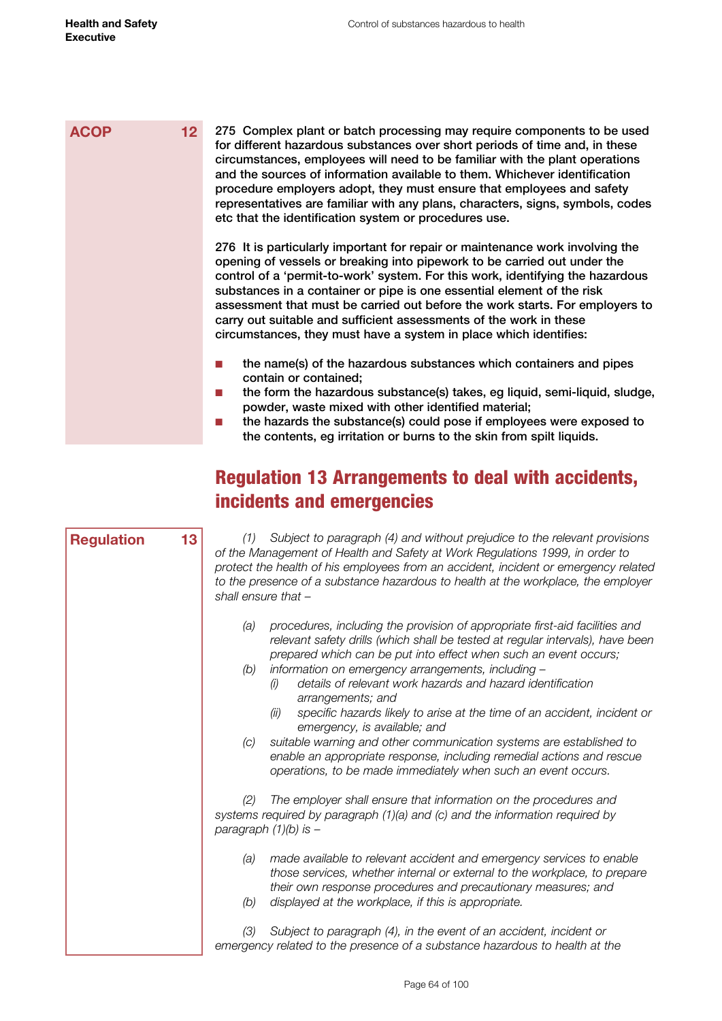| <b>ACOP</b> | 12 <sup>2</sup> | 275 Complex plant or batch processing may require components to be used<br>for different hazardous substances over short periods of time and, in these<br>circumstances, employees will need to be familiar with the plant operations<br>and the sources of information available to them. Whichever identification<br>procedure employers adopt, they must ensure that employees and safety<br>representatives are familiar with any plans, characters, signs, symbols, codes<br>etc that the identification system or procedures use.          |
|-------------|-----------------|--------------------------------------------------------------------------------------------------------------------------------------------------------------------------------------------------------------------------------------------------------------------------------------------------------------------------------------------------------------------------------------------------------------------------------------------------------------------------------------------------------------------------------------------------|
|             |                 | 276 It is particularly important for repair or maintenance work involving the<br>opening of vessels or breaking into pipework to be carried out under the<br>control of a 'permit-to-work' system. For this work, identifying the hazardous<br>substances in a container or pipe is one essential element of the risk<br>assessment that must be carried out before the work starts. For employers to<br>carry out suitable and sufficient assessments of the work in these<br>circumstances, they must have a system in place which identifies: |
|             |                 | the name(s) of the hazardous substances which containers and pipes<br>contain or contained:<br>the form the hazardous substance(s) takes, eg liquid, semi-liquid, sludge,                                                                                                                                                                                                                                                                                                                                                                        |
|             |                 | powder, waste mixed with other identified material;                                                                                                                                                                                                                                                                                                                                                                                                                                                                                              |

■ the hazards the substance(s) could pose if employees were exposed to the contents, eg irritation or burns to the skin from spilt liquids.

### Regulation 13 Arrangements to deal with accidents, incidents and emergencies

| 13 <sub>1</sub><br><b>Regulation</b> | Subject to paragraph (4) and without prejudice to the relevant provisions<br>(1)<br>of the Management of Health and Safety at Work Regulations 1999, in order to<br>protect the health of his employees from an accident, incident or emergency related<br>to the presence of a substance hazardous to health at the workplace, the employer<br>shall ensure that $-$                                                                                                                                                                                                                                                                                                                                                                       |
|--------------------------------------|---------------------------------------------------------------------------------------------------------------------------------------------------------------------------------------------------------------------------------------------------------------------------------------------------------------------------------------------------------------------------------------------------------------------------------------------------------------------------------------------------------------------------------------------------------------------------------------------------------------------------------------------------------------------------------------------------------------------------------------------|
|                                      | procedures, including the provision of appropriate first-aid facilities and<br>(a)<br>relevant safety drills (which shall be tested at regular intervals), have been<br>prepared which can be put into effect when such an event occurs;<br>information on emergency arrangements, including -<br>(b)<br>details of relevant work hazards and hazard identification<br>(i)<br>arrangements; and<br>specific hazards likely to arise at the time of an accident, incident or<br>(ii)<br>emergency, is available; and<br>suitable warning and other communication systems are established to<br>(C)<br>enable an appropriate response, including remedial actions and rescue<br>operations, to be made immediately when such an event occurs. |
|                                      | The employer shall ensure that information on the procedures and<br>(2)<br>systems required by paragraph (1)(a) and (c) and the information required by<br>paragraph $(1)(b)$ is $-$                                                                                                                                                                                                                                                                                                                                                                                                                                                                                                                                                        |
|                                      | made available to relevant accident and emergency services to enable<br>(a)<br>those services, whether internal or external to the workplace, to prepare<br>their own response procedures and precautionary measures; and<br>displayed at the workplace, if this is appropriate.<br>(b)                                                                                                                                                                                                                                                                                                                                                                                                                                                     |
|                                      | Subject to paragraph (4), in the event of an accident, incident or<br>(3)<br>emergency related to the presence of a substance hazardous to health at the                                                                                                                                                                                                                                                                                                                                                                                                                                                                                                                                                                                    |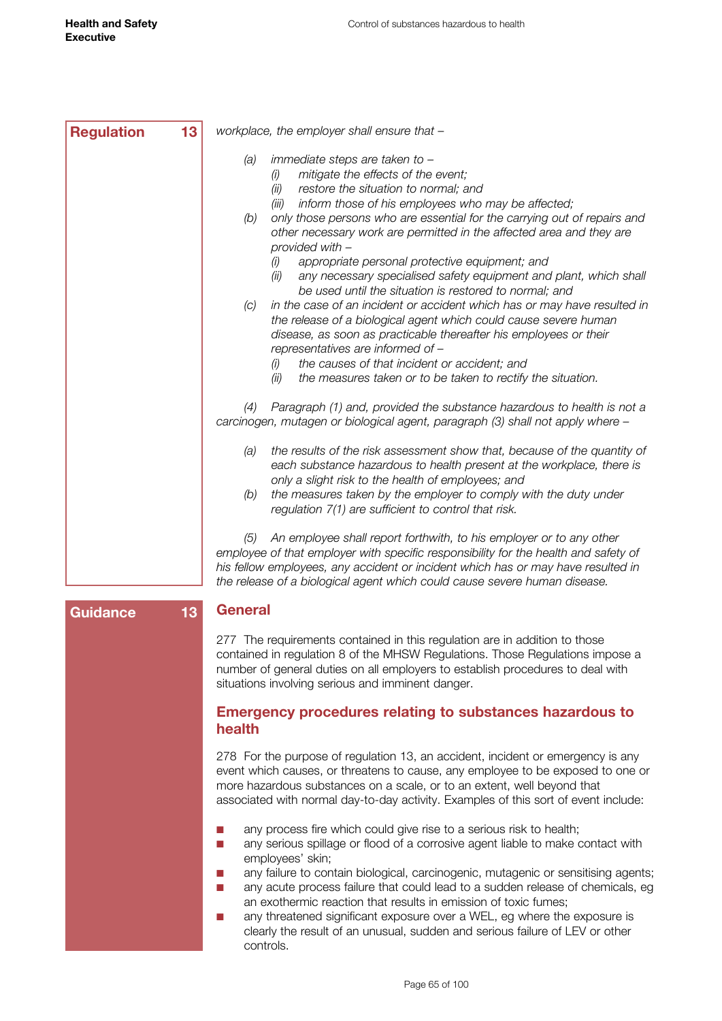| 13<br><b>Regulation</b> | workplace, the employer shall ensure that -                                                                                                                                                                                                                                                                                                                                                                                                                                                                                                                                                                                                                                                                                                                                                                                                                                                                                                                                    |
|-------------------------|--------------------------------------------------------------------------------------------------------------------------------------------------------------------------------------------------------------------------------------------------------------------------------------------------------------------------------------------------------------------------------------------------------------------------------------------------------------------------------------------------------------------------------------------------------------------------------------------------------------------------------------------------------------------------------------------------------------------------------------------------------------------------------------------------------------------------------------------------------------------------------------------------------------------------------------------------------------------------------|
|                         | (a)<br>immediate steps are taken to -<br>mitigate the effects of the event;<br>(i)<br>(ii)<br>restore the situation to normal; and<br>inform those of his employees who may be affected;<br>(iii)<br>(b)<br>only those persons who are essential for the carrying out of repairs and<br>other necessary work are permitted in the affected area and they are<br>provided with -<br>appropriate personal protective equipment; and<br>(i)<br>(ii)<br>any necessary specialised safety equipment and plant, which shall<br>be used until the situation is restored to normal; and<br>in the case of an incident or accident which has or may have resulted in<br>(C)<br>the release of a biological agent which could cause severe human<br>disease, as soon as practicable thereafter his employees or their<br>representatives are informed of -<br>the causes of that incident or accident; and<br>(i)<br>(ii)<br>the measures taken or to be taken to rectify the situation. |
|                         | Paragraph (1) and, provided the substance hazardous to health is not a<br>(4)<br>carcinogen, mutagen or biological agent, paragraph (3) shall not apply where -                                                                                                                                                                                                                                                                                                                                                                                                                                                                                                                                                                                                                                                                                                                                                                                                                |
|                         | the results of the risk assessment show that, because of the quantity of<br>(a)<br>each substance hazardous to health present at the workplace, there is<br>only a slight risk to the health of employees; and<br>the measures taken by the employer to comply with the duty under<br>(b)<br>regulation 7(1) are sufficient to control that risk.                                                                                                                                                                                                                                                                                                                                                                                                                                                                                                                                                                                                                              |
|                         | An employee shall report forthwith, to his employer or to any other<br>(5)<br>employee of that employer with specific responsibility for the health and safety of<br>his fellow employees, any accident or incident which has or may have resulted in<br>the release of a biological agent which could cause severe human disease.                                                                                                                                                                                                                                                                                                                                                                                                                                                                                                                                                                                                                                             |
| <b>Guidance</b><br>13   | <b>General</b>                                                                                                                                                                                                                                                                                                                                                                                                                                                                                                                                                                                                                                                                                                                                                                                                                                                                                                                                                                 |
|                         | 277 The requirements contained in this regulation are in addition to those<br>contained in regulation 8 of the MHSW Regulations. Those Regulations impose a<br>number of general duties on all employers to establish procedures to deal with<br>situations involving serious and imminent danger.                                                                                                                                                                                                                                                                                                                                                                                                                                                                                                                                                                                                                                                                             |
|                         | <b>Emergency procedures relating to substances hazardous to</b><br>health                                                                                                                                                                                                                                                                                                                                                                                                                                                                                                                                                                                                                                                                                                                                                                                                                                                                                                      |
|                         | 278 For the purpose of regulation 13, an accident, incident or emergency is any<br>event which causes, or threatens to cause, any employee to be exposed to one or<br>more hazardous substances on a scale, or to an extent, well beyond that<br>associated with normal day-to-day activity. Examples of this sort of event include:                                                                                                                                                                                                                                                                                                                                                                                                                                                                                                                                                                                                                                           |
|                         | any process fire which could give rise to a serious risk to health;<br>any serious spillage or flood of a corrosive agent liable to make contact with                                                                                                                                                                                                                                                                                                                                                                                                                                                                                                                                                                                                                                                                                                                                                                                                                          |

- employees' skin; ■ any failure to contain biological, carcinogenic, mutagenic or sensitising agents;
- any acute process failure that could lead to a sudden release of chemicals, eg
- an exothermic reaction that results in emission of toxic fumes;
- any threatened significant exposure over a WEL, eg where the exposure is clearly the result of an unusual, sudden and serious failure of LEV or other controls.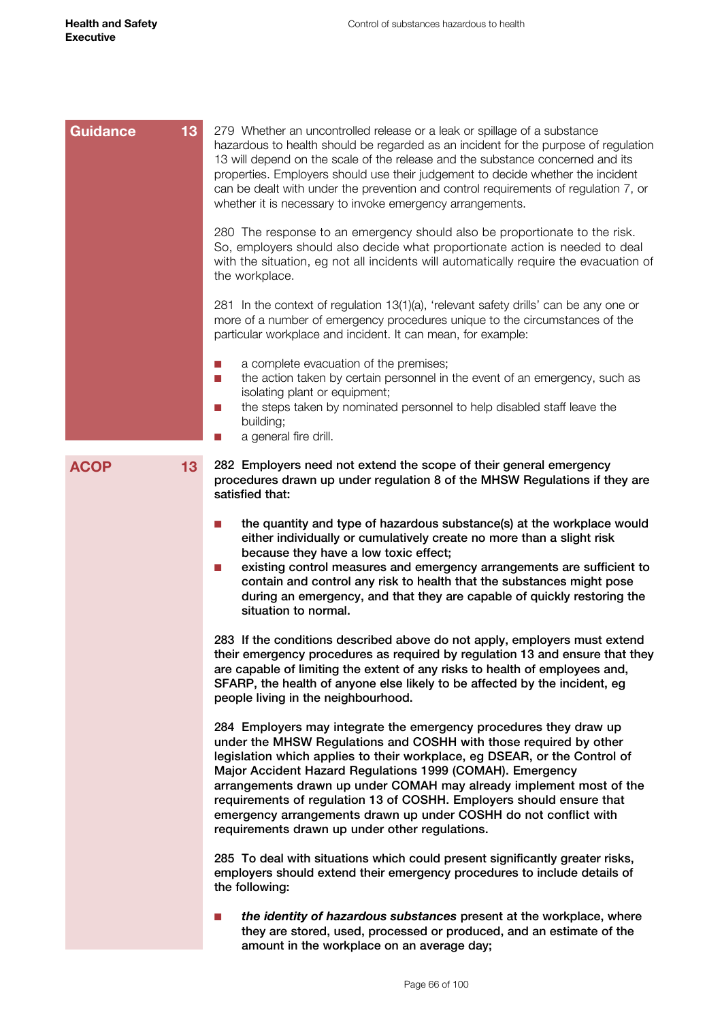| <b>Guidance</b><br>13 | 279 Whether an uncontrolled release or a leak or spillage of a substance<br>hazardous to health should be regarded as an incident for the purpose of regulation<br>13 will depend on the scale of the release and the substance concerned and its<br>properties. Employers should use their judgement to decide whether the incident<br>can be dealt with under the prevention and control requirements of regulation 7, or<br>whether it is necessary to invoke emergency arrangements.                                                              |
|-----------------------|-------------------------------------------------------------------------------------------------------------------------------------------------------------------------------------------------------------------------------------------------------------------------------------------------------------------------------------------------------------------------------------------------------------------------------------------------------------------------------------------------------------------------------------------------------|
|                       | 280 The response to an emergency should also be proportionate to the risk.<br>So, employers should also decide what proportionate action is needed to deal<br>with the situation, eg not all incidents will automatically require the evacuation of<br>the workplace.                                                                                                                                                                                                                                                                                 |
|                       | 281 In the context of regulation 13(1)(a), 'relevant safety drills' can be any one or<br>more of a number of emergency procedures unique to the circumstances of the<br>particular workplace and incident. It can mean, for example:                                                                                                                                                                                                                                                                                                                  |
|                       | a complete evacuation of the premises;<br>п<br>the action taken by certain personnel in the event of an emergency, such as<br>m.<br>isolating plant or equipment;<br>the steps taken by nominated personnel to help disabled staff leave the<br><b>The State</b><br>building;<br>a general fire drill.<br>T.                                                                                                                                                                                                                                          |
| 13<br><b>ACOP</b>     | 282 Employers need not extend the scope of their general emergency<br>procedures drawn up under regulation 8 of the MHSW Regulations if they are<br>satisfied that:                                                                                                                                                                                                                                                                                                                                                                                   |
|                       | the quantity and type of hazardous substance(s) at the workplace would<br>ш<br>either individually or cumulatively create no more than a slight risk<br>because they have a low toxic effect;<br>existing control measures and emergency arrangements are sufficient to<br>m.<br>contain and control any risk to health that the substances might pose<br>during an emergency, and that they are capable of quickly restoring the<br>situation to normal.                                                                                             |
|                       | 283 If the conditions described above do not apply, employers must extend<br>their emergency procedures as required by regulation 13 and ensure that they<br>are capable of limiting the extent of any risks to health of employees and,<br>SFARP, the health of anyone else likely to be affected by the incident, eg<br>people living in the neighbourhood.                                                                                                                                                                                         |
|                       | 284 Employers may integrate the emergency procedures they draw up<br>under the MHSW Regulations and COSHH with those required by other<br>legislation which applies to their workplace, eg DSEAR, or the Control of<br>Major Accident Hazard Regulations 1999 (COMAH). Emergency<br>arrangements drawn up under COMAH may already implement most of the<br>requirements of regulation 13 of COSHH. Employers should ensure that<br>emergency arrangements drawn up under COSHH do not conflict with<br>requirements drawn up under other regulations. |
|                       | 285 To deal with situations which could present significantly greater risks,<br>employers should extend their emergency procedures to include details of<br>the following:                                                                                                                                                                                                                                                                                                                                                                            |
|                       | the identity of hazardous substances present at the workplace, where<br>п<br>they are stored, used, processed or produced, and an estimate of the<br>amount in the workplace on an average day;                                                                                                                                                                                                                                                                                                                                                       |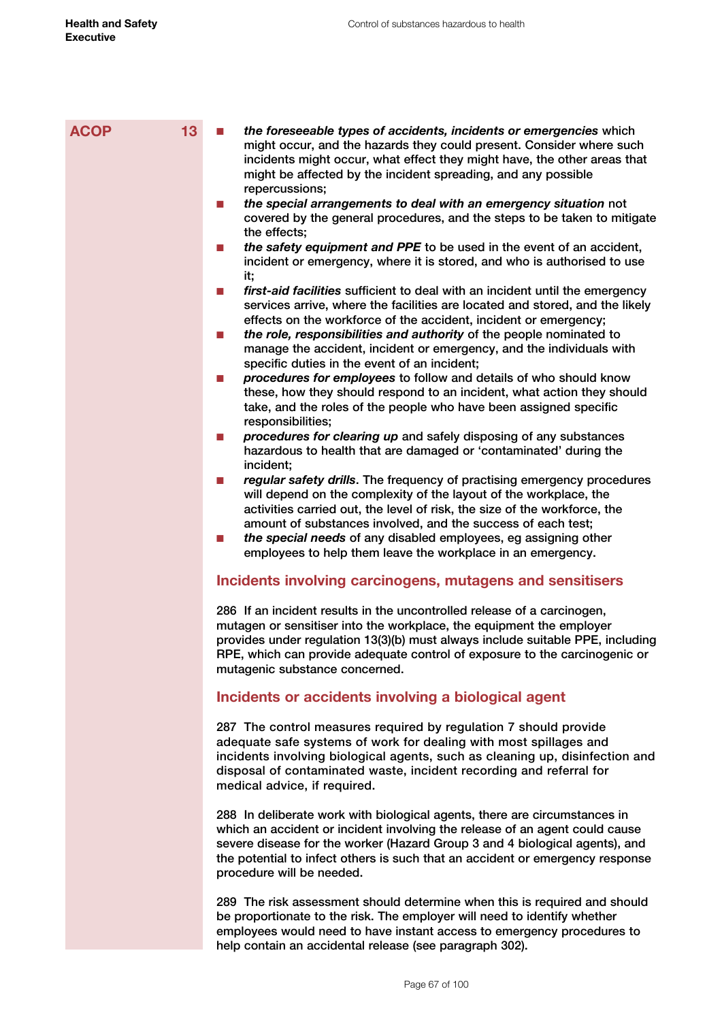| <b>ACOP</b> | 13 | the foreseeable types of accidents, incidents or emergencies which<br><b>The State</b><br>might occur, and the hazards they could present. Consider where such<br>incidents might occur, what effect they might have, the other areas that<br>might be affected by the incident spreading, and any possible<br>repercussions;<br>the special arrangements to deal with an emergency situation not<br>$\mathcal{L}_{\mathcal{A}}$        |
|-------------|----|-----------------------------------------------------------------------------------------------------------------------------------------------------------------------------------------------------------------------------------------------------------------------------------------------------------------------------------------------------------------------------------------------------------------------------------------|
|             |    | covered by the general procedures, and the steps to be taken to mitigate<br>the effects;                                                                                                                                                                                                                                                                                                                                                |
|             |    | the safety equipment and PPE to be used in the event of an accident,<br>m.<br>incident or emergency, where it is stored, and who is authorised to use<br>it:                                                                                                                                                                                                                                                                            |
|             |    | first-aid facilities sufficient to deal with an incident until the emergency<br>m.<br>services arrive, where the facilities are located and stored, and the likely<br>effects on the workforce of the accident, incident or emergency;                                                                                                                                                                                                  |
|             |    | the role, responsibilities and authority of the people nominated to<br>$\mathcal{L}_{\mathcal{A}}$<br>manage the accident, incident or emergency, and the individuals with<br>specific duties in the event of an incident;                                                                                                                                                                                                              |
|             |    | procedures for employees to follow and details of who should know<br>$\mathcal{L}_{\mathcal{A}}$<br>these, how they should respond to an incident, what action they should<br>take, and the roles of the people who have been assigned specific<br>responsibilities;                                                                                                                                                                    |
|             |    | procedures for clearing up and safely disposing of any substances<br><b>Tale</b><br>hazardous to health that are damaged or 'contaminated' during the<br>incident;                                                                                                                                                                                                                                                                      |
|             |    | regular safety drills. The frequency of practising emergency procedures<br>m.<br>will depend on the complexity of the layout of the workplace, the<br>activities carried out, the level of risk, the size of the workforce, the<br>amount of substances involved, and the success of each test;<br>the special needs of any disabled employees, eg assigning other<br>m.<br>employees to help them leave the workplace in an emergency. |
|             |    | Incidents involving carcinogens, mutagens and sensitisers                                                                                                                                                                                                                                                                                                                                                                               |
|             |    | 286 If an incident results in the uncontrolled release of a carcinogen,<br>mutagen or sensitiser into the workplace, the equipment the employer<br>provides under regulation 13(3)(b) must always include suitable PPE, including<br>RPE, which can provide adequate control of exposure to the carcinogenic or<br>mutagenic substance concerned.                                                                                       |
|             |    | Incidents or accidents involving a biological agent                                                                                                                                                                                                                                                                                                                                                                                     |
|             |    | 287 The control measures required by regulation 7 should provide<br>adequate safe systems of work for dealing with most spillages and<br>incidents involving biological agents, such as cleaning up, disinfection and<br>disposal of contaminated waste, incident recording and referral for<br>medical advice, if required.                                                                                                            |
|             |    | 288 In deliberate work with biological agents, there are circumstances in<br>which an accident or incident involving the release of an agent could cause<br>severe disease for the worker (Hazard Group 3 and 4 biological agents), and<br>the potential to infect others is such that an accident or emergency response<br>procedure will be needed.                                                                                   |
|             |    | 289 The risk assessment should determine when this is required and should<br>be proportionate to the risk. The employer will need to identify whether<br>employees would need to have instant access to emergency procedures to                                                                                                                                                                                                         |

help contain an accidental release (see paragraph 302).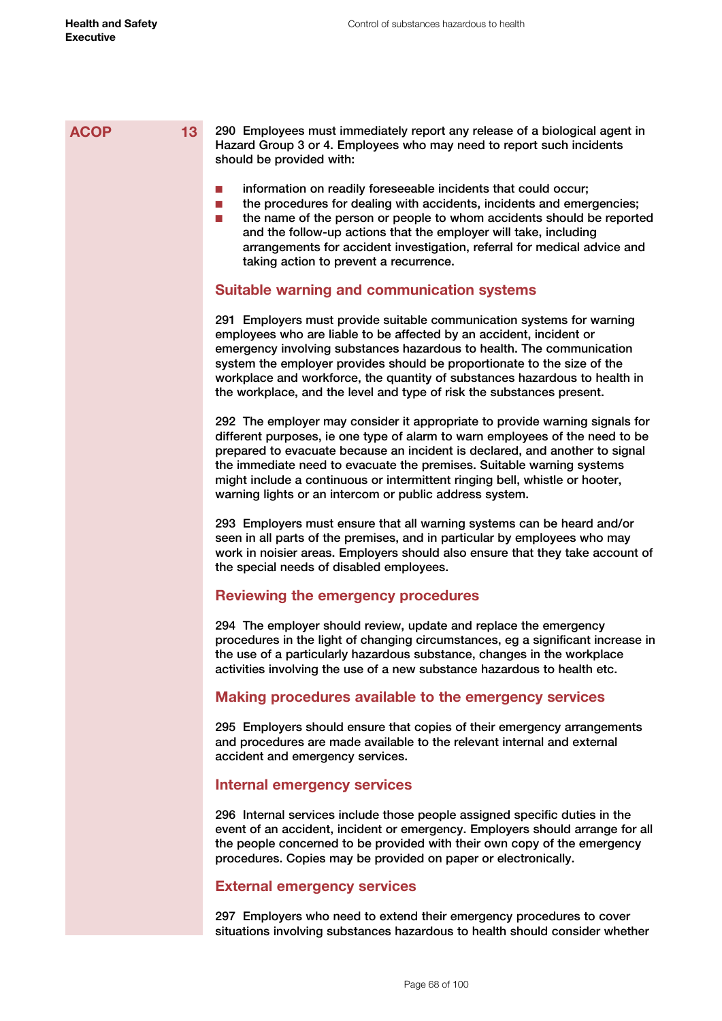290 Employees must immediately report any release of a biological agent in Hazard Group 3 or 4. Employees who may need to report such incidents should be provided with: ■ information on readily foreseeable incidents that could occur; ■ the procedures for dealing with accidents, incidents and emergencies; ■ the name of the person or people to whom accidents should be reported and the follow-up actions that the employer will take, including arrangements for accident investigation, referral for medical advice and taking action to prevent a recurrence. **Suitable warning and communication systems** 291 Employers must provide suitable communication systems for warning employees who are liable to be affected by an accident, incident or emergency involving substances hazardous to health. The communication system the employer provides should be proportionate to the size of the workplace and workforce, the quantity of substances hazardous to health in the workplace, and the level and type of risk the substances present. 292 The employer may consider it appropriate to provide warning signals for different purposes, ie one type of alarm to warn employees of the need to be prepared to evacuate because an incident is declared, and another to signal the immediate need to evacuate the premises. Suitable warning systems might include a continuous or intermittent ringing bell, whistle or hooter, warning lights or an intercom or public address system. 293 Employers must ensure that all warning systems can be heard and/or seen in all parts of the premises, and in particular by employees who may work in noisier areas. Employers should also ensure that they take account of the special needs of disabled employees. **Reviewing the emergency procedures** 294 The employer should review, update and replace the emergency procedures in the light of changing circumstances, eg a significant increase in the use of a particularly hazardous substance, changes in the workplace activities involving the use of a new substance hazardous to health etc. **Making procedures available to the emergency services** 295 Employers should ensure that copies of their emergency arrangements and procedures are made available to the relevant internal and external accident and emergency services. **Internal emergency services** 296 Internal services include those people assigned specific duties in the event of an accident, incident or emergency. Employers should arrange for all the people concerned to be provided with their own copy of the emergency procedures. Copies may be provided on paper or electronically. **External emergency services** 297 Employers who need to extend their emergency procedures to cover situations involving substances hazardous to health should consider whether **ACOP 13**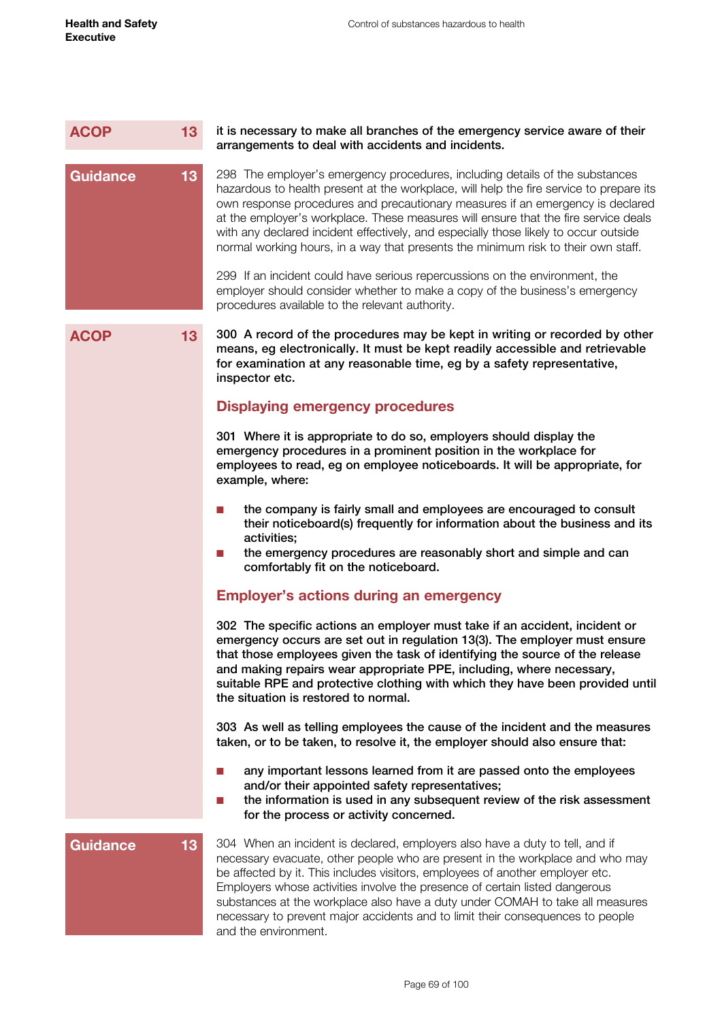| <b>ACOP</b>     | 13 | it is necessary to make all branches of the emergency service aware of their<br>arrangements to deal with accidents and incidents.                                                                                                                                                                                                                                                                                                                                                                                            |
|-----------------|----|-------------------------------------------------------------------------------------------------------------------------------------------------------------------------------------------------------------------------------------------------------------------------------------------------------------------------------------------------------------------------------------------------------------------------------------------------------------------------------------------------------------------------------|
| Guidance        | 13 | 298 The employer's emergency procedures, including details of the substances<br>hazardous to health present at the workplace, will help the fire service to prepare its<br>own response procedures and precautionary measures if an emergency is declared<br>at the employer's workplace. These measures will ensure that the fire service deals<br>with any declared incident effectively, and especially those likely to occur outside<br>normal working hours, in a way that presents the minimum risk to their own staff. |
|                 |    | 299 If an incident could have serious repercussions on the environment, the<br>employer should consider whether to make a copy of the business's emergency<br>procedures available to the relevant authority.                                                                                                                                                                                                                                                                                                                 |
| <b>ACOP</b>     | 13 | 300 A record of the procedures may be kept in writing or recorded by other<br>means, eg electronically. It must be kept readily accessible and retrievable<br>for examination at any reasonable time, eg by a safety representative,<br>inspector etc.                                                                                                                                                                                                                                                                        |
|                 |    | <b>Displaying emergency procedures</b>                                                                                                                                                                                                                                                                                                                                                                                                                                                                                        |
|                 |    | 301 Where it is appropriate to do so, employers should display the<br>emergency procedures in a prominent position in the workplace for<br>employees to read, eg on employee noticeboards. It will be appropriate, for<br>example, where:                                                                                                                                                                                                                                                                                     |
|                 |    | the company is fairly small and employees are encouraged to consult<br>$\sim$<br>their noticeboard(s) frequently for information about the business and its<br>activities;<br>the emergency procedures are reasonably short and simple and can<br><b>The State</b><br>comfortably fit on the noticeboard.                                                                                                                                                                                                                     |
|                 |    | <b>Employer's actions during an emergency</b>                                                                                                                                                                                                                                                                                                                                                                                                                                                                                 |
|                 |    | 302 The specific actions an employer must take if an accident, incident or<br>emergency occurs are set out in regulation 13(3). The employer must ensure<br>that those employees given the task of identifying the source of the release<br>and making repairs wear appropriate PPE, including, where necessary,<br>suitable RPE and protective clothing with which they have been provided until<br>the situation is restored to normal.                                                                                     |
|                 |    | 303 As well as telling employees the cause of the incident and the measures<br>taken, or to be taken, to resolve it, the employer should also ensure that:                                                                                                                                                                                                                                                                                                                                                                    |
|                 |    | any important lessons learned from it are passed onto the employees<br>and/or their appointed safety representatives;<br>the information is used in any subsequent review of the risk assessment<br>ш<br>for the process or activity concerned.                                                                                                                                                                                                                                                                               |
| <b>Guidance</b> | 13 | 304 When an incident is declared, employers also have a duty to tell, and if<br>necessary evacuate, other people who are present in the workplace and who may<br>be affected by it. This includes visitors, employees of another employer etc.<br>Employers whose activities involve the presence of certain listed dangerous<br>substances at the workplace also have a duty under COMAH to take all measures<br>necessary to prevent major accidents and to limit their consequences to people<br>and the environment.      |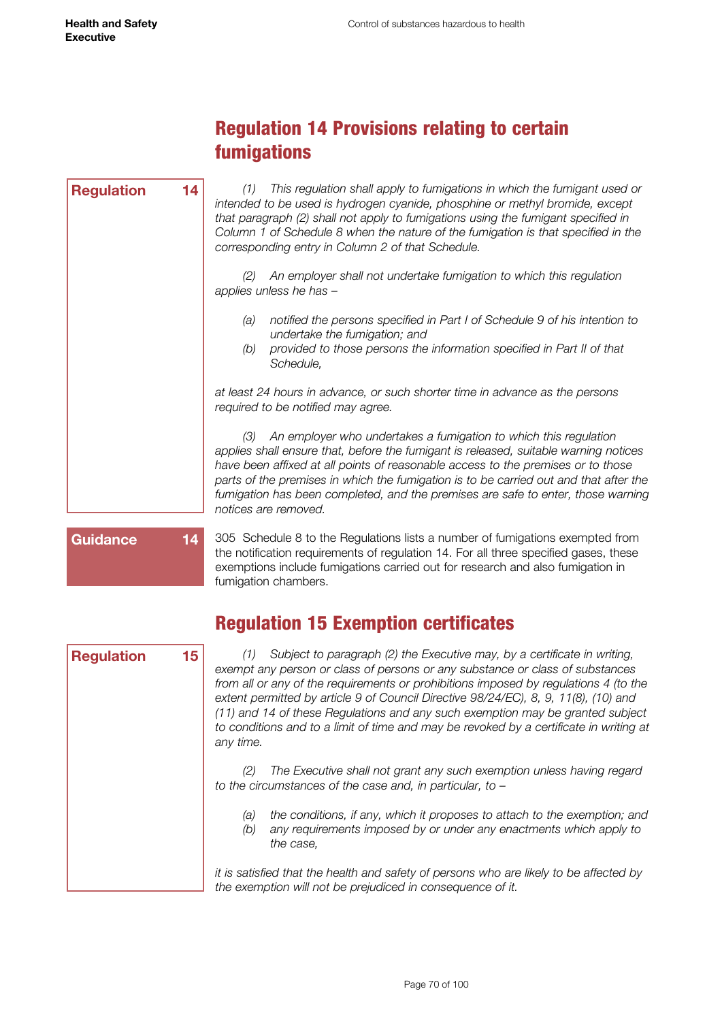### Regulation 14 Provisions relating to certain fumigations

| <b>Regulation</b> | 14 | This regulation shall apply to fumigations in which the fumigant used or<br>(1)<br>intended to be used is hydrogen cyanide, phosphine or methyl bromide, except<br>that paragraph (2) shall not apply to fumigations using the fumigant specified in<br>Column 1 of Schedule 8 when the nature of the fumigation is that specified in the<br>corresponding entry in Column 2 of that Schedule.                                                           |
|-------------------|----|----------------------------------------------------------------------------------------------------------------------------------------------------------------------------------------------------------------------------------------------------------------------------------------------------------------------------------------------------------------------------------------------------------------------------------------------------------|
|                   |    | An employer shall not undertake fumigation to which this regulation<br>applies unless he has -                                                                                                                                                                                                                                                                                                                                                           |
|                   |    | notified the persons specified in Part I of Schedule 9 of his intention to<br>(a)<br>undertake the fumigation; and<br>provided to those persons the information specified in Part II of that<br>(b)<br>Schedule,                                                                                                                                                                                                                                         |
|                   |    | at least 24 hours in advance, or such shorter time in advance as the persons<br>required to be notified may agree.                                                                                                                                                                                                                                                                                                                                       |
|                   |    | An employer who undertakes a fumigation to which this regulation<br>(3)<br>applies shall ensure that, before the fumigant is released, suitable warning notices<br>have been affixed at all points of reasonable access to the premises or to those<br>parts of the premises in which the fumigation is to be carried out and that after the<br>fumigation has been completed, and the premises are safe to enter, those warning<br>notices are removed. |
|                   |    | $\sim$ $\sim$ $\sim$                                                                                                                                                                                                                                                                                                                                                                                                                                     |

305 Schedule 8 to the Regulations lists a number of fumigations exempted from the notification requirements of regulation 14. For all three specified gases, these exemptions include fumigations carried out for research and also fumigation in fumigation chambers.

### Regulation 15 Exemption certificates

| <b>Regulation</b> | 15 | Subject to paragraph (2) the Executive may, by a certificate in writing,<br>exempt any person or class of persons or any substance or class of substances<br>from all or any of the requirements or prohibitions imposed by regulations 4 (to the<br>extent permitted by article 9 of Council Directive 98/24/EC), 8, 9, 11(8), (10) and<br>(11) and 14 of these Regulations and any such exemption may be granted subject<br>to conditions and to a limit of time and may be revoked by a certificate in writing at<br>any time. |
|-------------------|----|-----------------------------------------------------------------------------------------------------------------------------------------------------------------------------------------------------------------------------------------------------------------------------------------------------------------------------------------------------------------------------------------------------------------------------------------------------------------------------------------------------------------------------------|
|                   |    | The Executive shall not grant any such exemption unless having regard<br>to the circumstances of the case and, in particular, to $-$                                                                                                                                                                                                                                                                                                                                                                                              |
|                   |    | the conditions, if any, which it proposes to attach to the exemption; and<br>(a)<br>any requirements imposed by or under any enactments which apply to<br>(b)<br>the case.                                                                                                                                                                                                                                                                                                                                                        |
|                   |    | it is satisfied that the health and safety of persons who are likely to be affected by<br>the exemption will not be prejudiced in consequence of it.                                                                                                                                                                                                                                                                                                                                                                              |

**Guidance 14**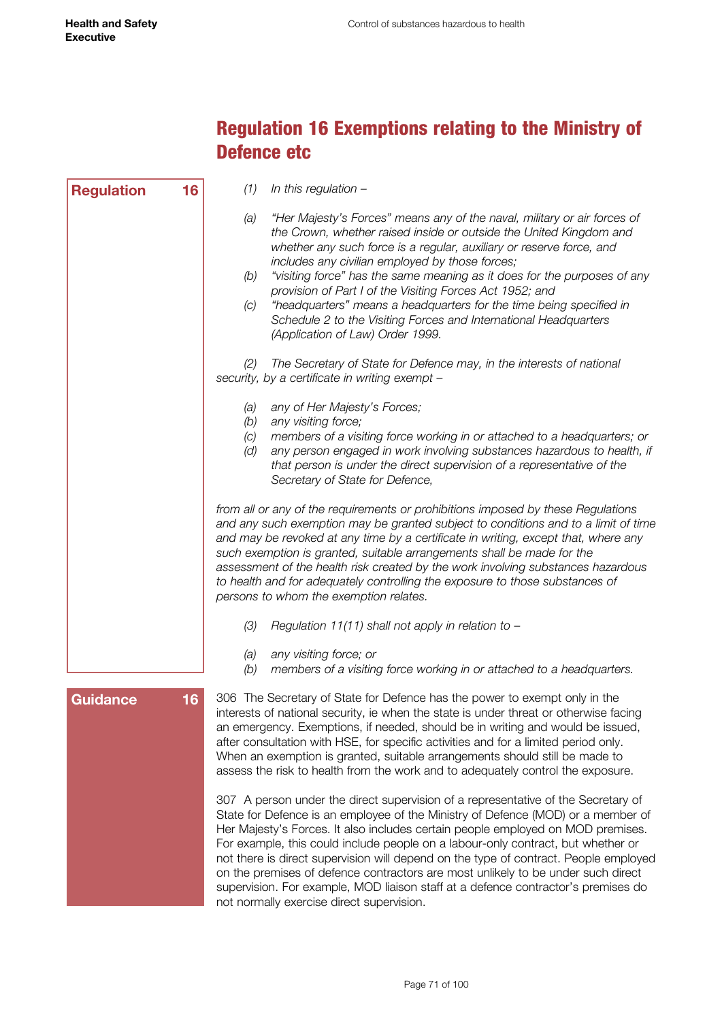### Regulation 16 Exemptions relating to the Ministry of Defence etc

*(1) In this regulation – (a) "Her Majesty's Forces" means any of the naval, military or air forces of the Crown, whether raised inside or outside the United Kingdom and whether any such force is a regular, auxiliary or reserve force, and includes any civilian employed by those forces; (b) "visiting force" has the same meaning as it does for the purposes of any provision of Part I of the Visiting Forces Act 1952; and (c) "headquarters" means a headquarters for the time being specified in Schedule 2 to the Visiting Forces and International Headquarters (Application of Law) Order 1999. (2) The Secretary of State for Defence may, in the interests of national security, by a certificate in writing exempt – (a) any of Her Majesty's Forces; (b) any visiting force; (c) members of a visiting force working in or attached to a headquarters; or (d) any person engaged in work involving substances hazardous to health, if that person is under the direct supervision of a representative of the Secretary of State for Defence, from all or any of the requirements or prohibitions imposed by these Regulations and any such exemption may be granted subject to conditions and to a limit of time and may be revoked at any time by a certificate in writing, except that, where any such exemption is granted, suitable arrangements shall be made for the assessment of the health risk created by the work involving substances hazardous to health and for adequately controlling the exposure to those substances of persons to whom the exemption relates. (3) Regulation 11(11) shall not apply in relation to – (a) any visiting force; or (b) members of a visiting force working in or attached to a headquarters.* 306 The Secretary of State for Defence has the power to exempt only in the interests of national security, ie when the state is under threat or otherwise facing an emergency. Exemptions, if needed, should be in writing and would be issued, after consultation with HSE, for specific activities and for a limited period only. When an exemption is granted, suitable arrangements should still be made to assess the risk to health from the work and to adequately control the exposure. 307 A person under the direct supervision of a representative of the Secretary of State for Defence is an employee of the Ministry of Defence (MOD) or a member of Her Majesty's Forces. It also includes certain people employed on MOD premises. For example, this could include people on a labour-only contract, but whether or not there is direct supervision will depend on the type of contract. People employed on the premises of defence contractors are most unlikely to be under such direct **Regulation 16 Guidance 16**

supervision. For example, MOD liaison staff at a defence contractor's premises do

not normally exercise direct supervision.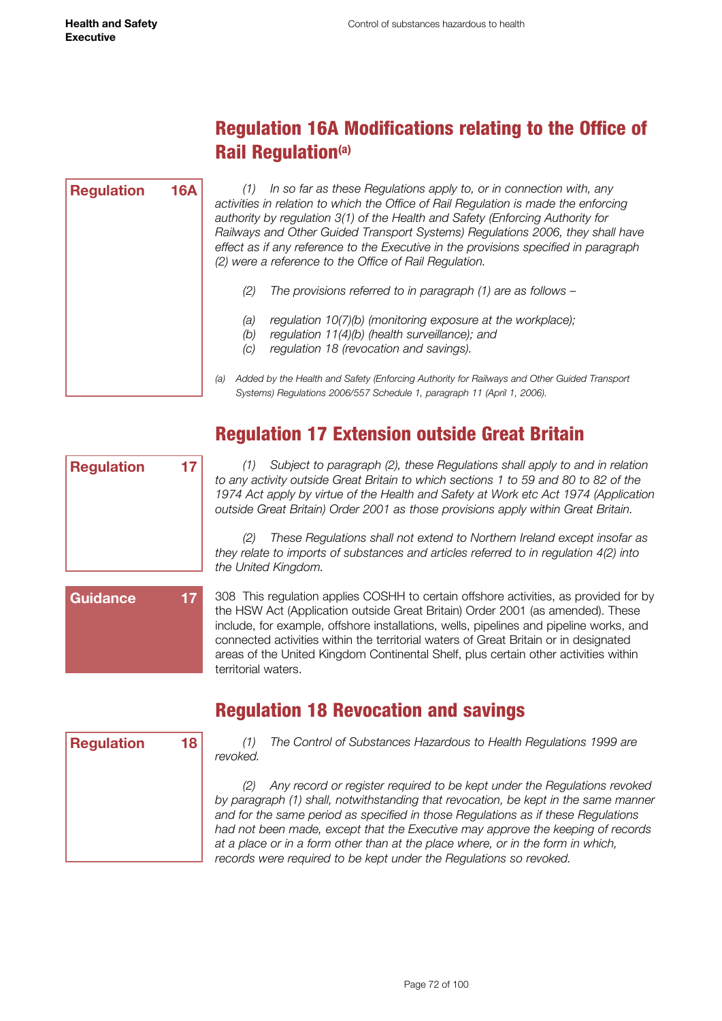### Regulation 16A Modifications relating to the Office of **Rail Requlation(a)**

| <b>Regulation</b> | <b>16A</b> |  |
|-------------------|------------|--|
|                   |            |  |
|                   |            |  |
|                   |            |  |
|                   |            |  |
|                   |            |  |
|                   |            |  |
|                   |            |  |
|                   |            |  |
|                   |            |  |

*(1) In so far as these Regulations apply to, or in connection with, any activities in relation to which the Office of Rail Regulation is made the enforcing authority by regulation 3(1) of the Health and Safety (Enforcing Authority for Railways and Other Guided Transport Systems) Regulations 2006, they shall have effect as if any reference to the Executive in the provisions specified in paragraph (2) were a reference to the Office of Rail Regulation.*

- *(2) The provisions referred to in paragraph (1) are as follows –*
- *(a) regulation 10(7)(b) (monitoring exposure at the workplace);*
- *(b) regulation 11(4)(b) (health surveillance); and*
- *(c) regulation 18 (revocation and savings).*
- *(a) Added by the Health and Safety (Enforcing Authority for Railways and Other Guided Transport Systems) Regulations 2006/557 Schedule 1, paragraph 11 (April 1, 2006).*

# Regulation 17 Extension outside Great Britain

**Regulation 17**

**Guidance 17**

*(1) Subject to paragraph (2), these Regulations shall apply to and in relation to any activity outside Great Britain to which sections 1 to 59 and 80 to 82 of the 1974 Act apply by virtue of the Health and Safety at Work etc Act 1974 (Application outside Great Britain) Order 2001 as those provisions apply within Great Britain.*

*(2) These Regulations shall not extend to Northern Ireland except insofar as they relate to imports of substances and articles referred to in regulation 4(2) into the United Kingdom.*

308 This regulation applies COSHH to certain offshore activities, as provided for by the HSW Act (Application outside Great Britain) Order 2001 (as amended). These include, for example, offshore installations, wells, pipelines and pipeline works, and connected activities within the territorial waters of Great Britain or in designated areas of the United Kingdom Continental Shelf, plus certain other activities within territorial waters.

### Regulation 18 Revocation and savings



*(1) The Control of Substances Hazardous to Health Regulations 1999 are revoked.*

*(2) Any record or register required to be kept under the Regulations revoked by paragraph (1) shall, notwithstanding that revocation, be kept in the same manner and for the same period as specified in those Regulations as if these Regulations had not been made, except that the Executive may approve the keeping of records at a place or in a form other than at the place where, or in the form in which, records were required to be kept under the Regulations so revoked.*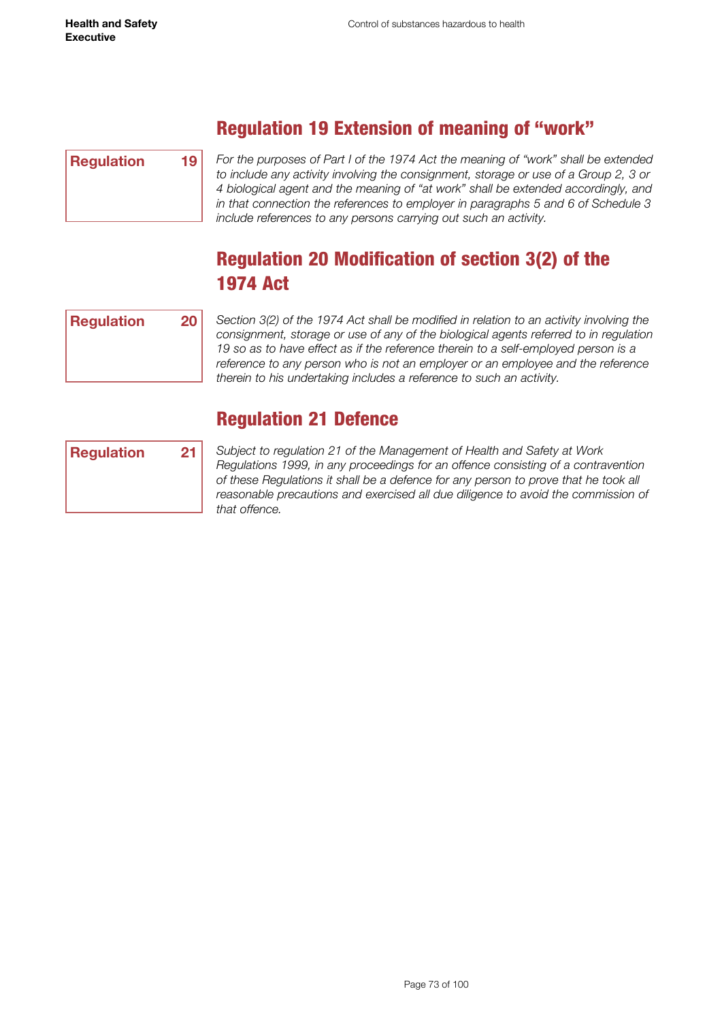**Regulation 19**

Regulation 19 Extension of meaning of "work"

*For the purposes of Part I of the 1974 Act the meaning of "work" shall be extended to include any activity involving the consignment, storage or use of a Group 2, 3 or 4 biological agent and the meaning of "at work" shall be extended accordingly, and in that connection the references to employer in paragraphs 5 and 6 of Schedule 3 include references to any persons carrying out such an activity.*

### Regulation 20 Modification of section 3(2) of the 1974 Act

| <b>Regulation</b> | 20 |
|-------------------|----|
|                   |    |
|                   |    |

*Section 3(2) of the 1974 Act shall be modified in relation to an activity involving the consignment, storage or use of any of the biological agents referred to in regulation 19 so as to have effect as if the reference therein to a self-employed person is a reference to any person who is not an employer or an employee and the reference therein to his undertaking includes a reference to such an activity.*

#### Regulation 21 Defence

| <b>Regulation</b> | 21 |
|-------------------|----|
|                   |    |
|                   |    |

*Subject to regulation 21 of the Management of Health and Safety at Work Regulations 1999, in any proceedings for an offence consisting of a contravention of these Regulations it shall be a defence for any person to prove that he took all reasonable precautions and exercised all due diligence to avoid the commission of that offence.*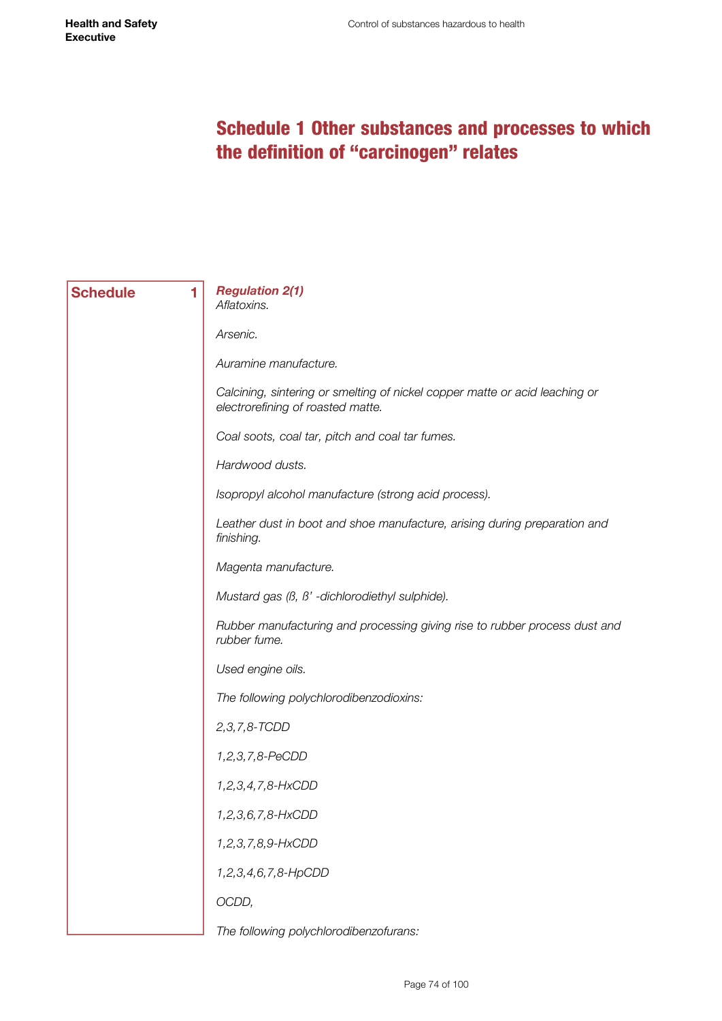## Schedule 1 Other substances and processes to which the definition of "carcinogen" relates

| 1<br><b>Schedule</b> | <b>Regulation 2(1)</b><br>Aflatoxins.                                                                            |
|----------------------|------------------------------------------------------------------------------------------------------------------|
|                      | Arsenic.                                                                                                         |
|                      | Auramine manufacture.                                                                                            |
|                      | Calcining, sintering or smelting of nickel copper matte or acid leaching or<br>electrorefining of roasted matte. |
|                      | Coal soots, coal tar, pitch and coal tar fumes.                                                                  |
|                      | Hardwood dusts.                                                                                                  |
|                      | Isopropyl alcohol manufacture (strong acid process).                                                             |
|                      | Leather dust in boot and shoe manufacture, arising during preparation and<br>finishing.                          |
|                      | Magenta manufacture.                                                                                             |
|                      | Mustard gas (B, B' -dichlorodiethyl sulphide).                                                                   |
|                      | Rubber manufacturing and processing giving rise to rubber process dust and<br>rubber fume.                       |
|                      | Used engine oils.                                                                                                |
|                      | The following polychlorodibenzodioxins:                                                                          |
|                      | 2, 3, 7, 8-TCDD                                                                                                  |
|                      | 1,2,3,7,8-PeCDD                                                                                                  |
|                      | 1, 2, 3, 4, 7, 8-HxCDD                                                                                           |
|                      | 1,2,3,6,7,8-HxCDD                                                                                                |
|                      | 1,2,3,7,8,9-HxCDD                                                                                                |
|                      | 1,2,3,4,6,7,8-HpCDD                                                                                              |
|                      | OCDD,                                                                                                            |
|                      | The following polychlorodibenzofurans:                                                                           |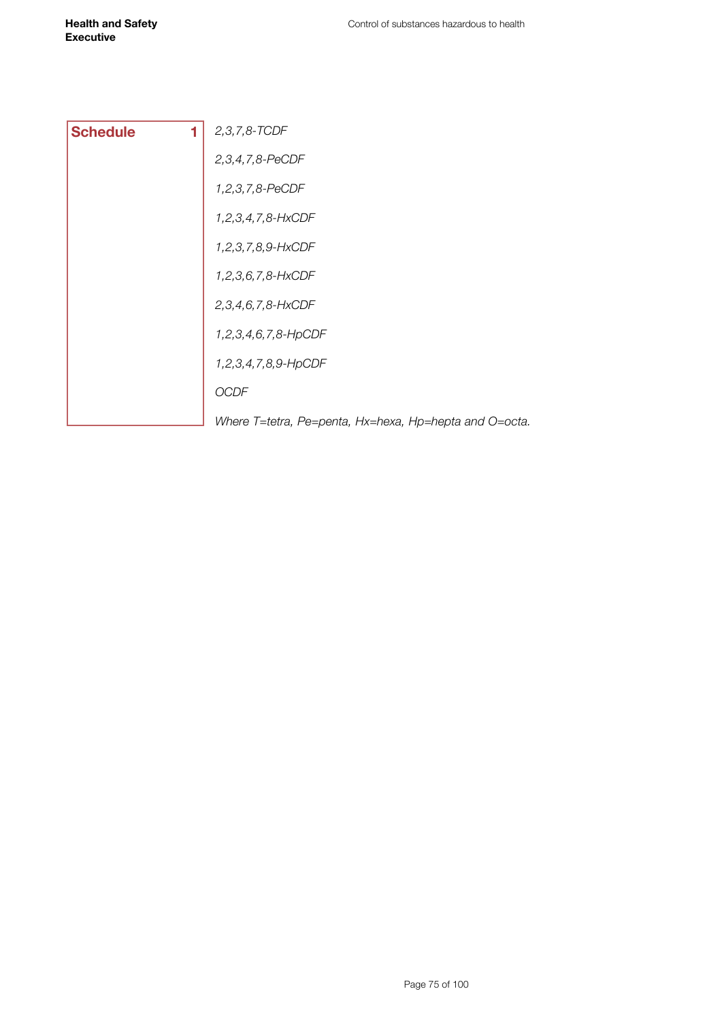| <b>Schedule</b> | 2, 3, 7, 8-TCDF                                        |
|-----------------|--------------------------------------------------------|
|                 | 2, 3, 4, 7, 8-PeCDF                                    |
|                 | 1,2,3,7,8-PeCDF                                        |
|                 | 1, 2, 3, 4, 7, 8-HxCDF                                 |
|                 | 1,2,3,7,8,9-HxCDF                                      |
|                 | 1,2,3,6,7,8-HxCDF                                      |
|                 | 2, 3, 4, 6, 7, 8-HxCDF                                 |
|                 | 1, 2, 3, 4, 6, 7, 8-HpCDF                              |
|                 | 1, 2, 3, 4, 7, 8, 9-HpCDF                              |
|                 | <b>OCDF</b>                                            |
|                 | Where T=tetra, Pe=penta, Hx=hexa, Hp=hepta and O=octa. |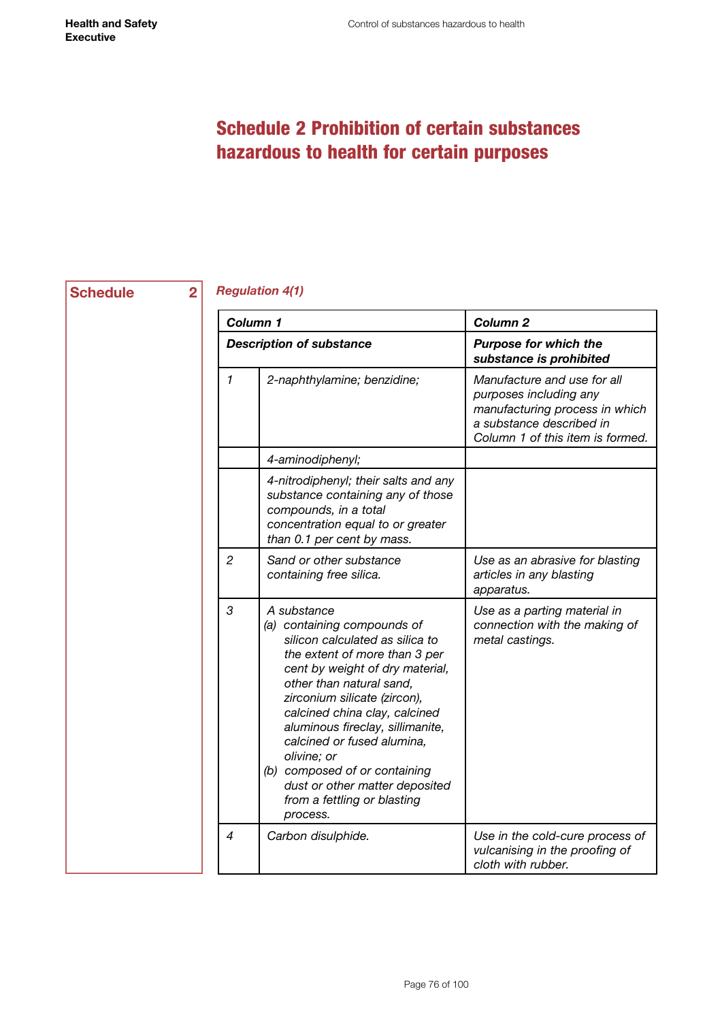**Schedule 2**

### Schedule 2 Prohibition of certain substances hazardous to health for certain purposes

#### *Regulation 4(1)*

|                                 | Column 1                                                                                                                                                                                                                                                                                                                                                                                                                                      | Column <sub>2</sub>                                                                                                                                     |  |
|---------------------------------|-----------------------------------------------------------------------------------------------------------------------------------------------------------------------------------------------------------------------------------------------------------------------------------------------------------------------------------------------------------------------------------------------------------------------------------------------|---------------------------------------------------------------------------------------------------------------------------------------------------------|--|
| <b>Description of substance</b> |                                                                                                                                                                                                                                                                                                                                                                                                                                               | <b>Purpose for which the</b><br>substance is prohibited                                                                                                 |  |
| $\mathbf{1}$                    | 2-naphthylamine; benzidine;                                                                                                                                                                                                                                                                                                                                                                                                                   | Manufacture and use for all<br>purposes including any<br>manufacturing process in which<br>a substance described in<br>Column 1 of this item is formed. |  |
|                                 | 4-aminodiphenyl;                                                                                                                                                                                                                                                                                                                                                                                                                              |                                                                                                                                                         |  |
|                                 | 4-nitrodiphenyl; their salts and any<br>substance containing any of those<br>compounds, in a total<br>concentration equal to or greater<br>than 0.1 per cent by mass.                                                                                                                                                                                                                                                                         |                                                                                                                                                         |  |
| $\mathcal{P}$                   | Sand or other substance<br>containing free silica.                                                                                                                                                                                                                                                                                                                                                                                            | Use as an abrasive for blasting<br>articles in any blasting<br>apparatus.                                                                               |  |
| 3                               | A substance<br>(a) containing compounds of<br>silicon calculated as silica to<br>the extent of more than 3 per<br>cent by weight of dry material,<br>other than natural sand,<br>zirconium silicate (zircon),<br>calcined china clay, calcined<br>aluminous fireclay, sillimanite,<br>calcined or fused alumina.<br>olivine; or<br>(b) composed of or containing<br>dust or other matter deposited<br>from a fettling or blasting<br>process. | Use as a parting material in<br>connection with the making of<br>metal castings.                                                                        |  |
| 4                               | Carbon disulphide.                                                                                                                                                                                                                                                                                                                                                                                                                            | Use in the cold-cure process of<br>vulcanising in the proofing of<br>cloth with rubber.                                                                 |  |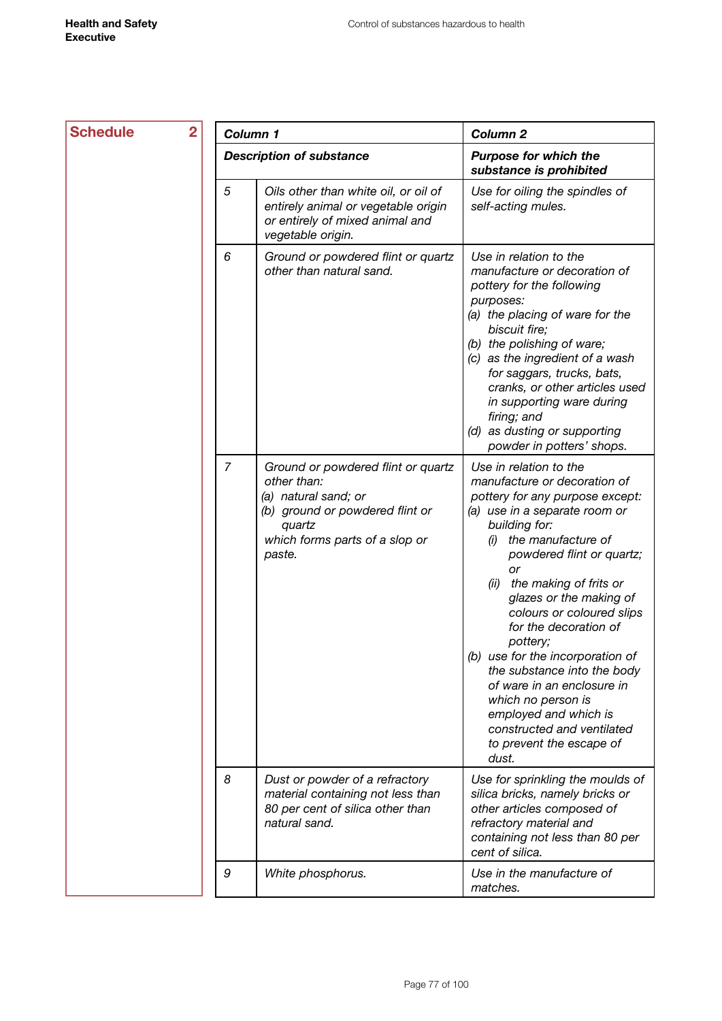| <b>Schedule</b><br>$\overline{2}$ | Column 1       |                                                                                                                                                                    | Column <sub>2</sub>                                                                                                                                                                                                                                                                                                                                                                                                                                                                                                                                           |
|-----------------------------------|----------------|--------------------------------------------------------------------------------------------------------------------------------------------------------------------|---------------------------------------------------------------------------------------------------------------------------------------------------------------------------------------------------------------------------------------------------------------------------------------------------------------------------------------------------------------------------------------------------------------------------------------------------------------------------------------------------------------------------------------------------------------|
|                                   |                | <b>Description of substance</b>                                                                                                                                    | <b>Purpose for which the</b><br>substance is prohibited                                                                                                                                                                                                                                                                                                                                                                                                                                                                                                       |
|                                   | 5              | Oils other than white oil, or oil of<br>entirely animal or vegetable origin<br>or entirely of mixed animal and<br>vegetable origin.                                | Use for oiling the spindles of<br>self-acting mules.                                                                                                                                                                                                                                                                                                                                                                                                                                                                                                          |
|                                   | 6              | Ground or powdered flint or quartz<br>other than natural sand.                                                                                                     | Use in relation to the<br>manufacture or decoration of<br>pottery for the following<br>purposes:<br>(a) the placing of ware for the<br>biscuit fire;<br>(b) the polishing of ware;<br>(c) as the ingredient of a wash<br>for saggars, trucks, bats,<br>cranks, or other articles used<br>in supporting ware during<br>firing; and<br>(d) as dusting or supporting<br>powder in potters' shops.                                                                                                                                                                |
|                                   | $\overline{7}$ | Ground or powdered flint or quartz<br>other than:<br>(a) natural sand; or<br>(b) ground or powdered flint or<br>quartz<br>which forms parts of a slop or<br>paste. | Use in relation to the<br>manufacture or decoration of<br>pottery for any purpose except:<br>(a) use in a separate room or<br>building for:<br>the manufacture of<br>(i)<br>powdered flint or quartz;<br>or<br>the making of frits or<br>(ii)<br>glazes or the making of<br>colours or coloured slips<br>for the decoration of<br>pottery;<br>(b) use for the incorporation of<br>the substance into the body<br>of ware in an enclosure in<br>which no person is<br>employed and which is<br>constructed and ventilated<br>to prevent the escape of<br>dust. |
|                                   | 8              | Dust or powder of a refractory<br>material containing not less than<br>80 per cent of silica other than<br>natural sand.                                           | Use for sprinkling the moulds of<br>silica bricks, namely bricks or<br>other articles composed of<br>refractory material and<br>containing not less than 80 per<br>cent of silica.                                                                                                                                                                                                                                                                                                                                                                            |
|                                   | 9              | White phosphorus.                                                                                                                                                  | Use in the manufacture of<br>matches.                                                                                                                                                                                                                                                                                                                                                                                                                                                                                                                         |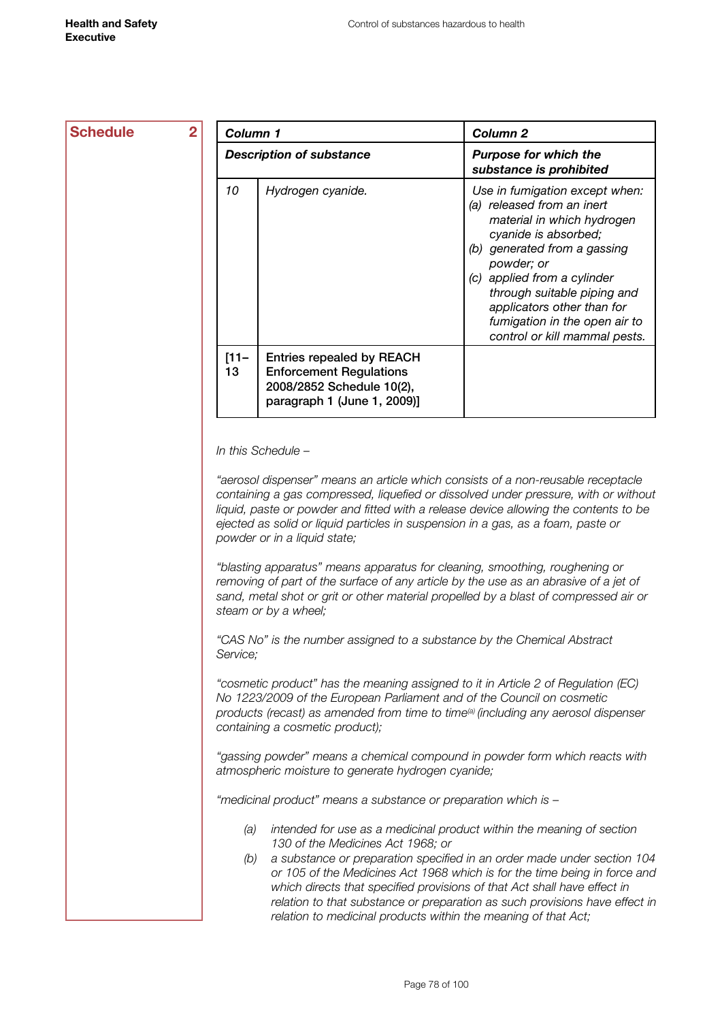| <b>Schedule</b><br>$\overline{2}$ |  | Column 1               |                                                                                                                                                                                                                                                                                                                                                                                                                                                                                                                                                                                                                                                                                                                                                                                                                                                                                                                                                                                                                                                                                                                                                                                                                                                                                                                                                                                                                                                                                                                                                     | Column <sub>2</sub>                                                                                                                                                                                                                                                                                                            |
|-----------------------------------|--|------------------------|-----------------------------------------------------------------------------------------------------------------------------------------------------------------------------------------------------------------------------------------------------------------------------------------------------------------------------------------------------------------------------------------------------------------------------------------------------------------------------------------------------------------------------------------------------------------------------------------------------------------------------------------------------------------------------------------------------------------------------------------------------------------------------------------------------------------------------------------------------------------------------------------------------------------------------------------------------------------------------------------------------------------------------------------------------------------------------------------------------------------------------------------------------------------------------------------------------------------------------------------------------------------------------------------------------------------------------------------------------------------------------------------------------------------------------------------------------------------------------------------------------------------------------------------------------|--------------------------------------------------------------------------------------------------------------------------------------------------------------------------------------------------------------------------------------------------------------------------------------------------------------------------------|
|                                   |  |                        | <b>Description of substance</b>                                                                                                                                                                                                                                                                                                                                                                                                                                                                                                                                                                                                                                                                                                                                                                                                                                                                                                                                                                                                                                                                                                                                                                                                                                                                                                                                                                                                                                                                                                                     | <b>Purpose for which the</b><br>substance is prohibited                                                                                                                                                                                                                                                                        |
|                                   |  | 10                     | Hydrogen cyanide.                                                                                                                                                                                                                                                                                                                                                                                                                                                                                                                                                                                                                                                                                                                                                                                                                                                                                                                                                                                                                                                                                                                                                                                                                                                                                                                                                                                                                                                                                                                                   | Use in fumigation except when:<br>(a) released from an inert<br>material in which hydrogen<br>cyanide is absorbed;<br>(b) generated from a gassing<br>powder; or<br>(c) applied from a cylinder<br>through suitable piping and<br>applicators other than for<br>fumigation in the open air to<br>control or kill mammal pests. |
|                                   |  | $[11 -$<br>13          | <b>Entries repealed by REACH</b><br><b>Enforcement Regulations</b><br>2008/2852 Schedule 10(2),<br>paragraph 1 (June 1, 2009)]                                                                                                                                                                                                                                                                                                                                                                                                                                                                                                                                                                                                                                                                                                                                                                                                                                                                                                                                                                                                                                                                                                                                                                                                                                                                                                                                                                                                                      |                                                                                                                                                                                                                                                                                                                                |
|                                   |  | Service;<br>(a)<br>(b) | In this Schedule -<br>"aerosol dispenser" means an article which consists of a non-reusable receptacle<br>containing a gas compressed, liquefied or dissolved under pressure, with or without<br>liquid, paste or powder and fitted with a release device allowing the contents to be<br>ejected as solid or liquid particles in suspension in a gas, as a foam, paste or<br>powder or in a liquid state;<br>"blasting apparatus" means apparatus for cleaning, smoothing, roughening or<br>removing of part of the surface of any article by the use as an abrasive of a jet of<br>sand, metal shot or grit or other material propelled by a blast of compressed air or<br>steam or by a wheel;<br>"CAS No" is the number assigned to a substance by the Chemical Abstract<br>"cosmetic product" has the meaning assigned to it in Article 2 of Regulation (EC)<br>No 1223/2009 of the European Parliament and of the Council on cosmetic<br>products (recast) as amended from time to time <sup>(a)</sup> (including any aerosol dispenser<br>containing a cosmetic product);<br>"gassing powder" means a chemical compound in powder form which reacts with<br>atmospheric moisture to generate hydrogen cyanide;<br>"medicinal product" means a substance or preparation which is -<br>intended for use as a medicinal product within the meaning of section<br>130 of the Medicines Act 1968; or<br>which directs that specified provisions of that Act shall have effect in<br>relation to medicinal products within the meaning of that Act; | a substance or preparation specified in an order made under section 104<br>or 105 of the Medicines Act 1968 which is for the time being in force and<br>relation to that substance or preparation as such provisions have effect in                                                                                            |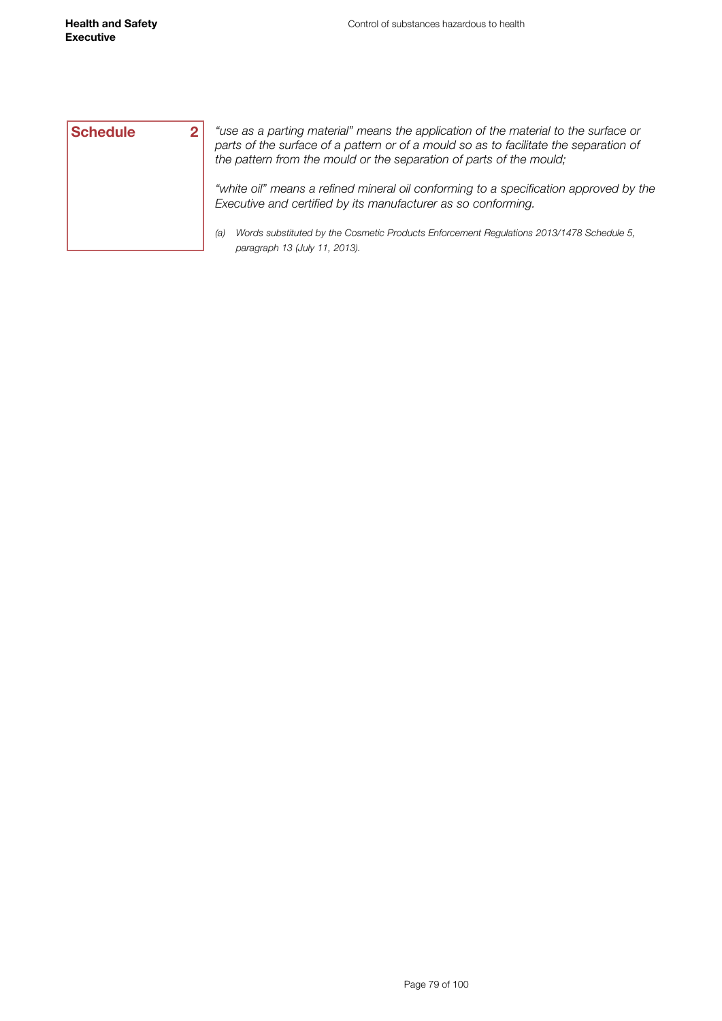| <b>Schedule</b> | "use as a parting material" means the application of the material to the surface or<br>parts of the surface of a pattern or of a mould so as to facilitate the separation of<br>the pattern from the mould or the separation of parts of the mould; |
|-----------------|-----------------------------------------------------------------------------------------------------------------------------------------------------------------------------------------------------------------------------------------------------|
|                 | "white oil" means a refined mineral oil conforming to a specification approved by the<br>Executive and certified by its manufacturer as so conforming.                                                                                              |
|                 | Words substituted by the Cosmetic Products Enforcement Regulations 2013/1478 Schedule 5,<br>(a)<br>paragraph 13 (July 11, 2013).                                                                                                                    |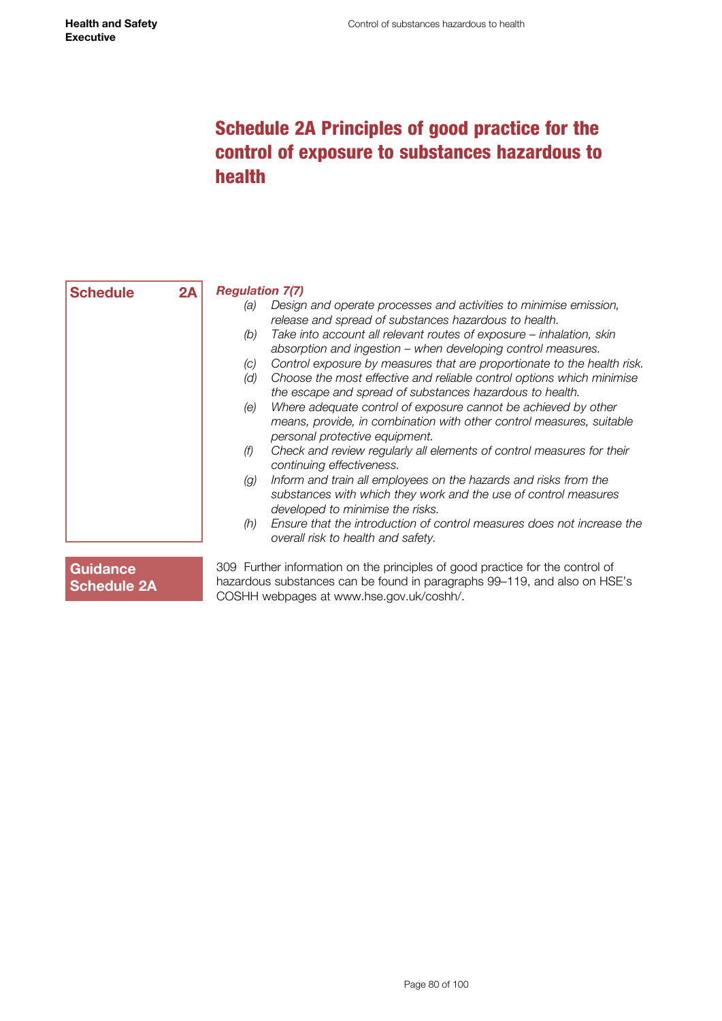### Schedule 2A Principles of good practice for the control of exposure to substances hazardous to health

| <b>Schedule</b> | 2A | <b>Regulation 7(7)</b>                                                                                                                                                                                                                                                                                                                                                                                                                                                                                                                                                                  |
|-----------------|----|-----------------------------------------------------------------------------------------------------------------------------------------------------------------------------------------------------------------------------------------------------------------------------------------------------------------------------------------------------------------------------------------------------------------------------------------------------------------------------------------------------------------------------------------------------------------------------------------|
|                 |    | Design and operate processes and activities to minimise emission,<br>(a)<br>release and spread of substances hazardous to health.<br>Take into account all relevant routes of exposure – inhalation, skin<br>(b)<br>absorption and ingestion – when developing control measures.<br>Control exposure by measures that are proportionate to the health risk.<br>(C)<br>Choose the most effective and reliable control options which minimise<br>(d)<br>the escape and spread of substances hazardous to health.<br>Where adequate control of exposure cannot be achieved by other<br>(e) |
|                 |    | means, provide, in combination with other control measures, suitable<br>personal protective equipment.<br>Check and review regularly all elements of control measures for their<br>(f)<br>continuing effectiveness.                                                                                                                                                                                                                                                                                                                                                                     |
|                 |    | Inform and train all employees on the hazards and risks from the<br>(g)<br>substances with which they work and the use of control measures<br>developed to minimise the risks.                                                                                                                                                                                                                                                                                                                                                                                                          |
|                 |    | Ensure that the introduction of control measures does not increase the<br>(h)<br>overall risk to health and safety.                                                                                                                                                                                                                                                                                                                                                                                                                                                                     |
| <b>Guidance</b> |    | 309 Further information on the principles of good practice for the control of                                                                                                                                                                                                                                                                                                                                                                                                                                                                                                           |

**Schedule 2A**

hazardous substances can be found in paragraphs 99–119, and also on HSE's COSHH webpages at www.hse.gov.uk/coshh/.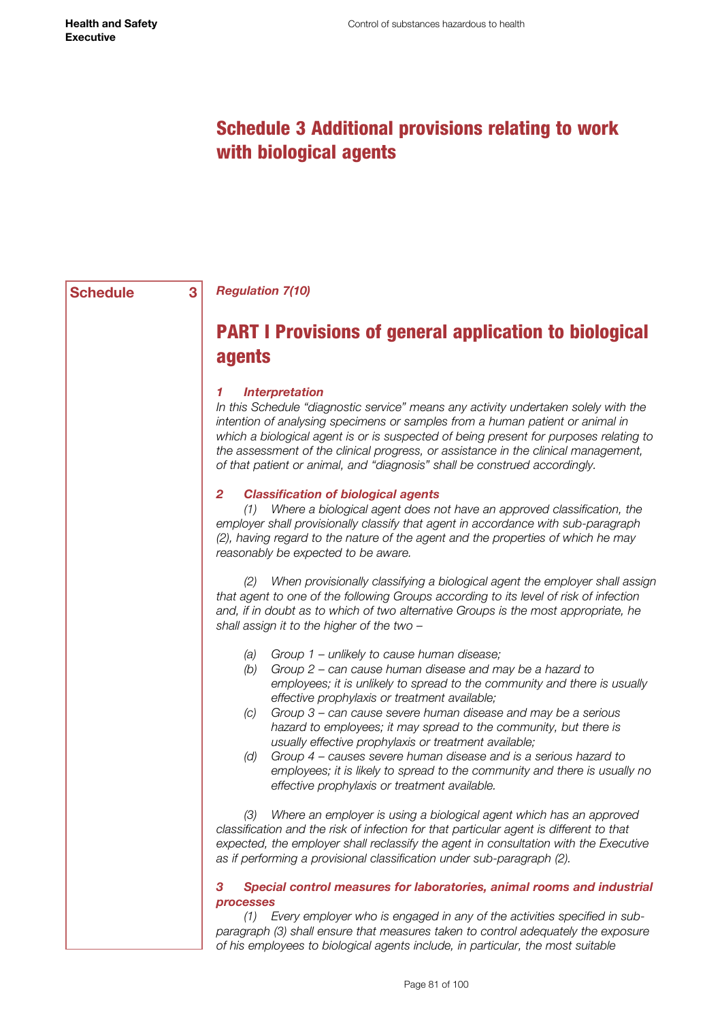## Schedule 3 Additional provisions relating to work with biological agents

| <b>Schedule</b><br>3 | <b>Regulation 7(10)</b>                                                                                                                                                                                                                                                                                                                                                                                                                                                                                                                                                                                               |
|----------------------|-----------------------------------------------------------------------------------------------------------------------------------------------------------------------------------------------------------------------------------------------------------------------------------------------------------------------------------------------------------------------------------------------------------------------------------------------------------------------------------------------------------------------------------------------------------------------------------------------------------------------|
|                      | <b>PART I Provisions of general application to biological</b>                                                                                                                                                                                                                                                                                                                                                                                                                                                                                                                                                         |
|                      | agents                                                                                                                                                                                                                                                                                                                                                                                                                                                                                                                                                                                                                |
|                      | <b>Interpretation</b><br>1<br>In this Schedule "diagnostic service" means any activity undertaken solely with the<br>intention of analysing specimens or samples from a human patient or animal in<br>which a biological agent is or is suspected of being present for purposes relating to<br>the assessment of the clinical progress, or assistance in the clinical management,<br>of that patient or animal, and "diagnosis" shall be construed accordingly.                                                                                                                                                       |
|                      | <b>Classification of biological agents</b><br>2<br>Where a biological agent does not have an approved classification, the<br>(1)<br>employer shall provisionally classify that agent in accordance with sub-paragraph<br>(2), having regard to the nature of the agent and the properties of which he may<br>reasonably be expected to be aware.                                                                                                                                                                                                                                                                      |
|                      | (2) When provisionally classifying a biological agent the employer shall assign<br>that agent to one of the following Groups according to its level of risk of infection<br>and, if in doubt as to which of two alternative Groups is the most appropriate, he<br>shall assign it to the higher of the two $-$                                                                                                                                                                                                                                                                                                        |
|                      | Group 1 – unlikely to cause human disease;<br>(a)<br>Group $2$ – can cause human disease and may be a hazard to<br>(b)<br>employees; it is unlikely to spread to the community and there is usually<br>effective prophylaxis or treatment available;<br>Group $3$ – can cause severe human disease and may be a serious<br>(C)<br>hazard to employees; it may spread to the community, but there is<br>usually effective prophylaxis or treatment available;<br>Group 4 – causes severe human disease and is a serious hazard to<br>(d)<br>employees; it is likely to spread to the community and there is usually no |
|                      | effective prophylaxis or treatment available.<br>(3)<br>Where an employer is using a biological agent which has an approved<br>classification and the risk of infection for that particular agent is different to that<br>expected, the employer shall reclassify the agent in consultation with the Executive<br>as if performing a provisional classification under sub-paragraph (2).                                                                                                                                                                                                                              |
|                      | Special control measures for laboratories, animal rooms and industrial<br>3<br><b>processes</b><br>Every employer who is engaged in any of the activities specified in sub-<br>(1)<br>paragraph (3) shall ensure that measures taken to control adequately the exposure                                                                                                                                                                                                                                                                                                                                               |

*of his employees to biological agents include, in particular, the most suitable*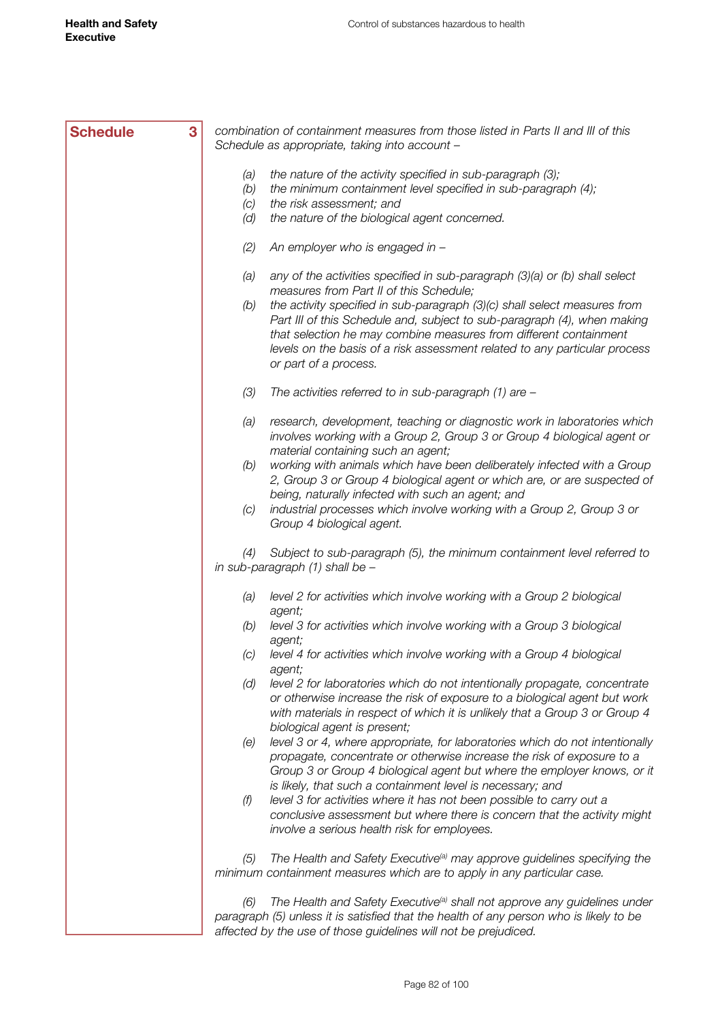| 3<br><b>Schedule</b> | combination of containment measures from those listed in Parts II and III of this                                                                                                                |
|----------------------|--------------------------------------------------------------------------------------------------------------------------------------------------------------------------------------------------|
|                      | Schedule as appropriate, taking into account -                                                                                                                                                   |
|                      | the nature of the activity specified in sub-paragraph (3);<br>(a)<br>the minimum containment level specified in sub-paragraph (4);<br>(b)                                                        |
|                      | the risk assessment; and<br>(C)                                                                                                                                                                  |
|                      | the nature of the biological agent concerned.<br>(d)                                                                                                                                             |
|                      |                                                                                                                                                                                                  |
|                      | (2)<br>An employer who is engaged in -                                                                                                                                                           |
|                      | (a)<br>any of the activities specified in sub-paragraph (3)(a) or (b) shall select<br>measures from Part II of this Schedule;                                                                    |
|                      | (b)<br>the activity specified in sub-paragraph (3)(c) shall select measures from                                                                                                                 |
|                      | Part III of this Schedule and, subject to sub-paragraph (4), when making                                                                                                                         |
|                      | that selection he may combine measures from different containment                                                                                                                                |
|                      | levels on the basis of a risk assessment related to any particular process<br>or part of a process.                                                                                              |
|                      | (3)<br>The activities referred to in sub-paragraph $(1)$ are $-$                                                                                                                                 |
|                      | research, development, teaching or diagnostic work in laboratories which<br>(a)<br>involves working with a Group 2, Group 3 or Group 4 biological agent or<br>material containing such an agent; |
|                      | (b)<br>working with animals which have been deliberately infected with a Group<br>2, Group 3 or Group 4 biological agent or which are, or are suspected of                                       |
|                      | being, naturally infected with such an agent; and                                                                                                                                                |
|                      | industrial processes which involve working with a Group 2, Group 3 or<br>(C)                                                                                                                     |
|                      | Group 4 biological agent.                                                                                                                                                                        |
|                      | Subject to sub-paragraph (5), the minimum containment level referred to<br>(4)<br>in sub-paragraph $(1)$ shall be -                                                                              |
|                      |                                                                                                                                                                                                  |
|                      | level 2 for activities which involve working with a Group 2 biological<br>(a)<br>agent;                                                                                                          |
|                      | level 3 for activities which involve working with a Group 3 biological<br>(b)<br>agent;                                                                                                          |
|                      | level 4 for activities which involve working with a Group 4 biological<br>(C)<br>agent;                                                                                                          |
|                      | (d)<br>level 2 for laboratories which do not intentionally propagate, concentrate                                                                                                                |
|                      | or otherwise increase the risk of exposure to a biological agent but work                                                                                                                        |
|                      | with materials in respect of which it is unlikely that a Group 3 or Group 4                                                                                                                      |
|                      | biological agent is present;                                                                                                                                                                     |
|                      | level 3 or 4, where appropriate, for laboratories which do not intentionally<br>(e)<br>propagate, concentrate or otherwise increase the risk of exposure to a                                    |
|                      | Group 3 or Group 4 biological agent but where the employer knows, or it                                                                                                                          |
|                      | is likely, that such a containment level is necessary; and                                                                                                                                       |
|                      | level 3 for activities where it has not been possible to carry out a<br>(f)                                                                                                                      |
|                      | conclusive assessment but where there is concern that the activity might                                                                                                                         |
|                      | involve a serious health risk for employees.                                                                                                                                                     |
|                      | (5)<br>The Health and Safety Executive <sup>(a)</sup> may approve guidelines specifying the                                                                                                      |
|                      | minimum containment measures which are to apply in any particular case.                                                                                                                          |
|                      | The Health and Safety Executive <sup>(a)</sup> shall not approve any guidelines under<br>(6)                                                                                                     |
|                      | paragraph (5) unless it is satisfied that the health of any person who is likely to be<br>affected by the use of those guidelines will not be prejudiced.                                        |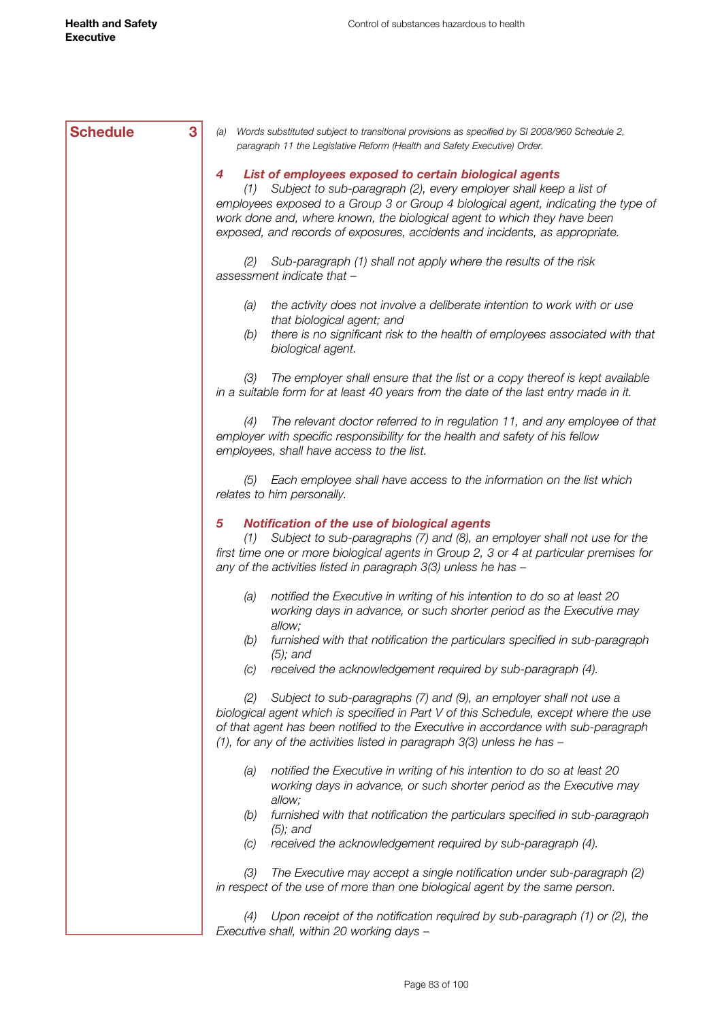| <b>Schedule</b><br>3 | (a) Words substituted subject to transitional provisions as specified by SI 2008/960 Schedule 2,<br>paragraph 11 the Legislative Reform (Health and Safety Executive) Order.                                                                                                                                                                                                             |
|----------------------|------------------------------------------------------------------------------------------------------------------------------------------------------------------------------------------------------------------------------------------------------------------------------------------------------------------------------------------------------------------------------------------|
|                      | List of employees exposed to certain biological agents<br>4<br>Subject to sub-paragraph (2), every employer shall keep a list of<br>(1)<br>employees exposed to a Group 3 or Group 4 biological agent, indicating the type of<br>work done and, where known, the biological agent to which they have been<br>exposed, and records of exposures, accidents and incidents, as appropriate. |
|                      | Sub-paragraph (1) shall not apply where the results of the risk<br>(2)<br>assessment indicate that -                                                                                                                                                                                                                                                                                     |
|                      | the activity does not involve a deliberate intention to work with or use<br>(a)<br>that biological agent; and<br>there is no significant risk to the health of employees associated with that<br>(b)<br>biological agent.                                                                                                                                                                |
|                      | The employer shall ensure that the list or a copy thereof is kept available<br>(3)<br>in a suitable form for at least 40 years from the date of the last entry made in it.                                                                                                                                                                                                               |
|                      | The relevant doctor referred to in regulation 11, and any employee of that<br>(4)<br>employer with specific responsibility for the health and safety of his fellow<br>employees, shall have access to the list.                                                                                                                                                                          |
|                      | (5) Each employee shall have access to the information on the list which<br>relates to him personally.                                                                                                                                                                                                                                                                                   |
|                      | 5<br><b>Notification of the use of biological agents</b><br>Subject to sub-paragraphs (7) and (8), an employer shall not use for the<br>(1)<br>first time one or more biological agents in Group 2, 3 or 4 at particular premises for<br>any of the activities listed in paragraph $3(3)$ unless he has $-$                                                                              |
|                      | notified the Executive in writing of his intention to do so at least 20<br>(a)<br>working days in advance, or such shorter period as the Executive may<br>allow;                                                                                                                                                                                                                         |
|                      | furnished with that notification the particulars specified in sub-paragraph<br>(b)<br>$(5)$ ; and<br>received the acknowledgement required by sub-paragraph (4).<br>(C)                                                                                                                                                                                                                  |
|                      |                                                                                                                                                                                                                                                                                                                                                                                          |
|                      | Subject to sub-paragraphs (7) and (9), an employer shall not use a<br>(2)<br>biological agent which is specified in Part V of this Schedule, except where the use<br>of that agent has been notified to the Executive in accordance with sub-paragraph<br>(1), for any of the activities listed in paragraph $3(3)$ unless he has $-$                                                    |
|                      | notified the Executive in writing of his intention to do so at least 20<br>(a)<br>working days in advance, or such shorter period as the Executive may<br>allow;                                                                                                                                                                                                                         |
|                      | furnished with that notification the particulars specified in sub-paragraph<br>(b)<br>$(5)$ ; and                                                                                                                                                                                                                                                                                        |
|                      | received the acknowledgement required by sub-paragraph (4).<br>(C)                                                                                                                                                                                                                                                                                                                       |
|                      | The Executive may accept a single notification under sub-paragraph (2)<br>(3)<br>in respect of the use of more than one biological agent by the same person.                                                                                                                                                                                                                             |
|                      | Upon receipt of the notification required by sub-paragraph (1) or (2), the<br>(4)<br>Executive shall, within 20 working days -                                                                                                                                                                                                                                                           |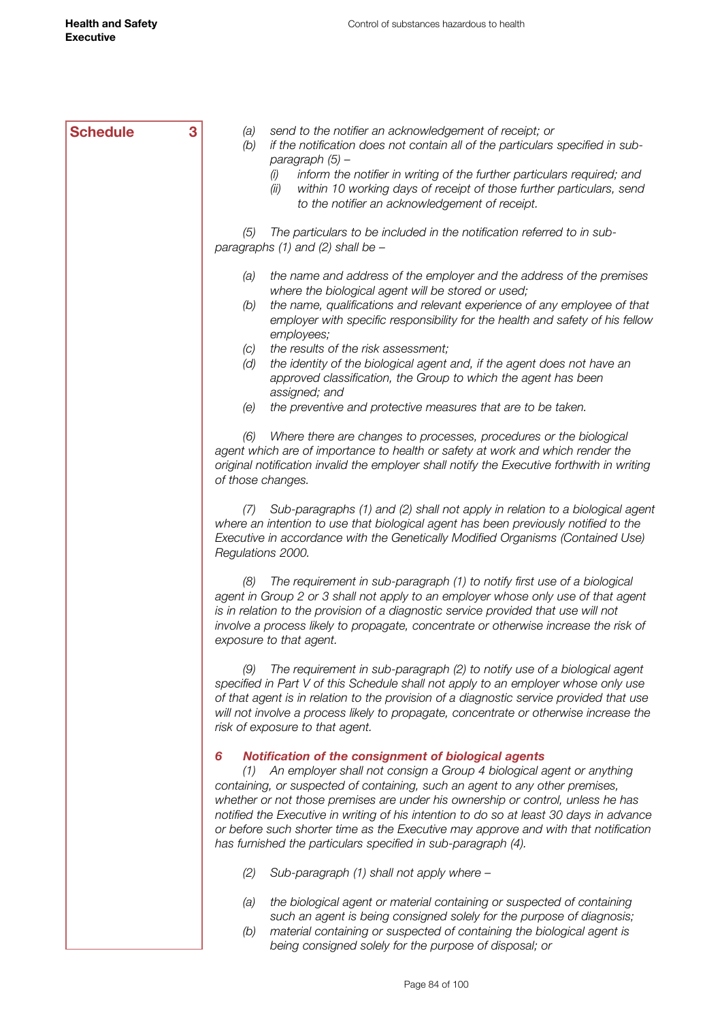| <b>Schedule</b> | 3 | send to the notifier an acknowledgement of receipt; or<br>(a)<br>(b)<br>if the notification does not contain all of the particulars specified in sub-<br>paragraph $(5)$ -<br>inform the notifier in writing of the further particulars required; and<br>(i)<br>within 10 working days of receipt of those further particulars, send<br>(ii)<br>to the notifier an acknowledgement of receipt.                                                                                                                                                                 |
|-----------------|---|----------------------------------------------------------------------------------------------------------------------------------------------------------------------------------------------------------------------------------------------------------------------------------------------------------------------------------------------------------------------------------------------------------------------------------------------------------------------------------------------------------------------------------------------------------------|
|                 |   | The particulars to be included in the notification referred to in sub-<br>(5)<br>paragraphs (1) and (2) shall be $-$                                                                                                                                                                                                                                                                                                                                                                                                                                           |
|                 |   | the name and address of the employer and the address of the premises<br>(a)<br>where the biological agent will be stored or used;<br>the name, qualifications and relevant experience of any employee of that<br>(b)<br>employer with specific responsibility for the health and safety of his fellow<br>employees;<br>the results of the risk assessment;<br>(C)<br>the identity of the biological agent and, if the agent does not have an<br>(d)                                                                                                            |
|                 |   | approved classification, the Group to which the agent has been<br>assigned; and                                                                                                                                                                                                                                                                                                                                                                                                                                                                                |
|                 |   | the preventive and protective measures that are to be taken.<br>(e)                                                                                                                                                                                                                                                                                                                                                                                                                                                                                            |
|                 |   | Where there are changes to processes, procedures or the biological<br>(6)<br>agent which are of importance to health or safety at work and which render the<br>original notification invalid the employer shall notify the Executive forthwith in writing<br>of those changes.                                                                                                                                                                                                                                                                                 |
|                 |   | Sub-paragraphs (1) and (2) shall not apply in relation to a biological agent<br>(7)<br>where an intention to use that biological agent has been previously notified to the<br>Executive in accordance with the Genetically Modified Organisms (Contained Use)<br>Regulations 2000.                                                                                                                                                                                                                                                                             |
|                 |   | The requirement in sub-paragraph (1) to notify first use of a biological<br>(8)<br>agent in Group 2 or 3 shall not apply to an employer whose only use of that agent<br>is in relation to the provision of a diagnostic service provided that use will not<br>involve a process likely to propagate, concentrate or otherwise increase the risk of<br>exposure to that agent.                                                                                                                                                                                  |
|                 |   | The requirement in sub-paragraph (2) to notify use of a biological agent<br>specified in Part V of this Schedule shall not apply to an employer whose only use<br>of that agent is in relation to the provision of a diagnostic service provided that use<br>will not involve a process likely to propagate, concentrate or otherwise increase the<br>risk of exposure to that agent.                                                                                                                                                                          |
|                 |   | Notification of the consignment of biological agents<br>6<br>An employer shall not consign a Group 4 biological agent or anything<br>(1)<br>containing, or suspected of containing, such an agent to any other premises,<br>whether or not those premises are under his ownership or control, unless he has<br>notified the Executive in writing of his intention to do so at least 30 days in advance<br>or before such shorter time as the Executive may approve and with that notification<br>has furnished the particulars specified in sub-paragraph (4). |
|                 |   | Sub-paragraph (1) shall not apply where -<br>(2)                                                                                                                                                                                                                                                                                                                                                                                                                                                                                                               |
|                 |   | the biological agent or material containing or suspected of containing<br>(a)<br>such an agent is being consigned solely for the purpose of diagnosis;<br>material containing or suspected of containing the biological agent is<br>(b)<br>being consigned solely for the purpose of disposal; or                                                                                                                                                                                                                                                              |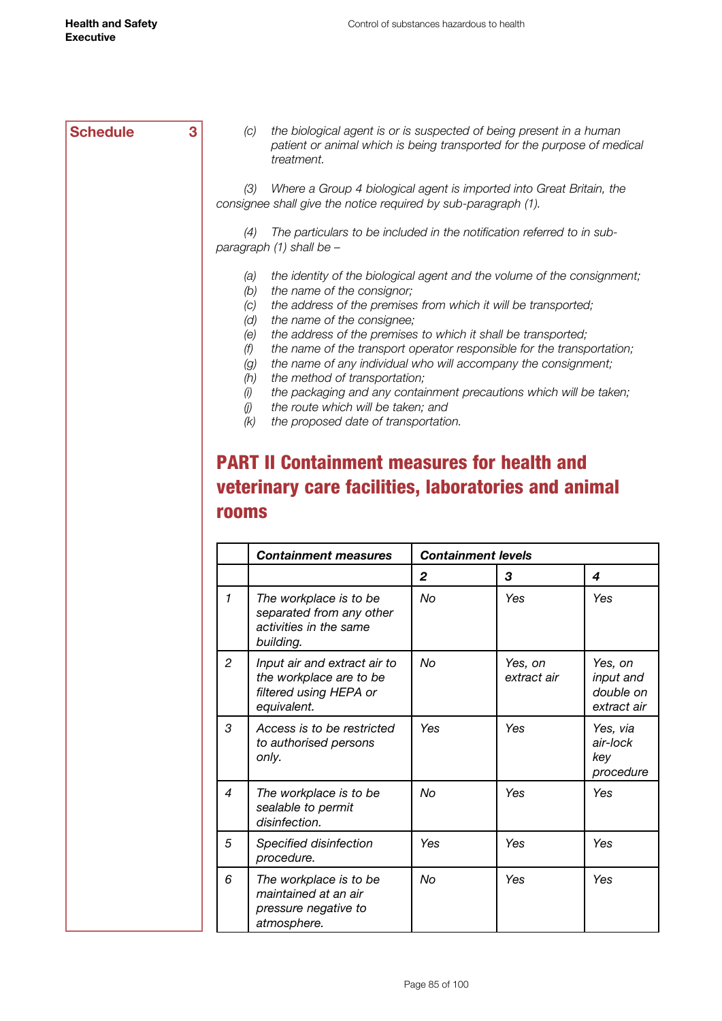| 3<br><b>Schedule</b> |                | the biological agent is or is suspected of being present in a human<br>(C)<br>patient or animal which is being transported for the purpose of medical<br>treatment.                                           |                           |                        |                                          |
|----------------------|----------------|---------------------------------------------------------------------------------------------------------------------------------------------------------------------------------------------------------------|---------------------------|------------------------|------------------------------------------|
|                      |                | Where a Group 4 biological agent is imported into Great Britain, the<br>(3)<br>consignee shall give the notice required by sub-paragraph (1).                                                                 |                           |                        |                                          |
|                      |                | The particulars to be included in the notification referred to in sub-<br>(4)<br>paragraph (1) shall be -                                                                                                     |                           |                        |                                          |
|                      |                | the identity of the biological agent and the volume of the consignment;<br>(a)<br>(b)<br>the name of the consignor;                                                                                           |                           |                        |                                          |
|                      |                | the address of the premises from which it will be transported;<br>(C)<br>the name of the consignee;<br>(d)<br>the address of the premises to which it shall be transported;<br>(e)                            |                           |                        |                                          |
|                      |                | (f)<br>the name of the transport operator responsible for the transportation;<br>the name of any individual who will accompany the consignment;<br>(g)                                                        |                           |                        |                                          |
|                      |                | (h)<br>the method of transportation;<br>the packaging and any containment precautions which will be taken;<br>(i)<br>(j)<br>the route which will be taken; and<br>(k)<br>the proposed date of transportation. |                           |                        |                                          |
|                      |                | <b>PART II Containment measures for health and</b>                                                                                                                                                            |                           |                        |                                          |
|                      | <b>rooms</b>   | veterinary care facilities, laboratories and animal                                                                                                                                                           |                           |                        |                                          |
|                      |                |                                                                                                                                                                                                               |                           |                        |                                          |
|                      |                | <b>Containment measures</b>                                                                                                                                                                                   | <b>Containment levels</b> |                        |                                          |
|                      |                |                                                                                                                                                                                                               | $\overline{2}$            | 3                      | $\boldsymbol{4}$                         |
|                      | 1              | The workplace is to be<br>separated from any other<br>activities in the same<br>building.                                                                                                                     | No                        | Yes                    | Yes                                      |
|                      | $\overline{c}$ | Input air and extract air to<br>the workplace are to be<br>filtered using HEPA or<br>equivalent.                                                                                                              | No                        | Yes, on<br>extract air | Yes, on<br>input and                     |
|                      |                |                                                                                                                                                                                                               |                           |                        | double on<br>extract air                 |
|                      | 3              | Access is to be restricted<br>to authorised persons<br>only.                                                                                                                                                  | Yes                       | Yes                    | Yes, via<br>air-lock<br>key<br>procedure |
|                      | $\overline{4}$ | The workplace is to be<br>sealable to permit<br>disinfection.                                                                                                                                                 | No                        | Yes                    | Yes                                      |
|                      | 5              | Specified disinfection<br>procedure.                                                                                                                                                                          | Yes                       | Yes                    | Yes                                      |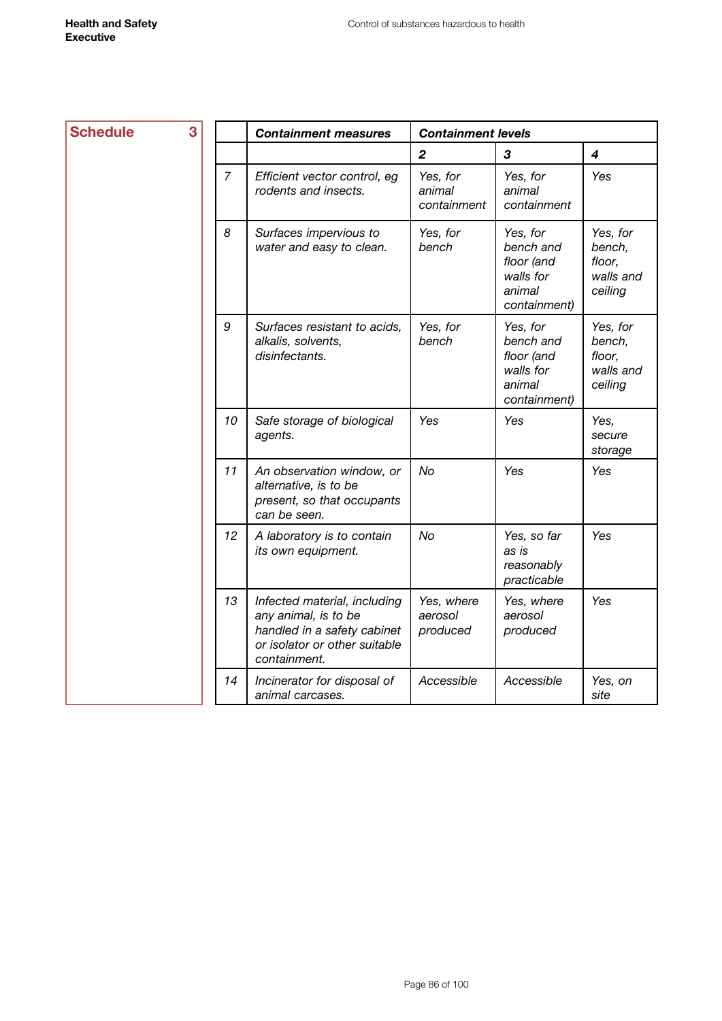| 3<br><b>Schedule</b> |                | <b>Containment measures</b>                                                                                                          | <b>Containment levels</b>         |                                                                            |                                                      |
|----------------------|----------------|--------------------------------------------------------------------------------------------------------------------------------------|-----------------------------------|----------------------------------------------------------------------------|------------------------------------------------------|
|                      |                |                                                                                                                                      | $\mathbf{2}$                      | 3                                                                          | $\boldsymbol{4}$                                     |
|                      | $\overline{7}$ | Efficient vector control, eg<br>rodents and insects.                                                                                 | Yes, for<br>animal<br>containment | Yes, for<br>animal<br>containment                                          | Yes                                                  |
|                      | 8              | Surfaces impervious to<br>water and easy to clean.                                                                                   | Yes, for<br>bench                 | Yes, for<br>bench and<br>floor (and<br>walls for<br>animal<br>containment) | Yes, for<br>bench,<br>floor,<br>walls and<br>ceiling |
|                      | 9              | Surfaces resistant to acids,<br>alkalis, solvents,<br>disinfectants.                                                                 | Yes, for<br>bench                 | Yes, for<br>bench and<br>floor (and<br>walls for<br>animal<br>containment) | Yes, for<br>bench,<br>floor,<br>walls and<br>ceiling |
|                      | 10             | Safe storage of biological<br>agents.                                                                                                | Yes                               | Yes                                                                        | Yes,<br>secure<br>storage                            |
|                      | 11             | An observation window, or<br>alternative, is to be<br>present, so that occupants<br>can be seen.                                     | No                                | Yes                                                                        | Yes                                                  |
|                      | 12             | A laboratory is to contain<br>its own equipment.                                                                                     | No                                | Yes, so far<br>as is<br>reasonably<br>practicable                          | Yes                                                  |
|                      | 13             | Infected material, including<br>any animal, is to be<br>handled in a safety cabinet<br>or isolator or other suitable<br>containment. | Yes, where<br>aerosol<br>produced | Yes, where<br>aerosol<br>produced                                          | Yes                                                  |
|                      | 14             | Incinerator for disposal of<br>animal carcases.                                                                                      | Accessible                        | Accessible                                                                 | Yes, on<br>site                                      |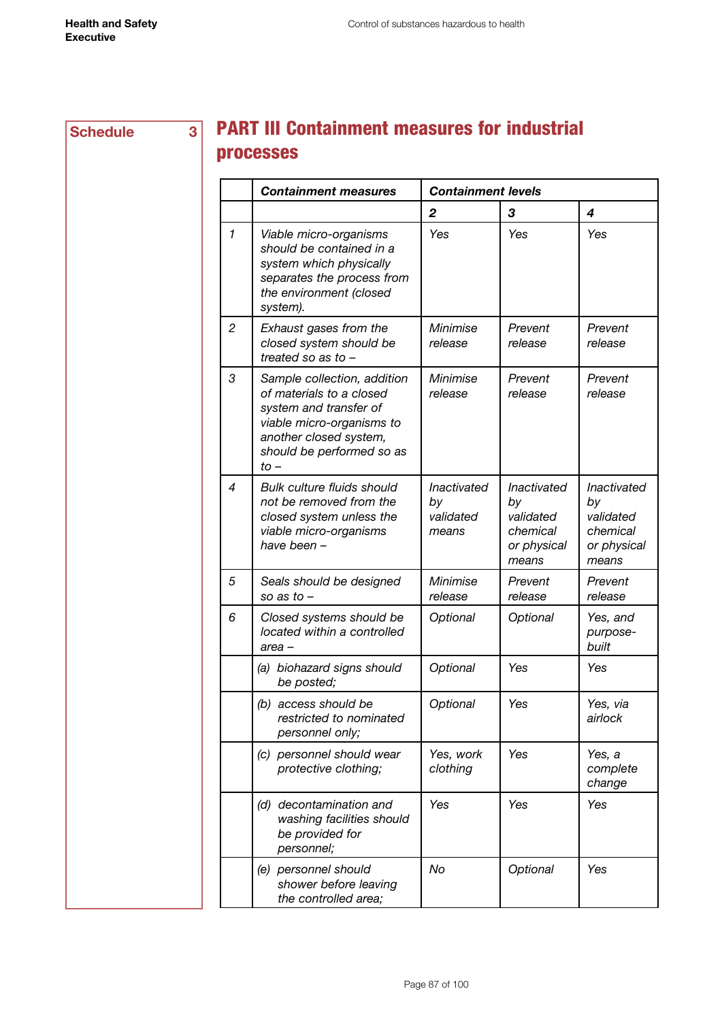#### **Schedule 3**

# PART III Containment measures for industrial processes

|                | <b>Containment measures</b>                                                                                                                                                   | <b>Containment levels</b>               |                                                                    |                                                                    |  |
|----------------|-------------------------------------------------------------------------------------------------------------------------------------------------------------------------------|-----------------------------------------|--------------------------------------------------------------------|--------------------------------------------------------------------|--|
|                |                                                                                                                                                                               | $\mathbf{2}$                            | 3                                                                  | 4                                                                  |  |
| $\mathbf{1}$   | Viable micro-organisms<br>should be contained in a<br>system which physically<br>separates the process from<br>the environment (closed<br>system).                            | Yes                                     | Yes                                                                | Yes                                                                |  |
| $\mathfrak{p}$ | Exhaust gases from the<br>closed system should be<br>treated so as to $-$                                                                                                     | Minimise<br>release                     | Prevent<br>release                                                 | Prevent<br>release                                                 |  |
| 3              | Sample collection, addition<br>of materials to a closed<br>system and transfer of<br>viable micro-organisms to<br>another closed system,<br>should be performed so as<br>to – | Minimise<br>release                     | Prevent<br>release                                                 | Prevent<br>release                                                 |  |
| $\overline{4}$ | <b>Bulk culture fluids should</b><br>not be removed from the<br>closed system unless the<br>viable micro-organisms<br>have been -                                             | Inactivated<br>by<br>validated<br>means | Inactivated<br>by<br>validated<br>chemical<br>or physical<br>means | Inactivated<br>by<br>validated<br>chemical<br>or physical<br>means |  |
| 5              | Seals should be designed<br>so as to –                                                                                                                                        | Minimise<br>release                     | Prevent<br>release                                                 | Prevent<br>release                                                 |  |
| 6              | Closed systems should be<br>located within a controlled<br>area -                                                                                                             | Optional                                | Optional                                                           | Yes, and<br>purpose-<br>built                                      |  |
|                | (a) biohazard signs should<br>be posted;                                                                                                                                      | Optional                                | Yes                                                                | Yes                                                                |  |
|                | (b) access should be<br>restricted to nominated<br>personnel only;                                                                                                            | Optional                                | Yes                                                                | Yes, via<br>airlock                                                |  |
|                | (c) personnel should wear<br>protective clothing;                                                                                                                             | Yes, work<br>clothing                   | Yes                                                                | Yes, a<br>complete<br>change                                       |  |
|                | (d) decontamination and<br>washing facilities should<br>be provided for<br>personnel;                                                                                         | Yes                                     | Yes                                                                | Yes                                                                |  |
|                | (e) personnel should<br>shower before leaving<br>the controlled area;                                                                                                         | No                                      | Optional                                                           | Yes                                                                |  |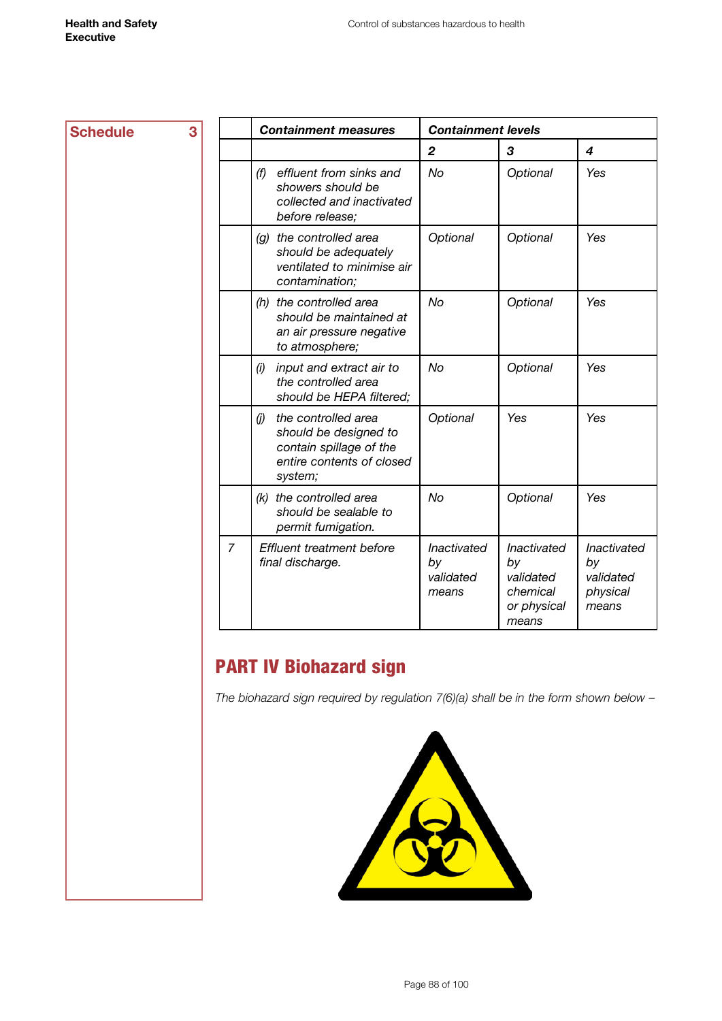| <b>Schedule</b> | 3 |                                                                                                  | <b>Containment measures</b>                                                                                            | <b>Containment levels</b>               |                                                                    |                                                     |
|-----------------|---|--------------------------------------------------------------------------------------------------|------------------------------------------------------------------------------------------------------------------------|-----------------------------------------|--------------------------------------------------------------------|-----------------------------------------------------|
|                 |   |                                                                                                  |                                                                                                                        | $\boldsymbol{2}$                        | 3                                                                  | 4                                                   |
|                 |   |                                                                                                  | effluent from sinks and<br>(f)<br>showers should be<br>collected and inactivated<br>before release;                    | No                                      | Optional                                                           | Yes                                                 |
|                 |   |                                                                                                  | the controlled area<br>(g)<br>should be adequately<br>ventilated to minimise air<br>contamination;                     | Optional                                | Optional                                                           | Yes                                                 |
|                 |   | (h) the controlled area<br>should be maintained at<br>an air pressure negative<br>to atmosphere; | No                                                                                                                     | Optional                                | Yes                                                                |                                                     |
|                 |   |                                                                                                  | input and extract air to<br>(i)<br>the controlled area<br>should be HEPA filtered;                                     | No                                      | Optional                                                           | Yes                                                 |
|                 |   |                                                                                                  | the controlled area<br>(i)<br>should be designed to<br>contain spillage of the<br>entire contents of closed<br>system; | Optional                                | Yes                                                                | Yes                                                 |
|                 |   |                                                                                                  | the controlled area<br>(k)<br>should be sealable to<br>permit fumigation.                                              | No                                      | Optional                                                           | Yes                                                 |
|                 |   | $\overline{7}$                                                                                   | Effluent treatment before<br>final discharge.                                                                          | Inactivated<br>by<br>validated<br>means | Inactivated<br>by<br>validated<br>chemical<br>or physical<br>means | Inactivated<br>by<br>validated<br>physical<br>means |

# PART IV Biohazard sign

*The biohazard sign required by regulation 7(6)(a) shall be in the form shown below –*

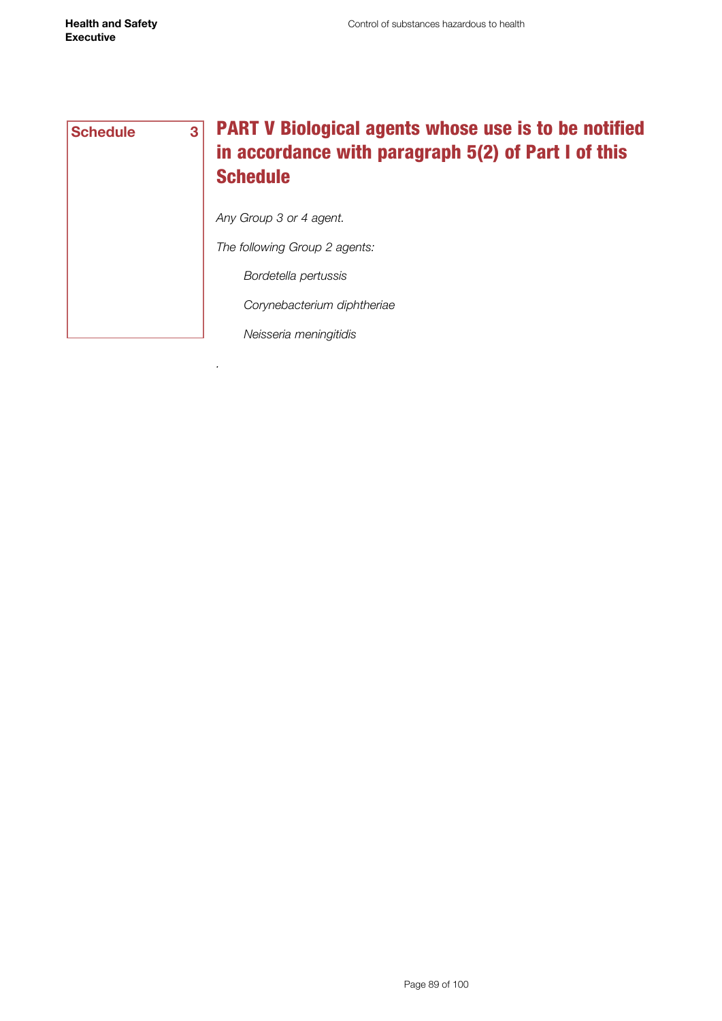| <b>Schedule</b> | 3 | <b>PART V Biological agents whose use is to be notified</b><br>in accordance with paragraph 5(2) of Part I of this<br><b>Schedule</b> |
|-----------------|---|---------------------------------------------------------------------------------------------------------------------------------------|
|                 |   | Any Group 3 or 4 agent.                                                                                                               |
|                 |   | The following Group 2 agents:                                                                                                         |
|                 |   | Bordetella pertussis                                                                                                                  |
|                 |   | Corynebacterium diphtheriae                                                                                                           |
|                 |   | Neisseria meningitidis                                                                                                                |

*.*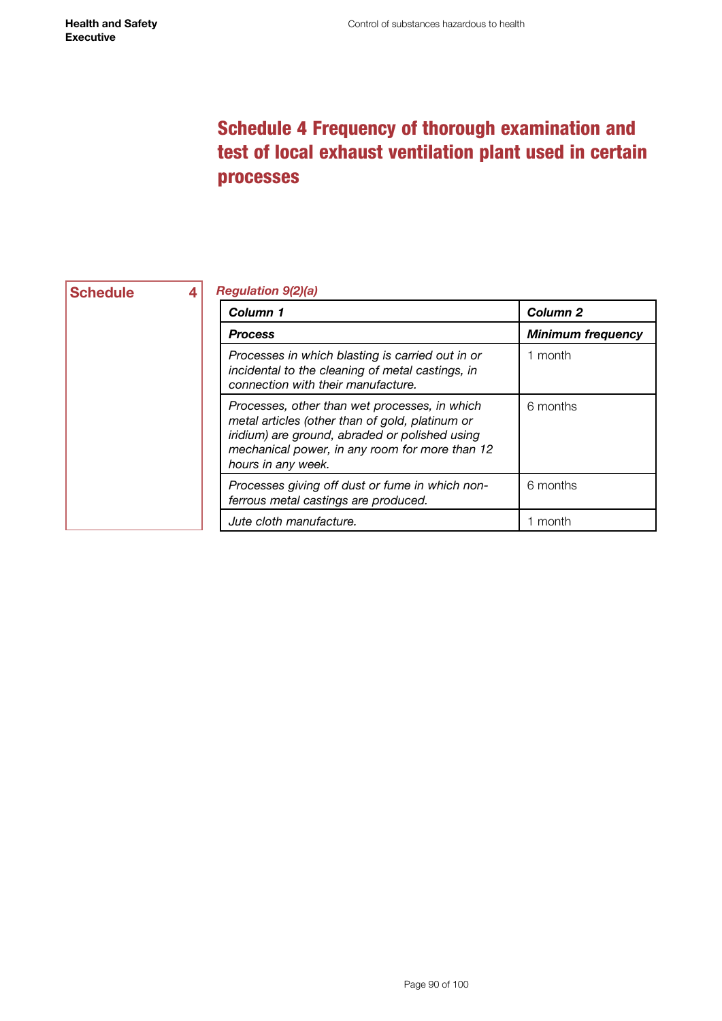## Schedule 4 Frequency of thorough examination and test of local exhaust ventilation plant used in certain processes

| <b>Schedule</b><br>4 | <b>Regulation 9(2)(a)</b>                                                                                                                                                                                                  |                          |
|----------------------|----------------------------------------------------------------------------------------------------------------------------------------------------------------------------------------------------------------------------|--------------------------|
|                      | Column 1                                                                                                                                                                                                                   | <b>Column 2</b>          |
|                      | <b>Process</b>                                                                                                                                                                                                             | <b>Minimum frequency</b> |
|                      | Processes in which blasting is carried out in or<br>incidental to the cleaning of metal castings, in<br>connection with their manufacture.                                                                                 | 1 month                  |
|                      | Processes, other than wet processes, in which<br>metal articles (other than of gold, platinum or<br>iridium) are ground, abraded or polished using<br>mechanical power, in any room for more than 12<br>hours in any week. | 6 months                 |
|                      | Processes giving off dust or fume in which non-<br>ferrous metal castings are produced.                                                                                                                                    | 6 months                 |
|                      | Jute cloth manufacture.                                                                                                                                                                                                    | month                    |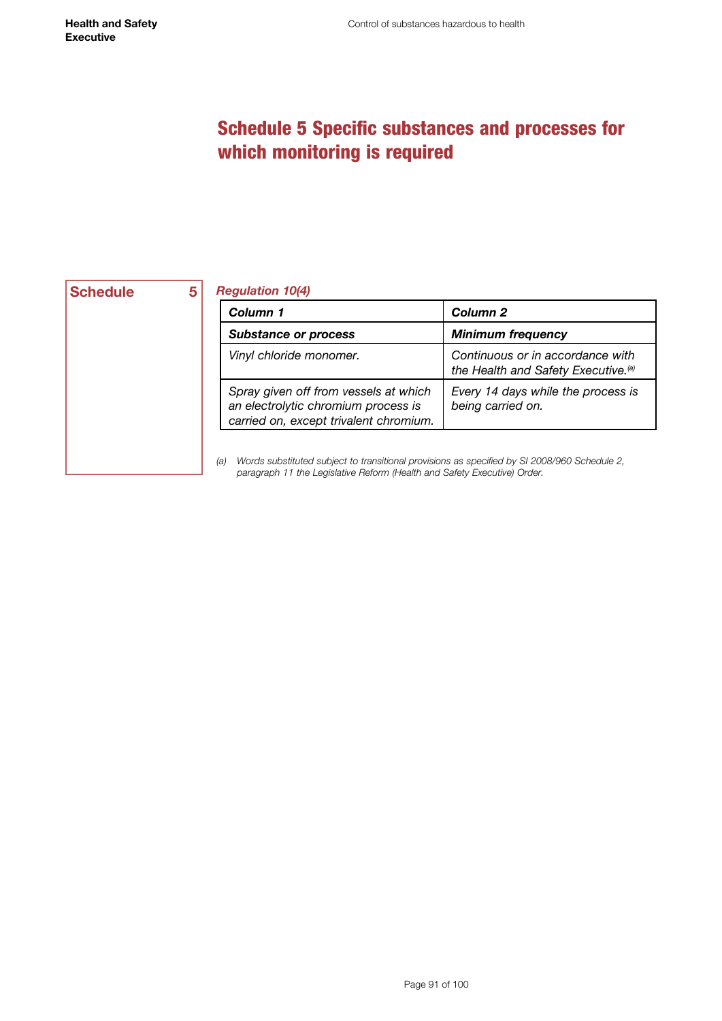## Schedule 5 Specific substances and processes for which monitoring is required

| <b>Schedule</b> | 5 |
|-----------------|---|
|                 |   |
|                 |   |
|                 |   |
|                 |   |
|                 |   |
|                 |   |

| <b>Regulation 10(4)</b> |  |  |
|-------------------------|--|--|
|-------------------------|--|--|

| Column 1                                                                                                               | Column <sub>2</sub>                                                                 |  |
|------------------------------------------------------------------------------------------------------------------------|-------------------------------------------------------------------------------------|--|
| <b>Substance or process</b>                                                                                            | <b>Minimum frequency</b>                                                            |  |
| Vinyl chloride monomer.                                                                                                | Continuous or in accordance with<br>the Health and Safety Executive. <sup>(a)</sup> |  |
| Spray given off from vessels at which<br>an electrolytic chromium process is<br>carried on, except trivalent chromium. | Every 14 days while the process is<br>being carried on.                             |  |

*(a) Words substituted subject to transitional provisions as specified by SI 2008/960 Schedule 2, paragraph 11 the Legislative Reform (Health and Safety Executive) Order.*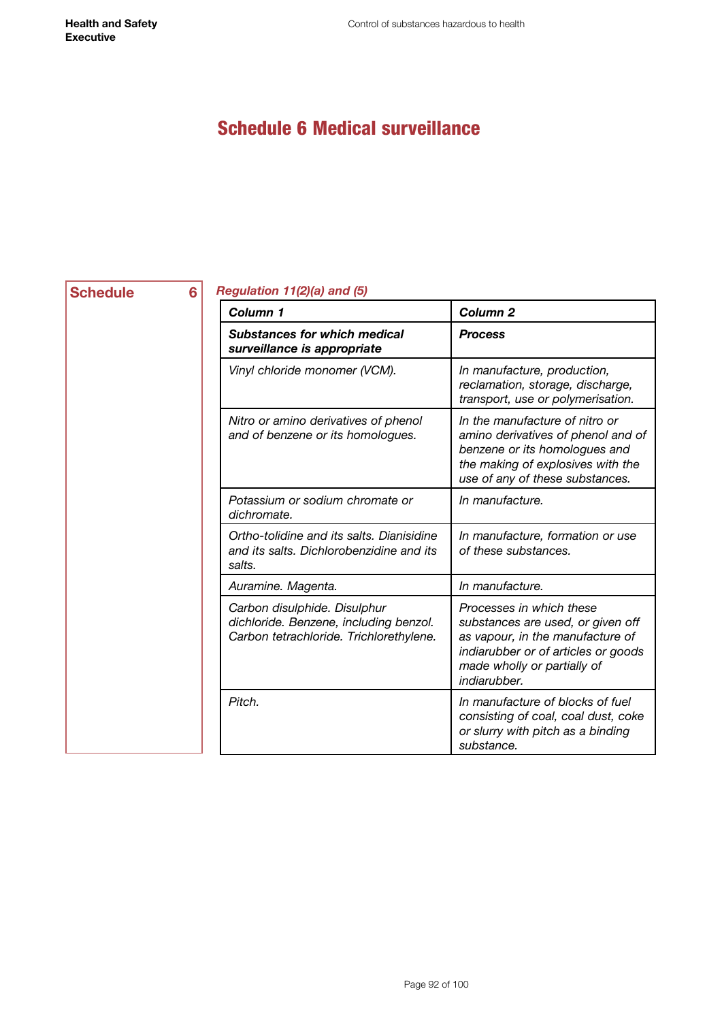#### Schedule 6 Medical surveillance

| <b>Schedule</b> | 6 | Regulation 11(2)(a) and                              |
|-----------------|---|------------------------------------------------------|
|                 |   | Column 1                                             |
|                 |   | <b>Substances for whicl</b><br>surveillance is appro |
|                 |   | Vinyl chloride monome                                |
|                 |   | Nitro or amino derivati<br>and of benzene or its     |

#### *Regulation 11(2)(a) and (5)*

| Column 1                                                                                                          | Column <sub>2</sub>                                                                                                                                                                     |
|-------------------------------------------------------------------------------------------------------------------|-----------------------------------------------------------------------------------------------------------------------------------------------------------------------------------------|
| <b>Substances for which medical</b><br>surveillance is appropriate                                                | <b>Process</b>                                                                                                                                                                          |
| Vinyl chloride monomer (VCM).                                                                                     | In manufacture, production,<br>reclamation, storage, discharge,<br>transport, use or polymerisation.                                                                                    |
| Nitro or amino derivatives of phenol<br>and of benzene or its homologues.                                         | In the manufacture of nitro or<br>amino derivatives of phenol and of<br>benzene or its homologues and<br>the making of explosives with the<br>use of any of these substances.           |
| Potassium or sodium chromate or<br>dichromate.                                                                    | In manufacture.                                                                                                                                                                         |
| Ortho-tolidine and its salts. Dianisidine<br>and its salts. Dichlorobenzidine and its<br>salts.                   | In manufacture, formation or use<br>of these substances.                                                                                                                                |
| Auramine. Magenta.                                                                                                | In manufacture.                                                                                                                                                                         |
| Carbon disulphide. Disulphur<br>dichloride. Benzene, including benzol.<br>Carbon tetrachloride. Trichlorethylene. | Processes in which these<br>substances are used, or given off<br>as vapour, in the manufacture of<br>indiarubber or of articles or goods<br>made wholly or partially of<br>indiarubber. |
| Pitch.                                                                                                            | In manufacture of blocks of fuel<br>consisting of coal, coal dust, coke<br>or slurry with pitch as a binding<br>substance.                                                              |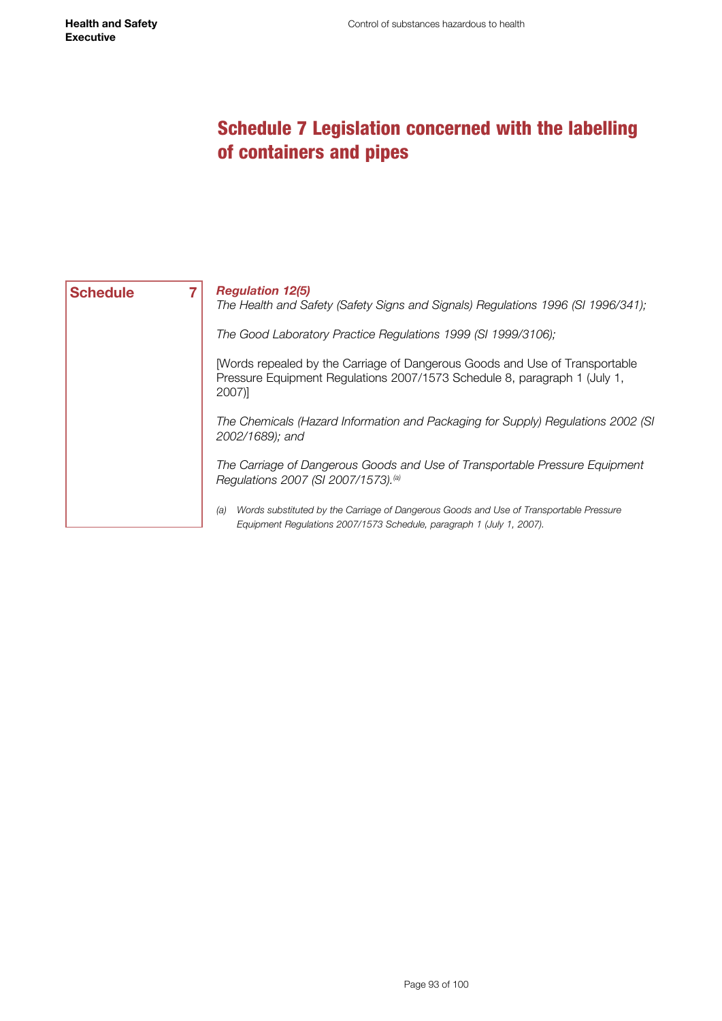## Schedule 7 Legislation concerned with the labelling of containers and pipes

| <b>Schedule</b> | <b>Regulation 12(5)</b><br>The Health and Safety (Safety Signs and Signals) Regulations 1996 (SI 1996/341);                                                            |
|-----------------|------------------------------------------------------------------------------------------------------------------------------------------------------------------------|
|                 | The Good Laboratory Practice Regulations 1999 (SI 1999/3106);                                                                                                          |
|                 | [Words repealed by the Carriage of Dangerous Goods and Use of Transportable<br>Pressure Equipment Regulations 2007/1573 Schedule 8, paragraph 1 (July 1,<br>2007)      |
|                 | The Chemicals (Hazard Information and Packaging for Supply) Regulations 2002 (SI<br>2002/1689); and                                                                    |
|                 | The Carriage of Dangerous Goods and Use of Transportable Pressure Equipment<br>Regulations 2007 (SI 2007/1573). (a)                                                    |
|                 | Words substituted by the Carriage of Dangerous Goods and Use of Transportable Pressure<br>(a)<br>Equipment Regulations 2007/1573 Schedule, paragraph 1 (July 1, 2007). |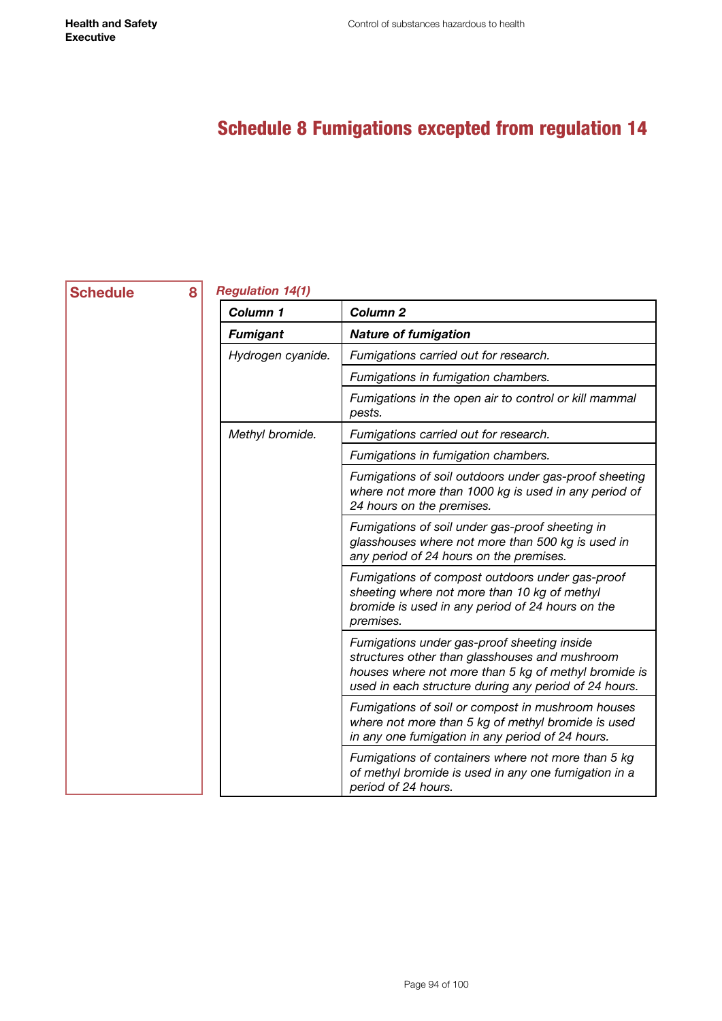# Schedule 8 Fumigations excepted from regulation 14

| 8<br><b>Schedule</b> | <b>Regulation 14(1)</b> |                                                                                                                                                                                                                |  |  |
|----------------------|-------------------------|----------------------------------------------------------------------------------------------------------------------------------------------------------------------------------------------------------------|--|--|
|                      | Column 1                | Column <sub>2</sub>                                                                                                                                                                                            |  |  |
|                      | <b>Fumigant</b>         | <b>Nature of fumigation</b>                                                                                                                                                                                    |  |  |
|                      | Hydrogen cyanide.       | Fumigations carried out for research.                                                                                                                                                                          |  |  |
|                      |                         | Fumigations in fumigation chambers.                                                                                                                                                                            |  |  |
|                      |                         | Fumigations in the open air to control or kill mammal<br>pests.                                                                                                                                                |  |  |
|                      | Methyl bromide.         | Fumigations carried out for research.                                                                                                                                                                          |  |  |
|                      |                         | Fumigations in fumigation chambers.                                                                                                                                                                            |  |  |
|                      |                         | Fumigations of soil outdoors under gas-proof sheeting<br>where not more than 1000 kg is used in any period of<br>24 hours on the premises.                                                                     |  |  |
|                      |                         | Fumigations of soil under gas-proof sheeting in<br>glasshouses where not more than 500 kg is used in<br>any period of 24 hours on the premises.                                                                |  |  |
|                      |                         | Fumigations of compost outdoors under gas-proof<br>sheeting where not more than 10 kg of methyl<br>bromide is used in any period of 24 hours on the<br>premises.                                               |  |  |
|                      |                         | Fumigations under gas-proof sheeting inside<br>structures other than glasshouses and mushroom<br>houses where not more than 5 kg of methyl bromide is<br>used in each structure during any period of 24 hours. |  |  |
|                      |                         | Fumigations of soil or compost in mushroom houses<br>where not more than 5 kg of methyl bromide is used<br>in any one fumigation in any period of 24 hours.                                                    |  |  |
|                      |                         | Fumigations of containers where not more than 5 kg<br>of methyl bromide is used in any one fumigation in a<br>period of 24 hours.                                                                              |  |  |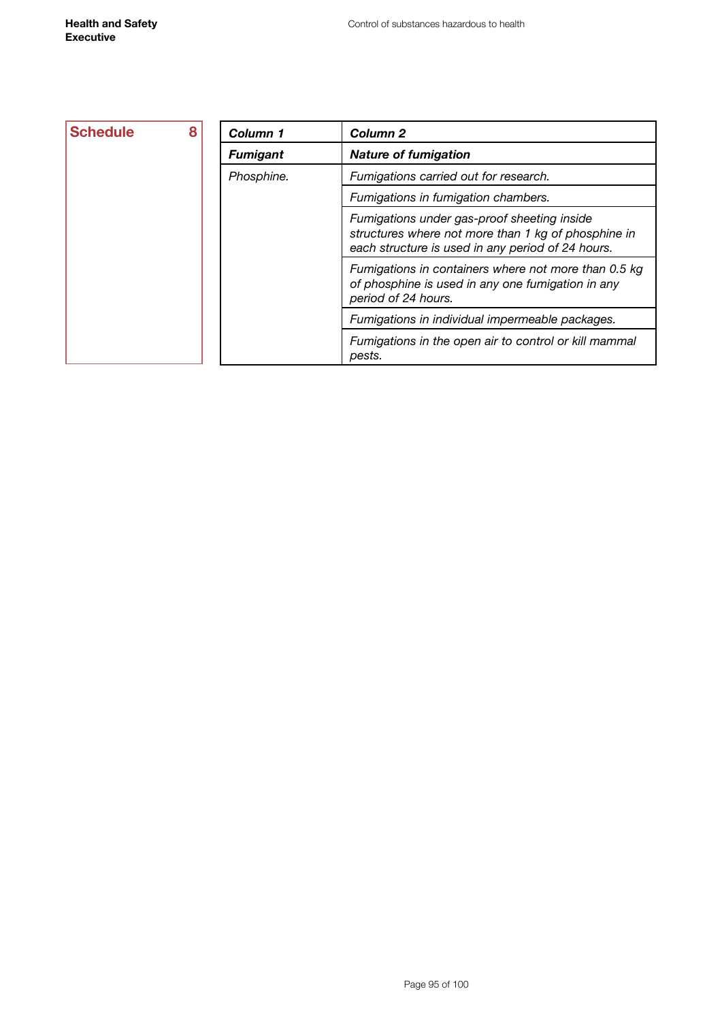| <b>Schedule</b><br>8 |  | Column 1                            | Column <sub>2</sub>                                                                                                                                     |
|----------------------|--|-------------------------------------|---------------------------------------------------------------------------------------------------------------------------------------------------------|
|                      |  | <b>Fumigant</b>                     | <b>Nature of fumigation</b>                                                                                                                             |
|                      |  | Phosphine.                          | Fumigations carried out for research.                                                                                                                   |
|                      |  | Fumigations in fumigation chambers. |                                                                                                                                                         |
|                      |  |                                     | Fumigations under gas-proof sheeting inside<br>structures where not more than 1 kg of phosphine in<br>each structure is used in any period of 24 hours. |
|                      |  |                                     | Fumigations in containers where not more than 0.5 kg<br>of phosphine is used in any one fumigation in any<br>period of 24 hours.                        |
|                      |  |                                     | Fumigations in individual impermeable packages.                                                                                                         |
|                      |  |                                     | Fumigations in the open air to control or kill mammal<br>pests.                                                                                         |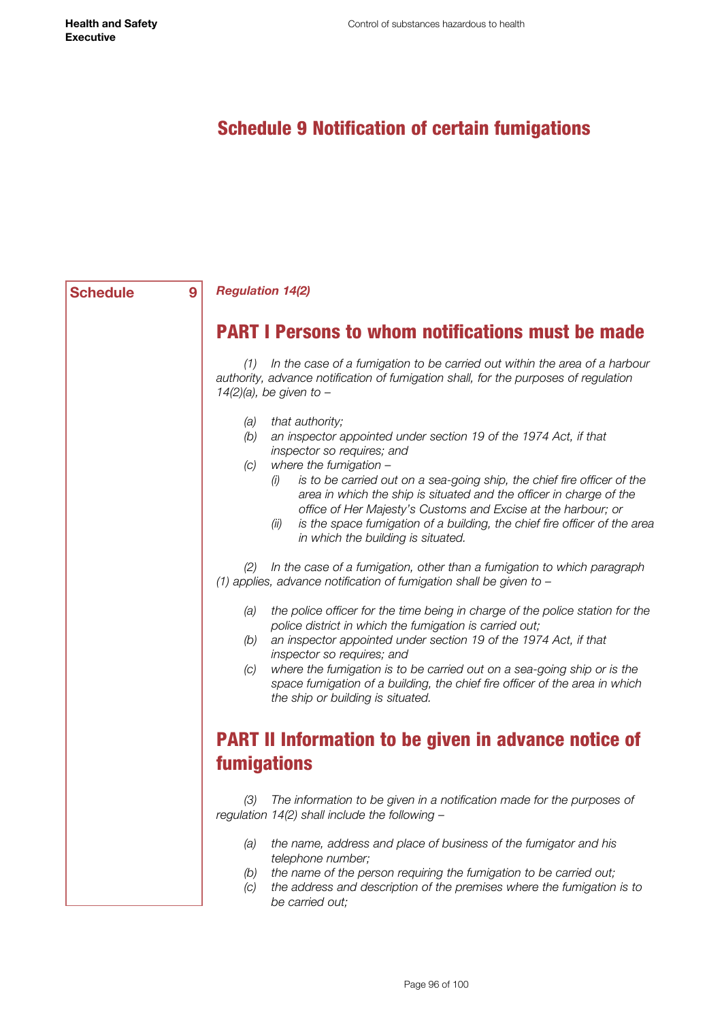# Schedule 9 Notification of certain fumigations

| 9<br><b>Schedule</b> | <b>Regulation 14(2)</b>                                                                                                                                                                                                                                                                                                                                                                                                                                                                                               |
|----------------------|-----------------------------------------------------------------------------------------------------------------------------------------------------------------------------------------------------------------------------------------------------------------------------------------------------------------------------------------------------------------------------------------------------------------------------------------------------------------------------------------------------------------------|
|                      | <b>PART I Persons to whom notifications must be made</b>                                                                                                                                                                                                                                                                                                                                                                                                                                                              |
|                      | In the case of a fumigation to be carried out within the area of a harbour<br>(1)<br>authority, advance notification of fumigation shall, for the purposes of regulation<br>$14(2)(a)$ , be given to -                                                                                                                                                                                                                                                                                                                |
|                      | that authority;<br>(a)<br>(b)<br>an inspector appointed under section 19 of the 1974 Act, if that<br>inspector so requires; and<br>where the fumigation -<br>(C)<br>is to be carried out on a sea-going ship, the chief fire officer of the<br>(i)<br>area in which the ship is situated and the officer in charge of the<br>office of Her Majesty's Customs and Excise at the harbour; or<br>is the space fumigation of a building, the chief fire officer of the area<br>(ii)<br>in which the building is situated. |
|                      | In the case of a fumigation, other than a fumigation to which paragraph<br>(2)<br>(1) applies, advance notification of fumigation shall be given to $-$                                                                                                                                                                                                                                                                                                                                                               |
|                      | the police officer for the time being in charge of the police station for the<br>(a)<br>police district in which the fumigation is carried out;<br>an inspector appointed under section 19 of the 1974 Act, if that<br>(b)<br>inspector so requires; and<br>where the fumigation is to be carried out on a sea-going ship or is the<br>(C)<br>space fumigation of a building, the chief fire officer of the area in which<br>the ship or building is situated.                                                        |
|                      | <b>PART II Information to be given in advance notice of</b><br><b>fumigations</b>                                                                                                                                                                                                                                                                                                                                                                                                                                     |
|                      | The information to be given in a notification made for the purposes of<br>(3)<br>regulation 14(2) shall include the following -                                                                                                                                                                                                                                                                                                                                                                                       |
|                      | the name, address and place of business of the fumigator and his<br>(a)<br>telephone number;<br>the name of the person requiring the fumigation to be carried out;<br>(b)<br>the address and description of the premises where the fumigation is to<br>(C)<br>be carried out;                                                                                                                                                                                                                                         |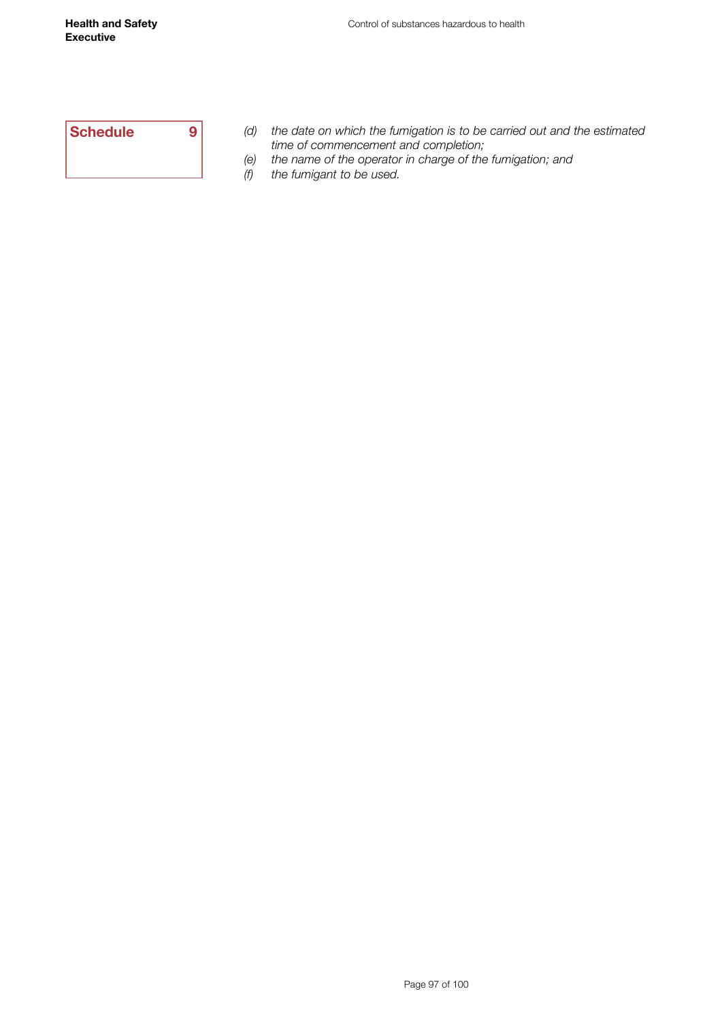| Schedule | 9 |  |
|----------|---|--|
|          |   |  |
|          |   |  |

- *(d) the date on which the fumigation is to be carried out and the estimated time of commencement and completion;*
- *(e) the name of the operator in charge of the fumigation; and*
- *(f) the fumigant to be used.*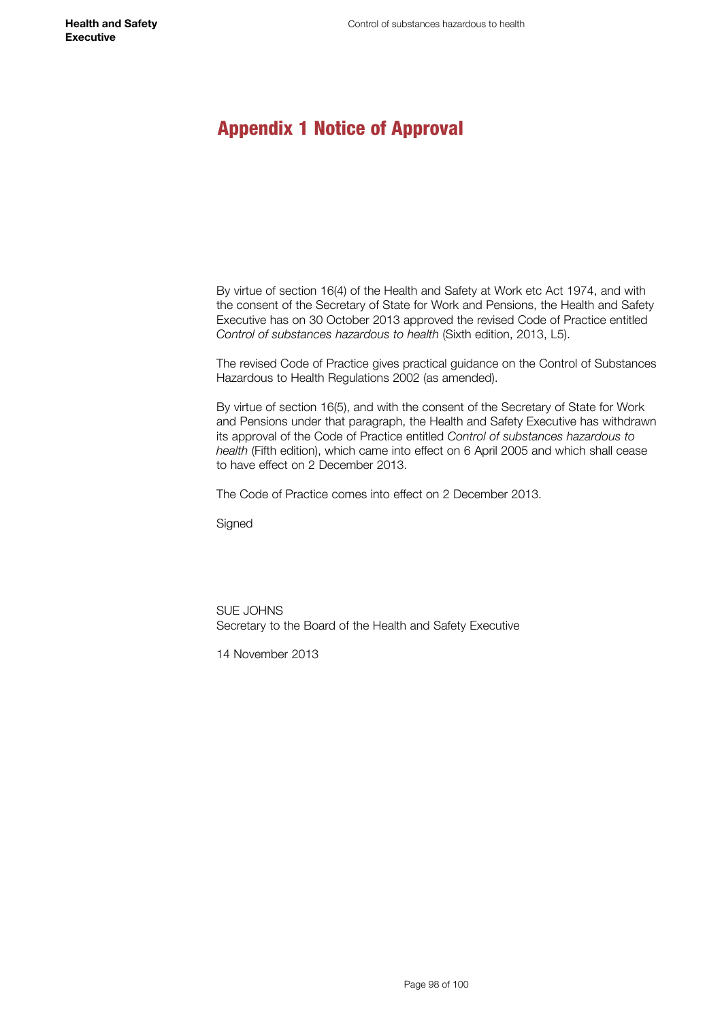#### Appendix 1 Notice of Approval

By virtue of section 16(4) of the Health and Safety at Work etc Act 1974, and with the consent of the Secretary of State for Work and Pensions, the Health and Safety Executive has on 30 October 2013 approved the revised Code of Practice entitled *Control of substances hazardous to health* (Sixth edition, 2013, L5).

The revised Code of Practice gives practical guidance on the Control of Substances Hazardous to Health Regulations 2002 (as amended).

By virtue of section 16(5), and with the consent of the Secretary of State for Work and Pensions under that paragraph, the Health and Safety Executive has withdrawn its approval of the Code of Practice entitled *Control of substances hazardous to health* (Fifth edition), which came into effect on 6 April 2005 and which shall cease to have effect on 2 December 2013.

The Code of Practice comes into effect on 2 December 2013.

**Signed** 

SUE JOHNS Secretary to the Board of the Health and Safety Executive

14 November 2013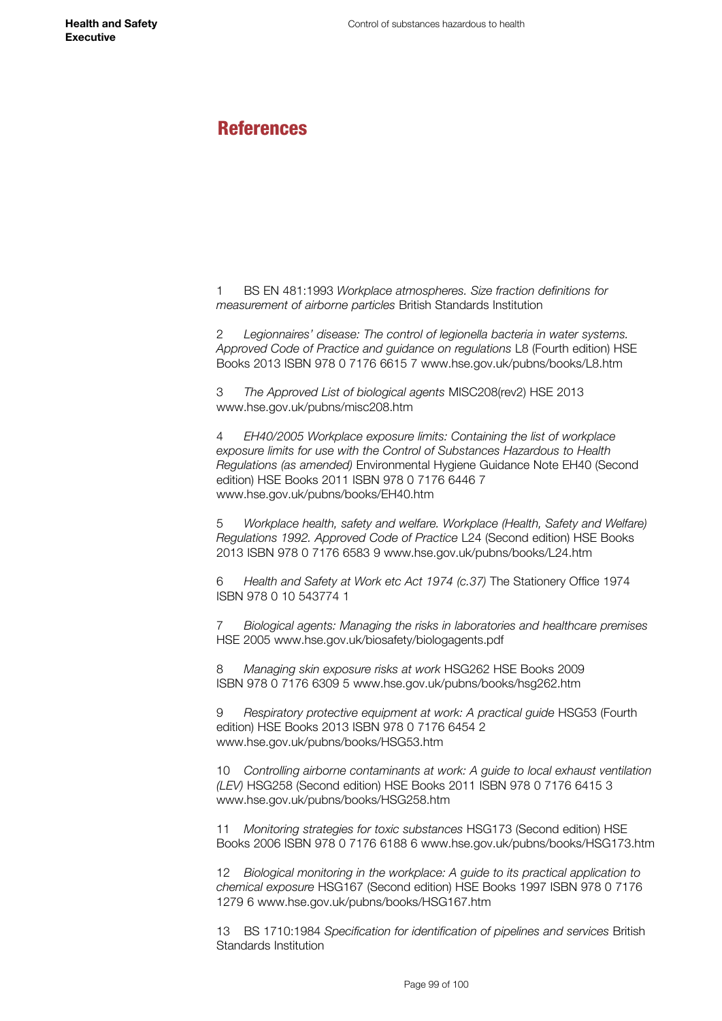#### **References**

1 BS EN 481:1993 *Workplace atmospheres. Size fraction definitions for measurement of airborne particles* British Standards Institution

2 *Legionnaires' disease: The control of legionella bacteria in water systems. Approved Code of Practice and guidance on regulations* L8 (Fourth edition) HSE Books 2013 ISBN 978 0 7176 6615 7 www.hse.gov.uk/pubns/books/L8.htm

3 *The Approved List of biological agents* MISC208(rev2) HSE 2013 www.hse.gov.uk/pubns/misc208.htm

4 *EH40/2005 Workplace exposure limits: Containing the list of workplace exposure limits for use with the Control of Substances Hazardous to Health Regulations (as amended)* Environmental Hygiene Guidance Note EH40 (Second edition) HSE Books 2011 ISBN 978 0 7176 6446 7 www.hse.gov.uk/pubns/books/EH40.htm

5 *Workplace health, safety and welfare. Workplace (Health, Safety and Welfare) Regulations 1992. Approved Code of Practice* L24 (Second edition) HSE Books 2013 ISBN 978 0 7176 6583 9 www.hse.gov.uk/pubns/books/L24.htm

6 *Health and Safety at Work etc Act 1974 (c.37)* The Stationery Office 1974 ISBN 978 0 10 543774 1

7 *Biological agents: Managing the risks in laboratories and healthcare premises*  HSE 2005 www.hse.gov.uk/biosafety/biologagents.pdf

8 *Managing skin exposure risks at work* HSG262 HSE Books 2009 ISBN 978 0 7176 6309 5 www.hse.gov.uk/pubns/books/hsg262.htm

9 *Respiratory protective equipment at work: A practical guide* HSG53 (Fourth edition) HSE Books 2013 ISBN 978 0 7176 6454 2 www.hse.gov.uk/pubns/books/HSG53.htm

10 *Controlling airborne contaminants at work: A guide to local exhaust ventilation (LEV)* HSG258 (Second edition) HSE Books 2011 ISBN 978 0 7176 6415 3 www.hse.gov.uk/pubns/books/HSG258.htm

11 *Monitoring strategies for toxic substances* HSG173 (Second edition) HSE Books 2006 ISBN 978 0 7176 6188 6 www.hse.gov.uk/pubns/books/HSG173.htm

12 *Biological monitoring in the workplace: A guide to its practical application to chemical exposure* HSG167 (Second edition) HSE Books 1997 ISBN 978 0 7176 1279 6 www.hse.gov.uk/pubns/books/HSG167.htm

13 BS 1710:1984 *Specification for identification of pipelines and services* British Standards Institution